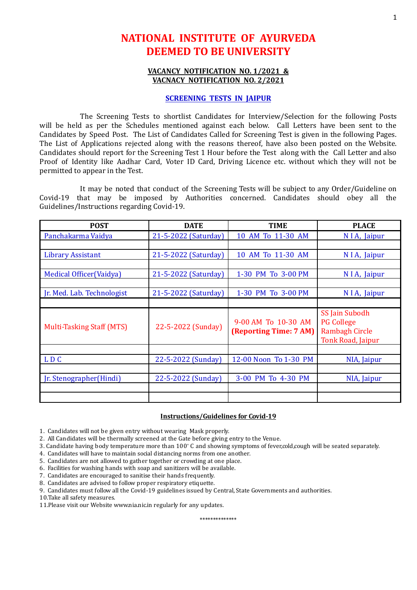# **NATIONAL INSTITUTE OF AYURVEDA DEEMED TO BE UNIVERSITY**

### **VACANCY NOTIFICATION NO. 1/2021 & VACNACY NOTIFICATION NO. 2/2021**

#### **SCREENING TESTS IN JAIPUR**

The Screening Tests to shortlist Candidates for Interview/Selection for the following Posts will be held as per the Schedules mentioned against each below. Call Letters have been sent to the Candidates by Speed Post. The List of Candidates Called for Screening Test is given in the following Pages. The List of Applications rejected along with the reasons thereof, have also been posted on the Website. Candidates should report for the Screening Test 1 Hour before the Test along with the Call Letter and also Proof of Identity like Aadhar Card, Voter ID Card, Driving Licence etc. without which they will not be permitted to appear in the Test.

It may be noted that conduct of the Screening Tests will be subject to any Order/Guideline on Covid-19 that may be imposed by Authorities concerned. Candidates should obey all the Guidelines/Instructions regarding Covid-19.

| <b>POST</b>                      | <b>DATE</b>          | <b>TIME</b>                                   | <b>PLACE</b>                                                                             |
|----------------------------------|----------------------|-----------------------------------------------|------------------------------------------------------------------------------------------|
| Panchakarma Vaidya               | 21-5-2022 (Saturday) | 10 AM To 11-30 AM                             | N I A, Jaipur                                                                            |
|                                  |                      |                                               |                                                                                          |
| <b>Library Assistant</b>         | 21-5-2022 (Saturday) | 10 AM To 11-30 AM                             | N I A, Jaipur                                                                            |
|                                  |                      |                                               |                                                                                          |
| Medical Officer (Vaidya)         | 21-5-2022 (Saturday) | 1-30 PM To 3-00 PM                            | NIA, Jaipur                                                                              |
|                                  |                      |                                               |                                                                                          |
| Jr. Med. Lab. Technologist       | 21-5-2022 (Saturday) | 1-30 PM To 3-00 PM                            | NIA, Jaipur                                                                              |
|                                  |                      |                                               |                                                                                          |
| <b>Multi-Tasking Staff (MTS)</b> | 22-5-2022 (Sunday)   | 9-00 AM To 10-30 AM<br>(Reporting Time: 7 AM) | SS Jain Subodh<br><b>PG College</b><br><b>Rambagh Circle</b><br><b>Tonk Road, Jaipur</b> |
|                                  |                      |                                               |                                                                                          |
| LDC                              | 22-5-2022 (Sunday)   | 12-00 Noon To 1-30 PM                         | NIA, Jaipur                                                                              |
|                                  |                      |                                               |                                                                                          |
| Jr. Stenographer (Hindi)         | 22-5-2022 (Sunday)   | 3-00 PM To 4-30 PM                            | NIA, Jaipur                                                                              |
|                                  |                      |                                               |                                                                                          |
|                                  |                      |                                               |                                                                                          |

#### **Instructions/Guidelines for Covid-19**

1. Candidates will not be given entry without wearing Mask properly.

- 2. All Candidates will be thermally screened at the Gate before giving entry to the Venue.
- 3. Candidate having body temperature more than 100 <sup>∘</sup> C and showing symptoms of fever,cold,cough will be seated separately.
- 4. Candidates will have to maintain social distancing norms from one another.
- 5. Candidates are not allowed to gather together or crowding at one place.
- 6. Facilities for washing hands with soap and sanitizers will be available.
- 7. Candidates are encouraged to sanitise their hands frequently.
- 8. Candidates are advised to follow proper respiratory etiquette.
- 9. Candidates must follow all the Covid-19 guidelines issued by Central, State Governments and authorities.

10.Take all safety measures.

11.Please visit our Website www.nia.nic.in regularly for any updates.

\*\*\*\*\*\*\*\*\*\*\*\*\*\*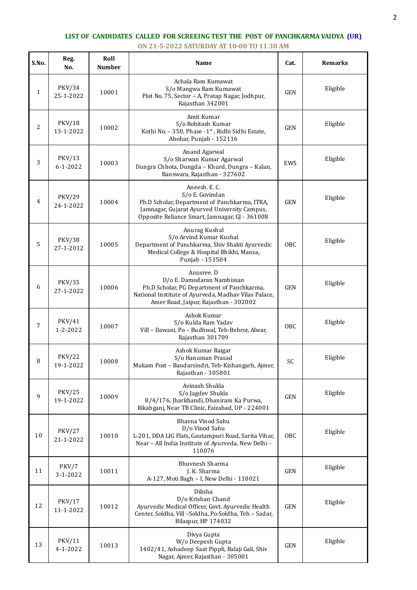## **LIST OF CANDIDATES CALLED FOR SCREEING TEST THE POST OF PANCHKARMA VAIDYA (UR) ON 21-5-2022 SATURDAY AT 10-00 TO 11.30 AM**

| S.No.          | Reg.<br>No.                     | Roll<br><b>Number</b> | Name                                                                                                                                                                                    | Cat.       | <b>Remarks</b> |
|----------------|---------------------------------|-----------------------|-----------------------------------------------------------------------------------------------------------------------------------------------------------------------------------------|------------|----------------|
| $\mathbf{1}$   | <b>PKV/34</b><br>25-1-2022      | 10001                 | Achala Ram Kumawat<br>S/o Mangwa Ram Kumawat<br>Plot No. 75, Sector - A, Pratap Nagar, Jodhpur,<br>Rajasthan 342001                                                                     | <b>GEN</b> | Eligible       |
| $\overline{c}$ | <b>PKV/18</b><br>13-1-2022      | 10002                 | Amit Kumar<br>S/o Rohitash Kumar<br>Kothi No. - 350, Phase -1 <sup>st</sup> , Ridhi Sidhi Estate,<br>Abohar, Punjab - 152116                                                            | <b>GEN</b> | Eligible       |
| 3              | PKV/13<br>$6 - 1 - 2022$        | 10003                 | Anand Agarwal<br>S/o Sharwan Kumar Agarwal<br>Dungra Chhota, Dungda - Khurd, Dungra - Kalan,<br>Banswara, Rajasthan - 327602                                                            | EWS        | Eligible       |
| 4              | <b>PKV/29</b><br>24-1-2022      | 10004                 | Aneesh. E. C.<br>S/o E. Govindan<br>Ph.D Scholar, Department of Panchkarma, ITRA,<br>Jamnagar, Gujarat Ayurved University Campus,<br>Opposite Reliance Smart, Jamnagar, GJ - 361008     | <b>GEN</b> | Eligible       |
| 5              | <b>PKV/38</b><br>27-1-2012      | 10005                 | Anurag Kushal<br>S/o Arvind Kumar Kushal<br>Department of Panchkarma, Shiv Shakti Ayurvedic<br>Medical College & Hospital Bhikhi, Mansa,<br>Punjab - 151504                             | OBC        | Eligible       |
| 6              | <b>PKV/35</b><br>27-1-2022      | 10006                 | Anusree. D<br>D/o E. Damodaran Nambissan<br>Ph.D Scholar, PG Department of Panchkarma,<br>National Institute of Ayurveda, Madhav Vilas Palace,<br>Amer Road, Jaipur, Rajasthan - 302002 | <b>GEN</b> | Eligible       |
| 7              | <b>PKV/41</b><br>$1 - 2 - 2022$ | 10007                 | Ashok Kumar<br>S/o Kulda Ram Yadav<br>Vill - Dawani, Po - Budhwal, Teh-Behror, Alwar,<br>Rajasthan 301709                                                                               | <b>OBC</b> | Eligible       |
| 8              | <b>PKV/22</b><br>19-1-2022      | 10008                 | Ashok Kumar Raigar<br>S/o Hanuman Prasad<br>Mukam Post - Bandarsindri, Teh-Kishangarh, Ajmer,<br>Rajasthan - 305801                                                                     | SC         | Eligible       |
| 9              | <b>PKV/25</b><br>19-1-2022      | 10009                 | Avinash Shukla<br>S/o Jagdev Shukla<br>8/4/176, Jharkhandi, Dhaniram Ka Purwa,<br>Rikabganj, Near TB Clinic, Faizabad, UP - 224001                                                      | <b>GEN</b> | Eligible       |
| 10             | <b>PKV/27</b><br>21-1-2022      | 10010                 | Bhavna Vinod Sahu<br>D/o Vinod Sahu<br>L-201, DDA LIG Flats, Gautampuri Road, Sarita Vihar,<br>Near - All India Institute of Ayurveda, New Delhi -<br>110076                            | OBC        | Eligible       |
| 11             | PKV/7<br>3-1-2022               | 10011                 | Bhuvnesh Sharma<br>J. K. Sharma<br>A-127, Moti Bagh - I, New Delhi - 110021                                                                                                             | <b>GEN</b> | Eligible       |
| 12             | PKV/17<br>11-1-2022             | 10012                 | Diksha<br>D/o Krishan Chand<br>Ayurvedic Medical Officer, Govt. Ayurvedic Health<br>Center, Soldha, Vill -Soldha, Po-Soldha, Teh - Sadar,<br>Bilaspur, HP 174032                        | <b>GEN</b> | Eligible       |
| 13             | PKV/11<br>$4 - 1 - 2022$        | 10013                 | Divya Gupta<br>W/o Deepesh Gupta<br>1402/41, Ashadeep Saat Pippli, Balaji Gali, Shiv<br>Nagar, Ajmer, Rajasthan - 305001                                                                | <b>GEN</b> | Eligible       |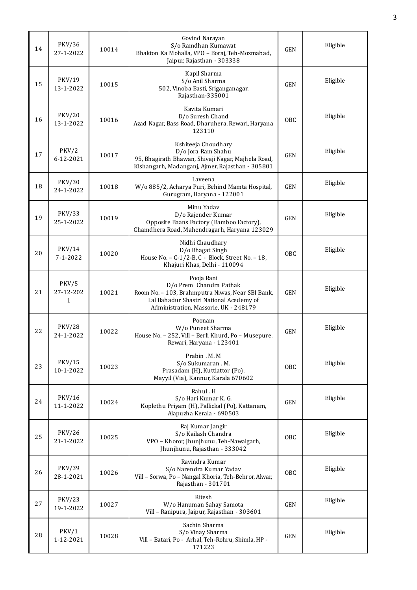| 14 | PKV/36<br>27-1-2022        | 10014 | Govind Narayan<br>S/o Ramdhan Kumawat<br>Bhakton Ka Mohalla, VPO - Boraj, Teh-Mozmabad,<br>Jaipur, Rajasthan - 303338                                                         | <b>GEN</b> | Eligible |
|----|----------------------------|-------|-------------------------------------------------------------------------------------------------------------------------------------------------------------------------------|------------|----------|
| 15 | PKV/19<br>13-1-2022        | 10015 | Kapil Sharma<br>S/o Anil Sharma<br>502, Vinoba Basti, Sriganganagar,<br>Rajasthan-335001                                                                                      | <b>GEN</b> | Eligible |
| 16 | <b>PKV/20</b><br>13-1-2022 | 10016 | Kavita Kumari<br>D/o Suresh Chand<br>Azad Nagar, Bass Road, Dharuhera, Rewari, Haryana<br>123110                                                                              | OBC        | Eligible |
| 17 | PKV/2<br>6-12-2021         | 10017 | Kshiteeja Choudhary<br>D/o Jora Ram Shahu<br>95, Bhagirath Bhawan, Shivaji Nagar, Majhela Road,<br>Kishangarh, Madanganj, Ajmer, Rajasthan - 305801                           | <b>GEN</b> | Eligible |
| 18 | <b>PKV/30</b><br>24-1-2022 | 10018 | Laveena<br>W/o 885/2, Acharya Puri, Behind Mamta Hospital,<br>Gurugram, Haryana - 122001                                                                                      | <b>GEN</b> | Eligible |
| 19 | <b>PKV/33</b><br>25-1-2022 | 10019 | Minu Yadav<br>D/o Rajender Kumar<br>Opposite Baans Factory (Bamboo Factory),<br>Chamdhera Road, Mahendragarh, Haryana 123029                                                  | <b>GEN</b> | Eligible |
| 20 | PKV/14<br>$7 - 1 - 2022$   | 10020 | Nidhi Chaudhary<br>D/o Bhagat Singh<br>House No. - C-1/2-B, C - Block, Street No. - 18,<br>Khajuri Khas, Delhi - 110094                                                       | <b>OBC</b> | Eligible |
| 21 | PKV/5<br>27-12-202<br>1    | 10021 | Pooja Rani<br>D/o Prem Chandra Pathak<br>Room No. - 103, Brahmputra Niwas, Near SBI Bank,<br>Lal Bahadur Shastri National Acedemy of<br>Administration, Massorie, UK - 248179 | <b>GEN</b> | Eligible |
| 22 | <b>PKV/28</b><br>24-1-2022 | 10022 | Poonam<br>W/o Puneet Sharma<br>House No. - 252, Vill - Berli Khurd, Po - Musepure,<br>Rewari, Haryana - 123401                                                                | <b>GEN</b> | Eligible |
| 23 | <b>PKV/15</b><br>10-1-2022 | 10023 | Prabin . M. M<br>S/o Sukumaran . M.<br>Prasadam (H), Kuttiattor (Po),<br>Mayyil (Via), Kannur, Karala 670602                                                                  | OBC        | Eligible |
| 24 | <b>PKV/16</b><br>11-1-2022 | 10024 | Rahul.H<br>S/o Hari Kumar K. G.<br>Koplethu Priyam (H), Pallickal (Po), Kattanam,<br>Alapuzha Kerala - 690503                                                                 | <b>GEN</b> | Eligible |
| 25 | <b>PKV/26</b><br>21-1-2022 | 10025 | Raj Kumar Jangir<br>S/o Kailash Chandra<br>VPO - Khoror, Jhunjhunu, Teh-Nawalgarh,<br>Jhunjhunu, Rajasthan - 333042                                                           | OBC        | Eligible |
| 26 | PKV/39<br>28-1-2021        | 10026 | Ravindra Kumar<br>S/o Narendra Kumar Yadav<br>Vill - Sorwa, Po - Nangal Khoria, Teh-Behror, Alwar,<br>Rajasthan - 301701                                                      | OBC        | Eligible |
| 27 | <b>PKV/23</b><br>19-1-2022 | 10027 | Ritesh<br>W/o Hanuman Sahay Samota<br>Vill - Ranipura, Jaipur, Rajasthan - 303601                                                                                             | <b>GEN</b> | Eligible |
| 28 | PKV/1<br>1-12-2021         | 10028 | Sachin Sharma<br>S/o Vinay Sharma<br>Vill - Batari, Po - Arhal, Teh-Rohru, Shimla, HP -<br>171223                                                                             | <b>GEN</b> | Eligible |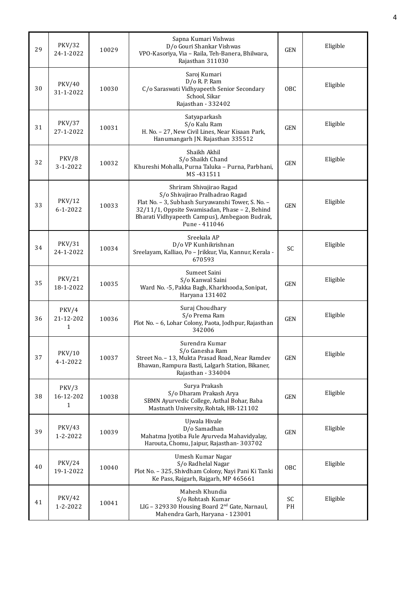| 29 | <b>PKV/32</b><br>24-1-2022 | 10029 | Sapna Kumari Vishwas<br>D/o Gouri Shankar Vishwas<br>VPO-Kasoriya, Via - Raila, Teh-Banera, Bhilwara,<br>Rajasthan 311030                                                                                                            | <b>GEN</b> | Eligible |
|----|----------------------------|-------|--------------------------------------------------------------------------------------------------------------------------------------------------------------------------------------------------------------------------------------|------------|----------|
| 30 | <b>PKV/40</b><br>31-1-2022 | 10030 | Saroj Kumari<br>D/o R. P. Ram<br>C/o Saraswati Vidhyapeeth Senior Secondary<br>School, Sikar<br>Rajasthan - 332402                                                                                                                   | <b>OBC</b> | Eligible |
| 31 | <b>PKV/37</b><br>27-1-2022 | 10031 | Satyaparkash<br>S/o Kalu Ram<br>H. No. - 27, New Civil Lines, Near Kisaan Park,<br>Hanumangarh JN. Rajasthan 335512                                                                                                                  | <b>GEN</b> | Eligible |
| 32 | PKV/8<br>$3 - 1 - 2022$    | 10032 | Shaikh Akhil<br>S/o Shaikh Chand<br>Khureshi Mohalla, Purna Taluka - Purna, Parbhani,<br>MS-431511                                                                                                                                   | <b>GEN</b> | Eligible |
| 33 | PKV/12<br>$6 - 1 - 2022$   | 10033 | Shriram Shivajirao Ragad<br>S/o Shivajirao Pralhadrao Ragad<br>Flat No. - 3, Subhash Suryawanshi Tower, S. No. -<br>32/11/1, Oppsite Swamisadan, Phase - 2, Behind<br>Bharati Vidhyapeeth Campus), Ambegaon Budrak,<br>Pune - 411046 | <b>GEN</b> | Eligible |
| 34 | <b>PKV/31</b><br>24-1-2022 | 10034 | Sreekala AP<br>D/o VP Kunhikrishnan<br>Sreelayam, Kalliao, Po - Jrikkur, Via, Kannur, Kerala -<br>670593                                                                                                                             | <b>SC</b>  | Eligible |
| 35 | <b>PKV/21</b><br>18-1-2022 | 10035 | Sumeet Saini<br>S/o Kanwal Saini<br>Ward No. -5, Pakka Bagh, Kharkhooda, Sonipat,<br>Haryana 131402                                                                                                                                  | <b>GEN</b> | Eligible |
| 36 | PKV/4<br>21-12-202<br>1    | 10036 | Suraj Choudhary<br>S/o Prema Ram<br>Plot No. - 6, Lohar Colony, Paota, Jodhpur, Rajasthan<br>342006                                                                                                                                  | <b>GEN</b> | Eligible |
| 37 | <b>PKV/10</b><br>4-1-2022  | 10037 | Surendra Kumar<br>S/o Ganesha Ram<br>Street No. - 13, Mukta Prasad Road, Near Ramdev<br>Bhawan, Rampura Basti, Lalgarh Station, Bikaner,<br>Rajasthan - 334004                                                                       | <b>GEN</b> | Eligible |
| 38 | PKV/3<br>16-12-202<br>1    | 10038 | Surya Prakash<br>S/o Dharam Prakash Arya<br>SBMN Ayurvedic College, Asthal Bohar, Baba<br>Mastnath University, Rohtak, HR-121102                                                                                                     | <b>GEN</b> | Eligible |
| 39 | <b>PKV/43</b><br>1-2-2022  | 10039 | Ujwala Hivale<br>D/o Samadhan<br>Mahatma Jyotiba Fule Ayurveda Mahavidyalay,<br>Harouta, Chomu, Jaipur, Rajasthan-303702                                                                                                             | <b>GEN</b> | Eligible |
| 40 | <b>PKV/24</b><br>19-1-2022 | 10040 | Umesh Kumar Nagar<br>S/o Radhelal Nagar<br>Plot No. - 325, Shivdham Colony, Nayi Pani Ki Tanki<br>Ke Pass, Rajgarh, Rajgarh, MP 465661                                                                                               | OBC        | Eligible |
| 41 | <b>PKV/42</b><br>1-2-2022  | 10041 | Mahesh Khundia<br>S/o Rohtash Kumar<br>LIG - 329330 Housing Board 2 <sup>nd</sup> Gate, Narnaul,<br>Mahendra Garh, Haryana - 123001                                                                                                  | SC<br>PH   | Eligible |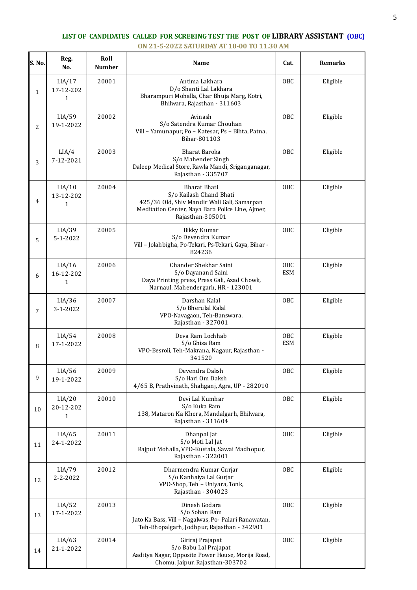## **LIST OF CANDIDATES CALLED FOR SCREEING TEST THE POST OF LIBRARY ASSISTANT (OBC) ON 21-5-2022 SATURDAY AT 10-00 TO 11.30 AM**

| S. No. | Reg.<br>No.                         | Roll<br><b>Number</b> | Name                                                                                                                                                           | Cat.              | Remarks  |
|--------|-------------------------------------|-----------------------|----------------------------------------------------------------------------------------------------------------------------------------------------------------|-------------------|----------|
| 1      | LIA/17<br>17-12-202<br>$\mathbf{1}$ | 20001                 | Antima Lakhara<br>D/o Shanti Lal Lakhara<br>Bharampuri Mohalla, Char Bhuja Marg, Kotri,<br>Bhilwara, Rajasthan - 311603                                        | OBC               | Eligible |
| 2      | LIA/59<br>19-1-2022                 | 20002                 | Avinash<br>S/o Satendra Kumar Chouhan<br>Vill - Yamunapur, Po - Katesar, Ps - Bihta, Patna,<br>Bihar-801103                                                    | <b>OBC</b>        | Eligible |
| 3      | LIA/4<br>7-12-2021                  | 20003                 | Bharat Baroka<br>S/o Mahender Singh<br>Daleep Medical Store, Rawla Mandi, Sriganganagar,<br>Rajasthan - 335707                                                 | OBC               | Eligible |
| 4      | LIA/10<br>13-12-202<br>1            | 20004                 | Bharat Bhati<br>S/o Kailash Chand Bhati<br>425/36 Old, Shiv Mandir Wali Gali, Samarpan<br>Meditation Center, Naya Bara Police Line, Ajmer,<br>Rajasthan-305001 | OBC               | Eligible |
| 5      | LIA/39<br>$5 - 1 - 2022$            | 20005                 | <b>Bikky Kumar</b><br>S/o Devendra Kumar<br>Vill - Jolahbigha, Po-Tekari, Ps-Tekari, Gaya, Bihar -<br>824236                                                   | <b>OBC</b>        | Eligible |
| 6      | LIA/16<br>16-12-202<br>$\mathbf{1}$ | 20006                 | Chander Shekhar Saini<br>S/o Dayanand Saini<br>Daya Printing press, Press Gali, Azad Chowk,<br>Narnaul, Mahendergarh, HR - 123001                              | OBC<br><b>ESM</b> | Eligible |
| 7      | LIA/36<br>$3 - 1 - 2022$            | 20007                 | Darshan Kalal<br>S/o Bherulal Kalal<br>VPO-Navagaon, Teh-Banswara,<br>Rajasthan - 327001                                                                       | <b>OBC</b>        | Eligible |
| 8      | LIA/54<br>17-1-2022                 | 20008                 | Deva Ram Lochhab<br>S/o Ghisa Ram<br>VPO-Besroli, Teh-Makrana, Nagaur, Rajasthan -<br>341520                                                                   | OBC<br><b>ESM</b> | Eligible |
| 9      | LIA/56<br>19-1-2022                 | 20009                 | Devendra Daksh<br>S/o Hari Om Daksh<br>4/65 B, Prathvinath, Shahganj, Agra, UP - 282010                                                                        | <b>OBC</b>        | Eligible |
| 10     | LIA/20<br>20-12-202<br>$\mathbf{1}$ | 20010                 | Devi Lal Kumhar<br>S/o Kuka Ram<br>138, Mataron Ka Khera, Mandalgarh, Bhilwara,<br>Rajasthan - 311604                                                          | OBC               | Eligible |
| 11     | LIA/65<br>24-1-2022                 | 20011                 | Dhanpal Jat<br>S/o Moti Lal Jat<br>Rajput Mohalla, VPO-Kustala, Sawai Madhopur,<br>Rajasthan - 322001                                                          | OBC               | Eligible |
| 12     | LIA/79<br>2-2-2022                  | 20012                 | Dharmendra Kumar Gurjar<br>S/o Kanhaiya Lal Gurjar<br>VPO-Shop, Teh - Uniyara, Tonk,<br>Rajasthan - 304023                                                     | OBC               | Eligible |
| 13     | LIA/52<br>17-1-2022                 | 20013                 | Dinesh Godara<br>S/o Sohan Ram<br>Jato Ka Bass, Vill - Nagalwas, Po- Palari Ranawatan,<br>Teh-Bhopalgarh, Jodhpur, Rajasthan - 342901                          | <b>OBC</b>        | Eligible |
| 14     | LIA/63<br>21-1-2022                 | 20014                 | Giriraj Prajapat<br>S/o Babu Lal Prajapat<br>Aaditya Nagar, Opposite Power House, Morija Road,<br>Chomu, Jaipur, Rajasthan-303702                              | OBC               | Eligible |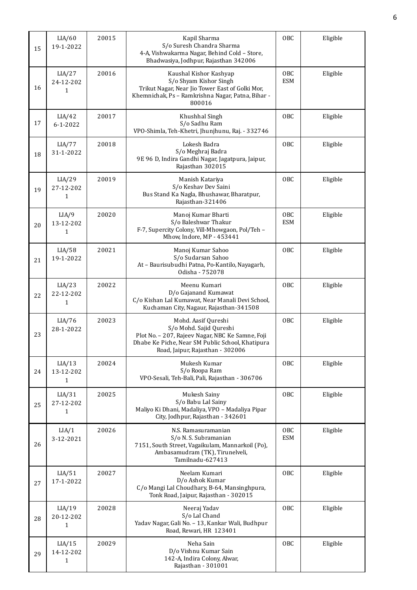| 15 | LIA/60<br>19-1-2022                 | 20015 | Kapil Sharma<br>S/o Suresh Chandra Sharma<br>4-A, Vishwakarma Nagar, Behind Cold - Store,<br>Bhadwasiya, Jodhpur, Rajasthan 342006                                                         | OBC               | Eligible |
|----|-------------------------------------|-------|--------------------------------------------------------------------------------------------------------------------------------------------------------------------------------------------|-------------------|----------|
| 16 | LIA/27<br>24-12-202<br>1            | 20016 | Kaushal Kishor Kashyap<br>S/o Shyam Kishor Singh<br>Trikut Nagar, Near Jio Tower East of Golki Mor,<br>Khemnichak, Ps - Ramkrishna Nagar, Patna, Bihar -<br>800016                         | OBC<br><b>ESM</b> | Eligible |
| 17 | LIA/42<br>$6 - 1 - 2022$            | 20017 | Khushhal Singh<br>S/o Sadhu Ram<br>VPO-Shimla, Teh-Khetri, Jhunjhunu, Raj. - 332746                                                                                                        | OBC               | Eligible |
| 18 | LIA/77<br>31-1-2022                 | 20018 | Lokesh Badra<br>S/o Meghraj Badra<br>9E 96 D, Indira Gandhi Nagar, Jagatpura, Jaipur,<br>Rajasthan 302015                                                                                  | OBC               | Eligible |
| 19 | LIA/29<br>27-12-202<br>1            | 20019 | Manish Katariya<br>S/o Keshav Dev Saini<br>Bus Stand Ka Nagla, Bhushawar, Bharatpur,<br>Rajasthan-321406                                                                                   | OBC               | Eligible |
| 20 | LIA/9<br>13-12-202<br>$\mathbf{1}$  | 20020 | Manoj Kumar Bharti<br>S/o Baleshwar Thakur<br>F-7, Supercity Colony, Vill-Mhowgaon, Pol/Teh -<br>Mhow, Indore, MP - 453441                                                                 | OBC<br><b>ESM</b> | Eligible |
| 21 | LIA/58<br>19-1-2022                 | 20021 | Manoj Kumar Sahoo<br>S/o Sudarsan Sahoo<br>At - Baurisubudhi Patna, Po-Kantilo, Nayagarh,<br>Odisha - 752078                                                                               | OBC               | Eligible |
| 22 | LIA/23<br>22-12-202<br>1            | 20022 | Meenu Kumari<br>D/o Gajanand Kumawat<br>C/o Kishan Lal Kumawat, Near Manali Devi School,<br>Kuchaman City, Nagaur, Rajasthan-341508                                                        | OBC               | Eligible |
| 23 | LIA/76<br>28-1-2022                 | 20023 | Mohd. Aasif Qureshi<br>S/o Mohd. Sajid Qureshi<br>Plot No. - 207, Rajeev Nagar, NBC Ke Samne, Foji<br>Dhabe Ke Piche, Near SM Public School, Khatipura<br>Road, Jaipur, Rajasthan - 302006 | OBC               | Eligible |
| 24 | LIA/13<br>13-12-202<br>1            | 20024 | Mukesh Kumar<br>S/o Roopa Ram<br>VPO-Sesali, Teh-Bali, Pali, Rajasthan - 306706                                                                                                            | OBC               | Eligible |
| 25 | LIA/31<br>27-12-202<br>1            | 20025 | Mukesh Sainy<br>S/o Babu Lal Sainy<br>Maliyo Ki Dhani, Madaliya, VPO - Madaliya Pipar<br>City, Jodhpur, Rajasthan - 342601                                                                 | OBC               | Eligible |
| 26 | LIA/1<br>3-12-2021                  | 20026 | N.S. Ramasuramanian<br>S/o N. S. Subramanian<br>7151, South Street, Vagaikulam, Mannarkoil (Po),<br>Ambasamudram (TK), Tirunelveli,<br>Tamilnadu-627413                                    | OBC<br><b>ESM</b> | Eligible |
| 27 | LIA/51<br>17-1-2022                 | 20027 | Neelam Kumari<br>D/o Ashok Kumar<br>C/o Mangi Lal Choudhary, B-64, Mansinghpura,<br>Tonk Road, Jaipur, Rajasthan - 302015                                                                  | OBC               | Eligible |
| 28 | LIA/19<br>20-12-202<br>$\mathbf{1}$ | 20028 | Neeraj Yadav<br>S/o Lal Chand<br>Yadav Nagar, Gali No. - 13, Kankar Wali, Budhpur<br>Road, Rewari, HR 123401                                                                               | OBC               | Eligible |
| 29 | LIA/15<br>14-12-202<br>1            | 20029 | Neha Sain<br>D/o Vishnu Kumar Sain<br>142-A, Indira Colony, Alwar,<br>Rajasthan - 301001                                                                                                   | OBC               | Eligible |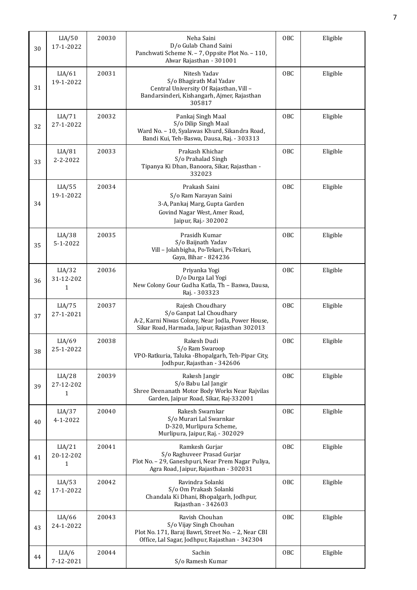| 30 | LIA/50<br>17-1-2022      | 20030 | Neha Saini<br>D/o Gulab Chand Saini<br>Panchwati Scheme N. - 7, Oppsite Plot No. - 110,<br>Alwar Rajasthan - 301001                                | OBC        | Eligible |
|----|--------------------------|-------|----------------------------------------------------------------------------------------------------------------------------------------------------|------------|----------|
| 31 | LIA/61<br>19-1-2022      | 20031 | Nitesh Yadav<br>S/o Bhagirath Mal Yadav<br>Central University Of Rajasthan, Vill -<br>Bandarsinderi, Kishangarh, Ajmer, Rajasthan<br>305817        | OBC        | Eligible |
| 32 | LIA/71<br>27-1-2022      | 20032 | Pankaj Singh Maal<br>S/o Dilip Singh Maal<br>Ward No. - 10, Syalawas Khurd, Sikandra Road,<br>Bandi Kui, Teh-Baswa, Dausa, Raj. - 303313           | OBC        | Eligible |
| 33 | LIA/81<br>2-2-2022       | 20033 | Prakash Khichar<br>S/o Prahalad Singh<br>Tipanya Ki Dhan, Banoora, Sikar, Rajasthan -<br>332023                                                    | OBC        | Eligible |
| 34 | LIA/55<br>19-1-2022      | 20034 | Prakash Saini<br>S/o Ram Narayan Saini<br>3-A, Pankaj Marg, Gupta Garden<br>Govind Nagar West, Amer Road,<br>Jaipur, Raj. - 302002                 | OBC        | Eligible |
| 35 | LIA/38<br>$5 - 1 - 2022$ | 20035 | Prasidh Kumar<br>S/o Baijnath Yadav<br>Vill - Jolahbigha, Po-Tekari, Ps-Tekari,<br>Gaya, Bihar - 824236                                            | OBC        | Eligible |
| 36 | LIA/32<br>31-12-202<br>1 | 20036 | Priyanka Yogi<br>D/o Durga Lal Yogi<br>New Colony Gour Gudha Katla, Th - Baswa, Dausa,<br>Raj. - 303323                                            | OBC        | Eligible |
| 37 | LIA/75<br>27-1-2021      | 20037 | Rajesh Choudhary<br>S/o Ganpat Lal Choudhary<br>A-2, Karni Niwas Colony, Near Jodla, Power House,<br>Sikar Road, Harmada, Jaipur, Rajasthan 302013 | OBC        | Eligible |
| 38 | LIA/69<br>25-1-2022      | 20038 | Rakesh Dudi<br>S/o Ram Swaroop<br>VPO-Ratkuria, Taluka -Bhopalgarh, Teh-Pipar City,<br>Jodhpur, Rajasthan - 342606                                 | <b>OBC</b> | Eligible |
| 39 | LIA/28<br>27-12-202<br>1 | 20039 | Rakesh Jangir<br>S/o Babu Lal Jangir<br>Shree Deenanath Motor Body Works Near Rajvilas<br>Garden, Jaipur Road, Sikar, Raj-332001                   | OBC        | Eligible |
| 40 | LIA/37<br>$4 - 1 - 2022$ | 20040 | Rakesh Swarnkar<br>S/o Murari Lal Swarnkar<br>D-320, Murlipura Scheme,<br>Murlipura, Jaipur, Raj. - 302029                                         | OBC        | Eligible |
| 41 | LIA/21<br>20-12-202<br>1 | 20041 | Ramkesh Gurjar<br>S/o Raghuveer Prasad Gurjar<br>Plot No. - 29, Ganeshpuri, Near Prem Nagar Puliya,<br>Agra Road, Jaipur, Rajasthan - 302031       | OBC        | Eligible |
| 42 | LIA/53<br>17-1-2022      | 20042 | Ravindra Solanki<br>S/o Om Prakash Solanki<br>Chandala Ki Dhani, Bhopalgarh, Jodhpur,<br>Rajasthan - 342603                                        | OBC        | Eligible |
| 43 | LIA/66<br>24-1-2022      | 20043 | Ravish Chouhan<br>S/o Vijay Singh Chouhan<br>Plot No. 171, Baraj Bawri, Street No. - 2, Near CBI<br>Office, Lal Sagar, Jodhpur, Rajasthan - 342304 | OBC        | Eligible |
| 44 | LIA/6<br>7-12-2021       | 20044 | Sachin<br>S/o Ramesh Kumar                                                                                                                         | OBC        | Eligible |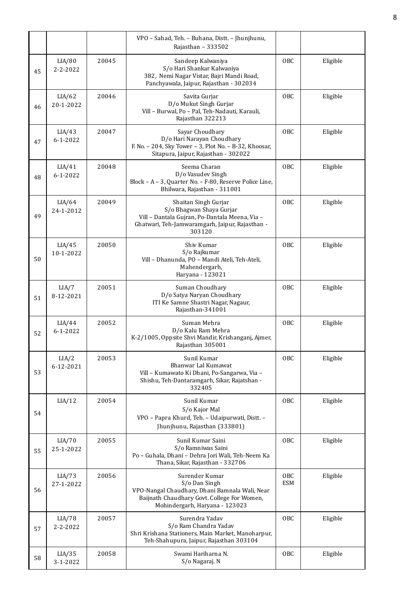|    |                          |       | VPO - Sahad, Teh. - Buhana, Distt. - Jhunjhunu,<br>Rajasthan - 333502                                                                                              |                   |          |
|----|--------------------------|-------|--------------------------------------------------------------------------------------------------------------------------------------------------------------------|-------------------|----------|
| 45 | LIA/80<br>$2 - 2 - 2022$ | 20045 | Sandeep Kalwaniya<br>S/o Hari Shankar Kalwaniya<br>382, Nemi Nagar Vistar, Bajri Mandi Road,<br>Panchyawala, Jaipur, Rajasthan - 302034                            | OBC               | Eligible |
| 46 | LIA/62<br>20-1-2022      | 20046 | Savita Gurjar<br>D/o Mukut Singh Gurjar<br>Vill - Burwal, Po - Pal, Teh-Nadauti, Karauli,<br>Rajasthan 322213                                                      | OBC               | Eligible |
| 47 | LIA/43<br>$6 - 1 - 2022$ | 20047 | Sayar Choudhary<br>D/o Hari Narayan Choudhary<br>F. No. - 204, Sky Tower - 3, Plot No. - B-32, Khoosar,<br>Sitapura, Jaipur, Rajasthan - 302022                    | OBC               | Eligible |
| 48 | LIA/41<br>$6 - 1 - 2022$ | 20048 | Seema Charan<br>D/o Vasudev Singh<br>Block - A - 3, Quarter No. - F-80, Reserve Police Line,<br>Bhilwara, Rajasthan - 311001                                       | OBC               | Eligible |
| 49 | LIA/64<br>24-1-2012      | 20049 | Shaitan Singh Gurjar<br>S/o Bhagwan Shaya Gurjar<br>Vill - Dantala Gujran, Po-Dantala Meena, Via -<br>Ghatwari, Teh-Jamwaramgarh, Jaipur, Rajasthan -<br>303120    | 0 <sub>BC</sub>   | Eligible |
| 50 | LIA/45<br>10-1-2022      | 20050 | Shiv Kumar<br>S/o Rajkumar<br>Vill - Dhanunda, PO - Mandi Ateli, Teh-Ateli,<br>Mahendergarh,<br>Haryana - 123021                                                   | OBC               | Eligible |
| 51 | LIA/7<br>8-12-2021       | 20051 | Suman Choudhary<br>D/o Satya Naryan Choudhary<br>ITI Ke Samne Shastri Nagar, Nagaur,<br>Rajasthan-341001                                                           | OBC               | Eligible |
| 52 | LIA/44<br>$6 - 1 - 2022$ | 20052 | Suman Mehra<br>D/o Kalu Ram Mehra<br>K-2/1005, Oppsite Shvi Mandir, Krishanganj, Ajmer,<br>Rajasthan 305001                                                        | OBC               | Eligible |
| 53 | LIA/2<br>6-12-2021       | 20053 | Sunil Kumar<br>Bhanwar Lal Kumawat<br>Vill - Kumawato Ki Dhani, Po-Sangarwa, Via -<br>Shishu, Teh-Dantaramgarh, Sikar, Rajatshan -<br>332405                       | OBC               | Eligible |
| 54 | LIA/12                   | 20054 | Sunil Kumar<br>S/o Kajor Mal<br>VPO - Papra Khurd, Teh. - Udaipurwati, Distt. -<br>Jhunjhunu, Rajasthan (333801)                                                   | OBC               | Eligible |
| 55 | LIA/70<br>25-1-2022      | 20055 | Sunil Kumar Saini<br>S/o Ramniwas Saini<br>Po - Guhala, Dhani - Dehra Jori Wali, Teh-Neem Ka<br>Thana, Sikar, Rajasthan - 332706                                   | OBC               | Eligible |
| 56 | LIA/73<br>27-1-2022      | 20056 | Surender Kumar<br>S/o Dan Singh<br>VPO-Nangal Chaudhary, Dhani Bamnala Wali, Near<br>Baijnath Chaudhary Govt. College For Women,<br>Mohindergarh, Haryana - 123023 | OBC<br><b>ESM</b> | Eligible |
| 57 | LIA/78<br>2-2-2022       | 20057 | Surendra Yadav<br>S/o Ram Chandra Yadav<br>Shri Krishana Stationers, Main Market, Manoharpur,<br>Teh-Shahupura, Jaipur, Rajasthan 303104                           | OBC               | Eligible |
| 58 | LIA/35<br>3-1-2022       | 20058 | Swami Hariharna N.<br>S/o Nagaraj. N                                                                                                                               | OBC               | Eligible |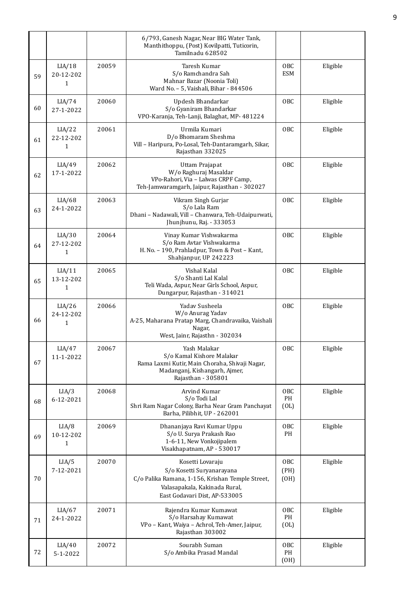|    |                                     |       | 6/793, Ganesh Nagar, Near BIG Water Tank,<br>Manthithoppu, (Post) Kovilpatti, Tuticorin,<br>Tamilnadu 628502                                                        |                     |          |
|----|-------------------------------------|-------|---------------------------------------------------------------------------------------------------------------------------------------------------------------------|---------------------|----------|
| 59 | LIA/18<br>20-12-202<br>$\mathbf{1}$ | 20059 | Taresh Kumar<br>S/o Ramchandra Sah<br>Mahnar Bazar (Noonia Toli)<br>Ward No. - 5, Vaishali, Bihar - 844506                                                          | OBC<br><b>ESM</b>   | Eligible |
| 60 | LIA/74<br>27-1-2022                 | 20060 | Updesh Bhandarkar<br>S/o Gyaniram Bhandarkar<br>VPO-Karanja, Teh-Lanji, Balaghat, MP- 481224                                                                        | 0 <sub>BC</sub>     | Eligible |
| 61 | LIA/22<br>22-12-202<br>1            | 20061 | Urmila Kumari<br>D/o Bhomaram Sheshma<br>Vill - Haripura, Po-Losal, Teh-Dantaramgarh, Sikar,<br>Rajasthan 332025                                                    | OBC                 | Eligible |
| 62 | LIA/49<br>17-1-2022                 | 20062 | Uttam Prajapat<br>W/o Raghuraj Masaldar<br>VPo-Rahori, Via - Lalwas CRPF Camp,<br>Teh-Jamwaramgarh, Jaipur, Rajasthan - 302027                                      | OBC                 | Eligible |
| 63 | LIA/68<br>24-1-2022                 | 20063 | Vikram Singh Gurjar<br>S/o Lala Ram<br>Dhani - Nadawali, Vill - Chanwara, Teh-Udaipurwati,<br>Jhunjhunu, Raj. - 333053                                              | OBC                 | Eligible |
| 64 | LIA/30<br>27-12-202<br>$\mathbf{1}$ | 20064 | Vinay Kumar Vishwakarma<br>S/o Ram Avtar Vishwakarma<br>H. No. - 190, Prahladpur, Town & Post - Kant,<br>Shahjanpur, UP 242223                                      | OBC                 | Eligible |
| 65 | LIA/11<br>13-12-202<br>$\mathbf{1}$ | 20065 | Vishal Kalal<br>S/o Shanti Lal Kalal<br>Teli Wada, Aspur, Near Girls School, Aspur,<br>Dungarpur, Rajasthan - 314021                                                | 0 <sub>BC</sub>     | Eligible |
| 66 | LIA/26<br>24-12-202<br>$\mathbf{1}$ | 20066 | Yaday Susheela<br>W/o Anurag Yadav<br>A-25, Maharana Pratap Marg, Chandravaika, Vaishali<br>Nagar,<br>West, Jainr, Rajasthn - 302034                                | OBC                 | Eligible |
| 67 | LIA/47<br>11-1-2022                 | 20067 | Yash Malakar<br>S/o Kamal Kishore Malakar<br>Rama Laxmi Kutir, Main Choraha, Shivaji Nagar,<br>Madanganj, Kishangarh, Ajmer,<br>Rajasthan - 305801                  | OBC                 | Eligible |
| 68 | LIA/3<br>6-12-2021                  | 20068 | Arvind Kumar<br>S/o Todi Lal<br>Shri Ram Nagar Colony, Barha Near Gram Panchayat<br>Barha, Pilibhit, UP - 262001                                                    | OBC<br>PH<br>(OL)   | Eligible |
| 69 | LIA/8<br>10-12-202<br>1             | 20069 | Dhananjaya Ravi Kumar Uppu<br>S/o U. Surya Prakash Rao<br>1-6-11, New Vonkojipalem<br>Visakhapatnam, AP - 530017                                                    | OBC<br>PH           | Eligible |
| 70 | LIA/5<br>7-12-2021                  | 20070 | Kosetti Lovaraju<br>S/o Kosetti Suryanarayana<br>C/o Palika Ramana, 1-156, Krishan Temple Street,<br>Valasapakala, Kakinada Rural,<br>East Godavari Dist, AP-533005 | OBC<br>(PH)<br>(OH) | Eligible |
| 71 | LIA/67<br>24-1-2022                 | 20071 | Rajendra Kumar Kumawat<br>S/o Harsahay Kumawat<br>VPo - Kant, Waiya - Achrol, Teh-Amer, Jaipur,<br>Rajasthan 303002                                                 | OBC<br>PH<br>(OL)   | Eligible |
| 72 | LIA/40<br>5-1-2022                  | 20072 | Sourabh Suman<br>S/o Ambika Prasad Mandal                                                                                                                           | OBC<br>PH<br>(OH)   | Eligible |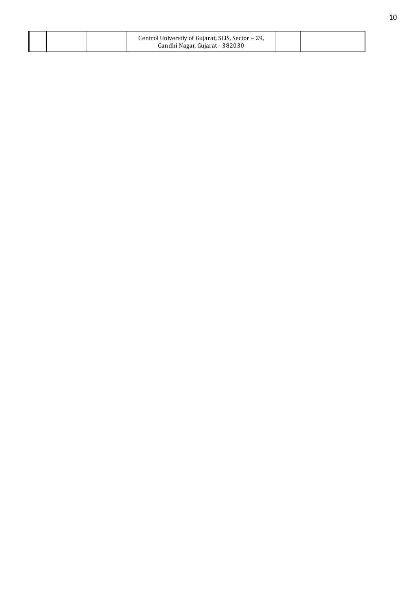|  | Centrol Universtiy of Gujarat, SLIS, Sector - 29,<br>Gandhi Nagar, Gujarat - 382030 |  |
|--|-------------------------------------------------------------------------------------|--|
|  |                                                                                     |  |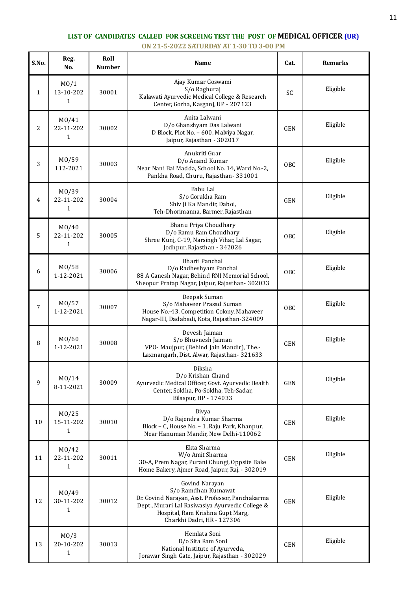## **LIST OF CANDIDATES CALLED FOR SCREEING TEST THE POST OF MEDICAL OFFICER (UR) ON 21-5-2022 SATURDAY AT 1-30 TO 3-00 PM**

| S.No.        | Reg.<br>No.                         | Roll<br><b>Number</b> | Name                                                                                                                                                                                                            | Cat.       | <b>Remarks</b> |
|--------------|-------------------------------------|-----------------------|-----------------------------------------------------------------------------------------------------------------------------------------------------------------------------------------------------------------|------------|----------------|
| $\mathbf{1}$ | M <sub>0</sub> /1<br>13-10-202<br>1 | 30001                 | Ajay Kumar Goswami<br>S/o Raghuraj<br>Kalawati Ayurvedic Medical College & Research<br>Center, Gorha, Kasganj, UP - 207123                                                                                      | SC         | Eligible       |
| 2            | M0/41<br>22-11-202<br>1             | 30002                 | Anita Lalwani<br>D/o Ghanshyam Das Lalwani<br>D Block, Plot No. - 600, Malviya Nagar,<br>Jaipur, Rajasthan - 302017                                                                                             | <b>GEN</b> | Eligible       |
| 3            | M0/59<br>112-2021                   | 30003                 | Anukriti Guar<br>D/o Anand Kumar<br>Near Nani Bai Madda, School No. 14, Ward No.-2,<br>Pankha Road, Churu, Rajasthan-331001                                                                                     | OBC        | Eligible       |
| 4            | MO/39<br>22-11-202<br>1             | 30004                 | Babu Lal<br>S/o Gorakha Ram<br>Shiv Ji Ka Mandir, Daboi,<br>Teh-Dhorimanna, Barmer, Rajasthan                                                                                                                   | <b>GEN</b> | Eligible       |
| 5            | MO/40<br>22-11-202<br>1             | 30005                 | Bhanu Priya Choudhary<br>D/o Ramu Ram Choudhary<br>Shree Kunj, C-19, Narsingh Vihar, Lal Sagar,<br>Jodhpur, Rajasthan - 342026                                                                                  | OBC        | Eligible       |
| 6            | M0/58<br>1-12-2021                  | 30006                 | <b>Bharti Panchal</b><br>D/o Radheshyam Panchal<br>88 A Ganesh Nagar, Behind RNI Memorial School,<br>Sheopur Pratap Nagar, Jaipur, Rajasthan- 302033                                                            | OBC        | Eligible       |
| 7            | M0/57<br>1-12-2021                  | 30007                 | Deepak Suman<br>S/o Mahaveer Prasad Suman<br>House No.-43, Competition Colony, Mahaveer<br>Nagar-III, Dadabadi, Kota, Rajasthan-324009                                                                          | <b>OBC</b> | Eligible       |
| 8            | MO/60<br>1-12-2021                  | 30008                 | Devesh Jaiman<br>S/o Bhuvnesh Jaiman<br>VPO- Maujpur, (Behind Jain Mandir), The.-<br>Laxmangarh, Dist. Alwar, Rajasthan- 321633                                                                                 | <b>GEN</b> | Eligible       |
| 9            | M0/14<br>8-11-2021                  | 30009                 | Diksha<br>D/o Krishan Chand<br>Ayurvedic Medical Officer, Govt. Ayurvedic Health<br>Center, Soldha, Po-Soldha, Teh-Sadar,<br>Bilaspur, HP - 174033                                                              | GEN        | Eligible       |
| 10           | M0/25<br>15-11-202<br>1             | 30010                 | Divya<br>D/o Rajendra Kumar Sharma<br>Block - C, House No. - 1, Raju Park, Khanpur,<br>Near Hanuman Mandir, New Delhi-110062                                                                                    | <b>GEN</b> | Eligible       |
| 11           | M0/42<br>22-11-202<br>1             | 30011                 | Ekta Sharma<br>W/o Amit Sharma<br>30-A, Prem Nagar, Purani Chungi, Oppsite Bake<br>Home Bakery, Ajmer Road, Jaipur, Raj. - 302019                                                                               | <b>GEN</b> | Eligible       |
| 12           | M0/49<br>30-11-202<br>1             | 30012                 | Govind Narayan<br>S/o Ramdhan Kumawat<br>Dr. Govind Narayan, Asst. Professor, Panchakarma<br>Dept., Murari Lal Rasiwasiya Ayurvedic College &<br>Hospital, Ram Krishna Gupt Marg,<br>Charkhi Dadri, HR - 127306 | <b>GEN</b> | Eligible       |
| 13           | M <sub>0</sub> /3<br>20-10-202<br>1 | 30013                 | Hemlata Soni<br>D/o Sita Ram Soni<br>National Institute of Ayurveda,<br>Jorawar Singh Gate, Jaipur, Rajasthan - 302029                                                                                          | <b>GEN</b> | Eligible       |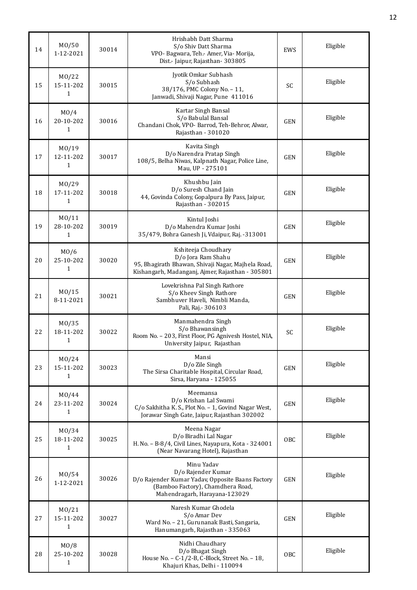| 14 | MO/50<br>1-12-2021                   | 30014 | Hrishabh Datt Sharma<br>S/o Shiv Datt Sharma<br>VPO- Bagwara, Teh.- Amer, Via- Morija,<br>Dist.- Jaipur, Rajasthan- 303805                                 | EWS        | Eligible |
|----|--------------------------------------|-------|------------------------------------------------------------------------------------------------------------------------------------------------------------|------------|----------|
| 15 | M <sub>0</sub> /22<br>15-11-202<br>1 | 30015 | Jyotik Omkar Subhash<br>S/o Subhash<br>38/176, PMC Colony No. - 11,<br>Janwadi, Shivaji Nagar, Pune 411016                                                 | SC         | Eligible |
| 16 | M <sub>0</sub> /4<br>20-10-202<br>1  | 30016 | Kartar Singh Bansal<br>S/o Babulal Bansal<br>Chandani Chok, VPO- Barrod, Teh-Behror, Alwar,<br>Rajasthan - 301020                                          | <b>GEN</b> | Eligible |
| 17 | MO/19<br>12-11-202<br>$\mathbf{1}$   | 30017 | Kavita Singh<br>D/o Narendra Pratap Singh<br>108/5, Belha Niwas, Kalpnath Nagar, Police Line,<br>Mau, UP - 275101                                          | <b>GEN</b> | Eligible |
| 18 | M <sub>0</sub> /29<br>17-11-202<br>1 | 30018 | Khushbu Jain<br>D/o Suresh Chand Jain<br>44, Govinda Colony, Gopalpura By Pass, Jaipur,<br>Rajasthan - 302015                                              | <b>GEN</b> | Eligible |
| 19 | M0/11<br>28-10-202<br>1              | 30019 | Kintul Joshi<br>D/o Mahendra Kumar Joshi<br>35/479, Bohra Ganesh Ji, Vdaipur, Raj. -313001                                                                 | <b>GEN</b> | Eligible |
| 20 | M <sub>0</sub> /6<br>25-10-202<br>1  | 30020 | Kshiteeja Choudhary<br>D/o Jora Ram Shahu<br>95, Bhagirath Bhawan, Shivaji Nagar, Majhela Road,<br>Kishangarh, Madanganj, Ajmer, Rajasthan - 305801        | <b>GEN</b> | Eligible |
| 21 | M0/15<br>8-11-2021                   | 30021 | Lovekrishna Pal Singh Rathore<br>S/o Kheev Singh Rathore<br>Sambhuver Haveli, Nimbli Manda,<br>Pali, Raj.- 306103                                          | <b>GEN</b> | Eligible |
| 22 | M <sub>0</sub> /35<br>18-11-202<br>1 | 30022 | Manmahendra Singh<br>S/o Bhawansingh<br>Room No. - 203, First Floor, PG Agnivesh Hostel, NIA,<br>University Jaipur, Rajasthan                              | SC         | Eligible |
| 23 | MO/24<br>15-11-202<br>1              | 30023 | Mansi<br>D/o Zile Singh<br>The Sirsa Charitable Hospital, Circular Road,<br>Sirsa, Haryana - 125055                                                        | <b>GEN</b> | Eligible |
| 24 | M0/44<br>23-11-202<br>1              | 30024 | Meemansa<br>D/o Krishan Lal Swami<br>C/o Sakhitha K. S., Plot No. - 1, Govind Nagar West,<br>Jorawar Singh Gate, Jaipur, Rajasthan 302002                  | <b>GEN</b> | Eligible |
| 25 | M <sub>0</sub> /34<br>18-11-202<br>1 | 30025 | Meena Nagar<br>D/o Biradhi Lal Nagar<br>H. No. - B-8/4, Civil Lines, Nayapura, Kota - 324001<br>(Near Navarang Hotel), Rajasthan                           | OBC        | Eligible |
| 26 | M <sub>0</sub> /54<br>1-12-2021      | 30026 | Minu Yadav<br>D/o Rajender Kumar<br>D/o Rajender Kumar Yadav, Opposite Baans Factory<br>(Bamboo Factory), Chamdhera Road,<br>Mahendragarh, Harayana-123029 | <b>GEN</b> | Eligible |
| 27 | M0/21<br>15-11-202<br>$\mathbf{1}$   | 30027 | Naresh Kumar Ghodela<br>S/o Amar Dev<br>Ward No. - 21, Gurunanak Basti, Sangaria,<br>Hanumangarh, Rajasthan - 335063                                       | <b>GEN</b> | Eligible |
| 28 | MO/8<br>25-10-202<br>1               | 30028 | Nidhi Chaudhary<br>D/o Bhagat Singh<br>House No. - C-1/2-B, C-Block, Street No. - 18,<br>Khajuri Khas, Delhi - 110094                                      | OBC        | Eligible |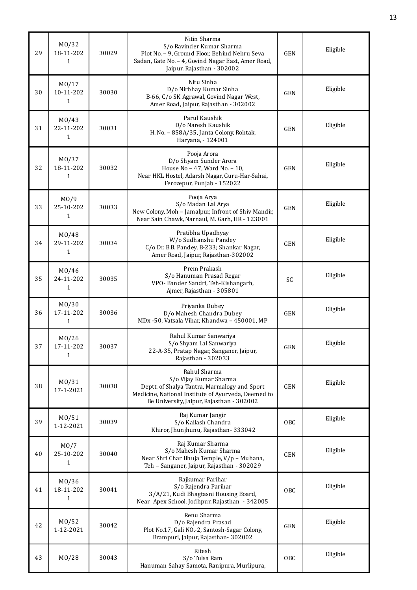| 29 | M0/32<br>18-11-202<br>1            | 30029 | Nitin Sharma<br>S/o Ravinder Kumar Sharma<br>Plot No. - 9, Ground Floor, Behind Nehru Seva<br>Sadan, Gate No. - 4, Govind Nagar East, Amer Road,<br>Jaipur, Rajasthan - 302002             | GEN        | Eligible |
|----|------------------------------------|-------|--------------------------------------------------------------------------------------------------------------------------------------------------------------------------------------------|------------|----------|
| 30 | MO/17<br>10-11-202<br>1            | 30030 | Nitu Sinha<br>D/o Nirbhay Kumar Sinha<br>B-66, C/o SK Agrawal, Govind Nagar West,<br>Amer Road, Jaipur, Rajasthan - 302002                                                                 | <b>GEN</b> | Eligible |
| 31 | M0/43<br>22-11-202<br>$\mathbf{1}$ | 30031 | Parul Kaushik<br>D/o Naresh Kaushik<br>H. No. - 858A/35, Janta Colony, Rohtak,<br>Haryana, - 124001                                                                                        | <b>GEN</b> | Eligible |
| 32 | MO/37<br>18-11-202<br>1            | 30032 | Pooja Arora<br>D/o Shyam Sunder Arora<br>House No - 47, Ward No. - 10,<br>Near HKL Hostel, Adarsh Nagar, Guru-Har-Sahai,<br>Ferozepur, Punjab - 152022                                     | <b>GEN</b> | Eligible |
| 33 | M0/9<br>25-10-202<br>$\mathbf{1}$  | 30033 | Pooja Arya<br>S/o Madan Lal Arya<br>New Colony, Moh - Jamalpur, Infront of Shiv Mandir,<br>Near Sain Chawk, Narnaul, M. Garh, HR - 123001                                                  | <b>GEN</b> | Eligible |
| 34 | MO/48<br>29-11-202<br>1            | 30034 | Pratibha Upadhyay<br>W/o Sudhanshu Pandey<br>C/o Dr. B.B. Pandey, B-233; Shankar Nagar,<br>Amer Road, Jaipur, Rajasthan-302002                                                             | <b>GEN</b> | Eligible |
| 35 | M0/46<br>24-11-202<br>$\mathbf{1}$ | 30035 | Prem Prakash<br>S/o Hanuman Prasad Regar<br>VPO- Bander Sandri, Teh-Kishangarh,<br>Ajmer, Rajasthan - 305801                                                                               | SC         | Eligible |
| 36 | MO/30<br>17-11-202<br>$\mathbf{1}$ | 30036 | Priyanka Dubey<br>D/o Mahesh Chandra Dubey<br>MDx -50, Vatsala Vihar, Khandwa - 450001, MP                                                                                                 | <b>GEN</b> | Eligible |
| 37 | M0/26<br>17-11-202<br>1            | 30037 | Rahul Kumar Sanwariya<br>S/o Shyam Lal Sanwariya<br>22-A-35, Pratap Nagar, Sanganer, Jaipur,<br>Rajasthan - 302033                                                                         | GEN        | Eligible |
| 38 | M0/31<br>17-1-2021                 | 30038 | Rahul Sharma<br>S/o Vijay Kumar Sharma<br>Deptt. of Shalya Tantra, Marmalogy and Sport<br>Medicine, National Institute of Ayurveda, Deemed to<br>Be University, Jaipur, Rajasthan - 302002 | <b>GEN</b> | Eligible |
| 39 | M0/51<br>1-12-2021                 | 30039 | Raj Kumar Jangir<br>S/o Kailash Chandra<br>Khiror, Jhunjhunu, Rajasthan-333042                                                                                                             | OBC        | Eligible |
| 40 | MO/7<br>25-10-202<br>1             | 30040 | Raj Kumar Sharma<br>S/o Mahesh Kumar Sharma<br>Near Shri Char Bhuja Temple, V/p - Muhana,<br>Teh - Sanganer, Jaipur, Rajasthan - 302029                                                    | <b>GEN</b> | Eligible |
| 41 | M0/36<br>18-11-202<br>$\mathbf{1}$ | 30041 | Rajkumar Parihar<br>S/o Rajendra Parihar<br>3/A/21, Kudi Bhagtasni Housing Board,<br>Near Apex School, Jodhpur, Rajasthan - 342005                                                         | <b>OBC</b> | Eligible |
| 42 | MO/52<br>1-12-2021                 | 30042 | Renu Sharma<br>D/o Rajendra Prasad<br>Plot No.17, Gali NO.-2, Santosh-Sagar Colony,<br>Brampuri, Jaipur, Rajasthan- 302002                                                                 | <b>GEN</b> | Eligible |
| 43 | MO/28                              | 30043 | Ritesh<br>S/o Tulsa Ram<br>Hanuman Sahay Samota, Ranipura, Murlipura,                                                                                                                      | OBC        | Eligible |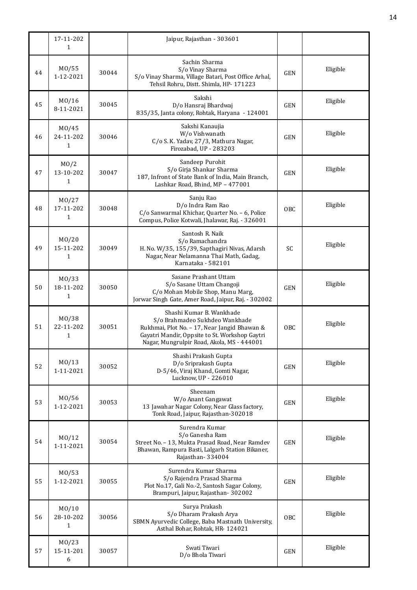|    | 17-11-202<br>1                                  |       | Jaipur, Rajasthan - 303601                                                                                                                                                                                 |            |          |
|----|-------------------------------------------------|-------|------------------------------------------------------------------------------------------------------------------------------------------------------------------------------------------------------------|------------|----------|
| 44 | M0/55<br>1-12-2021                              | 30044 | Sachin Sharma<br>S/o Vinay Sharma<br>S/o Vinay Sharma, Village Batari, Post Office Arhal,<br>Tehsil Rohru, Distt. Shimla, HP- 171223                                                                       | <b>GEN</b> | Eligible |
| 45 | M0/16<br>8-11-2021                              | 30045 | Sakshi<br>D/o Hansraj Bhardwaj<br>835/35, Janta colony, Rohtak, Haryana - 124001                                                                                                                           | <b>GEN</b> | Eligible |
| 46 | M0/45<br>24-11-202<br>1                         | 30046 | Sakshi Kanaujia<br>W/o Vishwanath<br>C/o S. K. Yadav, 27/3, Mathura Nagar,<br>Firozabad, UP - 283203                                                                                                       | <b>GEN</b> | Eligible |
| 47 | MO/2<br>13-10-202<br>1                          | 30047 | Sandeep Purohit<br>S/o Girja Shankar Sharma<br>187, Infront of State Bank of India, Main Branch,<br>Lashkar Road, Bhind, MP - 477001                                                                       | <b>GEN</b> | Eligible |
| 48 | M <sub>0</sub> /27<br>17-11-202<br>$\mathbf{1}$ | 30048 | Sanju Rao<br>D/o Indra Ram Rao<br>C/o Sanwarmal Khichar, Quarter No. - 6, Police<br>Compus, Police Kotwali, Jhalawar, Raj. - 326001                                                                        | <b>OBC</b> | Eligible |
| 49 | MO/20<br>15-11-202<br>1                         | 30049 | Santosh R. Naik<br>S/o Ramachandra<br>H. No. W/35, 155/39, Sapthagiri Nivas, Adarsh<br>Nagar, Near Nelamanna Thai Math, Gadag,<br>Karnataka - 582101                                                       | SC         | Eligible |
| 50 | M <sub>0</sub> /33<br>18-11-202<br>$\mathbf{1}$ | 30050 | Sasane Prashant Uttam<br>S/o Sasane Uttam Changoji<br>C/o Mohan Mobile Shop, Manu Marg,<br>Jorwar Singh Gate, Amer Road, Jaipur, Raj. - 302002                                                             | <b>GEN</b> | Eligible |
| 51 | MO/38<br>22-11-202<br>1                         | 30051 | Shashi Kumar B. Wankhade<br>S/o Brahmadeo Sukhdeo Wankhade<br>Rukhmai, Plot No. - 17, Near Jangid Bhawan &<br>Gayatri Mandir, Oppsite to St. Workshop Gaytri<br>Nagar, Mungrulpir Road, Akola, MS - 444001 | OBC        | Eligible |
| 52 | M <sub>0</sub> /13<br>1-11-2021                 | 30052 | Shashi Prakash Gupta<br>D/o Sriprakash Gupta<br>D-5/46, Viraj Khand, Gomti Nagar,<br>Lucknow, UP - 226010                                                                                                  | <b>GEN</b> | Eligible |
| 53 | M0/56<br>1-12-2021                              | 30053 | Sheenam<br>W/o Anant Gangawat<br>13 Jawahar Nagar Colony, Near Glass factory,<br>Tonk Road, Jaipur, Rajasthan-302018                                                                                       | <b>GEN</b> | Eligible |
| 54 | M <sub>0</sub> /12<br>1-11-2021                 | 30054 | Surendra Kumar<br>S/o Ganesha Ram<br>Street No. - 13, Mukta Prasad Road, Near Ramdev<br>Bhawan, Rampura Basti, Lalgarh Station Bikaner,<br>Rajasthan-334004                                                | <b>GEN</b> | Eligible |
| 55 | MO/53<br>1-12-2021                              | 30055 | Surendra Kumar Sharma<br>S/o Rajendra Prasad Sharma<br>Plot No.17, Gali No.-2, Santosh Sagar Colony,<br>Brampuri, Jaipur, Rajasthan- 302002                                                                | <b>GEN</b> | Eligible |
| 56 | MO/10<br>28-10-202<br>1                         | 30056 | Surya Prakash<br>S/o Dharam Prakash Arya<br>SBMN Ayurvedic College, Baba Mastnath University,<br>Asthal Bohar, Rohtak, HR-124021                                                                           | OBC        | Eligible |
| 57 | M <sub>0</sub> /23<br>15-11-201<br>6            | 30057 | Swati Tiwari<br>D/o Bhola Tiwari                                                                                                                                                                           | <b>GEN</b> | Eligible |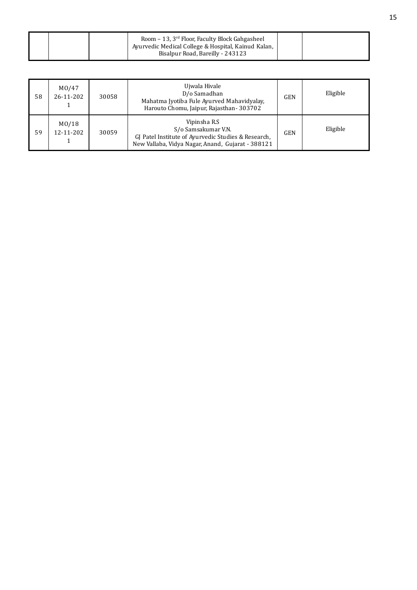|  | Room - 13, 3 <sup>rd</sup> Floor, Faculty Block Gahgasheel<br>Ayurvedic Medical College & Hospital, Kainud Kalan,<br>Bisalpur Road, Bareilly - 243123 |  |
|--|-------------------------------------------------------------------------------------------------------------------------------------------------------|--|
|  |                                                                                                                                                       |  |

| 58 | MO/47<br>26-11-202 | 30058 | Ujwala Hivale<br>D/o Samadhan<br>Mahatma Jyotiba Fule Ayurved Mahavidyalay,<br>Harouto Chomu, Jaipur, Rajasthan-303702                          | <b>GEN</b> | Eligible |
|----|--------------------|-------|-------------------------------------------------------------------------------------------------------------------------------------------------|------------|----------|
| 59 | MO/18<br>12-11-202 | 30059 | Vipinsha R.S<br>S/o Samsakumar V.N.<br>GJ Patel Institute of Ayurvedic Studies & Research,<br>New Vallaba, Vidya Nagar, Anand, Gujarat - 388121 | <b>GEN</b> | Eligible |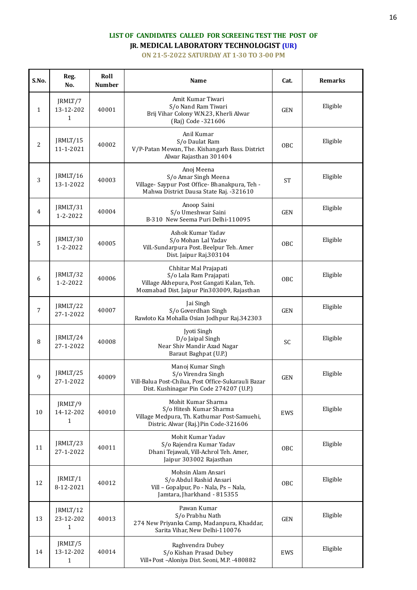# **LIST OF CANDIDATES CALLED FOR SCREEING TEST THE POST OF JR. MEDICAL LABORATORY TECHNOLOGIST (UR)**

**ON 21-5-2022 SATURDAY AT 1-30 TO 3-00 PM**

| S.No.        | Reg.<br>No.                           | Roll<br><b>Number</b> | Name                                                                                                                                        | Cat.       | <b>Remarks</b> |
|--------------|---------------------------------------|-----------------------|---------------------------------------------------------------------------------------------------------------------------------------------|------------|----------------|
| $\mathbf{1}$ | JRMLT/7<br>13-12-202<br>$\mathbf{1}$  | 40001                 | Amit Kumar Tiwari<br>S/o Nand Ram Tiwari<br>Brij Vihar Colony W.N.23, Kherli Alwar<br>(Raj) Code -321606                                    | <b>GEN</b> | Eligible       |
| 2            | JRMLT/15<br>11-1-2021                 | 40002                 | Anil Kumar<br>S/o Daulat Ram<br>V/P-Patan Mewan, The. Kishangarh Bass. District<br>Alwar Rajasthan 301404                                   | OBC        | Eligible       |
| 3            | JRMLT/16<br>13-1-2022                 | 40003                 | Anoj Meena<br>S/o Amar Singh Meena<br>Village- Saypur Post Office- Bhanakpura, Teh -<br>Mahwa District Dausa State Raj. -321610             | <b>ST</b>  | Eligible       |
| 4            | JRMLT/31<br>$1 - 2 - 2022$            | 40004                 | Anoop Saini<br>S/o Umeshwar Saini<br>B-310 New Seema Puri Delhi-110095                                                                      | <b>GEN</b> | Eligible       |
| 5            | JRMLT/30<br>1-2-2022                  | 40005                 | Ashok Kumar Yadav<br>S/o Mohan Lal Yadav<br>Vill.-Sundarpura Post. Beelpur Teh. Amer<br>Dist. Jaipur Raj.303104                             | OBC        | Eligible       |
| 6            | JRMLT/32<br>$1 - 2 - 2022$            | 40006                 | Chhitar Mal Prajapati<br>S/o Lala Ram Prajapati<br>Village Akhepura, Post Gangati Kalan, Teh.<br>Mozmabad Dist. Jaipur Pin303009, Rajasthan | OBC        | Eligible       |
| 7            | JRMLT/22<br>27-1-2022                 | 40007                 | Jai Singh<br>S/o Goverdhan Singh<br>Rawloto Ka Mohalla Osian Jodhpur Raj.342303                                                             | <b>GEN</b> | Eligible       |
| 8            | JRMLT/24<br>27-1-2022                 | 40008                 | Jyoti Singh<br>D/o Jaipal Singh<br>Near Shiv Mandir Azad Nagar<br>Baraut Baghpat (U.P.)                                                     | SC         | Eligible       |
| 9            | JRMLT/25<br>27-1-2022                 | 40009                 | Manoj Kumar Singh<br>S/o Virendra Singh<br>Vill-Balua Post-Chilua, Post Office-Sukarauli Bazar<br>Dist. Kushinagar Pin Code 274207 (U.P.)   | <b>GEN</b> | Eligible       |
| 10           | JRMLT/9<br>14-12-202<br>1             | 40010                 | Mohit Kumar Sharma<br>S/o Hitesh Kumar Sharma<br>Village Medpura, Th. Kathumar Post-Samuehi,<br>Distric. Alwar (Raj.) Pin Code-321606       | EWS        | Eligible       |
| 11           | JRMLT/23<br>27-1-2022                 | 40011                 | Mohit Kumar Yadav<br>S/o Rajendra Kumar Yadav<br>Dhani Tejawali, Vill-Achrol Teh. Amer,<br>Jaipur 303002 Rajasthan                          | OBC        | Eligible       |
| 12           | JRMLT/1<br>8-12-2021                  | 40012                 | Mohsin Alam Ansari<br>S/o Abdul Rashid Ansari<br>Vill - Gopalpur, Po - Nala, Ps - Nala,<br>Jamtara, Jharkhand - 815355                      | OBC        | Eligible       |
| 13           | JRMLT/12<br>23-12-202<br>$\mathbf{1}$ | 40013                 | Pawan Kumar<br>S/o Prabhu Nath<br>274 New Priyanka Camp, Madanpura, Khaddar,<br>Sarita Vihar, New Delhi-110076                              | <b>GEN</b> | Eligible       |
| 14           | JRMLT/5<br>13-12-202<br>1             | 40014                 | Raghvendra Dubey<br>S/o Kishan Prasad Dubey<br>Vill+Post-Aloniya Dist. Seoni, M.P. -480882                                                  | EWS        | Eligible       |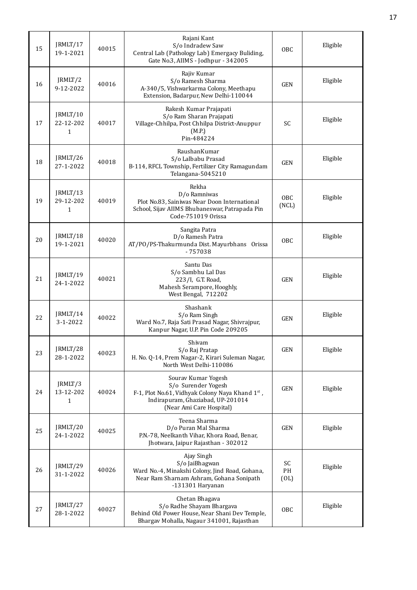| 15 | JRMLT/17<br>19-1-2021                 | 40015 | Rajani Kant<br>S/o Indradew Saw<br>Central Lab (Pathology Lab) Emergacy Buliding,<br>Gate No.3, AIIMS - Jodhpur - 342005                                       | 0 <sub>BC</sub>  | Eligible |
|----|---------------------------------------|-------|----------------------------------------------------------------------------------------------------------------------------------------------------------------|------------------|----------|
| 16 | JRMLT/2<br>9-12-2022                  | 40016 | Rajiv Kumar<br>S/o Ramesh Sharma<br>A-340/5, Vishwarkarma Colony, Meethapu<br>Extension, Badarpur, New Delhi-110044                                            | <b>GEN</b>       | Eligible |
| 17 | JRMLT/10<br>22-12-202<br>$\mathbf{1}$ | 40017 | Rakesh Kumar Prajapati<br>S/o Ram Sharan Prajapati<br>Village-Chhilpa, Post Chhilpa District-Anuppur<br>(M.P.)<br>Pin-484224                                   | <b>SC</b>        | Eligible |
| 18 | JRMLT/26<br>27-1-2022                 | 40018 | RaushanKumar<br>S/o Lalbabu Prasad<br>B-114, RFCL Township, Fertilizer City Ramagundam<br>Telangana-5045210                                                    | <b>GEN</b>       | Eligible |
| 19 | JRMLT/13<br>29-12-202<br>1            | 40019 | Rekha<br>D/o Ramniwas<br>Plot No.83, Sainiwas Near Doon International<br>School, Sijav AIIMS Bhubaneswar, Patrapada Pin<br>Code-751019 Orissa                  | OBC<br>(NCL)     | Eligible |
| 20 | JRMLT/18<br>19-1-2021                 | 40020 | Sangita Patra<br>D/o Ramesh Patra<br>AT/PO/PS-Thakurmunda Dist. Mayurbhans Orissa<br>$-757038$                                                                 | OBC              | Eligible |
| 21 | JRMLT/19<br>24-1-2022                 | 40021 | Santu Das<br>S/o Sambhu Lal Das<br>223/I, G.T. Road,<br>Mahesh Serampore, Hooghly,<br>West Bengal, 712202                                                      | <b>GEN</b>       | Eligible |
| 22 | JRMLT/14<br>$3 - 1 - 2022$            | 40022 | Shashank<br>S/o Ram Singh<br>Ward No.7, Raja Sati Prasad Nagar, Shivrajpur,<br>Kanpur Nagar, U.P. Pin Code 209205                                              | <b>GEN</b>       | Eligible |
| 23 | JRMLT/28<br>28-1-2022                 | 40023 | Shivam<br>S/o Raj Pratap<br>H. No. Q-14, Prem Nagar-2, Kirari Suleman Nagar,<br>North West Delhi-110086                                                        | <b>GEN</b>       | Eligible |
| 24 | JRMLT/3<br>13-12-202<br>$\mathbf{1}$  | 40024 | Sourav Kumar Yogesh<br>S/o Surender Yogesh<br>F-1, Plot No.61, Vidhyak Colony Naya Khand 1st,<br>Indirapuram, Ghaziabad, UP-201014<br>(Near Ami Care Hospital) | <b>GEN</b>       | Eligible |
| 25 | JRMLT/20<br>24-1-2022                 | 40025 | Teena Sharma<br>D/o Puran Mal Sharma<br>P.N.-78, Neelkanth Vihar, Khora Road, Benar,<br>Jhotwara, Jaipur Rajasthan - 302012                                    | <b>GEN</b>       | Eligible |
| 26 | JRMLT/29<br>31-1-2022                 | 40026 | Ajay Singh<br>S/o JaiBhagwan<br>Ward No.-4, Minakshi Colony, Jind Road, Gohana,<br>Near Ram Sharnam Ashram, Gohana Sonipath<br>-131301 Haryanan                | SC<br>PH<br>(OL) | Eligible |
| 27 | JRMLT/27<br>28-1-2022                 | 40027 | Chetan Bhagava<br>S/o Radhe Shayam Bhargava<br>Behind Old Power House, Near Shani Dev Temple,<br>Bhargav Mohalla, Nagaur 341001, Rajasthan                     | OBC              | Eligible |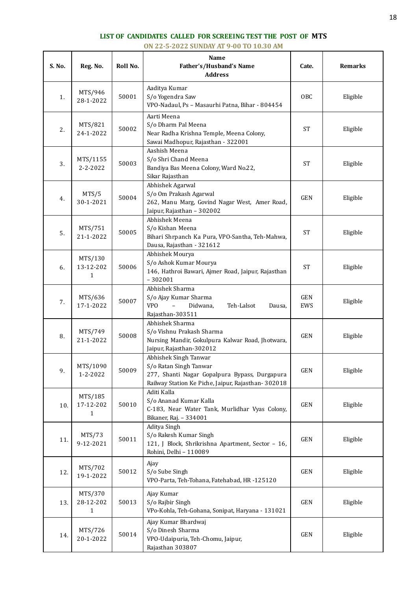### **LIST OF CANDIDATES CALLED FOR SCREEING TEST THE POST OF MTS**

**ON 22-5-2022 SUNDAY AT 9-00 TO 10.30 AM**

| S. No. | Reg. No.                             | Roll No. | Name<br>Father's/Husband's Name<br><b>Address</b>                                                                                                      | Cate.             | <b>Remarks</b> |
|--------|--------------------------------------|----------|--------------------------------------------------------------------------------------------------------------------------------------------------------|-------------------|----------------|
| 1.     | MTS/946<br>28-1-2022                 | 50001    | Aaditya Kumar<br>S/o Yogendra Saw<br>VPO-Nadaul, Ps - Masaurhi Patna, Bihar - 804454                                                                   | OBC               | Eligible       |
| 2.     | MTS/821<br>24-1-2022                 | 50002    | Aarti Meena<br>S/o Dharm Pal Meena<br>Near Radha Krishna Temple, Meena Colony,<br>Sawai Madhopur, Rajasthan - 322001                                   | <b>ST</b>         | Eligible       |
| 3.     | MTS/1155<br>2-2-2022                 | 50003    | Aashish Meena<br>S/o Shri Chand Meena<br>Bandiya Bas Meena Colony, Ward No.22,<br>Sikar Rajasthan                                                      | <b>ST</b>         | Eligible       |
| 4.     | MTS/5<br>30-1-2021                   | 50004    | Abhishek Agarwal<br>S/o Om Prakash Agarwal<br>262, Manu Marg, Govind Nagar West, Amer Road,<br>Jaipur, Rajasthan - 302002                              | <b>GEN</b>        | Eligible       |
| 5.     | MTS/751<br>21-1-2022                 | 50005    | Abhishek Meena<br>S/o Kishan Meena<br>Bihari Shrpanch Ka Pura, VPO-Santha, Teh-Mahwa,<br>Dausa, Rajasthan - 321612                                     | <b>ST</b>         | Eligible       |
| 6.     | MTS/130<br>13-12-202<br>$\mathbf{1}$ | 50006    | Abhishek Mourya<br>S/o Ashok Kumar Mourya<br>146, Hathroi Bawari, Ajmer Road, Jaipur, Rajasthan<br>$-302001$                                           | <b>ST</b>         | Eligible       |
| 7.     | MTS/636<br>17-1-2022                 | 50007    | Abhishek Sharma<br>S/o Ajay Kumar Sharma<br>VP <sub>0</sub><br>Teh-Lalsot<br>Didwana,<br>Dausa,<br>Rajasthan-303511                                    | <b>GEN</b><br>EWS | Eligible       |
| 8.     | MTS/749<br>21-1-2022                 | 50008    | Abhishek Sharma<br>S/o Vishnu Prakash Sharma<br>Nursing Mandir, Gokulpura Kalwar Road, Jhotwara,<br>Jaipur, Rajasthan-302012                           | <b>GEN</b>        | Eligible       |
| 9.     | MTS/1090<br>1-2-2022                 | 50009    | Abhishek Singh Tanwar<br>S/o Ratan Singh Tanwar<br>277, Shanti Nagar Gopalpura Bypass, Durgapura<br>Railway Station Ke Piche, Jaipur, Rajasthan-302018 | <b>GEN</b>        | Eligible       |
| 10.    | MTS/185<br>17-12-202<br>$\mathbf{1}$ | 50010    | Aditi Kalla<br>S/o Ananad Kumar Kalla<br>C-183, Near Water Tank, Murlidhar Vyas Colony,<br>Bikaner, Raj. - 334001                                      | <b>GEN</b>        | Eligible       |
| 11.    | MTS/73<br>9-12-2021                  | 50011    | Aditya Singh<br>S/o Rakesh Kumar Singh<br>121, J Block, Shrikrishna Apartment, Sector - 16,<br>Rohini, Delhi - 110089                                  | GEN               | Eligible       |
| 12.    | MTS/702<br>19-1-2022                 | 50012    | Ajay<br>S/o Sube Singh<br>VPO-Parta, Teh-Tohana, Fatehabad, HR -125120                                                                                 | GEN               | Eligible       |
| 13.    | MTS/370<br>28-12-202<br>$\mathbf{1}$ | 50013    | Ajay Kumar<br>S/o Rajbir Singh<br>VPo-Kohla, Teh-Gohana, Sonipat, Haryana - 131021                                                                     | GEN               | Eligible       |
| 14.    | MTS/726<br>20-1-2022                 | 50014    | Ajay Kumar Bhardwaj<br>S/o Dinesh Sharma<br>VPO-Udaipuria, Teh-Chomu, Jaipur,<br>Rajasthan 303807                                                      | GEN               | Eligible       |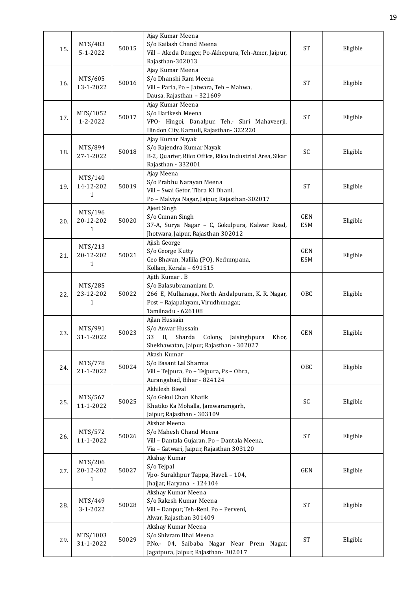| 15. | MTS/483<br>$5 - 1 - 2022$            | 50015 | Ajay Kumar Meena<br>S/o Kailash Chand Meena<br>Vill - Akeda Dunger, Po-Akhepura, Teh-Amer, Jaipur,<br>Rajasthan-302013                                   | <b>ST</b>                | Eligible |
|-----|--------------------------------------|-------|----------------------------------------------------------------------------------------------------------------------------------------------------------|--------------------------|----------|
| 16. | MTS/605<br>13-1-2022                 | 50016 | Ajay Kumar Meena<br>S/o Dhanshi Ram Meena<br>Vill - Parla, Po - Jatwara, Teh - Mahwa,<br>Dausa, Rajasthan - 321609                                       | <b>ST</b>                | Eligible |
| 17. | MTS/1052<br>1-2-2022                 | 50017 | Ajay Kumar Meena<br>S/o Harikesh Meena<br>VPO- Hingoi, Danalpur, Teh.- Shri Mahaveerji,<br>Hindon City, Karauli, Rajasthan-322220                        | <b>ST</b>                | Eligible |
| 18. | MTS/894<br>27-1-2022                 | 50018 | Ajay Kumar Nayak<br>S/o Rajendra Kumar Nayak<br>B-2, Quarter, Riico Office, Riico Industrial Area, Sikar<br>Rajasthan - 332001                           | SC                       | Eligible |
| 19. | MTS/140<br>14-12-202<br>$\mathbf{1}$ | 50019 | Ajay Meena<br>S/o Prabhu Narayan Meena<br>Vill - Swai Getor, Tibra KI Dhani,<br>Po - Malviya Nagar, Jaipur, Rajasthan-302017                             | <b>ST</b>                | Eligible |
| 20. | MTS/196<br>20-12-202<br>$\mathbf{1}$ | 50020 | Ajeet Singh<br>S/o Guman Singh<br>37-A, Surya Nagar - C, Gokulpura, Kalwar Road,<br>Jhotwara, Jaipur, Rajasthan 302012                                   | <b>GEN</b><br><b>ESM</b> | Eligible |
| 21. | MTS/213<br>20-12-202<br>$\mathbf{1}$ | 50021 | Ajish George<br>S/o George Kutty<br>Geo Bhavan, Nallila (PO), Nedumpana,<br>Kollam, Kerala - 691515                                                      | <b>GEN</b><br><b>ESM</b> | Eligible |
| 22. | MTS/285<br>23-12-202<br>$\mathbf{1}$ | 50022 | Ajith Kumar. B<br>S/o Balasubramaniam D.<br>266 E, Mullainaga, North Andalpuram, K. R. Nagar,<br>Post - Rajapalayam, Virudhunagar,<br>Tamilnadu - 626108 | <b>OBC</b>               | Eligible |
| 23. | MTS/991<br>31-1-2022                 | 50023 | Ajlan Hussain<br>S/o Anwar Hussain<br>Sharda<br>Colony,<br>33<br><b>B</b> .<br>Jaisinghpura<br>Khor.<br>Shekhawatan, Jaipur, Rajasthan - 302027          | <b>GEN</b>               | Eligible |
| 24. | MTS/778<br>21-1-2022                 | 50024 | Akash Kumar<br>S/o Basant Lal Sharma<br>Vill - Tejpura, Po - Tejpura, Ps - Obra,<br>Aurangabad, Bihar - 824124                                           | OBC                      | Eligible |
| 25. | MTS/567<br>11-1-2022                 | 50025 | Akhilesh Biwal<br>S/o Gokul Chan Khatik<br>Khatiko Ka Mohalla, Jamwaramgarh,<br>Jaipur, Rajasthan - 303109                                               | SC                       | Eligible |
| 26. | MTS/572<br>11-1-2022                 | 50026 | Akshat Meena<br>S/o Mahesh Chand Meena<br>Vill - Dantala Gujaran, Po - Dantala Meena,<br>Via - Gatwari, Jaipur, Rajasthan 303120                         | <b>ST</b>                | Eligible |
| 27. | MTS/206<br>20-12-202<br>$\mathbf{1}$ | 50027 | Akshay Kumar<br>S/o Tejpal<br>Vpo- Surakhpur Tappa, Haveli - 104,<br>Jhajjar, Haryana - 124104                                                           | GEN                      | Eligible |
| 28. | MTS/449<br>3-1-2022                  | 50028 | Akshay Kumar Meena<br>S/o Rakesh Kumar Meena<br>Vill - Danpur, Teh-Reni, Po - Perveni,<br>Alwar, Rajasthan 301409                                        | <b>ST</b>                | Eligible |
| 29. | MTS/1003<br>31-1-2022                | 50029 | Akshay Kumar Meena<br>S/o Shivram Bhai Meena<br>P.No.- 04, Saibaba Nagar Near Prem Nagar,<br>Jagatpura, Jaipur, Rajasthan- 302017                        | $\operatorname{ST}$      | Eligible |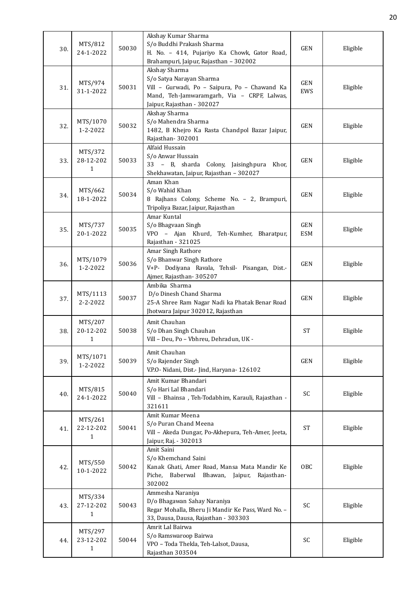| 30. | MTS/812<br>24-1-2022                 | 50030 | Akshay Kumar Sharma<br>S/o Buddhi Prakash Sharma<br>H. No. - 414, Pujariyo Ka Chowk, Gator Road,<br>Brahampuri, Jaipur, Rajasthan - 302002                              | GEN               | Eligible |
|-----|--------------------------------------|-------|-------------------------------------------------------------------------------------------------------------------------------------------------------------------------|-------------------|----------|
| 31. | MTS/974<br>31-1-2022                 | 50031 | Akshay Sharma<br>S/o Satya Narayan Sharma<br>Vill - Gurwadi, Po - Saipura, Po - Chawand Ka<br>Mand, Teh-Jamwaramgarh, Via - CRPF, Lalwas,<br>Jaipur, Rajasthan - 302027 | GEN<br>EWS        | Eligible |
| 32. | MTS/1070<br>$1 - 2 - 2022$           | 50032 | Akshay Sharma<br>S/o Mahendra Sharma<br>1482, B Khejro Ka Rasta Chandpol Bazar Jaipur,<br>Rajasthan-302001                                                              | <b>GEN</b>        | Eligible |
| 33. | MTS/372<br>28-12-202<br>$\mathbf{1}$ | 50033 | Alfaid Hussain<br>S/o Anwar Hussain<br>33 - B, sharda Colony, Jaisinghpura Khor,<br>Shekhawatan, Jaipur, Rajasthan - 302027                                             | <b>GEN</b>        | Eligible |
| 34. | MTS/662<br>18-1-2022                 | 50034 | Aman Khan<br>S/o Wahid Khan<br>8 Rajhans Colony, Scheme No. - 2, Brampuri,<br>Tripoliya Bazar, Jaipur, Rajasthan                                                        | <b>GEN</b>        | Eligible |
| 35. | MTS/737<br>20-1-2022                 | 50035 | Amar Kuntal<br>S/o Bhagvaan Singh<br>VPO - Ajan Khurd, Teh-Kumher, Bharatpur,<br>Rajasthan - 321025                                                                     | GEN<br><b>ESM</b> | Eligible |
| 36. | MTS/1079<br>$1 - 2 - 2022$           | 50036 | Amar Singh Rathore<br>S/o Bhanwar Singh Rathore<br>V+P- Dodiyana Ravala, Tehsil- Pisangan, Dist.-<br>Ajmer, Rajasthan-305207                                            | <b>GEN</b>        | Eligible |
| 37. | MTS/1113<br>$2 - 2 - 2022$           | 50037 | Ambika Sharma<br>D/o Dinesh Chand Sharma<br>25-A Shree Ram Nagar Nadi ka Phatak Benar Road<br>Jhotwara Jaipur 302012, Rajasthan                                         | <b>GEN</b>        | Eligible |
| 38. | MTS/207<br>20-12-202<br>1            | 50038 | Amit Chauhan<br>S/o Dhan Singh Chauhan<br>Vill - Deu, Po - Vbhreu, Dehradun, UK -                                                                                       | <b>ST</b>         | Eligible |
| 39. | MTS/1071<br>1-2-2022                 | 50039 | Amit Chauhan<br>S/o Rajender Singh<br>V.P.O- Nidani, Dist.- Jind, Haryana- 126102                                                                                       | GEN               | Eligible |
| 40. | MTS/815<br>24-1-2022                 | 50040 | Amit Kumar Bhandari<br>S/o Hari Lal Bhandari<br>Vill - Bhainsa, Teh-Todabhim, Karauli, Rajasthan -<br>321611                                                            | SC                | Eligible |
| 41. | MTS/261<br>22-12-202<br>1            | 50041 | Amit Kumar Meena<br>S/o Puran Chand Meena<br>Vill - Akeda Dungar, Po-Akhepura, Teh-Amer, Jeeta,<br>Jaipur, Raj. - 302013                                                | <b>ST</b>         | Eligible |
| 42. | MTS/550<br>10-1-2022                 | 50042 | Amit Saini<br>S/o Khemchand Saini<br>Kanak Ghati, Amer Road, Mansa Mata Mandir Ke<br>Piche, Baberwal<br>Bhawan, Jaipur,<br>Rajasthan-<br>302002                         | OBC               | Eligible |
| 43. | MTS/334<br>27-12-202<br>$\mathbf{1}$ | 50043 | Ammesha Naraniya<br>D/o Bhagawan Sahay Naraniya<br>Regar Mohalla, Bheru Ji Mandir Ke Pass, Ward No. -<br>33, Dausa, Dausa, Rajasthan - 303303                           | SC                | Eligible |
| 44. | MTS/297<br>23-12-202<br>$\mathbf{1}$ | 50044 | Amrit Lal Bairwa<br>S/o Ramswaroop Bairwa<br>VPO - Toda Thekla, Teh-Lalsot, Dausa,<br>Rajasthan 303504                                                                  | SC                | Eligible |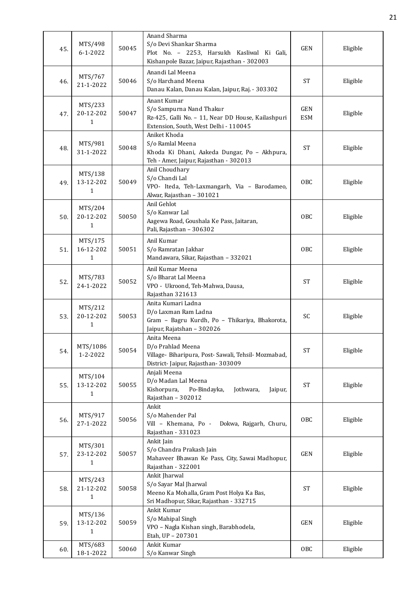| 45. | MTS/498<br>$6 - 1 - 2022$            | 50045 | Anand Sharma<br>S/o Devi Shankar Sharma<br>Plot No. - 2253, Harsukh Kasliwal Ki Gali,<br>Kishanpole Bazar, Jaipur, Rajasthan - 302003  | <b>GEN</b>          | Eligible |
|-----|--------------------------------------|-------|----------------------------------------------------------------------------------------------------------------------------------------|---------------------|----------|
| 46. | MTS/767<br>21-1-2022                 | 50046 | Anandi Lal Meena<br>S/o Harchand Meena<br>Danau Kalan, Danau Kalan, Jaipur, Raj. - 303302                                              | <b>ST</b>           | Eligible |
| 47. | MTS/233<br>20-12-202<br>1            | 50047 | Anant Kumar<br>S/o Sampurna Nand Thakur<br>Rz-425, Galli No. - 11, Near DD House, Kailashpuri<br>Extension, South, West Delhi - 110045 | GEN<br><b>ESM</b>   | Eligible |
| 48. | MTS/981<br>31-1-2022                 | 50048 | Aniket Khoda<br>S/o Ramlal Meena<br>Khoda Ki Dhani, Aakeda Dungar, Po - Akhpura,<br>Teh - Amer, Jaipur, Rajasthan - 302013             | <b>ST</b>           | Eligible |
| 49. | MTS/138<br>13-12-202<br>$\mathbf{1}$ | 50049 | Anil Choudhary<br>S/o Chandi Lal<br>VPO- Iteda, Teh-Laxmangarh, Via - Barodameo,<br>Alwar, Rajasthan - 301021                          | OBC                 | Eligible |
| 50. | MTS/204<br>20-12-202<br>$\mathbf{1}$ | 50050 | Anil Gehlot<br>S/o Kanwar Lal<br>Aagewa Road, Goushala Ke Pass, Jaitaran,<br>Pali, Rajasthan - 306302                                  | OBC                 | Eligible |
| 51. | MTS/175<br>16-12-202<br>$\mathbf{1}$ | 50051 | Anil Kumar<br>S/o Ramratan Jakhar<br>Mandawara, Sikar, Rajasthan - 332021                                                              | OBC                 | Eligible |
| 52. | MTS/783<br>24-1-2022                 | 50052 | Anil Kumar Meena<br>S/o Bharat Lal Meena<br>VPO - Ukroond, Teh-Mahwa, Dausa,<br>Rajasthan 321613                                       | <b>ST</b>           | Eligible |
| 53. | MTS/212<br>20-12-202<br>$\mathbf{1}$ | 50053 | Anita Kumari Ladna<br>D/o Laxman Ram Ladna<br>Gram - Bagru Kurdh, Po - Thikariya, Bhakorota,<br>Jaipur, Rajatshan - 302026             | SC                  | Eligible |
| 54. | MTS/1086<br>1-2-2022                 | 50054 | Anita Meena<br>D/o Prahlad Meena<br>Village- Biharipura, Post- Sawali, Tehsil- Mozmabad,<br>District-Jaipur, Rajasthan-303009          | <b>ST</b>           | Eligible |
| 55. | MTS/104<br>13-12-202<br>1            | 50055 | Anjali Meena<br>D/o Madan Lal Meena<br>Kishorpura,<br>Po-Bindayka,<br>Jothwara,<br>Jaipur,<br>Rajasthan - 302012                       | <b>ST</b>           | Eligible |
| 56. | MTS/917<br>27-1-2022                 | 50056 | Ankit<br>S/o Mahender Pal<br>Vill - Khemana, Po -<br>Dokwa, Rajgarh, Churu,<br>Rajasthan - 331023                                      | OBC                 | Eligible |
| 57. | MTS/301<br>23-12-202<br>1            | 50057 | Ankit Jain<br>S/o Chandra Prakash Jain<br>Mahaveer Bhawan Ke Pass, City, Sawai Madhopur,<br>Rajasthan - 322001                         | GEN                 | Eligible |
| 58. | MTS/243<br>21-12-202<br>$\mathbf{1}$ | 50058 | Ankit Jharwal<br>S/o Sayar Mal Jharwal<br>Meeno Ka Mohalla, Gram Post Holya Ka Bas,<br>Sri Madhopur, Sikar, Rajasthan - 332715         | $\operatorname{ST}$ | Eligible |
| 59. | MTS/136<br>13-12-202<br>$\mathbf{1}$ | 50059 | Ankit Kumar<br>S/o Mahipal Singh<br>VPO - Nagla Kishan singh, Barabhodela,<br>Etah, UP - 207301                                        | GEN                 | Eligible |
| 60. | MTS/683<br>18-1-2022                 | 50060 | Ankit Kumar<br>S/o Kanwar Singh                                                                                                        | OBC                 | Eligible |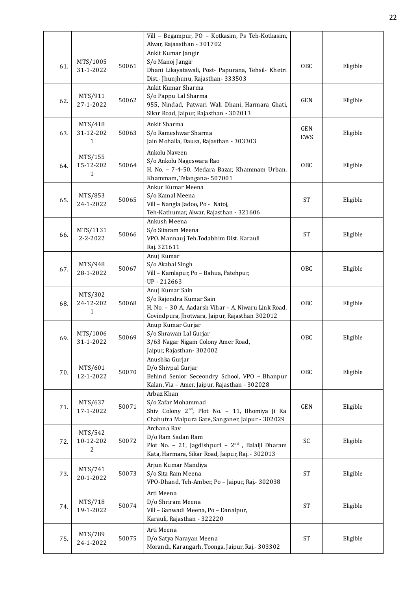|     |                                      |       | Vill - Begampur, PO - Kotkasim, Ps Teh-Kotkasim,                                                                                                                  |                   |          |
|-----|--------------------------------------|-------|-------------------------------------------------------------------------------------------------------------------------------------------------------------------|-------------------|----------|
| 61. | MTS/1005<br>31-1-2022                | 50061 | Alwar, Rajaasthan - 301702<br>Ankit Kumar Jangir<br>S/o Manoj Jangir<br>Dhani Likayatawali, Post- Papurana, Tehsil- Khetri<br>Dist.- Jhunjhunu, Rajasthan- 333503 | OBC               | Eligible |
| 62. | MTS/911<br>27-1-2022                 | 50062 | Ankit Kumar Sharma<br>S/o Pappu Lal Sharma<br>955, Nindad, Patwari Wali Dhani, Harmara Ghati,<br>Sikar Road, Jaipur, Rajasthan - 302013                           | <b>GEN</b>        | Eligible |
| 63. | MTS/418<br>31-12-202<br>$\mathbf{1}$ | 50063 | Ankit Sharma<br>S/o Rameshwar Sharma<br>Jain Mohalla, Dausa, Rajasthan - 303303                                                                                   | <b>GEN</b><br>EWS | Eligible |
| 64. | MTS/155<br>15-12-202<br>$\mathbf{1}$ | 50064 | Ankolu Naveen<br>S/o Ankolu Nageswara Rao<br>H. No. - 7-4-50, Medara Bazar, Khammam Urban,<br>Khammam, Telangana- 507001                                          | OBC               | Eligible |
| 65. | MTS/853<br>24-1-2022                 | 50065 | Ankur Kumar Meena<br>S/o Kamal Meena<br>Vill - Nangla Jadoo, Po - Natoj,<br>Teh-Kathumar, Alwar, Rajasthan - 321606                                               | <b>ST</b>         | Eligible |
| 66. | MTS/1131<br>$2 - 2 - 2022$           | 50066 | Ankush Meena<br>S/o Sitaram Meena<br>VPO. Mannauj Teh.Todabhim Dist. Karauli<br>Raj. 321611                                                                       | <b>ST</b>         | Eligible |
| 67. | MTS/948<br>28-1-2022                 | 50067 | Anuj Kumar<br>S/o Akabal Singh<br>Vill - Kamlapur, Po - Bahua, Fatehpur,<br>UP-212663                                                                             | OBC               | Eligible |
| 68. | MTS/302<br>24-12-202<br>$\mathbf{1}$ | 50068 | Anuj Kumar Sain<br>S/o Rajendra Kumar Sain<br>H. No. - 30 A, Aadarsh Vihar - A, Niwaru Link Road,<br>Govindpura, Jhotwara, Jaipur, Rajasthan 302012               | OBC               | Eligible |
| 69. | MTS/1006<br>31-1-2022                | 50069 | Anup Kumar Gurjar<br>S/o Shrawan Lal Gurjar<br>3/63 Nagar Nigam Colony Amer Road,<br>Jaipur, Rajasthan-302002                                                     | OBC               | Eligible |
| 70. | MTS/601<br>12-1-2022                 | 50070 | Anushka Gurjar<br>D/o Shivpal Gurjar<br>Behind Senior Seceondry School, VPO - Bhanpur<br>Kalan, Via - Amer, Jaipur, Rajasthan - 302028                            | OBC               | Eligible |
| 71. | MTS/637<br>17-1-2022                 | 50071 | Arbaz Khan<br>S/o Zafar Mohammad<br>Shiv Colony 2 <sup>nd</sup> , Plot No. - 11, Bhomiya Ji Ka<br>Chabutra Malpura Gate, Sanganer, Jaipur - 302029                | <b>GEN</b>        | Eligible |
| 72. | MTS/542<br>10-12-202<br>2            | 50072 | Archana Rav<br>D/o Ram Sadan Ram<br>Plot No. - 21, Jagdishpuri - 2 <sup>nd</sup> , Balalji Dharam<br>Kata, Harmara, Sikar Road, Jaipur, Raj. - 302013             | SC                | Eligible |
| 73. | MTS/741<br>20-1-2022                 | 50073 | Arjun Kumar Mandiya<br>S/o Sita Ram Meena<br>VPO-Dhand, Teh-Amber, Po - Jaipur, Raj.- 302038                                                                      | <b>ST</b>         | Eligible |
| 74. | MTS/718<br>19-1-2022                 | 50074 | Arti Meena<br>D/o Shriram Meena<br>Vill - Ganwadi Meena, Po - Danalpur,<br>Karauli, Rajasthan - 322220                                                            | <b>ST</b>         | Eligible |
| 75. | MTS/789<br>24-1-2022                 | 50075 | Arti Meena<br>D/o Satya Narayan Meena<br>Morandi, Karangarh, Toonga, Jaipur, Raj.- 303302                                                                         | <b>ST</b>         | Eligible |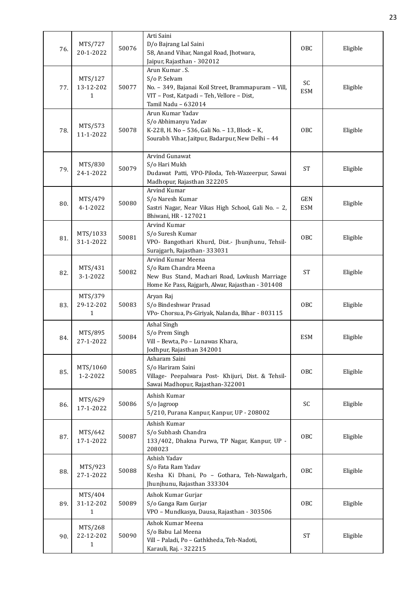| 76. | MTS/727<br>20-1-2022                 | 50076 | Arti Saini<br>D/o Bajrang Lal Saini<br>58, Anand Vihar, Nangal Road, Jhotwara,<br>Jaipur, Rajasthan - 302012                                                | <b>OBC</b>               | Eligible |
|-----|--------------------------------------|-------|-------------------------------------------------------------------------------------------------------------------------------------------------------------|--------------------------|----------|
| 77. | MTS/127<br>13-12-202<br>1            | 50077 | Arun Kumar. S.<br>S/o P. Selvam<br>No. - 349, Bajanai Koil Street, Brammapuram - Vill,<br>VIT - Post, Katpadi - Teh, Vellore - Dist,<br>Tamil Nadu - 632014 | SC<br><b>ESM</b>         | Eligible |
| 78. | MTS/573<br>11-1-2022                 | 50078 | Arun Kumar Yadav<br>S/o Abhimanyu Yadav<br>K-228, H. No - 536, Gali No. - 13, Block - K,<br>Sourabh Vihar, Jaitpur, Badarpur, New Delhi - 44                | OBC                      | Eligible |
| 79. | MTS/830<br>24-1-2022                 | 50079 | Arvind Gunawat<br>S/o Hari Mukh<br>Dudawat Patti, VPO-Piloda, Teh-Wazeerpur, Sawai<br>Madhopur, Rajasthan 322205                                            | <b>ST</b>                | Eligible |
| 80. | MTS/479<br>4-1-2022                  | 50080 | Arvind Kumar<br>S/o Naresh Kumar<br>Sastri Nagar, Near Vikas High School, Gali No. - 2,<br>Bhiwani, HR - 127021                                             | <b>GEN</b><br><b>ESM</b> | Eligible |
| 81. | MTS/1033<br>31-1-2022                | 50081 | Arvind Kumar<br>S/o Suresh Kumar<br>VPO- Bangothari Khurd, Dist.- Jhunjhunu, Tehsil-<br>Surajgarh, Rajasthan-333031                                         | OBC                      | Eligible |
| 82. | MTS/431<br>3-1-2022                  | 50082 | Arvind Kumar Meena<br>S/o Ram Chandra Meena<br>New Bus Stand, Machari Road, Lovkush Marriage<br>Home Ke Pass, Rajgarh, Alwar, Rajasthan - 301408            | <b>ST</b>                | Eligible |
| 83. | MTS/379<br>29-12-202<br>1            | 50083 | Aryan Raj<br>S/o Bindeshwar Prasad<br>VPo- Chorsua, Ps-Giriyak, Nalanda, Bihar - 803115                                                                     | <b>OBC</b>               | Eligible |
| 84. | MTS/895<br>27-1-2022                 | 50084 | Ashal Singh<br>S/o Prem Singh<br>Vill - Bewta, Po - Lunawas Khara,<br>Jodhpur, Rajasthan 342001                                                             | <b>ESM</b>               | Eligible |
| 85. | MTS/1060<br>$1 - 2 - 2022$           | 50085 | Asharam Saini<br>S/o Hariram Saini<br>Village- Peepalwara Post- Khijuri, Dist. & Tehsil-<br>Sawai Madhopur, Rajasthan-322001                                | OBC                      | Eligible |
| 86. | MTS/629<br>17-1-2022                 | 50086 | Ashish Kumar<br>S/o Jagroop<br>5/210, Purana Kanpur, Kanpur, UP - 208002                                                                                    | SC                       | Eligible |
| 87. | MTS/642<br>17-1-2022                 | 50087 | Ashish Kumar<br>S/o Subhash Chandra<br>133/402, Dhakna Purwa, TP Nagar, Kanpur, UP -<br>208023                                                              | OBC                      | Eligible |
| 88. | MTS/923<br>27-1-2022                 | 50088 | Ashish Yadav<br>S/o Fata Ram Yadav<br>Kesha Ki Dhani, Po - Gothara, Teh-Nawalgarh,<br>Jhunjhunu, Rajasthan 333304                                           | OBC                      | Eligible |
| 89. | MTS/404<br>31-12-202<br>$\mathbf{1}$ | 50089 | Ashok Kumar Gurjar<br>S/o Ganga Ram Gurjar<br>VPO - Mundkasya, Dausa, Rajasthan - 303506                                                                    | OBC                      | Eligible |
| 90. | MTS/268<br>22-12-202<br>$\mathbf{1}$ | 50090 | Ashok Kumar Meena<br>S/o Babu Lal Meena<br>Vill - Paladi, Po - Gathkheda, Teh-Nadoti,<br>Karauli, Raj. - 322215                                             | <b>ST</b>                | Eligible |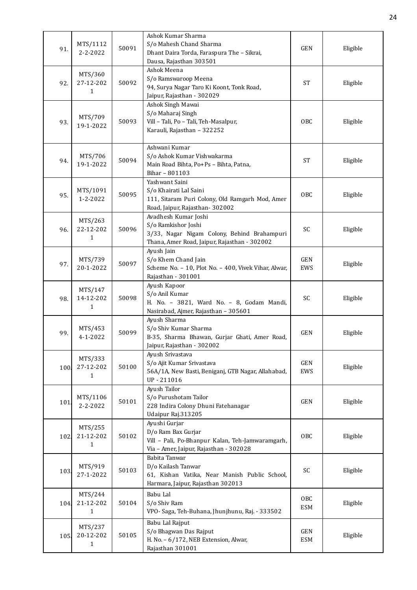| 91.  | MTS/1112<br>$2 - 2 - 2022$           | 50091 | Ashok Kumar Sharma<br>S/o Mahesh Chand Sharma<br>Dhant Daira Torda, Faraspura The - Sikrai,<br>Dausa, Rajasthan 303501                     | <b>GEN</b>               | Eligible |
|------|--------------------------------------|-------|--------------------------------------------------------------------------------------------------------------------------------------------|--------------------------|----------|
| 92.  | MTS/360<br>27-12-202<br>1            | 50092 | Ashok Meena<br>S/o Ramswaroop Meena<br>94, Surya Nagar Taro Ki Koont, Tonk Road,<br>Jaipur, Rajasthan - 302029                             | <b>ST</b>                | Eligible |
| 93.  | MTS/709<br>19-1-2022                 | 50093 | Ashok Singh Mawai<br>S/o Maharaj Singh<br>Vill - Tali, Po - Tali, Teh-Masalpur,<br>Karauli, Rajasthan - 322252                             | OBC                      | Eligible |
| 94.  | MTS/706<br>19-1-2022                 | 50094 | Ashwani Kumar<br>S/o Ashok Kumar Vishwakarma<br>Main Road Bihta, Po+Ps - Bihta, Patna,<br>Bihar - 801103                                   | <b>ST</b>                | Eligible |
| 95.  | MTS/1091<br>1-2-2022                 | 50095 | Yashwant Saini<br>S/o Khairati Lal Saini<br>111, Sitaram Puri Colony, Old Ramgarh Mod, Amer<br>Road, Jaipur, Rajasthan-302002              | <b>OBC</b>               | Eligible |
| 96.  | MTS/263<br>22-12-202<br>$\mathbf{1}$ | 50096 | Avadhesh Kumar Joshi<br>S/o Ramkishor Joshi<br>3/33, Nagar Nigam Colony, Behind Brahampuri<br>Thana, Amer Road, Jaipur, Rajasthan - 302002 | SC                       | Eligible |
| 97.  | MTS/739<br>20-1-2022                 | 50097 | Ayush Jain<br>S/o Khem Chand Jain<br>Scheme No. - 10, Plot No. - 400, Vivek Vihar, Alwar,<br>Rajasthan - 301001                            | <b>GEN</b><br>EWS        | Eligible |
| 98.  | MTS/147<br>14-12-202<br>$\mathbf{1}$ | 50098 | Ayush Kapoor<br>S/o Anil Kumar<br>H. No. - 3821, Ward No. - 8, Godam Mandi,<br>Nasirabad, Ajmer, Rajasthan - 305601                        | SC                       | Eligible |
| 99.  | MTS/453<br>$4 - 1 - 2022$            | 50099 | Ayush Sharma<br>S/o Shiv Kumar Sharma<br>B-35, Sharma Bhawan, Gurjar Ghati, Amer Road,<br>Jaipur, Rajasthan - 302002                       | GEN                      | Eligible |
| 100  | MTS/333<br>27-12-202<br>$\mathbf{1}$ | 50100 | Ayush Srivastava<br>S/o Ajit Kumar Srivastava<br>56A/1A, New Basti, Beniganj, GTB Nagar, Allahabad,<br>UP-211016                           | GEN<br>EWS               | Eligible |
| 101. | MTS/1106<br>2-2-2022                 | 50101 | Ayush Tailor<br>S/o Purushotam Tailor<br>228 Indira Colony Dhuni Fatehanagar<br>Udaipur Raj.313205                                         | GEN                      | Eligible |
| 102. | MTS/255<br>21-12-202<br>1            | 50102 | Ayushi Gurjar<br>D/o Ram Bax Gurjar<br>Vill - Pali, Po-Bhanpur Kalan, Teh-Jamwaramgarh,<br>Via - Amer, Jaipur, Rajasthan - 302028          | <b>OBC</b>               | Eligible |
| 103. | MTS/919<br>27-1-2022                 | 50103 | Babita Tanwar<br>D/o Kailash Tanwar<br>61, Kishan Vatika, Near Manish Public School,<br>Harmara, Jaipur, Rajasthan 302013                  | SC                       | Eligible |
| 104  | MTS/244<br>21-12-202<br>$\mathbf{1}$ | 50104 | Babu Lal<br>S/o Shiv Ram<br>VPO- Saga, Teh-Buhana, Jhunjhunu, Raj. - 333502                                                                | <b>OBC</b><br><b>ESM</b> | Eligible |
| 105  | MTS/237<br>20-12-202<br>$\mathbf{1}$ | 50105 | Babu Lal Rajput<br>S/o Bhagwan Das Rajput<br>H. No. - 6/172, NEB Extension, Alwar,<br>Rajasthan 301001                                     | GEN<br><b>ESM</b>        | Eligible |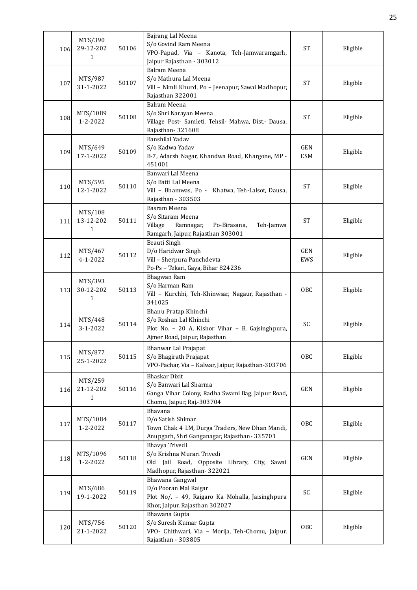| 106  | MTS/390<br>29-12-202<br>1 | 50106 | Bajrang Lal Meena<br>S/o Govind Ram Meena<br>VPO-Papad, Via - Kanota, Teh-Jamwaramgarh,<br>Jaipur Rajasthan - 303012                | <b>ST</b>                | Eligible |
|------|---------------------------|-------|-------------------------------------------------------------------------------------------------------------------------------------|--------------------------|----------|
| 107  | MTS/987<br>31-1-2022      | 50107 | Balram Meena<br>S/o Mathura Lal Meena<br>Vill - Nimli Khurd, Po - Jeenapur, Sawai Madhopur,<br>Rajasthan 322001                     | <b>ST</b>                | Eligible |
| 108. | MTS/1089<br>1-2-2022      | 50108 | Balram Meena<br>S/o Shri Narayan Meena<br>Village Post- Samleti, Tehsil- Mahwa, Dist.- Dausa,<br>Rajasthan-321608                   | <b>ST</b>                | Eligible |
| 109  | MTS/649<br>17-1-2022      | 50109 | Banshilal Yadav<br>S/o Kadwa Yadav<br>B-7, Adarsh Nagar, Khandwa Road, Khargone, MP -<br>451001                                     | <b>GEN</b><br><b>ESM</b> | Eligible |
| 110. | MTS/595<br>12-1-2022      | 50110 | Banwari Lal Meena<br>S/o Batti Lal Meena<br>Vill - Bhamwas, Po - Khatwa, Teh-Lalsot, Dausa,<br>Rajasthan - 303503                   | <b>ST</b>                | Eligible |
| 111. | MTS/108<br>13-12-202<br>1 | 50111 | Basram Meena<br>S/o Sitaram Meena<br>Village<br>Ramnagar,<br>Po-Birasana,<br>Teh-Jamwa<br>Ramgarh, Jaipur, Rajasthan 303001         | <b>ST</b>                | Eligible |
| 112. | MTS/467<br>4-1-2022       | 50112 | Beauti Singh<br>D/o Haridwar Singh<br>Vill - Sherpura Panchdevta<br>Po-Ps - Tekari, Gaya, Bihar 824236                              | <b>GEN</b><br>EWS        | Eligible |
| 113. | MTS/393<br>30-12-202<br>1 | 50113 | Bhagwan Ram<br>S/o Harman Ram<br>Vill - Kurchhi, Teh-Khinwsar, Nagaur, Rajasthan -<br>341025                                        | OBC                      | Eligible |
| 114  | MTS/448<br>3-1-2022       | 50114 | Bhanu Pratap Khinchi<br>S/o Roshan Lal Khinchi<br>Plot No. - 20 A, Kishor Vihar - B, Gajsinghpura,<br>Ajmer Road, Jaipur, Rajasthan | SC                       | Eligible |
| 115  | MTS/877<br>25-1-2022      | 50115 | Bhanwar Lal Prajapat<br>S/o Bhagirath Prajapat<br>VPO-Pachar, Via - Kalwar, Jaipur, Rajasthan-303706                                | <b>OBC</b>               | Eligible |
| 116  | MTS/259<br>21-12-202<br>1 | 50116 | <b>Bhaskar Dixit</b><br>S/o Banwari Lal Sharma<br>Ganga Vihar Colony, Radha Swami Bag, Jaipur Road,<br>Chomu, Jaipur, Raj.-303704   | <b>GEN</b>               | Eligible |
| 117  | MTS/1084<br>1-2-2022      | 50117 | Bhavana<br>D/o Satish Shimar<br>Town Chak 4 LM, Durga Traders, New Dhan Mandi,<br>Anupgarh, Shri Ganganagar, Rajasthan- 335701      | OBC                      | Eligible |
| 118. | MTS/1096<br>1-2-2022      | 50118 | Bhavya Trivedi<br>S/o Krishna Murari Trivedi<br>Old Jail Road, Opposite Library, City, Sawai<br>Madhopur, Rajasthan-322021          | <b>GEN</b>               | Eligible |
| 119  | MTS/686<br>19-1-2022      | 50119 | Bhawana Gangwal<br>D/o Pooran Mal Raigar<br>Plot No/. - 49, Raigaro Ka Mohalla, Jaisinghpura<br>Khor, Jaipur, Rajasthan 302027      | SC                       | Eligible |
| 120. | MTS/756<br>21-1-2022      | 50120 | Bhawana Gupta<br>S/o Suresh Kumar Gupta<br>VPO- Chithwari, Via - Morija, Teh-Chomu, Jaipur,<br>Rajasthan - 303805                   | <b>OBC</b>               | Eligible |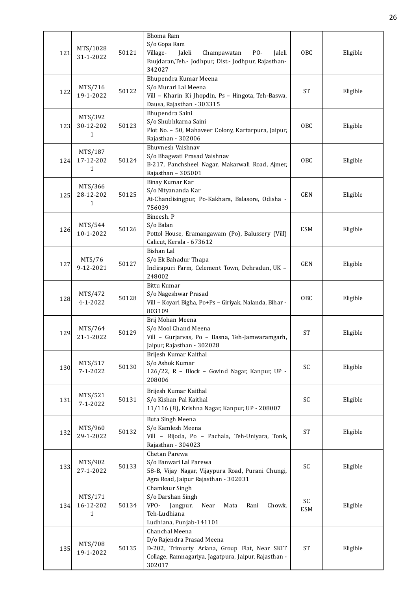| 121  | MTS/1028<br>31-1-2022                | 50121 | Bhoma Ram<br>S/o Gopa Ram<br>Village-<br>Jaleli<br>Champawatan<br>PO-<br>Jaleli<br>Faujdaran, Teh.- Jodhpur, Dist.- Jodhpur, Rajasthan-<br>342027              | OBC              | Eligible |
|------|--------------------------------------|-------|----------------------------------------------------------------------------------------------------------------------------------------------------------------|------------------|----------|
| 122  | MTS/716<br>19-1-2022                 | 50122 | Bhupendra Kumar Meena<br>S/o Murari Lal Meena<br>Vill - Kharin Ki Jhopdin, Ps - Hingota, Teh-Baswa,<br>Dausa, Rajasthan - 303315                               | <b>ST</b>        | Eligible |
| 123  | MTS/392<br>30-12-202<br>$\mathbf{1}$ | 50123 | Bhupendra Saini<br>S/o Shubhkarna Saini<br>Plot No. - 50, Mahaveer Colony, Kartarpura, Jaipur,<br>Rajasthan - 302006                                           | <b>OBC</b>       | Eligible |
| 124  | MTS/187<br>17-12-202<br>$\mathbf{1}$ | 50124 | Bhuvnesh Vaishnav<br>S/o Bhagwati Prasad Vaishnav<br>B-217, Panchsheel Nagar, Makarwali Road, Ajmer,<br>Rajasthan - 305001                                     | OBC              | Eligible |
| 125. | MTS/366<br>28-12-202<br>1            | 50125 | Binay Kumar Kar<br>S/o Nityananda Kar<br>At-Chandisingpur, Po-Kakhara, Balasore, Odisha -<br>756039                                                            | <b>GEN</b>       | Eligible |
| 126. | MTS/544<br>10-1-2022                 | 50126 | Bineesh. P<br>S/o Balan<br>Pottol House, Eramangawam (Po), Balussery (Vill)<br>Calicut, Kerala - 673612                                                        | ESM              | Eligible |
| 127  | MTS/76<br>9-12-2021                  | 50127 | Bishan Lal<br>S/o Ek Bahadur Thapa<br>Indirapuri Farm, Celement Town, Dehradun, UK -<br>248002                                                                 | <b>GEN</b>       | Eligible |
| 128. | MTS/472<br>$4 - 1 - 2022$            | 50128 | Bittu Kumar<br>S/o Nageshwar Prasad<br>Vill - Koyari Bigha, Po+Ps - Giriyak, Nalanda, Bihar -<br>803109                                                        | OBC              | Eligible |
| 129  | MTS/764<br>21-1-2022                 | 50129 | Brij Mohan Meena<br>S/o Mool Chand Meena<br>Vill - Gurjarvas, Po - Basna, Teh-Jamwaramgarh,<br>Jaipur, Rajasthan - 302028                                      | <b>ST</b>        | Eligible |
| 130. | MTS/517<br>$7 - 1 - 2022$            | 50130 | Brijesh Kumar Kaithal<br>S/o Ashok Kumar<br>126/22, R - Block - Govind Nagar, Kanpur, UP -<br>208006                                                           | SC               | Eligible |
| 131. | MTS/521<br>$7 - 1 - 2022$            | 50131 | Brijesh Kumar Kaithal<br>S/o Kishan Pal Kaithal<br>11/116 (8), Krishna Nagar, Kanpur, UP - 208007                                                              | SC               | Eligible |
| 132. | MTS/960<br>29-1-2022                 | 50132 | Buta Singh Meena<br>S/o Kamlesh Meena<br>Vill - Rijoda, Po - Pachala, Teh-Uniyara, Tonk,<br>Rajasthan - 304023                                                 | <b>ST</b>        | Eligible |
| 133. | MTS/902<br>27-1-2022                 | 50133 | Chetan Parewa<br>S/o Banwari Lal Parewa<br>58-B, Vijay Nagar, Vijaypura Road, Purani Chungi,<br>Agra Road, Jaipur Rajasthan - 302031                           | SC               | Eligible |
| 134. | MTS/171<br>16-12-202<br>1            | 50134 | Chamkaur Singh<br>S/o Darshan Singh<br>VPO-<br>Jangpur,<br>Near<br>Mata<br>Rani<br>Chowk,<br>Teh-Ludhiana<br>Ludhiana, Punjab-141101                           | SC<br><b>ESM</b> | Eligible |
| 135. | MTS/708<br>19-1-2022                 | 50135 | Chanchal Meena<br>D/o Rajendra Prasad Meena<br>D-202, Trimurty Ariana, Group Flat, Near SKIT<br>Collage, Ramnagariya, Jagatpura, Jaipur, Rajasthan -<br>302017 | <b>ST</b>        | Eligible |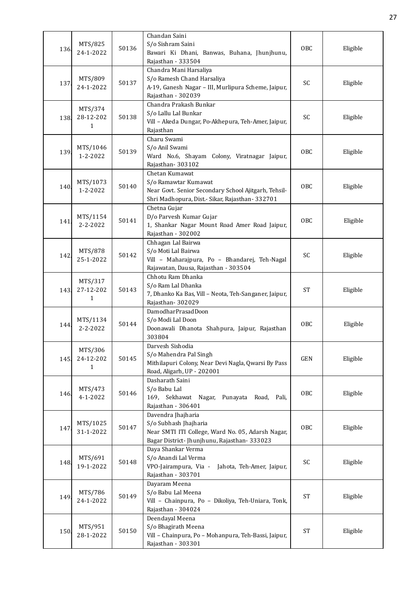| 136. | MTS/825<br>24-1-2022                 | 50136 | Chandan Saini<br>S/o Sishram Saini<br>Bawari Ki Dhani, Banwas, Buhana, Jhunjhunu,<br>Rajasthan - 333504                                           | OBC        | Eligible |
|------|--------------------------------------|-------|---------------------------------------------------------------------------------------------------------------------------------------------------|------------|----------|
| 137  | MTS/809<br>24-1-2022                 | 50137 | Chandra Mani Harsaliya<br>S/o Ramesh Chand Harsaliya<br>A-19, Ganesh Nagar - III, Murlipura Scheme, Jaipur,<br>Rajasthan - 302039                 | SC         | Eligible |
| 138. | MTS/374<br>28-12-202<br>$\mathbf{1}$ | 50138 | Chandra Prakash Bunkar<br>S/o Lallu Lal Bunkar<br>Vill - Akeda Dungar, Po-Akhepura, Teh-Amer, Jaipur,<br>Rajasthan                                | SC         | Eligible |
| 139. | MTS/1046<br>1-2-2022                 | 50139 | Charu Swami<br>S/o Anil Swami<br>Ward No.6, Shayam Colony, Viratnagar Jaipur,<br>Rajasthan-303102                                                 | <b>OBC</b> | Eligible |
| 140. | MTS/1073<br>$1 - 2 - 2022$           | 50140 | Chetan Kumawat<br>S/o Ramawtar Kumawat<br>Near Govt. Senior Secondary School Ajitgarh, Tehsil-<br>Shri Madhopura, Dist.- Sikar, Rajasthan- 332701 | <b>OBC</b> | Eligible |
| 141. | MTS/1154<br>$2 - 2 - 2022$           | 50141 | Chetna Gujar<br>D/o Parvesh Kumar Gujar<br>1, Shankar Nagar Mount Road Amer Road Jaipur,<br>Rajasthan - 302002                                    | OBC        | Eligible |
| 142. | MTS/878<br>25-1-2022                 | 50142 | Chhagan Lal Bairwa<br>S/o Moti Lal Bairwa<br>Vill - Maharajpura, Po - Bhandarej, Teh-Nagal<br>Rajawatan, Dausa, Rajasthan - 303504                | SC         | Eligible |
| 143. | MTS/317<br>27-12-202<br>$\mathbf{1}$ | 50143 | Chhotu Ram Dhanka<br>S/o Ram Lal Dhanka<br>7, Dhanko Ka Bas, Vill - Neota, Teh-Sanganer, Jaipur,<br>Rajasthan-302029                              | <b>ST</b>  | Eligible |
| 144. | MTS/1134<br>$2 - 2 - 2022$           | 50144 | DamodharPrasadDoon<br>S/o Modi Lal Doon<br>Doonawali Dhanota Shahpura, Jaipur, Rajasthan<br>303804                                                | OBC        | Eligible |
| 145  | MTS/306<br>24-12-202<br>$\mathbf{1}$ | 50145 | Darvesh Sishodia<br>S/o Mahendra Pal Singh<br>Mithilapuri Colony, Near Devi Nagla, Qwarsi By Pass<br>Road, Aligarh, UP - 202001                   | GEN        | Eligible |
| 146. | MTS/473<br>4-1-2022                  | 50146 | Dasharath Saini<br>S/o Babu Lal<br>169, Sekhawat Nagar, Punayata Road, Pali,<br>Rajasthan - 306401                                                | OBC        | Eligible |
| 147. | MTS/1025<br>31-1-2022                | 50147 | Davendra Jhajharia<br>S/o Subhash Jhajharia<br>Near SMTI ITI College, Ward No. 05, Adarsh Nagar,<br>Bagar District- Jhunjhunu, Rajasthan- 333023  | OBC        | Eligible |
| 148. | MTS/691<br>19-1-2022                 | 50148 | Daya Shankar Verma<br>S/o Anandi Lal Verma<br>VPO-Jairampura, Via -<br>Jahota, Teh-Amer, Jaipur,<br>Rajasthan - 303701                            | SC         | Eligible |
| 149. | MTS/786<br>24-1-2022                 | 50149 | Dayaram Meena<br>S/o Babu Lal Meena<br>Vill - Chainpura, Po - Dikoliya, Teh-Uniara, Tonk,<br>Rajasthan - 304024                                   | <b>ST</b>  | Eligible |
| 150  | MTS/951<br>28-1-2022                 | 50150 | Deendayal Meena<br>S/o Bhagirath Meena<br>Vill - Chainpura, Po - Mohanpura, Teh-Bassi, Jaipur,<br>Rajasthan - 303301                              | <b>ST</b>  | Eligible |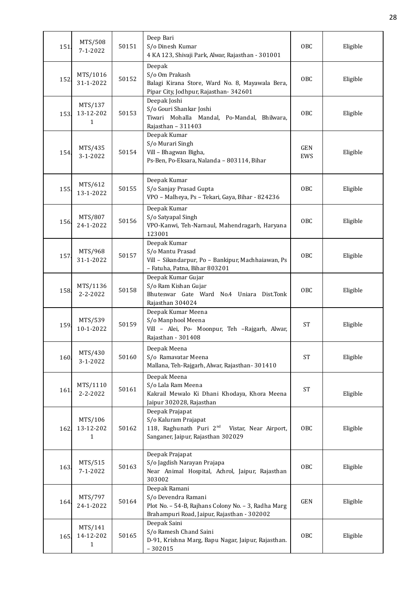| 151. | MTS/508<br>$7 - 1 - 2022$            | 50151 | Deep Bari<br>S/o Dinesh Kumar<br>4 KA 123, Shivaji Park, Alwar, Rajasthan - 301001                                                            | <b>OBC</b> | Eligible |
|------|--------------------------------------|-------|-----------------------------------------------------------------------------------------------------------------------------------------------|------------|----------|
| 152. | MTS/1016<br>31-1-2022                | 50152 | Deepak<br>S/o Om Prakash<br>Balagi Kirana Store, Ward No. 8, Mayawala Bera,<br>Pipar City, Jodhpur, Rajasthan-342601                          | OBC        | Eligible |
| 153. | MTS/137<br>13-12-202<br>$\mathbf{1}$ | 50153 | Deepak Joshi<br>S/o Gouri Shankar Joshi<br>Tiwari Mohalla Mandal, Po-Mandal, Bhilwara,<br>Rajasthan - 311403                                  | <b>OBC</b> | Eligible |
| 154. | MTS/435<br>3-1-2022                  | 50154 | Deepak Kumar<br>S/o Murari Singh<br>Vill - Bhagwan Bigha,<br>Ps-Ben, Po-Eksara, Nalanda - 803114, Bihar                                       | GEN<br>EWS | Eligible |
| 155. | MTS/612<br>13-1-2022                 | 50155 | Deepak Kumar<br>S/o Sanjay Prasad Gupta<br>VPO - Malheya, Ps - Tekari, Gaya, Bihar - 824236                                                   | <b>OBC</b> | Eligible |
| 156  | MTS/807<br>24-1-2022                 | 50156 | Deepak Kumar<br>S/o Satyapal Singh<br>VPO-Kanwi, Teh-Narnaul, Mahendragarh, Haryana<br>123001                                                 | 0BC        | Eligible |
| 157. | MTS/968<br>31-1-2022                 | 50157 | Deepak Kumar<br>S/o Mantu Prasad<br>Vill - Sikandarpur, Po - Bankipur, Machhaiawan, Ps<br>- Fatuha, Patna, Bihar 803201                       | <b>OBC</b> | Eligible |
| 158. | MTS/1136<br>$2 - 2 - 2022$           | 50158 | Deepak Kumar Gujar<br>S/o Ram Kishan Gujar<br>Bhuteswar Gate Ward No.4 Uniara Dist.Tonk<br>Rajasthan 304024                                   | OBC        | Eligible |
| 159  | MTS/539<br>10-1-2022                 | 50159 | Deepak Kumar Meena<br>S/o Manphool Meena<br>Vill - Alei, Po- Moonpur, Teh -Rajgarh, Alwar,<br>Rajasthan - 301408                              | <b>ST</b>  | Eligible |
| 160. | MTS/430<br>3-1-2022                  | 50160 | Deepak Meena<br>S/o Ramavatar Meena<br>Mallana, Teh-Rajgarh, Alwar, Rajasthan-301410                                                          | <b>ST</b>  | Eligible |
| 161. | MTS/1110<br>2-2-2022                 | 50161 | Deepak Meena<br>S/o Lala Ram Meena<br>Kakrail Mewalo Ki Dhani Khodaya, Khora Meena<br>Jaipur 302028, Rajasthan                                | <b>ST</b>  | Eligible |
| 162. | MTS/106<br>13-12-202<br>1            | 50162 | Deepak Prajapat<br>S/o Kaluram Prajapat<br>118, Raghunath Puri 2 <sup>nd</sup><br>Vistar, Near Airport,<br>Sanganer, Jaipur, Rajasthan 302029 | OBC        | Eligible |
| 163. | MTS/515<br>$7 - 1 - 2022$            | 50163 | Deepak Prajapat<br>S/o Jagdish Narayan Prajapa<br>Near Animal Hospital, Achrol, Jaipur, Rajasthan<br>303002                                   | OBC        | Eligible |
| 164. | MTS/797<br>24-1-2022                 | 50164 | Deepak Ramani<br>S/o Devendra Ramani<br>Plot No. - 54-B, Rajhans Colony No. - 3, Radha Marg<br>Brahampuri Road, Jaipur, Rajasthan - 302002    | GEN        | Eligible |
| 165. | MTS/141<br>14-12-202<br>1            | 50165 | Deepak Saini<br>S/o Ramesh Chand Saini<br>D-91, Krishna Marg, Bapu Nagar, Jaipur, Rajasthan.<br>$-302015$                                     | OBC        | Eligible |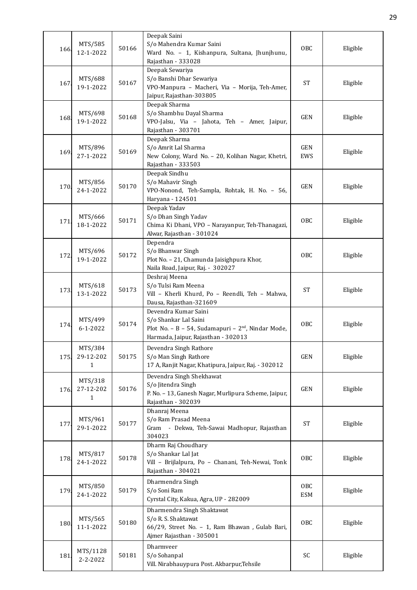| 166  | MTS/585<br>12-1-2022      | 50166 | Deepak Saini<br>S/o Mahendra Kumar Saini<br>Ward No. - 1, Kishanpura, Sultana, Jhunjhunu,<br>Rajasthan - 333028                                        | OBC               | Eligible |
|------|---------------------------|-------|--------------------------------------------------------------------------------------------------------------------------------------------------------|-------------------|----------|
| 167  | MTS/688<br>19-1-2022      | 50167 | Deepak Sewariya<br>S/o Banshi Dhar Sewariya<br>VPO-Manpura - Macheri, Via - Morija, Teh-Amer,<br>Jaipur, Rajasthan-303805                              | <b>ST</b>         | Eligible |
| 168  | MTS/698<br>19-1-2022      | 50168 | Deepak Sharma<br>S/o Shambhu Dayal Sharma<br>VPO-Jalsu, Via - Jahota, Teh - Amer, Jaipur,<br>Rajasthan - 303701                                        | GEN               | Eligible |
| 169. | MTS/896<br>27-1-2022      | 50169 | Deepak Sharma<br>S/o Amrit Lal Sharma<br>New Colony, Ward No. - 20, Kolihan Nagar, Khetri,<br>Rajasthan - 333503                                       | GEN<br>EWS        | Eligible |
| 170. | MTS/856<br>24-1-2022      | 50170 | Deepak Sindhu<br>S/o Mahavir Singh<br>VPO-Nonond, Teh-Sampla, Rohtak, H. No. - 56,<br>Haryana - 124501                                                 | <b>GEN</b>        | Eligible |
| 171  | MTS/666<br>18-1-2022      | 50171 | Deepak Yadav<br>S/o Dhan Singh Yadav<br>Chima Ki Dhani, VPO - Narayanpur, Teh-Thanagazi,<br>Alwar, Rajasthan - 301024                                  | OBC               | Eligible |
| 172. | MTS/696<br>19-1-2022      | 50172 | Dependra<br>S/o Bhanwar Singh<br>Plot No. - 21, Chamunda Jaisighpura Khor,<br>Naila Road, Jaipur, Raj. - 302027                                        | OBC               | Eligible |
| 173. | MTS/618<br>13-1-2022      | 50173 | Deshraj Meena<br>S/o Tulsi Ram Meena<br>Vill - Kherli Khurd, Po - Reendli, Teh - Mahwa,<br>Dausa, Rajasthan-321609                                     | <b>ST</b>         | Eligible |
| 174. | MTS/499<br>$6 - 1 - 2022$ | 50174 | Devendra Kumar Saini<br>S/o Shankar Lal Saini<br>Plot No. - B - 54, Sudamapuri - 2 <sup>nd</sup> , Nindar Mode,<br>Harmada, Jaipur, Rajasthan - 302013 | OBC               | Eligible |
| 175. | MTS/384<br>29-12-202<br>1 | 50175 | Devendra Singh Rathore<br>S/o Man Singh Rathore<br>17 A, Ranjit Nagar, Khatipura, Jaipur, Raj. - 302012                                                | <b>GEN</b>        | Eligible |
| 176. | MTS/318<br>27-12-202<br>1 | 50176 | Devendra Singh Shekhawat<br>S/o Jitendra Singh<br>P. No. - 13, Ganesh Nagar, Murlipura Scheme, Jaipur,<br>Rajasthan - 302039                           | <b>GEN</b>        | Eligible |
| 177  | MTS/961<br>29-1-2022      | 50177 | Dhanraj Meena<br>S/o Ram Prasad Meena<br>Gram - Dekwa, Teh-Sawai Madhopur, Rajasthan<br>304023                                                         | <b>ST</b>         | Eligible |
| 178. | MTS/817<br>24-1-2022      | 50178 | Dharm Raj Choudhary<br>S/o Shankar Lal Jat<br>Vill - Brijlalpura, Po - Chanani, Teh-Newai, Tonk<br>Rajasthan - 304021                                  | OBC               | Eligible |
| 179  | MTS/850<br>24-1-2022      | 50179 | Dharmendra Singh<br>S/o Soni Ram<br>Cyrstal City, Kakua, Agra, UP - 282009                                                                             | OBC<br><b>ESM</b> | Eligible |
| 180  | MTS/565<br>11-1-2022      | 50180 | Dharmendra Singh Shaktawat<br>S/o R. S. Shaktawat<br>66/29, Street No. - 1, Ram Bhawan, Gulab Bari,<br>Ajmer Rajasthan - 305001                        | OBC               | Eligible |
| 181. | MTS/1128<br>2-2-2022      | 50181 | Dharmveer<br>S/o Sohanpal<br>Vill. Nirabhauypura Post. Akbarpur, Tehsile                                                                               | SC                | Eligible |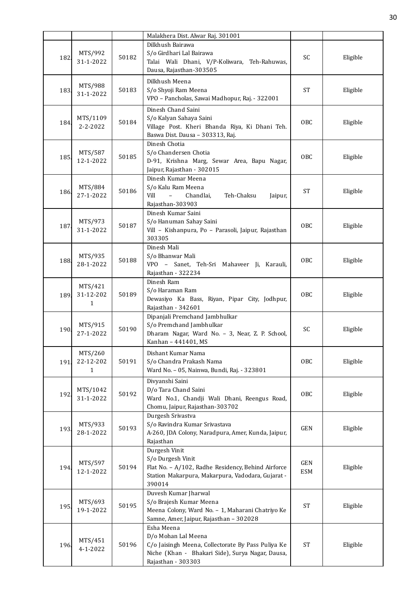|      |                                      |       | Malakhera Dist. Alwar Raj. 301001                                                                                                                                 |                   |          |
|------|--------------------------------------|-------|-------------------------------------------------------------------------------------------------------------------------------------------------------------------|-------------------|----------|
| 182  | MTS/992<br>31-1-2022                 | 50182 | Dilkhush Bairawa<br>S/o Girdhari Lal Bairawa<br>Talai Wali Dhani, V/P-Koliwara, Teh-Rahuwas,<br>Dausa, Rajasthan-303505                                           | SC                | Eligible |
| 183  | MTS/988<br>31-1-2022                 | 50183 | Dilkhush Meena<br>S/o Shyoji Ram Meena<br>VPO - Pancholas, Sawai Madhopur, Raj. - 322001                                                                          | ST                | Eligible |
| 184. | MTS/1109<br>$2 - 2 - 2022$           | 50184 | Dinesh Chand Saini<br>S/o Kalyan Sahaya Saini<br>Village Post. Kheri Bhanda Riya, Ki Dhani Teh.<br>Baswa Dist. Dausa - 303313, Raj.                               | <b>OBC</b>        | Eligible |
| 185  | MTS/587<br>12-1-2022                 | 50185 | Dinesh Chotia<br>S/o Chandersen Chotia<br>D-91, Krishna Marg, Sewar Area, Bapu Nagar,<br>Jaipur, Rajasthan - 302015                                               | OBC               | Eligible |
| 186. | MTS/884<br>27-1-2022                 | 50186 | Dinesh Kumar Meena<br>S/o Kalu Ram Meena<br>Vill<br>$\overline{\phantom{a}}$<br>Chandlai,<br>Teh-Chaksu<br>Jaipur,<br>Rajasthan-303903                            | <b>ST</b>         | Eligible |
| 187  | MTS/973<br>31-1-2022                 | 50187 | Dinesh Kumar Saini<br>S/o Hanuman Sahay Saini<br>Vill - Kishanpura, Po - Parasoli, Jaipur, Rajasthan<br>303305                                                    | OBC               | Eligible |
| 188. | MTS/935<br>28-1-2022                 | 50188 | Dinesh Mali<br>S/o Bhanwar Mali<br>VPO - Sanet, Teh-Sri Mahaveer Ji, Karauli,<br>Rajasthan - 322234                                                               | <b>OBC</b>        | Eligible |
| 189. | MTS/421<br>31-12-202<br>$\mathbf{1}$ | 50189 | Dinesh Ram<br>S/o Haraman Ram<br>Dewasiyo Ka Bass, Riyan, Pipar City, Jodhpur,<br>Rajasthan - 342601                                                              | OBC               | Eligible |
| 190. | MTS/915<br>27-1-2022                 | 50190 | Dipanjali Premchand Jambhulkar<br>S/o Premchand Jambhulkar<br>Dharam Nagar, Ward No. - 3, Near, Z. P. School,<br>Kanhan - 441401, MS                              | SC                | Eligible |
| 191  | MTS/260<br>22-12-202<br>$\mathbf{1}$ | 50191 | Dishant Kumar Nama<br>S/o Chandra Prakash Nama<br>Ward No. - 05, Nainwa, Bundi, Raj. - 323801                                                                     | OBC               | Eligible |
| 192  | MTS/1042<br>31-1-2022                | 50192 | Divyanshi Saini<br>D/o Tara Chand Saini<br>Ward No.1, Chandji Wali Dhani, Reengus Road,<br>Chomu, Jaipur, Rajasthan-303702                                        | OBC               | Eligible |
| 193. | MTS/933<br>28-1-2022                 | 50193 | Durgesh Srivastva<br>S/o Ravindra Kumar Srivastava<br>A-260, JDA Colony, Naradpura, Amer, Kunda, Jaipur,<br>Rajasthan                                             | <b>GEN</b>        | Eligible |
| 194  | MTS/597<br>12-1-2022                 | 50194 | Durgesh Vinit<br>S/o Durgesh Vinit<br>Flat No. - A/102, Radhe Residency, Behind Airforce<br>Station Makarpura, Makarpura, Vadodara, Gujarat -<br>390014           | GEN<br><b>ESM</b> | Eligible |
| 195. | MTS/693<br>19-1-2022                 | 50195 | Duvesh Kumar Jharwal<br>S/o Brajesh Kumar Meena<br>Meena Colony, Ward No. - 1, Maharani Chatriyo Ke<br>Samne, Amer, Jaipur, Rajasthan - 302028                    | <b>ST</b>         | Eligible |
| 196. | MTS/451<br>4-1-2022                  | 50196 | Esha Meena<br>D/o Mohan Lal Meena<br>C/o Jaisingh Meena, Collectorate By Pass Puliya Ke<br>Niche (Khan - Bhakari Side), Surya Nagar, Dausa,<br>Rajasthan - 303303 | <b>ST</b>         | Eligible |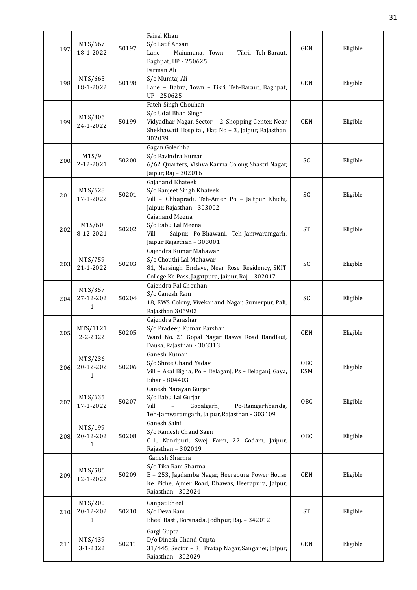| 197  | MTS/667<br>18-1-2022                 | 50197 | Faisal Khan<br>S/o Latif Ansari<br>Lane - Mainmana, Town - Tikri, Teh-Baraut,<br>Baghpat, UP - 250625                                                             | <b>GEN</b>        | Eligible |
|------|--------------------------------------|-------|-------------------------------------------------------------------------------------------------------------------------------------------------------------------|-------------------|----------|
| 198. | MTS/665<br>18-1-2022                 | 50198 | Farman Ali<br>S/o Mumtaj Ali<br>Lane - Dabra, Town - Tikri, Teh-Baraut, Baghpat,<br>UP-250625                                                                     | <b>GEN</b>        | Eligible |
| 199  | MTS/806<br>24-1-2022                 | 50199 | Fateh Singh Chouhan<br>S/o Udai Bhan Singh<br>Vidyadhar Nagar, Sector - 2, Shopping Center, Near<br>Shekhawati Hospital, Flat No - 3, Jaipur, Rajasthan<br>302039 | <b>GEN</b>        | Eligible |
| 200  | MTS/9<br>2-12-2021                   | 50200 | Gagan Golechha<br>S/o Ravindra Kumar<br>6/62 Quarters, Vishva Karma Colony, Shastri Nagar,<br>Jaipur, Raj - 302016                                                | SC                | Eligible |
| 201  | MTS/628<br>17-1-2022                 | 50201 | Gajanand Khateek<br>S/o Ranjeet Singh Khateek<br>Vill - Chhapradi, Teh-Amer Po - Jaitpur Khichi,<br>Jaipur, Rajasthan - 303002                                    | SC                | Eligible |
| 202  | MTS/60<br>8-12-2021                  | 50202 | Gajanand Meena<br>S/o Babu Lal Meena<br>Vill - Saipur, Po-Bhawani, Teh-Jamwaramgarh,<br>Jaipur Rajasthan - 303001                                                 | <b>ST</b>         | Eligible |
| 203. | MTS/759<br>21-1-2022                 | 50203 | Gajendra Kumar Mahawar<br>S/o Chouthi Lal Mahawar<br>81, Narsingh Enclave, Near Rose Residency, SKIT<br>College Ke Pass, Jagatpura, Jaipur, Raj. - 302017         | SC                | Eligible |
| 204  | MTS/357<br>27-12-202<br>1            | 50204 | Gajendra Pal Chouhan<br>S/o Ganesh Ram<br>18, EWS Colony, Vivekanand Nagar, Sumerpur, Pali,<br>Rajasthan 306902                                                   | SC                | Eligible |
| 205  | MTS/1121<br>2-2-2022                 | 50205 | Gajendra Parashar<br>S/o Pradeep Kumar Parshar<br>Ward No. 21 Gopal Nagar Baswa Road Bandikui,<br>Dausa, Rajasthan - 303313                                       | <b>GEN</b>        | Eligible |
| 206  | MTS/236<br>20-12-202<br>$\mathbf{1}$ | 50206 | Ganesh Kumar<br>S/o Shree Chand Yadav<br>Vill - Akal Bigha, Po - Belaganj, Ps - Belaganj, Gaya,<br>Bihar - 804403                                                 | <b>OBC</b><br>ESM | Eligible |
| 207  | MTS/635<br>17-1-2022                 | 50207 | Ganesh Narayan Gurjar<br>S/o Babu Lal Gurjar<br>Vill<br>Gopalgarh,<br>Po-Ramgarhbanda,<br>Teh-Jamwaramgarh, Jaipur, Rajasthan - 303109                            | <b>OBC</b>        | Eligible |
| 208  | MTS/199<br>20-12-202<br>1            | 50208 | Ganesh Saini<br>S/o Ramesh Chand Saini<br>G-1, Nandpuri, Swej Farm, 22 Godam, Jaipur,<br>Rajasthan - 302019                                                       | 0 <sub>BC</sub>   | Eligible |
| 209  | MTS/586<br>12-1-2022                 | 50209 | Ganesh Sharma<br>S/o Tika Ram Sharma<br>B - 253, Jagdamba Nagar, Heerapura Power House<br>Ke Piche, Ajmer Road, Dhawas, Heerapura, Jaipur,<br>Rajasthan - 302024  | <b>GEN</b>        | Eligible |
| 210  | MTS/200<br>20-12-202<br>1            | 50210 | Ganpat Bheel<br>S/o Deva Ram<br>Bheel Basti, Boranada, Jodhpur, Raj. - 342012                                                                                     | <b>ST</b>         | Eligible |
| 211  | MTS/439<br>3-1-2022                  | 50211 | Gargi Gupta<br>D/o Dinesh Chand Gupta<br>31/445, Sector - 3, Pratap Nagar, Sanganer, Jaipur,<br>Rajasthan - 302029                                                | GEN               | Eligible |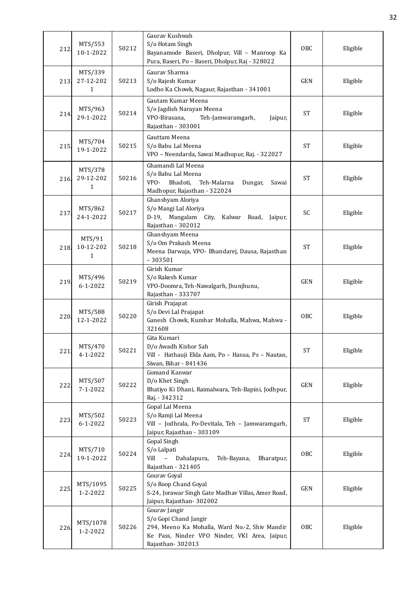| 212  | MTS/553<br>10-1-2022                 | 50212 | Gaurav Kushwah<br>S/o Hotam Singh<br>Bayanamode Baseri, Dholpur, Vill - Manroop Ka<br>Pura, Baseri, Po - Baseri, Dholpur, Raj - 328022                        | OBC        | Eligible |
|------|--------------------------------------|-------|---------------------------------------------------------------------------------------------------------------------------------------------------------------|------------|----------|
| 213. | MTS/339<br>27-12-202<br>$\mathbf{1}$ | 50213 | Gaurav Sharma<br>S/o Rajesh Kumar<br>Lodho Ka Chowk, Nagaur, Rajasthan - 341001                                                                               | <b>GEN</b> | Eligible |
| 214. | MTS/963<br>29-1-2022                 | 50214 | Gautam Kumar Meena<br>S/o Jagdish Narayan Meena<br>VPO-Birasana,<br>Teh-Jamwaramgarh,<br>Jaipur,<br>Rajasthan - 303001                                        | <b>ST</b>  | Eligible |
| 215. | MTS/704<br>19-1-2022                 | 50215 | Gauttam Meena<br>S/o Babu Lal Meena<br>VPO - Neendarda, Sawai Madhopur, Raj. - 322027                                                                         | <b>ST</b>  | Eligible |
| 216  | MTS/378<br>29-12-202<br>$\mathbf{1}$ | 50216 | Ghamandi Lal Meena<br>S/o Babu Lal Meena<br>VPO-<br>Bhadoti,<br>Teh-Malarna<br>Dungar,<br>Sawai<br>Madhopur, Rajasthan - 322024                               | <b>ST</b>  | Eligible |
| 217  | MTS/862<br>24-1-2022                 | 50217 | Ghanshyam Aloriya<br>S/o Mangi Lal Aloriya<br>D-19, Mangalam City, Kalwar Road, Jaipur,<br>Rajasthan - 302012                                                 | SC         | Eligible |
| 218  | MTS/91<br>10-12-202<br>1             | 50218 | Ghanshyam Meena<br>S/o Om Prakash Meena<br>Meena Darwaja, VPO- Bhandarej, Dausa, Rajasthan<br>$-303501$                                                       | <b>ST</b>  | Eligible |
| 219. | MTS/496<br>$6 - 1 - 2022$            | 50219 | Girish Kumar<br>S/o Rakesh Kumar<br>VPO-Doomra, Teh-Nawalgarh, Jhunjhunu,<br>Rajasthan - 333707                                                               | <b>GEN</b> | Eligible |
| 220  | MTS/588<br>12-1-2022                 | 50220 | Girish Prajapat<br>S/o Devi Lal Prajapat<br>Ganesh Chowk, Kumhar Mohalla, Mahwa, Mahwa -<br>321608                                                            | OBC        | Eligible |
| 221  | MTS/470<br>$4 - 1 - 2022$            | 50221 | Gita Kumari<br>D/o Awadh Kishor Sah<br>Vill - Hathauji Ekla Aam, Po - Hasua, Ps - Nautan,<br>Siwan, Bihar - 841436                                            | <b>ST</b>  | Eligible |
| 222  | MTS/507<br>$7 - 1 - 2022$            | 50222 | Gomand Kanwar<br>D/o Khet Singh<br>Bhatiyo Ki Dhani, Raimalwara, Teh-Bapini, Jodhpur,<br>Raj. - 342312                                                        | GEN        | Eligible |
| 223. | MTS/502<br>$6 - 1 - 2022$            | 50223 | Gopal Lal Meena<br>S/o Ramji Lal Meena<br>Vill - Jodhrala, Po-Devitala, Teh - Jamwaramgarh,<br>Jaipur, Rajasthan - 303109                                     | <b>ST</b>  | Eligible |
| 224. | MTS/710<br>19-1-2022                 | 50224 | Gopal Singh<br>S/o Lalpati<br>Vill<br>$\overline{\phantom{0}}$<br>Dahalapura,<br>Teh-Bayana,<br>Bharatpur,<br>Rajasthan - 321405                              | OBC        | Eligible |
| 225  | MTS/1095<br>1-2-2022                 | 50225 | Gourav Goyal<br>S/o Roop Chand Goyal<br>S-24, Jorawar Singh Gate Madhav Villas, Amer Road,<br>Jaipur, Rajasthan-302002                                        | <b>GEN</b> | Eligible |
| 226. | MTS/1078<br>1-2-2022                 | 50226 | Gourav Jangir<br>S/o Gopi Chand Jangir<br>294, Meeno Ka Mohalla, Ward No.-2, Shiv Mandir<br>Ke Pass, Ninder VPO Ninder, VKI Area, Jaipur,<br>Rajasthan-302013 | <b>OBC</b> | Eligible |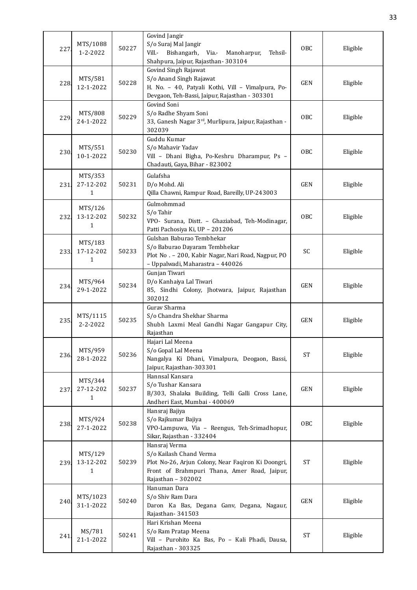| 227  | MTS/1088<br>$1 - 2 - 2022$ | 50227 | Govind Jangir<br>S/o Suraj Mal Jangir<br>Vill.- Bishangarh,<br>Via.-<br>Manoharpur,<br>Tehsil-<br>Shahpura, Jaipur, Rajasthan- 303104                                | OBC                 | Eligible |
|------|----------------------------|-------|----------------------------------------------------------------------------------------------------------------------------------------------------------------------|---------------------|----------|
| 228. | MTS/581<br>12-1-2022       | 50228 | Govind Singh Rajawat<br>S/o Anand Singh Rajawat<br>H. No. - 40, Patyali Kothi, Vill - Vimalpura, Po-<br>Devgaon, Teh-Bassi, Jaipur, Rajasthan - 303301               | <b>GEN</b>          | Eligible |
| 229  | MTS/808<br>24-1-2022       | 50229 | Govind Soni<br>S/o Radhe Shyam Soni<br>33, Ganesh Nagar 3rd, Murlipura, Jaipur, Rajasthan -<br>302039                                                                | OBC                 | Eligible |
| 230  | MTS/551<br>10-1-2022       | 50230 | Guddu Kumar<br>S/o Mahavir Yadav<br>Vill - Dhani Bigha, Po-Keshru Dharampur, Ps -<br>Chadauti, Gaya, Bihar - 823002                                                  | OBC                 | Eligible |
| 231. | MTS/353<br>27-12-202<br>1  | 50231 | Gulafsha<br>D/o Mohd. Ali<br>Qilla Chawni, Rampur Road, Bareilly, UP-243003                                                                                          | <b>GEN</b>          | Eligible |
| 232. | MTS/126<br>13-12-202<br>1  | 50232 | Gulmohmmad<br>S/o Tahir<br>VPO- Surana, Distt. - Ghaziabad, Teh-Modinagar,<br>Patti Pachosiya Ki, UP - 201206                                                        | OBC                 | Eligible |
| 233. | MTS/183<br>17-12-202<br>1  | 50233 | Gulshan Baburao Tembhekar<br>S/o Baburao Dayaram Tembhekar<br>Plot No. - 200, Kabir Nagar, Nari Road, Nagpur, PO<br>- Uppalwadi, Maharastra - 440026                 | SC                  | Eligible |
| 234  | MTS/964<br>29-1-2022       | 50234 | Gunjan Tiwari<br>D/o Kanhaiya Lal Tiwari<br>85, Sindhi Colony, Jhotwara, Jaipur, Rajasthan<br>302012                                                                 | <b>GEN</b>          | Eligible |
| 235  | MTS/1115<br>$2 - 2 - 2022$ | 50235 | Gurav Sharma<br>S/o Chandra Shekhar Sharma<br>Shubh Laxmi Meal Gandhi Nagar Gangapur City,<br>Rajasthan                                                              | <b>GEN</b>          | Eligible |
| 236. | MTS/959<br>28-1-2022       | 50236 | Hajari Lal Meena<br>S/o Gopal Lal Meena<br>Nangalya Ki Dhani, Vimalpura, Deogaon, Bassi,<br>Jaipur, Rajasthan-303301                                                 | <b>ST</b>           | Eligible |
| 237. | MTS/344<br>27-12-202<br>1  | 50237 | Hannsal Kansara<br>S/o Tushar Kansara<br>B/303, Shalaka Building, Telli Galli Cross Lane,<br>Andheri East, Mumbai - 400069                                           | GEN                 | Eligible |
| 238  | MTS/924<br>27-1-2022       | 50238 | Hansraj Bajiya<br>S/o Rajkumar Bajiya<br>VPO-Lampuwa, Via - Reengus, Teh-Srimadhopur,<br>Sikar, Rajasthan - 332404                                                   | OBC                 | Eligible |
| 239. | MTS/129<br>13-12-202<br>1  | 50239 | Hansraj Verma<br>S/o Kailash Chand Verma<br>Plot No-26, Arjun Colony, Near Faqiron Ki Doongri,<br>Front of Brahmpuri Thana, Amer Road, Jaipur,<br>Rajasthan - 302002 | $\operatorname{ST}$ | Eligible |
| 240  | MTS/1023<br>31-1-2022      | 50240 | Hanuman Dara<br>S/o Shiv Ram Dara<br>Daron Ka Bas, Degana Ganv, Degana, Nagaur,<br>Rajasthan-341503                                                                  | <b>GEN</b>          | Eligible |
| 241  | MS/781<br>21-1-2022        | 50241 | Hari Krishan Meena<br>S/o Ram Pratap Meena<br>Vill - Purohito Ka Bas, Po - Kali Phadi, Dausa,<br>Rajasthan - 303325                                                  | <b>ST</b>           | Eligible |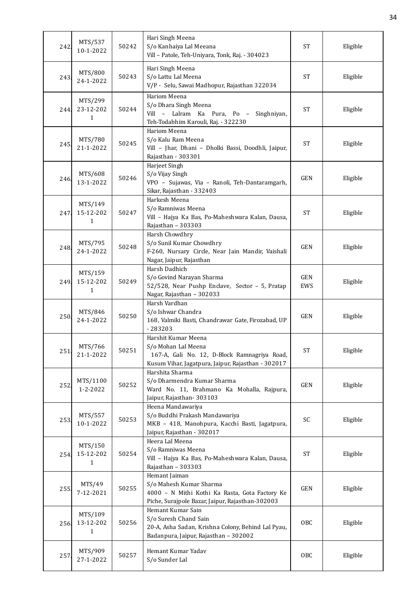| 242  | MTS/537<br>10-1-2022                 | 50242 | Hari Singh Meena<br>S/o Kanhaiya Lal Meeana<br>Vill - Patole, Teh-Uniyara, Tonk, Raj. - 304023                                                   | <b>ST</b>  | Eligible |
|------|--------------------------------------|-------|--------------------------------------------------------------------------------------------------------------------------------------------------|------------|----------|
| 243  | MTS/800<br>24-1-2022                 | 50243 | Hari Singh Meena<br>S/o Lattu Lal Meena<br>V/P - Selu, Sawai Madhopur, Rajasthan 322034                                                          | <b>ST</b>  | Eligible |
| 244. | MTS/299<br>23-12-202<br>1            | 50244 | Hariom Meena<br>S/o Dhara Singh Meena<br>Vill - Lalram Ka Pura, Po - Singhniyan,<br>Teh-Todabhim Karouli, Raj. - 322230                          | <b>ST</b>  | Eligible |
| 245. | MTS/780<br>21-1-2022                 | 50245 | Hariom Meena<br>S/o Kalu Ram Meena<br>Vill - Jhar, Dhani - Dholki Bassi, Doodhli, Jaipur,<br>Rajasthan - 303301                                  | <b>ST</b>  | Eligible |
| 246  | MTS/608<br>13-1-2022                 | 50246 | Harjeet Singh<br>S/o Vijay Singh<br>VPO - Sujawas, Via - Ranoli, Teh-Dantaramgarh,<br>Sikar, Rajasthan - 332403                                  | <b>GEN</b> | Eligible |
| 247. | MTS/149<br>15-12-202<br>1            | 50247 | Harkesh Meena<br>S/o Ramniwas Meena<br>Vill - Hajya Ka Bas, Po-Maheshwara Kalan, Dausa,<br>Rajasthan - 303303                                    | <b>ST</b>  | Eligible |
| 248. | MTS/795<br>24-1-2022                 | 50248 | Harsh Chowdhry<br>S/o Sunil Kumar Chowdhry<br>F-260, Nursary Circle, Near Jain Mandir, Vaishali<br>Nagar, Jaipur, Rajasthan                      | <b>GEN</b> | Eligible |
| 249. | MTS/159<br>15-12-202<br>$\mathbf{1}$ | 50249 | Harsh Dadhich<br>S/o Govind Narayan Sharma<br>52/528, Near Pushp Enclave, Sector - 5, Pratap<br>Nagar, Rajasthan - 302033                        | GEN<br>EWS | Eligible |
| 250  | MTS/846<br>24-1-2022                 | 50250 | Harsh Vardhan<br>S/o Ishwar Chandra<br>168, Valmiki Basti, Chandrawar Gate, Firozabad, UP<br>$-283203$                                           | <b>GEN</b> | Eligible |
| 251  | MTS/766<br>21-1-2022                 | 50251 | Harshit Kumar Meena<br>S/o Mohan Lal Meena<br>167-A, Gali No. 12, D-Block Ramnagriya Road,<br>Kusum Vihar, Jagatpura, Jaipur, Rajasthan - 302017 | <b>ST</b>  | Eligible |
| 252  | MTS/1100<br>1-2-2022                 | 50252 | Harshita Sharma<br>S/o Dharmendra Kumar Sharma<br>Ward No. 11, Brahmano Ka Mohalla, Rajpura,<br>Jaipur, Rajasthan - 303103                       | <b>GEN</b> | Eligible |
| 253  | MTS/557<br>10-1-2022                 | 50253 | Heena Mandawariya<br>S/o Buddhi Prakash Mandawariya<br>MKB - 418, Manohpura, Kacchi Basti, Jagatpura,<br>Jaipur, Rajasthan - 302017              | SC         | Eligible |
| 254  | MTS/150<br>15-12-202<br>1            | 50254 | Heera Lal Meena<br>S/o Ramniwas Meena<br>Vill - Hajya Ka Bas, Po-Maheshwara Kalan, Dausa,<br>Rajasthan - 303303                                  | <b>ST</b>  | Eligible |
| 255  | MTS/49<br>7-12-2021                  | 50255 | Hemant Jaiman<br>S/o Mahesh Kumar Sharma<br>4000 - N Mithi Kothi Ka Rasta, Gota Factory Ke<br>Piche, Surajpole Bazar, Jaipur, Rajasthan-302003   | GEN        | Eligible |
| 256  | MTS/109<br>13-12-202<br>1            | 50256 | Hemant Kumar Sain<br>S/o Suresh Chand Sain<br>20-A, Asha Sadan, Krishna Colony, Behind Lal Pyau,<br>Badanpura, Jaipur, Rajasthan - 302002        | OBC        | Eligible |
| 257  | MTS/909<br>27-1-2022                 | 50257 | Hemant Kumar Yadav<br>S/o Sunder Lal                                                                                                             | OBC        | Eligible |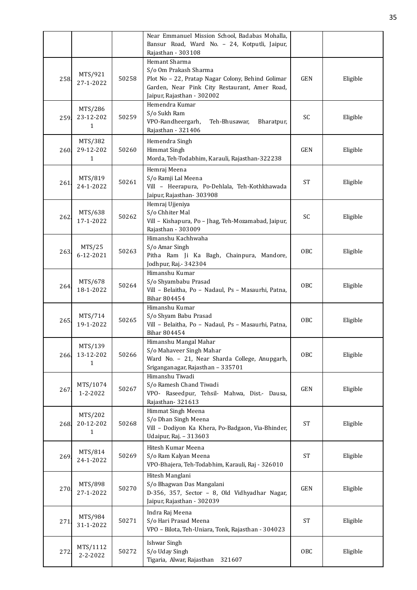|      |                           |       | Near Emmanuel Mission School, Badabas Mohalla,<br>Bansur Road, Ward No. - 24, Kotputli, Jaipur,<br>Rajasthan - 303108                                                      |                 |          |
|------|---------------------------|-------|----------------------------------------------------------------------------------------------------------------------------------------------------------------------------|-----------------|----------|
| 258  | MTS/921<br>27-1-2022      | 50258 | Hemant Sharma<br>S/o Om Prakash Sharma<br>Plot No - 22, Pratap Nagar Colony, Behind Golimar<br>Garden, Near Pink City Restaurant, Amer Road,<br>Jaipur, Rajasthan - 302002 | <b>GEN</b>      | Eligible |
| 259. | MTS/286<br>23-12-202<br>1 | 50259 | Hemendra Kumar<br>S/o Sukh Ram<br>VPO-Randheergarh,<br>Teh-Bhusawar,<br>Bharatpur,<br>Rajasthan - 321406                                                                   | SC              | Eligible |
| 260. | MTS/382<br>29-12-202<br>1 | 50260 | Hemendra Singh<br><b>Himmat Singh</b><br>Morda, Teh-Todabhim, Karauli, Rajasthan-322238                                                                                    | <b>GEN</b>      | Eligible |
| 261. | MTS/819<br>24-1-2022      | 50261 | Hemraj Meena<br>S/o Ramji Lal Meena<br>Vill - Heerapura, Po-Dehlala, Teh-Kothkhawada<br>Jaipur, Rajasthan-303908                                                           | <b>ST</b>       | Eligible |
| 262  | MTS/638<br>17-1-2022      | 50262 | Hemraj Ujjeniya<br>S/o Chhiter Mal<br>Vill - Kishapura, Po - Jhag, Teh-Mozamabad, Jaipur,<br>Rajasthan - 303009                                                            | SC              | Eligible |
| 263  | MTS/25<br>6-12-2021       | 50263 | Himanshu Kachhwaha<br>S/o Amar Singh<br>Pitha Ram Ji Ka Bagh, Chainpura, Mandore,<br>Jodhpur, Raj. - 342304                                                                | <b>OBC</b>      | Eligible |
| 264. | MTS/678<br>18-1-2022      | 50264 | Himanshu Kumar<br>S/o Shyambabu Prasad<br>Vill - Belaitha, Po - Nadaul, Ps - Masaurhi, Patna,<br>Bihar 804454                                                              | OBC             | Eligible |
| 265  | MTS/714<br>19-1-2022      | 50265 | Himanshu Kumar<br>S/o Shyam Babu Prasad<br>Vill - Belaitha, Po - Nadaul, Ps - Masaurhi, Patna,<br>Bihar 804454                                                             | <b>OBC</b>      | Eligible |
| 266. | MTS/139<br>13-12-202<br>1 | 50266 | Himanshu Mangal Mahar<br>S/o Mahaveer Singh Mahar<br>Ward No. - 21, Near Sharda College, Anupgarh,<br>Sriganganagar, Rajasthan - 335701                                    | <b>OBC</b>      | Eligible |
| 267  | MTS/1074<br>1-2-2022      | 50267 | Himanshu Tiwadi<br>S/o Ramesh Chand Tiwadi<br>VPO- Raseedpur, Tehsil- Mahwa, Dist.- Dausa,<br>Rajasthan-321613                                                             | <b>GEN</b>      | Eligible |
| 268  | MTS/202<br>20-12-202<br>1 | 50268 | Himmat Singh Meena<br>S/o Dhan Singh Meena<br>Vill - Dodiyon Ka Khera, Po-Badgaon, Via-Bhinder,<br>Udaipur, Raj. - 313603                                                  | <b>ST</b>       | Eligible |
| 269  | MTS/814<br>24-1-2022      | 50269 | Hitesh Kumar Meena<br>S/o Ram Kalyan Meena<br>VPO-Bhajera, Teh-Todabhim, Karauli, Raj - 326010                                                                             | <b>ST</b>       | Eligible |
| 270. | MTS/898<br>27-1-2022      | 50270 | Hitesh Manglani<br>S/o Bhagwan Das Mangalani<br>D-356, 357, Sector - 8, Old Vidhyadhar Nagar,<br>Jaipur, Rajasthan - 302039                                                | GEN             | Eligible |
| 271. | MTS/984<br>31-1-2022      | 50271 | Indra Raj Meena<br>S/o Hari Prasad Meena<br>VPO - Bilota, Teh-Uniara, Tonk, Rajasthan - 304023                                                                             | <b>ST</b>       | Eligible |
| 272  | MTS/1112<br>2-2-2022      | 50272 | <b>Ishwar Singh</b><br>S/o Uday Singh<br>Tigaria, Alwar, Rajasthan<br>321607                                                                                               | 0 <sub>BC</sub> | Eligible |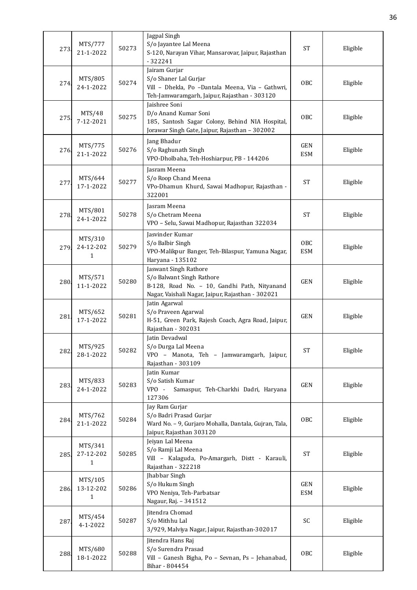| 273  | MTS/777<br>21-1-2022                 | 50273 | Jagpal Singh<br>S/o Jayantee Lal Meena<br>S-120, Narayan Vihar, Mansarovar, Jaipur, Rajasthan<br>$-322241$                                              | <b>ST</b>                | Eligible |
|------|--------------------------------------|-------|---------------------------------------------------------------------------------------------------------------------------------------------------------|--------------------------|----------|
| 274  | MTS/805<br>24-1-2022                 | 50274 | Jairam Gurjar<br>S/o Shaner Lal Gurjar<br>Vill - Dhekla, Po -Dantala Meena, Via - Gathwri,<br>Teh-Jamwaramgarh, Jaipur, Rajasthan - 303120              | OBC                      | Eligible |
| 275  | MTS/48<br>7-12-2021                  | 50275 | Jaishree Soni<br>D/o Anand Kumar Soni<br>185, Santosh Sagar Colony, Behind NIA Hospital,<br>Jorawar Singh Gate, Jaipur, Rajasthan - 302002              | OBC                      | Eligible |
| 276. | MTS/775<br>21-1-2022                 | 50276 | Jang Bhadur<br>S/o Raghunath Singh<br>VPO-Dholbaha, Teh-Hoshiarpur, PB - 144206                                                                         | <b>GEN</b><br><b>ESM</b> | Eligible |
| 277  | MTS/644<br>17-1-2022                 | 50277 | Jasram Meena<br>S/o Roop Chand Meena<br>VPo-Dhamun Khurd, Sawai Madhopur, Rajasthan -<br>322001                                                         | <b>ST</b>                | Eligible |
| 278. | MTS/801<br>24-1-2022                 | 50278 | Jasram Meena<br>S/o Chetram Meena<br>VPO - Selu, Sawai Madhopur, Rajasthan 322034                                                                       | <b>ST</b>                | Eligible |
| 279. | MTS/310<br>24-12-202<br>1            | 50279 | Jasvinder Kumar<br>S/o Balbir Singh<br>VPO-Malikpur Banger, Teh-Bilaspur, Yamuna Nagar,<br>Haryana - 135102                                             | OBC<br><b>ESM</b>        | Eligible |
| 280  | MTS/571<br>11-1-2022                 | 50280 | Jaswant Singh Rathore<br>S/o Balwant Singh Rathore<br>B-128, Road No. - 10, Gandhi Path, Nityanand<br>Nagar, Vaishali Nagar, Jaipur, Rajasthan - 302021 | <b>GEN</b>               | Eligible |
| 281  | MTS/652<br>17-1-2022                 | 50281 | Jatin Agarwal<br>S/o Praveen Agarwal<br>H-51, Green Park, Rajesh Coach, Agra Road, Jaipur,<br>Rajasthan - 302031                                        | <b>GEN</b>               | Eligible |
| 282. | MTS/925<br>28-1-2022                 | 50282 | Jatin Devadwal<br>S/o Durga Lal Meena<br>VPO - Manota, Teh - Jamwaramgarh, Jaipur,<br>Rajasthan - 303109                                                | <b>ST</b>                | Eligible |
| 283. | MTS/833<br>24-1-2022                 | 50283 | Jatin Kumar<br>S/o Satish Kumar<br>VPO -<br>Samaspur, Teh-Charkhi Dadri, Haryana<br>127306                                                              | GEN                      | Eligible |
| 284. | MTS/762<br>21-1-2022                 | 50284 | Jay Ram Gurjar<br>S/o Badri Prasad Gurjar<br>Ward No. - 9, Gurjaro Mohalla, Dantala, Gujran, Tala,<br>Jaipur, Rajasthan 303120                          | OBC                      | Eligible |
| 285. | MTS/341<br>27-12-202<br>1            | 50285 | Jeiyan Lal Meena<br>S/o Ramji Lal Meena<br>Vill - Kalaguda, Po-Amargarh, Distt - Karauli,<br>Rajasthan - 322218                                         | $\operatorname{ST}$      | Eligible |
| 286. | MTS/105<br>13-12-202<br>$\mathbf{1}$ | 50286 | Jhabbar Singh<br>S/o Hukum Singh<br>VPO Neniya, Teh-Parbatsar<br>Nagaur, Raj. - 341512                                                                  | GEN<br><b>ESM</b>        | Eligible |
| 287  | MTS/454<br>4-1-2022                  | 50287 | Jitendra Chomad<br>S/o Mithhu Lal<br>3/929, Malviya Nagar, Jaipur, Rajasthan-302017                                                                     | SC                       | Eligible |
| 288. | MTS/680<br>18-1-2022                 | 50288 | Jitendra Hans Raj<br>S/o Surendra Prasad<br>Vill - Ganesh Bigha, Po - Sevnan, Ps - Jehanabad,<br>Bihar - 804454                                         | <b>OBC</b>               | Eligible |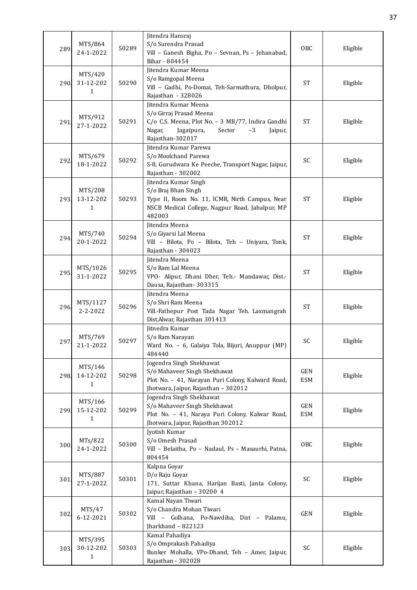|      |                      |       | Jitendra Hansraj                                                    |            |          |
|------|----------------------|-------|---------------------------------------------------------------------|------------|----------|
| 289  | MTS/864              | 50289 | S/o Surendra Prasad                                                 | OBC        | Eligible |
|      | 24-1-2022            |       | Vill - Ganesh Bigha, Po - Sevnan, Ps - Jehanabad,                   |            |          |
|      |                      |       | Bihar - 804454                                                      |            |          |
|      | MTS/420              |       | Jitendra Kumar Meena                                                |            |          |
| 290. | 31-12-202            | 50290 | S/o Ramgopal Meena                                                  | <b>ST</b>  | Eligible |
|      | 1                    |       | Vill - Gadhi, Po-Domai, Teh-Sarmathura, Dholpur,                    |            |          |
|      |                      |       | Rajasthan - 328026                                                  |            |          |
|      |                      |       | Jitendra Kumar Meena                                                |            |          |
|      | MTS/912              |       | S/o Girraj Prasad Meena                                             |            |          |
| 291  | 27-1-2022            | 50291 | C/o C.S. Meena, Plot No. - 3 MB/77, Indira Gandhi                   | <b>ST</b>  | Eligible |
|      |                      |       | Nagar,<br>Jagatpura,<br>Sector<br>$-3$<br>Jaipur,                   |            |          |
|      |                      |       | Rajasthan-302017                                                    |            |          |
|      |                      |       | Jitendra Kumar Parewa                                               |            |          |
|      | MTS/679              | 50292 | S/o Moolchand Parewa                                                | SC         |          |
| 292  | 18-1-2022            |       | S-8, Gurudwara Ke Peeche, Transport Nagar, Jaipur,                  |            | Eligible |
|      |                      |       | Rajasthan - 302002                                                  |            |          |
|      |                      |       | Jitendra Kumar Singh                                                |            |          |
|      | MTS/208              |       | S/o Braj Bhan Singh                                                 |            |          |
| 293. | 13-12-202            | 50293 | Type II, Room No. 11, ICMR, Nirth Campus, Near                      | <b>ST</b>  | Eligible |
|      | 1                    |       | NSCB Medical College, Nagpur Road, Jabalpur, MP                     |            |          |
|      |                      |       | 482003                                                              |            |          |
|      |                      |       | Jitendra Meena                                                      |            |          |
|      | MTS/740              |       | S/o Giyarsi Lal Meena                                               |            |          |
| 294  | 20-1-2022            | 50294 | Vill - Bilota, Po - Bilota, Teh - Uniyara, Tonk,                    | ST         | Eligible |
|      |                      |       | Rajasthan - 304023                                                  |            |          |
|      |                      |       | Jitendra Meena                                                      |            |          |
|      | MTS/1026             |       | S/o Ram Lal Meena                                                   |            |          |
| 295. | 31-1-2022            | 50295 | VPO- Alipur, Dhani Dher, Teh.- Mandawar, Dist.-                     | <b>ST</b>  | Eligible |
|      |                      |       | Dausa, Rajasthan-303315                                             |            |          |
|      |                      |       | Jitendra Meena                                                      |            |          |
|      | MTS/1127             |       | S/o Shri Ram Meena                                                  |            |          |
| 296. | $2 - 2 - 2022$       | 50296 | Vill.-Fathepur Post Tada Nagar Teh. Laxmangrah                      | <b>ST</b>  | Eligible |
|      |                      |       | Dist.Alwar, Rajasthan 301413                                        |            |          |
|      |                      |       |                                                                     |            |          |
|      |                      |       | Jitnedra Kumar                                                      |            |          |
| 297  | MTS/769<br>21-1-2022 | 50297 | S/o Ram Narayan<br>Ward No. - 6, Galaiya Tola, Bijuri, Anuppur (MP) | SC         | Eligible |
|      |                      |       |                                                                     |            |          |
|      |                      |       | 484440                                                              |            |          |
|      | MTS/146              |       | Jogendra Singh Shekhawat                                            |            |          |
| 298  | 14-12-202            | 50298 | S/o Mahaveer Singh Shekhawat                                        | GEN        | Eligible |
|      | $\mathbf{1}$         |       | Plot No. - 41, Narayan Puri Colony, Kalward Road,                   | <b>ESM</b> |          |
|      |                      |       | Jhotwara, Jaipur, Rajasthan - 302012                                |            |          |
|      | MTS/166              |       | Jogendra Singh Shekhawat                                            |            |          |
| 299. | 15-12-202            | 50299 | S/o Mahaveer Singh Shekhawat                                        | GEN        | Eligible |
|      | $\mathbf{1}$         |       | Plot No. - 41, Naraya Puri Colony, Kalwar Road,                     | <b>ESM</b> |          |
|      |                      |       | Jhotwara, Jaipur, Rajasthan 302012                                  |            |          |
|      |                      |       | Jyotish Kumar                                                       |            |          |
| 300  | MTs/822              | 50300 | S/o Umesh Prasad                                                    | <b>OBC</b> | Eligible |
|      | 24-1-2022            |       | Vill - Belaitha, Po - Nadaul, Ps - Masaurhi, Patna,                 |            |          |
|      |                      |       | 804454                                                              |            |          |
|      |                      |       | Kalpna Goyar                                                        |            |          |
|      | MTS/887              |       | D/o Raju Goyar                                                      |            |          |
| 301  | 27-1-2022            | 50301 | 171, Suttar Khana, Harijan Basti, Janta Colony,                     | SC         | Eligible |
|      |                      |       | Jaipur, Rajasthan - 30200 4                                         |            |          |
|      |                      |       | Kamal Nayan Tiwari                                                  |            |          |
|      | MTS/47               |       | S/o Chandra Mohan Tiwari                                            |            |          |
| 302  | 6-12-2021            | 50302 | Vill - Golhana, Po-Nawdiha, Dist - Palamu,                          | GEN        | Eligible |
|      |                      |       | Jharkhand - 822123                                                  |            |          |
|      |                      |       | Kamal Pahadiya                                                      |            |          |
|      | MTS/395              |       | S/o Omprakash Pahadiya                                              |            |          |
| 303  | 30-12-202            | 50303 | Bunker Mohalla, VPo-Dhand, Teh - Amer, Jaipur,                      | SC         | Eligible |
|      | $\mathbf{1}$         |       | Rajasthan - 302028                                                  |            |          |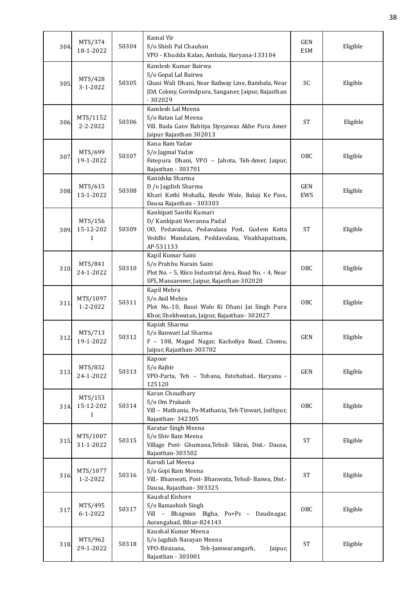| 304. | MTS/374<br>18-1-2022       | 50304 | Kamal Vir<br>S/o Shish Pal Chauhan<br>VPO - Khudda Kalan, Ambala, Haryana-133104                                                                                       | <b>GEN</b><br><b>ESM</b> | Eligible |
|------|----------------------------|-------|------------------------------------------------------------------------------------------------------------------------------------------------------------------------|--------------------------|----------|
| 305  | MTS/428<br>$3 - 1 - 2022$  | 50305 | Kamlesh Kumar Bairwa<br>S/o Gopal Lal Bairwa<br>Ghasi Wali Dhani, Near Railway Line, Bambala, Near<br>JDA Colony, Govindpura, Sanganer, Jaipur, Rajasthan<br>$-302029$ | SC                       | Eligible |
| 306. | MTS/1152<br>$2 - 2 - 2022$ | 50306 | Kamlesh Lal Meena<br>S/o Ratan Lal Meena<br>Vill. Bada Ganv Bahtiya Siysyawas Akhe Pura Amer<br>Jaipur Rajasthan 302013                                                | <b>ST</b>                | Eligible |
| 307  | MTS/699<br>19-1-2022       | 50307 | Kana Ram Yadav<br>S/o Jagmal Yadav<br>Fatepura Dhani, VPO - Jahota, Teh-Amer, Jaipur,<br>Rajasthan - 303701                                                            | <b>OBC</b>               | Eligible |
| 308  | MTS/615<br>13-1-2022       | 50308 | Kanishka Sharma<br>D /o Jagdish Sharma<br>Khari Kothi Mohalla, Revde Wale, Balaji Ke Pass,<br>Dausa Rajasthan - 303303                                                 | <b>GEN</b><br>EWS        | Eligible |
| 309. | MTS/156<br>15-12-202<br>1  | 50309 | Kankipati Santhi Kumari<br>D/ Kankipati Veeranna Padal<br>00, Pedavalasa, Pedavalasa Post, Gudem Kotta<br>Veddhi Mandalam, Peddavalasa, Visakhapatnam,<br>AP-531133    | <b>ST</b>                | Eligible |
| 310  | MTS/841<br>24-1-2022       | 50310 | Kapil Kumar Saini<br>S/o Prabhu Narain Saini<br>Plot No. - 5, Riico Industrial Area, Road No. - 4, Near<br>SFS, Mansarover, Jaipur, Rajasthan-302020                   | <b>OBC</b>               | Eligible |
| 311  | MTS/1097<br>1-2-2022       | 50311 | Kapil Mehra<br>S/o Anil Mehra<br>Plot No.-10, Bassi Walo Ki Dhani Jai Singh Pura<br>Khor, Shekhwatan, Jaipur, Rajasthan-302027                                         | <b>OBC</b>               | Eligible |
| 312  | MTS/713<br>19-1-2022       | 50312 | Kapish Sharma<br>S/o Banwari Lal Sharma<br>F - 108, Magad Nagar, Kacholiya Road, Chomu,<br>Jaipur, Rajasthan-303702                                                    | <b>GEN</b>               | Eligible |
| 313. | MTS/832<br>24-1-2022       | 50313 | Kapoor<br>S/o Rajbir<br>VPO-Parta, Teh - Tohana, Fatehabad, Haryana -<br>125120                                                                                        | <b>GEN</b>               | Eligible |
| 314  | MTS/153<br>15-12-202<br>1  | 50314 | Karan Choudhary<br>S/o Om Prakash<br>Vill - Mathania, Po-Mathania, Teh-Tinwari, Jodhpur,<br>Rajasthan-342305                                                           | OBC                      | Eligible |
| 315  | MTS/1007<br>31-1-2022      | 50315 | Karatar Singh Meena<br>S/o Shiv Ram Meena<br>Village Post- Ghumana, Tehsil- Sikrai, Dist.- Dausa,<br>Rajasthan-303502                                                  | <b>ST</b>                | Eligible |
| 316. | MTS/1077<br>1-2-2022       | 50316 | Karodi Lal Meena<br>S/o Gopi Ram Meena<br>Vill.- Bhanwati, Post- Bhanwata, Tehsil- Baswa, Dist.-<br>Dausa, Rajasthan-303325                                            | <b>ST</b>                | Eligible |
| 317. | MTS/495<br>$6 - 1 - 2022$  | 50317 | Kaushal Kishore<br>S/o Ramashish Singh<br>Vill - Bhagwan Bigha, Po+Ps - Daudnagar,<br>Aurangabad, Bihar-824143                                                         | OBC                      | Eligible |
| 318  | MTS/962<br>29-1-2022       | 50318 | Kaushal Kumar Meena<br>S/o Jagdish Narayan Meena<br>VPO-Birasana,<br>Teh-Jamwaramgarh,<br>Jaipur,<br>Rajasthan - 303001                                                | <b>ST</b>                | Eligible |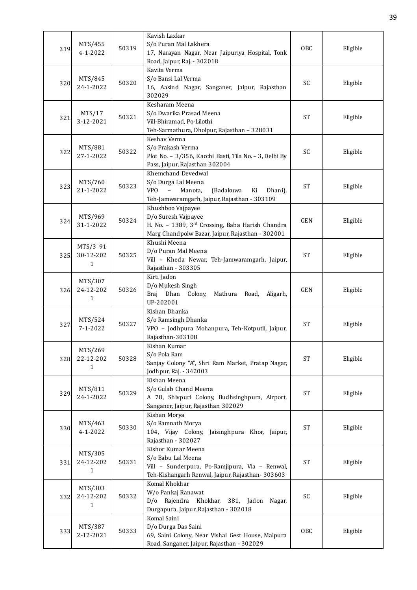| 319  | MTS/455<br>$4 - 1 - 2022$             | 50319 | Kavish Laxkar<br>S/o Puran Mal Lakhera<br>17, Narayan Nagar, Near Jaipuriya Hospital, Tonk<br>Road, Jaipur, Raj. - 302018                                    | OBC        | Eligible |
|------|---------------------------------------|-------|--------------------------------------------------------------------------------------------------------------------------------------------------------------|------------|----------|
| 320. | MTS/845<br>24-1-2022                  | 50320 | Kavita Verma<br>S/o Bansi Lal Verma<br>16, Aasind Nagar, Sanganer, Jaipur, Rajasthan<br>302029                                                               | SC         | Eligible |
| 321  | MTS/17<br>3-12-2021                   | 50321 | Kesharam Meena<br>S/o Dwarika Prasad Meena<br>Vill-Bhiramad, Po-Lilothi<br>Teh-Sarmathura, Dholpur, Rajasthan - 328031                                       | <b>ST</b>  | Eligible |
| 322  | MTS/881<br>27-1-2022                  | 50322 | Keshav Verma<br>S/o Prakash Verma<br>Plot No. - 3/356, Kacchi Basti, Tila No. - 3, Delhi By<br>Pass, Jaipur, Rajasthan 302004                                | SC         | Eligible |
| 323. | MTS/760<br>21-1-2022                  | 50323 | Khemchand Devedwal<br>S/o Durga Lal Meena<br><b>VPO</b><br>$\equiv$<br>Manota,<br>(Badakuwa<br>Ki<br>Dhani),<br>Teh-Jamwaramgarh, Jaipur, Rajasthan - 303109 | <b>ST</b>  | Eligible |
| 324. | MTS/969<br>31-1-2022                  | 50324 | Khushboo Vajpayee<br>D/o Suresh Vajpayee<br>H. No. - 1389, 3rd Crossing, Baba Harish Chandra<br>Marg Chandpolw Bazar, Jaipur, Rajasthan - 302001             | <b>GEN</b> | Eligible |
| 325  | MTS/3 91<br>30-12-202<br>$\mathbf{1}$ | 50325 | Khushi Meena<br>D/o Puran Mal Meena<br>Vill - Kheda Newar, Teh-Jamwaramgarh, Jaipur,<br>Rajasthan - 303305                                                   | <b>ST</b>  | Eligible |
| 326. | MTS/307<br>24-12-202<br>$\mathbf{1}$  | 50326 | Kirti Jadon<br>D/o Mukesh Singh<br>Braj Dhan Colony,<br>Mathura Road,<br>Aligarh,<br>UP-202001                                                               | GEN        | Eligible |
| 327  | MTS/524<br>$7 - 1 - 2022$             | 50327 | Kishan Dhanka<br>S/o Ramsingh Dhanka<br>VPO - Jodhpura Mohanpura, Teh-Kotputli, Jaipur,<br>Rajasthan-303108                                                  | <b>ST</b>  | Eligible |
| 328. | MTS/269<br>22-12-202<br>$\mathbf{1}$  | 50328 | Kishan Kumar<br>S/o Pola Ram<br>Sanjay Colony "A", Shri Ram Market, Pratap Nagar,<br>Jodhpur, Raj. - 342003                                                  | <b>ST</b>  | Eligible |
| 329. | MTS/811<br>24-1-2022                  | 50329 | Kishan Meena<br>S/o Gulab Chand Meena<br>A 78, Shivpuri Colony, Budhsinghpura, Airport,<br>Sanganer, Jaipur, Rajasthan 302029                                | <b>ST</b>  | Eligible |
| 330  | MTS/463<br>4-1-2022                   | 50330 | Kishan Morya<br>S/o Ramnath Morya<br>104, Vijay Colony, Jaisinghpura Khor, Jaipur,<br>Rajasthan - 302027                                                     | <b>ST</b>  | Eligible |
| 331. | MTS/305<br>24-12-202<br>$\mathbf{1}$  | 50331 | Kishor Kumar Meena<br>S/o Babu Lal Meena<br>Vill - Sunderpura, Po-Ramjipura, Via - Renwal,<br>Teh-Kishangarh Renwal, Jaipur, Rajasthan- 303603               | <b>ST</b>  | Eligible |
| 332. | MTS/303<br>24-12-202<br>$\mathbf{1}$  | 50332 | Komal Khokhar<br>W/o Pankaj Ranawat<br>D/o Rajendra Khokhar, 381, Jadon Nagar,<br>Durgapura, Jaipur, Rajasthan - 302018                                      | SC         | Eligible |
| 333. | MTS/387<br>2-12-2021                  | 50333 | Komal Saini<br>D/o Durga Das Saini<br>69, Saini Colony, Near Vishal Gest House, Malpura<br>Road, Sanganer, Jaipur, Rajasthan - 302029                        | <b>OBC</b> | Eligible |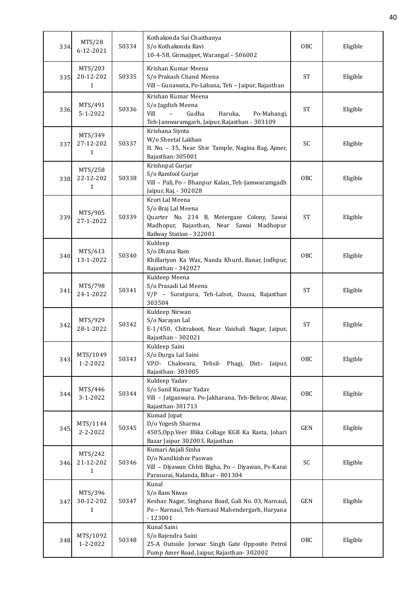| 334. | MTS/28<br>6-12-2021                  | 50334 | Kothakonda Sai Chaithanya<br>S/o Kothakonda Ravi<br>10-4-58, Girmajipet, Warangal - 506002                                                                  | OBC        | Eligible |
|------|--------------------------------------|-------|-------------------------------------------------------------------------------------------------------------------------------------------------------------|------------|----------|
| 335. | MTS/203<br>20-12-202<br>$\mathbf{1}$ | 50335 | Krishan Kumar Meena<br>S/o Prakash Chand Meena<br>Vill - Gunawata, Po-Labana, Teh - Jaipur, Rajasthan                                                       | <b>ST</b>  | Eligible |
| 336. | MTS/491<br>$5 - 1 - 2022$            | 50336 | Krishan Kumar Meena<br>S/o Jagdish Meena<br>Vill<br>Gudha<br>$\equiv$<br>Haruka,<br>Po-Mahangi,<br>Teh-Jamwaramgarh, Jaipur, Rajasthan - 303109             | <b>ST</b>  | Eligible |
| 337. | MTS/349<br>27-12-202<br>$\mathbf{1}$ | 50337 | Krishana Siyota<br>W/o Sheetal Lakhan<br>H. No. - 35, Near Shiv Tample, Nagina Bag, Ajmer,<br>Rajasthan-305001                                              | SC         | Eligible |
| 338. | MTS/258<br>22-12-202<br>$\mathbf{1}$ | 50338 | Krishnpal Gurjar<br>S/o Ramfool Gurjar<br>Vill - Pali, Po - Bhanpur Kalan, Teh-Jamwaramgadh<br>Jaipur, Raj. - 302028                                        | <b>OBC</b> | Eligible |
| 339. | MTS/905<br>27-1-2022                 | 50339 | Krori Lal Meena<br>S/o Braj Lal Meena<br>Quarter No. 214 B, Metergaze Colony, Sawai<br>Madhopur, Rajasthan, Near Sawai Madhopur<br>Railway Station - 322001 | <b>ST</b>  | Eligible |
| 340  | MTS/613<br>13-1-2022                 | 50340 | Kuldeep<br>S/o Dhana Ram<br>Khillariyon Ka Was, Nanda Khurd, Banar, Jodhpur,<br>Rajasthan - 342027                                                          | OBC        | Eligible |
| 341  | MTS/798<br>24-1-2022                 | 50341 | Kuldeep Meena<br>S/o Prasadi Lal Meena<br>V/P - Suratpura, Teh-Lalsot, Dausa, Rajasthan<br>303504                                                           | <b>ST</b>  | Eligible |
| 342  | MTS/929<br>28-1-2022                 | 50342 | Kuldeep Nirwan<br>S/o Narayan Lal<br>E-1/450, Chitrakoot, Near Vaishali Nagar, Jaipur,<br>Rajasthan - 302021                                                | <b>ST</b>  | Eligible |
| 343. | MTS/1049<br>$1 - 2 - 2022$           | 50343 | Kuldeep Saini<br>S/o Durga Lal Saini<br>V.P.O- Chakwara,<br>Tehsil- Phagi, Dist.- Jaipur,<br>Rajasthan-303005                                               | <b>OBC</b> | Eligible |
| 344. | MTS/446<br>$3 - 1 - 2022$            | 50344 | Kuldeep Yadav<br>S/o Sunil Kumar Yadav<br>Vill - Jatganwara, Po-Jakharana, Teh-Behror, Alwar,<br>Rajasthan-301713                                           | <b>OBC</b> | Eligible |
| 345. | MTS/1144<br>2-2-2022                 | 50345 | Kumad Jopat<br>D/o Yogesh Sharma<br>4505, Opp. Veer Blika Collage KGB Ka Rasta, Johari<br>Bazar Jaipur 302003, Rajasthan                                    | GEN        | Eligible |
| 346. | MTS/242<br>21-12-202<br>$\mathbf{1}$ | 50346 | Kumari Anjali Sinha<br>D/o Nandkishor Paswan<br>Vill - Diyawan Chhti Bigha, Po - Diyawan, Ps-Karai<br>Parasurai, Nalanda, Bihar - 801304                    | SC         | Eligible |
| 347. | MTS/396<br>30-12-202<br>$\mathbf{1}$ | 50347 | Kunal<br>S/o Ram Niwas<br>Keshav Nagar, Singhana Road, Gali No. 03, Narnaul,<br>Po - Narnaul, Teh-Narnaul Mahendergarh, Haryana<br>$-123001$                | <b>GEN</b> | Eligible |
| 348. | MTS/1092<br>1-2-2022                 | 50348 | Kunal Saini<br>S/o Rajendra Saini<br>25-A Outside Jorwar Singh Gate Opposite Petrol<br>Pump Amer Road, Jaipur, Rajasthan- 302002                            | <b>OBC</b> | Eligible |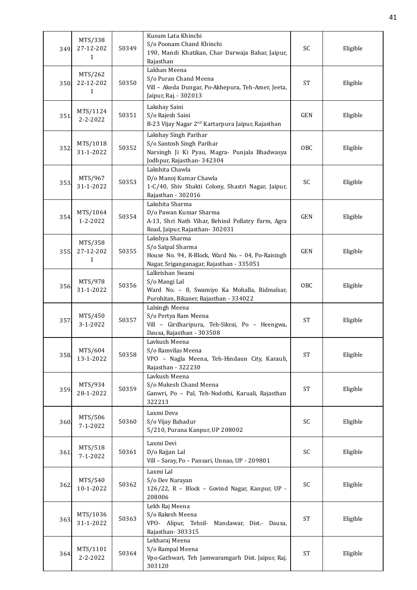| 349. | MTS/338<br>27-12-202<br>1            | 50349 | Kusum Lata Khinchi<br>S/o Poonam Chand Khinchi<br>190, Mandi Khatikan, Char Darwaja Bahar, Jaipur,<br>Rajasthan                      | SC                  | Eligible |
|------|--------------------------------------|-------|--------------------------------------------------------------------------------------------------------------------------------------|---------------------|----------|
| 350. | MTS/262<br>22-12-202<br>1            | 50350 | Lakhan Meena<br>S/o Puran Chand Meena<br>Vill - Akeda Dungar, Po-Akhepura, Teh-Amer, Jeeta,<br>Jaipur, Raj. - 302013                 | <b>ST</b>           | Eligible |
| 351  | MTS/1124<br>$2 - 2 - 2022$           | 50351 | Lakshay Saini<br>S/o Rajesh Saini<br>B-23 Vijay Nagar 2 <sup>nd</sup> Kartarpura Jaipur, Rajasthan                                   | <b>GEN</b>          | Eligible |
| 352. | MTS/1018<br>31-1-2022                | 50352 | Lakshay Singh Parihar<br>S/o Santosh Singh Parihar<br>Narsingh Ji Ki Pyau, Magra- Punjala Bhadwasya<br>Jodhpur, Rajasthan-342304     | OBC                 | Eligible |
| 353. | MTS/967<br>31-1-2022                 | 50353 | Lakshita Chawla<br>D/o Manoj Kumar Chawla<br>1-C/40, Shiv Shakti Colony, Shastri Nagar, Jaipur,<br>Rajasthan - 302016                | SC                  | Eligible |
| 354. | MTS/1064<br>$1 - 2 - 2022$           | 50354 | Lakshita Sharma<br>D/o Pawan Kumar Sharma<br>A-13, Shri Nath Vihar, Behind Pollatry Farm, Agra<br>Road, Jaipur, Rajasthan-302031     | <b>GEN</b>          | Eligible |
| 355  | MTS/358<br>27-12-202<br>$\mathbf{1}$ | 50355 | Lakshya Sharma<br>S/o Satpal Sharma<br>House No. 94, R-Block, Ward No. - 04, Po-Raisingh<br>Nagar, Sriganganagar, Rajasthan - 335051 | <b>GEN</b>          | Eligible |
| 356. | MTS/978<br>31-1-2022                 | 50356 | Lalkrishan Swami<br>S/o Mangi Lal<br>Ward No. - 8, Swamiyo Ka Mohalla, Ridmalsar,<br>Purohitan, Bikaner, Rajasthan - 334022          | <b>OBC</b>          | Eligible |
| 357. | MTS/450<br>3-1-2022                  | 50357 | Lalsingh Meena<br>S/o Pertya Ram Meena<br>Vill - Girdharipura, Teh-Sikrai, Po - Heengwa,<br>Dausa, Rajasthan - 303508                | <b>ST</b>           | Eligible |
| 358  | MTS/604<br>13-1-2022                 | 50358 | Lavkush Meena<br>S/o Ramvilas Meena<br>VPO - Nagla Meena, Teh-Hindaun City, Karauli,<br>Rajasthan - 322230                           | <b>ST</b>           | Eligible |
| 359. | MTS/934<br>28-1-2022                 | 50359 | Lavkush Meena<br>S/o Mukesh Chand Meena<br>Ganwri, Po - Pal, Teh-Nodothi, Karuali, Rajasthan<br>322213                               | <b>ST</b>           | Eligible |
| 360. | MTS/506<br>$7 - 1 - 2022$            | 50360 | Laxmi Deva<br>S/o Vijay Bahadur<br>5/210, Purana Kanpur, UP 208002                                                                   | SC                  | Eligible |
| 361. | MTS/518<br>$7 - 1 - 2022$            | 50361 | Laxmi Devi<br>D/o Rajjan Lal<br>Vill - Saray, Po - Pansari, Unnao, UP - 209801                                                       | SC                  | Eligible |
| 362. | MTS/540<br>10-1-2022                 | 50362 | Laxmi Lal<br>S/o Dev Narayan<br>126/22, R - Block - Govind Nagar, Kanpur, UP -<br>208006                                             | SC                  | Eligible |
| 363  | MTS/1036<br>31-1-2022                | 50363 | Lekh Raj Meena<br>S/o Rakesh Meena<br>VPO- Alipur, Tehsil- Mandawar, Dist.- Dausa,<br>Rajasthan-303315                               | <b>ST</b>           | Eligible |
| 364  | MTS/1101<br>2-2-2022                 | 50364 | Lekharaj Meena<br>S/o Rampal Meena<br>Vpo-Gathwari, Teh Jamwaramgarh Dist. Jaipur, Raj.<br>303120                                    | $\operatorname{ST}$ | Eligible |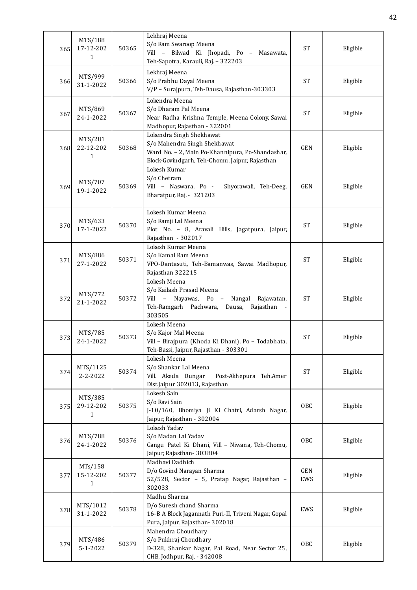| 365. | MTS/188<br>17-12-202<br>1            | 50365 | Lekhraj Meena<br>S/o Ram Swaroop Meena<br>Vill - Bilwad Ki Jhopadi, Po - Masawata,<br>Teh-Sapotra, Karauli, Raj. - 322203                                      | <b>ST</b>         | Eligible |
|------|--------------------------------------|-------|----------------------------------------------------------------------------------------------------------------------------------------------------------------|-------------------|----------|
| 366  | MTS/999<br>31-1-2022                 | 50366 | Lekhraj Meena<br>S/o Prabhu Dayal Meena<br>V/P - Surajpura, Teh-Dausa, Rajasthan-303303                                                                        | <b>ST</b>         | Eligible |
| 367  | MTS/869<br>24-1-2022                 | 50367 | Lokendra Meena<br>S/o Dharam Pal Meena<br>Near Radha Krishna Temple, Meena Colony, Sawai<br>Madhopur, Rajasthan - 322001                                       | ST                | Eligible |
| 368  | MTS/281<br>22-12-202<br>$\mathbf{1}$ | 50368 | Lokendra Singh Shekhawat<br>S/o Mahendra Singh Shekhawat<br>Ward No. - 2, Main Po-Khannipura, Po-Shandashar,<br>Block-Govindgarh, Teh-Chomu, Jaipur, Rajasthan | <b>GEN</b>        | Eligible |
| 369. | MTS/707<br>19-1-2022                 | 50369 | Lokesh Kumar<br>S/o Chetram<br>Vill - Naswara, Po -<br>Shyorawali, Teh-Deeg,<br>Bharatpur, Raj. - 321203                                                       | <b>GEN</b>        | Eligible |
| 370. | MTS/633<br>17-1-2022                 | 50370 | Lokesh Kumar Meena<br>S/o Ramji Lal Meena<br>Plot No. - 8, Aravali Hills, Jagatpura, Jaipur,<br>Rajasthan - 302017                                             | <b>ST</b>         | Eligible |
| 371  | MTS/886<br>27-1-2022                 | 50371 | Lokesh Kumar Meena<br>S/o Kamal Ram Meena<br>VPO-Dantasuti, Teh-Bamanwas, Sawai Madhopur,<br>Rajasthan 322215                                                  | <b>ST</b>         | Eligible |
| 372. | MTS/772<br>21-1-2022                 | 50372 | Lokesh Meena<br>S/o Kailash Prasad Meena<br>Vill - Nayawas, Po - Nangal Rajawatan,<br>Teh-Ramgarh Pachwara, Dausa, Rajasthan<br>303505                         | <b>ST</b>         | Eligible |
| 373. | MTS/785<br>24-1-2022                 | 50373 | Lokesh Meena<br>S/o Kajor Mal Meena<br>Vill - Birajpura (Khoda Ki Dhani), Po - Todabhata,<br>Teh-Bassi, Jaipur, Rajasthan - 303301                             | <b>ST</b>         | Eligible |
| 374. | MTS/1125<br>$2 - 2 - 2022$           | 50374 | Lokesh Meena<br>S/o Shankar Lal Meena<br>Vill. Akeda Dungar<br>Post-Akhepura Teh.Amer<br>Dist.Jaipur 302013, Rajasthan                                         | <b>ST</b>         | Eligible |
| 375. | MTS/385<br>29-12-202<br>1            | 50375 | Lokesh Sain<br>S/o Ravi Sain<br>J-10/160, Bhomiya Ji Ki Chatri, Adarsh Nagar,<br>Jaipur, Rajasthan - 302004                                                    | OBC               | Eligible |
| 376. | MTS/788<br>24-1-2022                 | 50376 | Lokesh Yadav<br>S/o Madan Lal Yadav<br>Gangu Patel Ki Dhani, Vill - Niwana, Teh-Chomu,<br>Jaipur, Rajasthan-303804                                             | OBC               | Eligible |
| 377. | MTs/158<br>15-12-202<br>$\mathbf{1}$ | 50377 | Madhavi Dadhich<br>D/o Govind Narayan Sharma<br>52/528, Sector - 5, Pratap Nagar, Rajasthan -<br>302033                                                        | <b>GEN</b><br>EWS | Eligible |
| 378. | MTS/1012<br>31-1-2022                | 50378 | Madhu Sharma<br>D/o Suresh chand Sharma<br>16-B A Block Jagannath Puri-II, Triveni Nagar, Gopal<br>Pura, Jaipur, Rajasthan-302018                              | EWS               | Eligible |
| 379. | MTS/486<br>5-1-2022                  | 50379 | Mahendra Choudhary<br>S/o Pukhraj Choudhary<br>D-328, Shankar Nagar, Pal Road, Near Sector 25,<br>CHB, Jodhpur, Raj. - 342008                                  | OBC               | Eligible |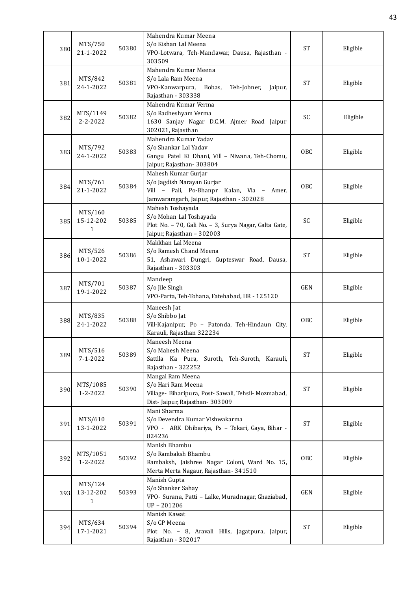| 380  | MTS/750<br>21-1-2022                 | 50380 | Mahendra Kumar Meena<br>S/o Kishan Lal Meena<br>VPO-Lotwara, Teh-Mandawar, Dausa, Rajasthan -<br>303509                                    | <b>ST</b>           | Eligible |
|------|--------------------------------------|-------|--------------------------------------------------------------------------------------------------------------------------------------------|---------------------|----------|
| 381  | MTS/842<br>24-1-2022                 | 50381 | Mahendra Kumar Meena<br>S/o Lala Ram Meena<br>VPO-Kanwarpura,<br>Bobas,<br>Teh-Jobner,<br>Jaipur,<br>Rajasthan - 303338                    | <b>ST</b>           | Eligible |
| 382. | MTS/1149<br>$2 - 2 - 2022$           | 50382 | Mahendra Kumar Verma<br>S/o Radheshyam Verma<br>1630 Sanjay Nagar D.C.M. Ajmer Road Jaipur<br>302021, Rajasthan                            | <b>SC</b>           | Eligible |
| 383  | MTS/792<br>24-1-2022                 | 50383 | Mahendra Kumar Yadav<br>S/o Shankar Lal Yadav<br>Gangu Patel Ki Dhani, Vill - Niwana, Teh-Chomu,<br>Jaipur, Rajasthan-303804               | OBC                 | Eligible |
| 384. | MTS/761<br>21-1-2022                 | 50384 | Mahesh Kumar Gurjar<br>S/o Jagdish Narayan Gurjar<br>Vill - Pali, Po-Bhanpr Kalan, Via - Amer,<br>Jamwaramgarh, Jaipur, Rajasthan - 302028 | OBC                 | Eligible |
| 385. | MTS/160<br>15-12-202<br>$\mathbf{1}$ | 50385 | Mahesh Toshayada<br>S/o Mohan Lal Toshayada<br>Plot No. - 70, Gali No. - 3, Surya Nagar, Galta Gate,<br>Jaipur, Rajasthan - 302003         | SC                  | Eligible |
| 386  | MTS/526<br>10-1-2022                 | 50386 | Makkhan Lal Meena<br>S/o Ramesh Chand Meena<br>51, Ashawari Dungri, Gupteswar Road, Dausa,<br>Rajasthan - 303303                           | <b>ST</b>           | Eligible |
| 387  | MTS/701<br>19-1-2022                 | 50387 | Mandeep<br>S/o Jile Singh<br>VPO-Parta, Teh-Tohana, Fatehabad, HR - 125120                                                                 | <b>GEN</b>          | Eligible |
| 388  | MTS/835<br>24-1-2022                 | 50388 | Maneesh Jat<br>S/o Shibbo Jat<br>Vill-Kajanipur, Po - Patonda, Teh-Hindaun City,<br>Karauli, Rajasthan 322234                              | OBC                 | Eligible |
| 389  | MTS/516<br>$7 - 1 - 2022$            | 50389 | Maneesh Meena<br>S/o Mahesh Meena<br>Sattlla Ka Pura, Suroth, Teh-Suroth, Karauli,<br>Rajasthan - 322252                                   | <b>ST</b>           | Eligible |
| 390  | MTS/1085<br>1-2-2022                 | 50390 | Mangal Ram Meena<br>S/o Hari Ram Meena<br>Village- Biharipura, Post- Sawali, Tehsil- Mozmabad,<br>Dist- Jaipur, Rajasthan- 303009          | <b>ST</b>           | Eligible |
| 391  | MTS/610<br>13-1-2022                 | 50391 | Mani Sharma<br>S/o Devendra Kumar Vishwakarma<br>VPO - ARK Dhibariya, Ps - Tekari, Gaya, Bihar -<br>824236                                 | <b>ST</b>           | Eligible |
| 392  | MTS/1051<br>1-2-2022                 | 50392 | Manish Bhambu<br>S/o Rambaksh Bhambu<br>Rambaksh, Jaishree Nagar Coloni, Ward No. 15,<br>Merta Merta Nagaur, Rajasthan- 341510             | OBC                 | Eligible |
| 393. | MTS/124<br>13-12-202<br>$\mathbf{1}$ | 50393 | Manish Gupta<br>S/o Shanker Sahay<br>VPO- Surana, Patti - Lalke, Muradnagar, Ghaziabad,<br>UP-201206                                       | <b>GEN</b>          | Eligible |
| 394  | MTS/634<br>17-1-2021                 | 50394 | Manish Kawat<br>S/o GP Meena<br>Plot No. - 8, Aravali Hills, Jagatpura, Jaipur,<br>Rajasthan - 302017                                      | $\operatorname{ST}$ | Eligible |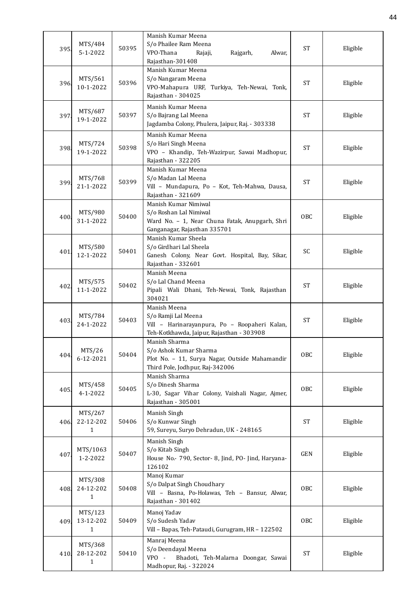| 395  | MTS/484<br>$5 - 1 - 2022$            | 50395 | Manish Kumar Meena<br>S/o Phailee Ram Meena<br>VPO-Thana<br>Rajaji,<br>Rajgarh,<br>Alwar,<br>Rajasthan-301408                     | <b>ST</b>  | Eligible |
|------|--------------------------------------|-------|-----------------------------------------------------------------------------------------------------------------------------------|------------|----------|
| 396. | MTS/561<br>10-1-2022                 | 50396 | Manish Kumar Meena<br>S/o Nangaram Meena<br>VPO-Mahapura URF, Turkiya, Teh-Newai, Tonk,<br>Rajasthan - 304025                     | <b>ST</b>  | Eligible |
| 397  | MTS/687<br>19-1-2022                 | 50397 | Manish Kumar Meena<br>S/o Bajrang Lal Meena<br>Jagdamba Colony, Phulera, Jaipur, Raj. - 303338                                    | <b>ST</b>  | Eligible |
| 398. | MTS/724<br>19-1-2022                 | 50398 | Manish Kumar Meena<br>S/o Hari Singh Meena<br>VPO - Khandip, Teh-Wazirpur, Sawai Madhopur,<br>Rajasthan - 322205                  | <b>ST</b>  | Eligible |
| 399. | MTS/768<br>21-1-2022                 | 50399 | Manish Kumar Meena<br>S/o Madan Lal Meena<br>Vill - Mundapura, Po - Kot, Teh-Mahwa, Dausa,<br>Rajasthan - 321609                  | <b>ST</b>  | Eligible |
| 400  | MTS/980<br>31-1-2022                 | 50400 | Manish Kumar Nimiwal<br>S/o Roshan Lal Nimiwal<br>Ward No. - 1, Near Chuna Fatak, Anupgarh, Shri<br>Ganganagar, Rajasthan 335701  | OBC        | Eligible |
| 401  | MTS/580<br>12-1-2022                 | 50401 | Manish Kumar Sheela<br>S/o Girdhari Lal Sheela<br>Ganesh Colony, Near Govt. Hospital, Bay, Sikar,<br>Rajasthan - 332601           | SC         | Eligible |
| 402  | MTS/575<br>11-1-2022                 | 50402 | Manish Meena<br>S/o Lal Chand Meena<br>Pipali Wali Dhani, Teh-Newai, Tonk, Rajasthan<br>304021                                    | <b>ST</b>  | Eligible |
| 403  | MTS/784<br>24-1-2022                 | 50403 | Manish Meena<br>S/o Ramji Lal Meena<br>Vill - Harinarayanpura, Po - Roopaheri Kalan,<br>Teh-Kotkhawda, Jaipur, Rajasthan - 303908 | <b>ST</b>  | Eligible |
| 404  | MTS/26<br>6-12-2021                  | 50404 | Manish Sharma<br>S/o Ashok Kumar Sharma<br>Plot No. - 11, Surya Nagar, Outside Mahamandir<br>Third Pole, Jodhpur, Raj-342006      | <b>OBC</b> | Eligible |
| 405  | MTS/458<br>$4 - 1 - 2022$            | 50405 | Manish Sharma<br>S/o Dinesh Sharma<br>L-30, Sagar Vihar Colony, Vaishali Nagar, Ajmer,<br>Rajasthan - 305001                      | OBC        | Eligible |
| 406. | MTS/267<br>22-12-202<br>$\mathbf{1}$ | 50406 | Manish Singh<br>S/o Kunwar Singh<br>59, Sureyu, Suryo Dehradun, UK - 248165                                                       | <b>ST</b>  | Eligible |
| 407  | MTS/1063<br>1-2-2022                 | 50407 | Manish Singh<br>S/o Kitab Singh<br>House No.- 790, Sector- 8, Jind, PO- Jind, Haryana-<br>126102                                  | GEN        | Eligible |
| 408. | MTS/308<br>24-12-202<br>$\mathbf{1}$ | 50408 | Manoj Kumar<br>S/o Dalpat Singh Choudhary<br>Vill - Basna, Po-Holawas, Teh - Bansur, Alwar,<br>Rajasthan - 301402                 | OBC        | Eligible |
| 409. | MTS/123<br>13-12-202<br>1            | 50409 | Manoj Yadav<br>S/o Sudesh Yadav<br>Vill - Bapas, Teh-Pataudi, Gurugram, HR - 122502                                               | OBC        | Eligible |
| 410. | MTS/368<br>28-12-202<br>1            | 50410 | Manraj Meena<br>S/o Deendayal Meena<br>VPO -<br>Bhadoti, Teh-Malarna Doongar, Sawai<br>Madhopur, Raj. - 322024                    | <b>ST</b>  | Eligible |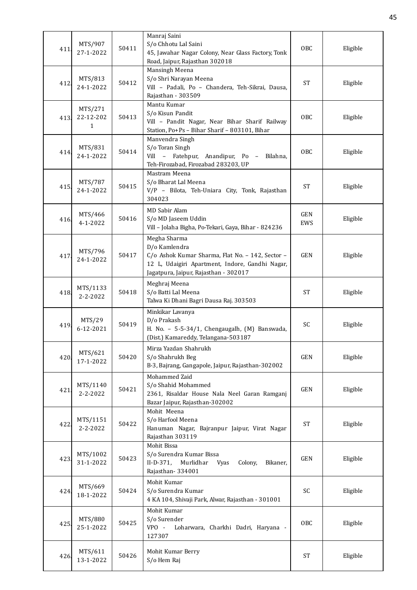| 411  | MTS/907<br>27-1-2022                 | 50411 | Manraj Saini<br>S/o Chhotu Lal Saini<br>45, Jawahar Nagar Colony, Near Glass Factory, Tonk<br>Road, Jaipur, Rajasthan 302018                                                  | OBC               | Eligible |
|------|--------------------------------------|-------|-------------------------------------------------------------------------------------------------------------------------------------------------------------------------------|-------------------|----------|
| 412  | MTS/813<br>24-1-2022                 | 50412 | Mansingh Meena<br>S/o Shri Narayan Meena<br>Vill - Padali, Po - Chandera, Teh-Sikrai, Dausa,<br>Rajasthan - 303509                                                            | <b>ST</b>         | Eligible |
| 413. | MTS/271<br>22-12-202<br>$\mathbf{1}$ | 50413 | Mantu Kumar<br>S/o Kisun Pandit<br>Vill - Pandit Nagar, Near Bihar Sharif Railway<br>Station, Po+Ps - Bihar Sharif - 803101, Bihar                                            | OBC               | Eligible |
| 414. | MTS/831<br>24-1-2022                 | 50414 | Manvendra Singh<br>S/o Toran Singh<br>Vill - Fatehpur, Anandipur, Po -<br>Bilahna,<br>Teh-Firozabad, Firozabad 283203, UP                                                     | OBC               | Eligible |
| 415. | MTS/787<br>24-1-2022                 | 50415 | Mastram Meena<br>S/o Bharat Lal Meena<br>V/P - Bilota, Teh-Uniara City, Tonk, Rajasthan<br>304023                                                                             | <b>ST</b>         | Eligible |
| 416. | MTS/466<br>$4 - 1 - 2022$            | 50416 | MD Sabir Alam<br>S/o MD Jaseem Uddin<br>Vill - Jolaha Bigha, Po-Tekari, Gaya, Bihar - 824236                                                                                  | <b>GEN</b><br>EWS | Eligible |
| 417  | MTS/796<br>24-1-2022                 | 50417 | Megha Sharma<br>D/o Kamlendra<br>C/o Ashok Kumar Sharma, Flat No. - 142, Sector -<br>12 L, Udaigiri Apartment, Indore, Gandhi Nagar,<br>Jagatpura, Jaipur, Rajasthan - 302017 | <b>GEN</b>        | Eligible |
| 418  | MTS/1133<br>$2 - 2 - 2022$           | 50418 | Meghraj Meena<br>S/o Batti Lal Meena<br>Talwa Ki Dhani Bagri Dausa Raj. 303503                                                                                                | <b>ST</b>         | Eligible |
| 419  | MTS/29<br>6-12-2021                  | 50419 | Minkikar Lavanya<br>D/o Prakash<br>H. No. - 5-5-34/1, Chengaugalh, (M) Banswada,<br>(Dist.) Kamareddy, Telangana-503187                                                       | SC                | Eligible |
| 420  | MTS/621<br>17-1-2022                 | 50420 | Mirza Yazdan Shahrukh<br>S/o Shahrukh Beg<br>B-3, Bajrang, Gangapole, Jaipur, Rajasthan-302002                                                                                | <b>GEN</b>        | Eligible |
| 421  | MTS/1140<br>$2 - 2 - 2022$           | 50421 | Mohammed Zaid<br>S/o Shahid Mohammed<br>2361, Risaldar House Nala Neel Garan Ramganj<br>Bazar Jaipur, Rajasthan-302002                                                        | <b>GEN</b>        | Eligible |
| 422  | MTS/1151<br>$2 - 2 - 2022$           | 50422 | Mohit Meena<br>S/o Harfool Meena<br>Hanuman Nagar, Bajranpur Jaipur, Virat Nagar<br>Rajasthan 303119                                                                          | <b>ST</b>         | Eligible |
| 423. | MTS/1002<br>31-1-2022                | 50423 | Mohit Bissa<br>S/o Surendra Kumar Bissa<br>$II-D-371$ ,<br>Murlidhar<br>Colony,<br>Bikaner,<br>Vyas<br>Rajasthan-334001                                                       | <b>GEN</b>        | Eligible |
| 424. | MTS/669<br>18-1-2022                 | 50424 | Mohit Kumar<br>S/o Surendra Kumar<br>4 KA 104, Shivaji Park, Alwar, Rajasthan - 301001                                                                                        | SC                | Eligible |
| 425  | MTS/880<br>25-1-2022                 | 50425 | Mohit Kumar<br>S/o Surender<br>VPO -<br>Loharwara, Charkhi Dadri, Haryana -<br>127307                                                                                         | OBC               | Eligible |
| 426. | MTS/611<br>13-1-2022                 | 50426 | Mohit Kumar Berry<br>S/o Hem Raj                                                                                                                                              | <b>ST</b>         | Eligible |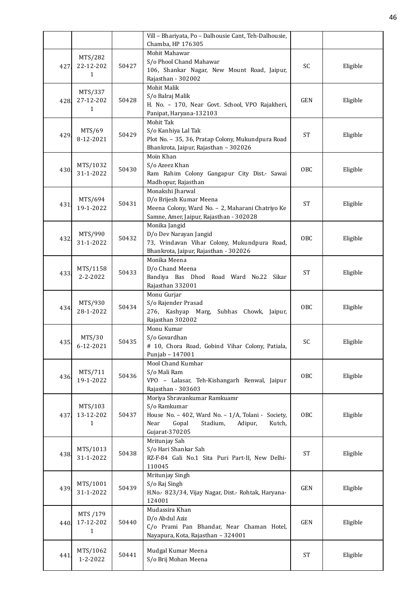|      |                |       | Vill - Bhariyata, Po - Dalhousie Cant, Teh-Dalhousie,            |            |          |
|------|----------------|-------|------------------------------------------------------------------|------------|----------|
|      |                |       | Chamba, HP 176305                                                |            |          |
|      | MTS/282        |       | Mohit Mahawar                                                    |            |          |
| 427. | 22-12-202      | 50427 | S/o Phool Chand Mahawar                                          | SC         | Eligible |
|      | 1              |       | 106, Shankar Nagar, New Mount Road, Jaipur,                      |            |          |
|      |                |       | Rajasthan - 302002                                               |            |          |
|      | MTS/337        |       | Mohit Malik                                                      |            |          |
| 428  | 27-12-202      | 50428 | S/o Balraj Malik                                                 | <b>GEN</b> | Eligible |
|      | $\mathbf{1}$   |       | H. No. - 170, Near Govt. School, VPO Rajakheri,                  |            |          |
|      |                |       | Panipat, Haryana-132103                                          |            |          |
|      |                |       | Mohit Tak                                                        |            |          |
| 429  | MTS/69         | 50429 | S/o Kanhiya Lal Tak                                              | <b>ST</b>  | Eligible |
|      | 8-12-2021      |       | Plot No. - 35, 36, Pratap Colony, Mukundpura Road                |            |          |
|      |                |       | Bhankrota, Jaipur, Rajasthan - 302026                            |            |          |
|      |                |       | Moin Khan                                                        |            |          |
| 430. | MTS/1032       | 50430 | S/o Azeez Khan                                                   | OBC        | Eligible |
|      | 31-1-2022      |       | Ram Rahim Colony Gangapur City Dist.- Sawai                      |            |          |
|      |                |       | Madhopur, Rajasthan<br>Monakshi Jharwal                          |            |          |
|      | MTS/694        |       | D/o Brijesh Kumar Meena                                          |            |          |
| 431. | 19-1-2022      | 50431 | Meena Colony, Ward No. - 2, Maharani Chatriyo Ke                 | <b>ST</b>  | Eligible |
|      |                |       | Samne, Amer, Jaipur, Rajasthan - 302028                          |            |          |
|      |                |       | Monika Jangid                                                    |            |          |
|      | MTS/990        |       | D/o Dev Narayan Jangid                                           |            |          |
| 432  | 31-1-2022      | 50432 | 73, Vrindavan Vihar Colony, Mukundpura Road,                     | OBC        | Eligible |
|      |                |       | Bhankrota, Jaipur, Rajasthan - 302026                            |            |          |
|      |                |       | Monika Meena                                                     |            |          |
|      | MTS/1158       |       | D/o Chand Meena                                                  |            |          |
| 433. | $2 - 2 - 2022$ | 50433 | Bandiya Bas Dhod Road Ward No.22 Sikar                           | <b>ST</b>  | Eligible |
|      |                |       | Rajasthan 332001                                                 |            |          |
|      |                |       | Monu Gurjar                                                      |            |          |
|      | MTS/930        |       | S/o Rajender Prasad                                              |            |          |
| 434  | 28-1-2022      | 50434 | 276, Kashyap Marg, Subhas Chowk, Jaipur,                         | OBC        | Eligible |
|      |                |       | Rajasthan 302002                                                 |            |          |
|      |                |       | Monu Kumar                                                       |            |          |
| 435. | MTS/30         | 50435 | S/o Govardhan                                                    | SC         | Eligible |
|      | 6-12-2021      |       | # 10, Chora Road, Gobind Vihar Colony, Patiala,                  |            |          |
|      |                |       | Punjab - 147001                                                  |            |          |
|      |                |       | Mool Chand Kumhar                                                |            |          |
| 436  | MTS/711        | 50436 | S/o Mali Ram                                                     | OBC        | Eligible |
|      | 19-1-2022      |       | VPO - Lalasar, Teh-Kishangarh Renwal, Jaipur                     |            |          |
|      |                |       | Rajasthan - 303603                                               |            |          |
|      |                |       | Moriya Shravankumar Ramkuamr                                     |            |          |
|      | MTS/103        |       | S/o Ramkumar                                                     |            |          |
| 437. | 13-12-202      | 50437 | House No. - 402, Ward No. - 1/A, Tolani - Society,               | OBC        | Eligible |
|      | $\mathbf{1}$   |       | Near<br>Gopal<br>Stadium,<br>Adipur,<br>Kutch,<br>Gujarat-370205 |            |          |
|      |                |       | Mritunjay Sah                                                    |            |          |
|      | MTS/1013       |       | S/o Hari Shankar Sah                                             |            |          |
| 438. | 31-1-2022      | 50438 | RZ-F-84 Gali No.1 Sita Puri Part-II, New Delhi-                  | <b>ST</b>  | Eligible |
|      |                |       | 110045                                                           |            |          |
|      |                |       | Mritunjay Singh                                                  |            |          |
|      | MTS/1001       |       | S/o Raj Singh                                                    |            |          |
| 439. | 31-1-2022      | 50439 | H.No.- 823/34, Vijay Nagar, Dist.- Rohtak, Haryana-              | GEN        | Eligible |
|      |                |       | 124001                                                           |            |          |
|      |                |       | Mudassira Khan                                                   |            |          |
|      | MTS /179       |       | D/o Abdul Aziz                                                   |            |          |
| 440  | 17-12-202      | 50440 | C/o Prami Pan Bhandar, Near Chaman Hotel,                        | <b>GEN</b> | Eligible |
|      | 1              |       | Nayapura, Kota, Rajasthan - 324001                               |            |          |
|      |                |       |                                                                  |            |          |
| 441. | MTS/1062       | 50441 | Mudgal Kumar Meena                                               | <b>ST</b>  | Eligible |
|      | 1-2-2022       |       | S/o Brij Mohan Meena                                             |            |          |
|      |                |       |                                                                  |            |          |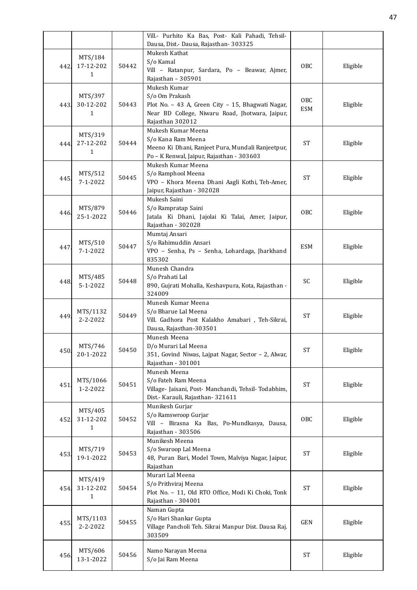|      |                           |       | Vill.- Purhito Ka Bas, Post- Kali Pahadi, Tehsil-                        |                     |          |
|------|---------------------------|-------|--------------------------------------------------------------------------|---------------------|----------|
|      |                           |       | Dausa, Dist.- Dausa, Rajasthan- 303325                                   |                     |          |
|      | MTS/184                   |       | Mukesh Kathat<br>S/o Kamal                                               |                     |          |
| 442. | 17-12-202                 | 50442 | Vill - Ratanpur, Sardara, Po - Beawar, Ajmer,                            | OBC                 | Eligible |
|      | 1                         |       | Rajasthan - 305901                                                       |                     |          |
|      |                           |       | Mukesh Kumar                                                             |                     |          |
|      | MTS/397                   |       | S/o Om Prakash                                                           |                     |          |
| 443. | 30-12-202                 | 50443 | Plot No. - 43 A, Green City - 15, Bhagwati Nagar,                        | OBC                 | Eligible |
|      | 1                         |       | Near BD College, Niwaru Road, Jhotwara, Jaipur,                          | <b>ESM</b>          |          |
|      |                           |       | Rajasthan 302012                                                         |                     |          |
|      | MTS/319                   |       | Mukesh Kumar Meena                                                       |                     |          |
| 444. | 27-12-202                 | 50444 | S/o Kana Ram Meena                                                       | <b>ST</b>           | Eligible |
|      | $\mathbf{1}$              |       | Meeno Ki Dhani, Ranjeet Pura, Mundali Ranjeetpur,                        |                     |          |
|      |                           |       | Po - K Renwal, Jaipur, Rajasthan - 303603                                |                     |          |
|      |                           |       | Mukesh Kumar Meena                                                       |                     |          |
| 445  | MTS/512<br>$7 - 1 - 2022$ | 50445 | S/o Ramphool Meena<br>VPO - Khora Meena Dhani Aagli Kothi, Teh-Amer,     | <b>ST</b>           | Eligible |
|      |                           |       | Jaipur, Rajasthan - 302028                                               |                     |          |
|      |                           |       | Mukesh Saini                                                             |                     |          |
|      | MTS/879                   |       | S/o Rampratap Saini                                                      |                     |          |
| 446. | 25-1-2022                 | 50446 | Jatala Ki Dhani, Jajolai Ki Talai, Amer, Jaipur,                         | OBC                 | Eligible |
|      |                           |       | Rajasthan - 302028                                                       |                     |          |
|      |                           |       | Mumtaj Ansari                                                            |                     |          |
| 447  | MTS/510                   | 50447 | S/o Rahimuddin Ansari                                                    | <b>ESM</b>          | Eligible |
|      | $7 - 1 - 2022$            |       | VPO - Senha, Ps - Senha, Lohardaga, Jharkhand                            |                     |          |
|      |                           |       | 835302                                                                   |                     |          |
|      |                           |       | Munesh Chandra                                                           |                     |          |
| 448. | MTS/485                   | 50448 | S/o Prahati Lal                                                          | SC                  | Eligible |
|      | $5 - 1 - 2022$            |       | 890, Gujrati Mohalla, Keshavpura, Kota, Rajasthan -                      |                     |          |
|      |                           |       | 324009                                                                   |                     |          |
|      | MTS/1132                  |       | Munesh Kumar Meena<br>S/o Bharue Lal Meena                               |                     |          |
| 449  | $2 - 2 - 2022$            | 50449 | Vill. Gadhora Post Kalakho Amabari , Teh-Sikrai,                         | <b>ST</b>           | Eligible |
|      |                           |       | Dausa, Rajasthan-303501                                                  |                     |          |
|      |                           |       | Munesh Meena                                                             |                     |          |
|      | MTS/746                   |       | D/o Murari Lal Meena                                                     |                     |          |
| 450. | 20-1-2022                 | 50450 | 351, Govind Niwas, Lajpat Nagar, Sector - 2, Alwar,                      | <b>ST</b>           | Eligible |
|      |                           |       | Rajasthan - 301001                                                       |                     |          |
|      |                           |       | Munesh Meena                                                             |                     |          |
| 451. | MTS/1066                  | 50451 | S/o Fateh Ram Meena                                                      | <b>ST</b>           | Eligible |
|      | 1-2-2022                  |       | Village- Jaisani, Post- Manchandi, Tehsil- Todabhim,                     |                     |          |
|      |                           |       | Dist.- Karauli, Rajasthan-321611<br>Munikesh Gurjar                      |                     |          |
|      | MTS/405                   |       | S/o Ramswroop Gurjar                                                     |                     |          |
| 452. | 31-12-202                 | 50452 | Vill - Birasna Ka Bas, Po-Mundkasya, Dausa,                              | <b>OBC</b>          | Eligible |
|      | 1                         |       | Rajasthan - 303506                                                       |                     |          |
|      |                           |       | Munikesh Meena                                                           |                     |          |
|      | MTS/719                   | 50453 | S/o Swaroop Lal Meena                                                    | <b>ST</b>           |          |
| 453. | 19-1-2022                 |       | 48, Puran Bari, Model Town, Malviya Nagar, Jaipur,                       |                     | Eligible |
|      |                           |       | Rajasthan                                                                |                     |          |
|      | MTS/419                   |       | Murari Lal Meena                                                         |                     |          |
| 454  | 31-12-202                 | 50454 | S/o Prithviraj Meena                                                     | $\operatorname{ST}$ | Eligible |
|      | 1                         |       | Plot No. - 11, Old RTO Office, Modi Ki Choki, Tonk<br>Rajasthan - 304001 |                     |          |
|      |                           |       | Naman Gupta                                                              |                     |          |
|      | MTS/1103                  |       | S/o Hari Shankar Gupta                                                   |                     |          |
| 455. | 2-2-2022                  | 50455 | Village Pancholi Teh. Sikrai Manpur Dist. Dausa Raj.                     | GEN                 | Eligible |
|      |                           |       | 303509                                                                   |                     |          |
|      |                           |       |                                                                          |                     |          |
| 456. | MTS/606                   | 50456 | Namo Narayan Meena                                                       | <b>ST</b>           | Eligible |
|      | 13-1-2022                 |       | S/o Jai Ram Meena                                                        |                     |          |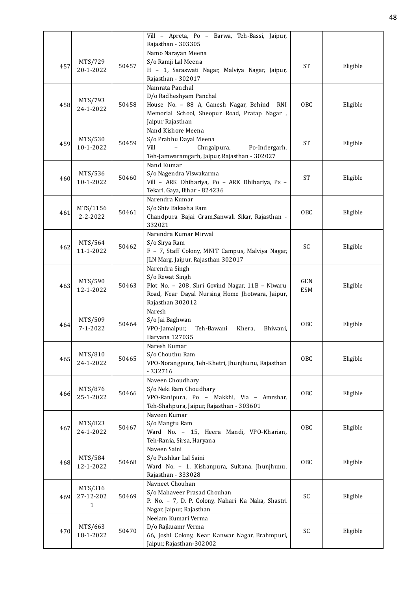|      |                      |       | Vill - Apreta, Po - Barwa, Teh-Bassi, Jaipur,               |            |          |
|------|----------------------|-------|-------------------------------------------------------------|------------|----------|
|      |                      |       | Rajasthan - 303305                                          |            |          |
|      |                      |       | Namo Narayan Meena<br>S/o Ramji Lal Meena                   |            |          |
| 457  | MTS/729<br>20-1-2022 | 50457 | H - 1, Saraswati Nagar, Malviya Nagar, Jaipur,              | <b>ST</b>  | Eligible |
|      |                      |       | Rajasthan - 302017                                          |            |          |
|      |                      |       | Namrata Panchal                                             |            |          |
|      |                      |       | D/o Radheshyam Panchal                                      |            |          |
| 458. | MTS/793              | 50458 | House No. - 88 A, Ganesh Nagar, Behind RNI                  | OBC        | Eligible |
|      | 24-1-2022            |       | Memorial School, Sheopur Road, Pratap Nagar,                |            |          |
|      |                      |       | Jaipur Rajasthan                                            |            |          |
|      |                      |       | Nand Kishore Meena                                          |            |          |
|      | MTS/530              |       | S/o Prabhu Dayal Meena                                      |            |          |
| 459  | 10-1-2022            | 50459 | Vill<br>Chugalpura,<br>$\equiv$<br>Po-Indergarh,            | <b>ST</b>  | Eligible |
|      |                      |       | Teh-Jamwaramgarh, Jaipur, Rajasthan - 302027                |            |          |
|      |                      |       | Nand Kumar                                                  |            |          |
|      | MTS/536              |       | S/o Nagendra Viswakarma                                     |            |          |
| 460. | 10-1-2022            | 50460 | Vill - ARK Dhibariya, Po - ARK Dhibariya, Ps -              | <b>ST</b>  | Eligible |
|      |                      |       | Tekari, Gaya, Bihar - 824236                                |            |          |
|      |                      |       | Narendra Kumar                                              |            |          |
|      | MTS/1156             |       | S/o Shiv Bakasha Ram                                        |            |          |
| 461. | 2-2-2022             | 50461 | Chandpura Bajai Gram, Sanwali Sikar, Rajasthan -            | OBC        | Eligible |
|      |                      |       | 332021                                                      |            |          |
|      |                      |       | Narendra Kumar Mirwal                                       |            |          |
| 462. | MTS/564              | 50462 | S/o Sirya Ram                                               | SC         | Eligible |
|      | 11-1-2022            |       | F - 7, Staff Colony, MNIT Campus, Malviya Nagar,            |            |          |
|      |                      |       | JLN Marg, Jaipur, Rajasthan 302017                          |            |          |
|      |                      |       | Narendra Singh                                              |            |          |
|      | MTS/590              |       | S/o Rewat Singh                                             | <b>GEN</b> |          |
| 463  | 12-1-2022            | 50463 | Plot No. - 208, Shri Govind Nagar, 11B - Niwaru             | <b>ESM</b> | Eligible |
|      |                      |       | Road, Near Dayal Nursing Home Jhotwara, Jaipur,             |            |          |
|      |                      |       | Rajasthan 302012                                            |            |          |
|      |                      |       | Naresh                                                      |            |          |
| 464. | MTS/509              | 50464 | S/o Jai Baghwan                                             | OBC        | Eligible |
|      | $7 - 1 - 2022$       |       | VPO-Jamalpur,<br>Teh-Bawani<br>Khera,<br>Bhiwani,           |            |          |
|      |                      |       | Haryana 127035                                              |            |          |
|      |                      |       | Naresh Kumar                                                |            |          |
| 465  | MTS/810<br>24-1-2022 | 50465 | S/o Chouthu Ram                                             | <b>OBC</b> | Eligible |
|      |                      |       | VPO-Norangpura, Teh-Khetri, Jhunjhunu, Rajasthan<br>-332716 |            |          |
|      |                      |       | Naveen Choudhary                                            |            |          |
|      | MTS/876              |       | S/o Neki Ram Choudhary                                      |            |          |
| 466  | 25-1-2022            | 50466 | VPO-Ranipura, Po - Makkhi, Via - Amrshar,                   | <b>OBC</b> | Eligible |
|      |                      |       | Teh-Shahpura, Jaipur, Rajasthan - 303601                    |            |          |
|      |                      |       | Naveen Kumar                                                |            |          |
|      | MTS/823              |       | S/o Mangtu Ram                                              |            |          |
| 467  | 24-1-2022            | 50467 | Ward No. - 15, Heera Mandi, VPO-Kharian,                    | <b>OBC</b> | Eligible |
|      |                      |       | Teh-Rania, Sirsa, Haryana                                   |            |          |
|      |                      |       | Naveen Saini                                                |            |          |
|      | MTS/584              |       | S/o Pushkar Lal Saini                                       |            |          |
| 468. | 12-1-2022            | 50468 | Ward No. - 1, Kishanpura, Sultana, Jhunjhunu,               | OBC        | Eligible |
|      |                      |       | Rajasthan - 333028                                          |            |          |
|      |                      |       | Navneet Chouhan                                             |            |          |
|      | MTS/316<br>27-12-202 | 50469 | S/o Mahaveer Prasad Chouhan                                 | SC         | Eligible |
| 469  | $\mathbf{1}$         |       | P. No. - 7, D. P. Colony, Nahari Ka Naka, Shastri           |            |          |
|      |                      |       | Nagar, Jaipur, Rajasthan                                    |            |          |
|      |                      |       | Neelam Kumari Verma                                         |            |          |
| 470  | MTS/663              | 50470 | D/o Rajkuamr Verma                                          | SC         | Eligible |
|      | 18-1-2022            |       | 66, Joshi Colony, Near Kanwar Nagar, Brahmpuri,             |            |          |
|      |                      |       | Jaipur, Rajasthan-302002                                    |            |          |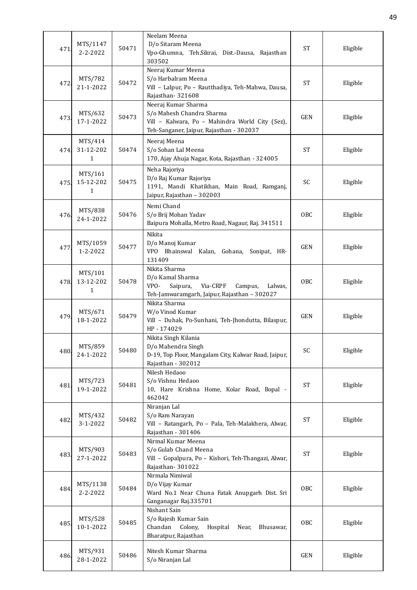| 471  | MTS/1147<br>$2 - 2 - 2022$ | 50471 | Neelam Meena<br>D/o Sitaram Meena<br>Vpo-Ghumna, Teh.Sikrai, Dist.-Dausa, Rajasthan<br>303502                                                   | <b>ST</b>  | Eligible |
|------|----------------------------|-------|-------------------------------------------------------------------------------------------------------------------------------------------------|------------|----------|
| 472  | MTS/782<br>21-1-2022       | 50472 | Neeraj Kumar Meena<br>S/o Harbalram Meena<br>Vill - Lalpur, Po - Rautthadiya, Teh-Mahwa, Dausa,<br>Rajasthan-321608                             | <b>ST</b>  | Eligible |
| 473  | MTS/632<br>17-1-2022       | 50473 | Neeraj Kumar Sharma<br>S/o Mahesh Chandra Sharma<br>Vill - Kalwara, Po - Mahindra World City (Sez),<br>Teh-Sanganer, Jaipur, Rajasthan - 302037 | <b>GEN</b> | Eligible |
| 474  | MTS/414<br>31-12-202<br>1  | 50474 | Neeraj Meena<br>S/o Sohan Lal Meena<br>170, Ajay Ahuja Nagar, Kota, Rajasthan - 324005                                                          | <b>ST</b>  | Eligible |
| 475  | MTS/161<br>15-12-202<br>1  | 50475 | Neha Rajoriya<br>D/o Raj Kumar Rajoriya<br>1191, Mandi Khatikhan, Main Road, Ramganj,<br>Jaipur, Rajasthan - 302003                             | SC         | Eligible |
| 476. | MTS/838<br>24-1-2022       | 50476 | Nemi Chand<br>S/o Brij Mohan Yadav<br>Baipura Mohalla, Metro Road, Nagaur, Raj. 341511                                                          | <b>OBC</b> | Eligible |
| 477  | MTS/1059<br>1-2-2022       | 50477 | Nikita<br>D/o Manoj Kumar<br>VPO Bhainswal Kalan, Gohana, Sonipat, HR-<br>131409                                                                | <b>GEN</b> | Eligible |
| 478. | MTS/101<br>13-12-202<br>1  | 50478 | Nikita Sharma<br>D/o Kamal Sharma<br>VPO-<br>Via-CRPF<br>Saipura,<br>Campus,<br>Lalwas,<br>Teh-Jamwaramgarh, Jaipur, Rajasthan - 302027         | OBC        | Eligible |
| 479  | MTS/671<br>18-1-2022       | 50479 | Nikita Sharma<br>W/o Vinod Kumar<br>Vill - Duhak, Po-Sunhani, Teh-Jhondutta, Bilaspur,<br>HP-174029                                             | <b>GEN</b> | Eligible |
| 480. | MTS/859<br>24-1-2022       | 50480 | Nikita Singh Kilania<br>D/o Mahendra Singh<br>D-19, Top Floor, Mangalam City, Kalwar Road, Jaipur,<br>Rajasthan - 302012                        | SC         | Eligible |
| 481  | MTS/723<br>19-1-2022       | 50481 | Nilesh Hedaoo<br>S/o Vishnu Hedaoo<br>10, Hare Krishna Home, Kolar Road, Bopal -<br>462042                                                      | <b>ST</b>  | Eligible |
| 482  | MTS/432<br>3-1-2022        | 50482 | Niranjan Lal<br>S/o Ram Narayan<br>Vill - Ratangarh, Po - Pala, Teh-Malakhera, Alwar,<br>Rajasthan - 301406                                     | ST         | Eligible |
| 483. | MTS/903<br>27-1-2022       | 50483 | Nirmal Kumar Meena<br>S/o Gulab Chand Meena<br>Vill - Gopalpura, Po - Kishori, Teh-Thangazi, Alwar,<br>Rajasthan-301022                         | <b>ST</b>  | Eligible |
| 484  | MTS/1138<br>2-2-2022       | 50484 | Nirmala Nimiwal<br>D/o Vijay Kumar<br>Ward No.1 Near Chuna Fatak Anupgarh Dist. Sri<br>Ganganagar Raj.335701                                    | OBC        | Eligible |
| 485  | MTS/528<br>10-1-2022       | 50485 | Nishant Sain<br>S/o Rajesh Kumar Sain<br>Chandan<br>Colony,<br>Hospital<br>Near,<br>Bhusawar,<br>Bharatpur, Rajasthan                           | OBC        | Eligible |
| 486. | MTS/931<br>28-1-2022       | 50486 | Nitesh Kumar Sharma<br>S/o Niranjan Lal                                                                                                         | GEN        | Eligible |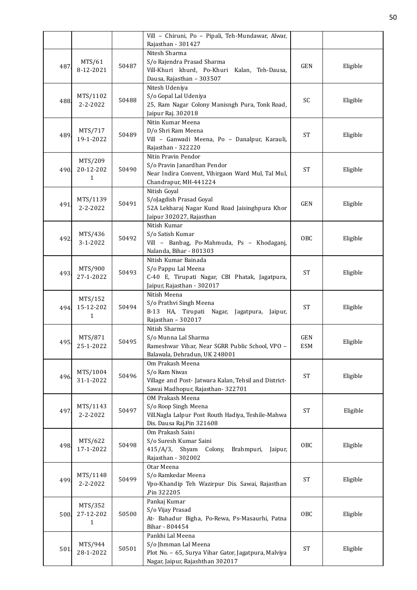|      |                       |       | Vill - Chiruni, Po - Pipali, Teh-Mundawar, Alwar,                                         |                     |          |
|------|-----------------------|-------|-------------------------------------------------------------------------------------------|---------------------|----------|
|      |                       |       | Rajasthan - 301427                                                                        |                     |          |
|      |                       |       | Nitesh Sharma                                                                             |                     |          |
| 487  | MTS/61                | 50487 | S/o Rajendra Prasad Sharma                                                                | <b>GEN</b>          | Eligible |
|      | 8-12-2021             |       | Vill-Khuri khurd, Po-Khuri Kalan, Teh-Dausa,                                              |                     |          |
|      |                       |       | Dausa, Rajasthan - 303507                                                                 |                     |          |
|      |                       |       | Nitesh Udeniya                                                                            |                     |          |
| 488  | MTS/1102              | 50488 | S/o Gopal Lal Udeniya                                                                     | SC                  | Eligible |
|      | $2 - 2 - 2022$        |       | 25, Ram Nagar Colony Manisngh Pura, Tonk Road,                                            |                     |          |
|      |                       |       | Jaipur Raj. 302018                                                                        |                     |          |
|      |                       |       | Nitin Kumar Meena                                                                         |                     |          |
| 489  | MTS/717               | 50489 | D/o Shri Ram Meena                                                                        | <b>ST</b>           | Eligible |
|      | 19-1-2022             |       | Vill - Ganwadi Meena, Po - Danalpur, Karauli,                                             |                     |          |
|      |                       |       | Rajasthan - 322220                                                                        |                     |          |
|      | MTS/209               |       | Nitin Pravin Pendor                                                                       |                     |          |
| 490. | 20-12-202             | 50490 | S/o Pravin Janardhan Pendor                                                               | <b>ST</b>           | Eligible |
|      | $\mathbf{1}$          |       | Near Indira Convent, Vihirgaon Ward Mul, Tal Mul,                                         |                     |          |
|      |                       |       | Chandrapur, MH-441224                                                                     |                     |          |
|      |                       |       | Nitish Goyal                                                                              |                     |          |
| 491. | MTS/1139              | 50491 | S/oJagdish Prasad Goyal                                                                   | <b>GEN</b>          | Eligible |
|      | 2-2-2022              |       | 52A Lekharaj Nagar Kund Road Jaisinghpura Khor                                            |                     |          |
|      |                       |       | Jaipur 302027, Rajasthan                                                                  |                     |          |
|      |                       |       | Nitish Kumar                                                                              |                     |          |
| 492  | MTS/436               | 50492 | S/o Satish Kumar                                                                          | OBC                 | Eligible |
|      | $3 - 1 - 2022$        |       | Vill - Banbag, Po-Mahmuda, Ps - Khodaganj,                                                |                     |          |
|      |                       |       | Nalanda, Bihar - 801303                                                                   |                     |          |
|      |                       |       | Nitish Kumar Bainada                                                                      |                     |          |
| 493. | MTS/900               | 50493 | S/o Pappu Lal Meena                                                                       | <b>ST</b>           | Eligible |
|      | 27-1-2022             |       | C-40 E, Tirupati Nagar, CBI Phatak, Jagatpura,                                            |                     |          |
|      |                       |       | Jaipur, Rajasthan - 302017                                                                |                     |          |
|      | MTS/152               |       | Nitish Meena                                                                              |                     |          |
| 494  | 15-12-202             | 50494 | S/o Prathvi Singh Meena                                                                   | <b>ST</b>           | Eligible |
|      | 1                     |       | B-13 HA, Tirupati Nagar, Jagatpura, Jaipur,                                               |                     |          |
|      |                       |       | Rajasthan - 302017                                                                        |                     |          |
|      |                       |       | Nitish Sharma                                                                             |                     |          |
| 495. | MTS/871               | 50495 | S/o Munna Lal Sharma                                                                      | GEN                 | Eligible |
|      | 25-1-2022             |       | Rameshwar Vihar, Near SGRR Public School, VPO -                                           | <b>ESM</b>          |          |
|      |                       |       | Balawala, Dehradun, UK 248001                                                             |                     |          |
|      |                       |       | Om Prakash Meena                                                                          |                     |          |
| 496  | MTS/1004<br>31-1-2022 | 50496 | S/o Ram Niwas                                                                             | <b>ST</b>           | Eligible |
|      |                       |       | Village and Post- Jatwara Kalan, Tehsil and District-<br>Sawai Madhopur, Rajasthan-322701 |                     |          |
|      |                       |       | OM Prakash Meena                                                                          |                     |          |
|      | MTS/1143              |       | S/o Roop Singh Meena                                                                      |                     |          |
| 497. | $2 - 2 - 2022$        | 50497 | Vill.Nagla Lalpur Post Routh Hadiya, Teshile-Mahwa                                        | $\operatorname{ST}$ | Eligible |
|      |                       |       | Dis. Dausa Raj.Pin 321608                                                                 |                     |          |
|      |                       |       | Om Prakash Saini                                                                          |                     |          |
|      | MTS/622               |       | S/o Suresh Kumar Saini                                                                    |                     |          |
| 498. | 17-1-2022             | 50498 | $415/A/3$ , Shyam<br>Colony,<br>Brahmpuri,<br>Jaipur,                                     | OBC                 | Eligible |
|      |                       |       | Rajasthan - 302002                                                                        |                     |          |
|      |                       |       | Otar Meena                                                                                |                     |          |
|      | MTS/1148              |       | S/o Ramkedar Meena                                                                        |                     |          |
| 499. | $2 - 2 - 2022$        | 50499 | Vpo-Khandip Teh Wazirpur Dis. Sawai, Rajasthan                                            | $\operatorname{ST}$ | Eligible |
|      |                       |       | Pin 322205,                                                                               |                     |          |
|      |                       |       | Pankaj Kumar                                                                              |                     |          |
|      | MTS/352               |       | S/o Vijay Prasad                                                                          |                     |          |
| 500  | 27-12-202             | 50500 | At- Bahadur Bigha, Po-Rewa, Ps-Masaurhi, Patna                                            | OBC                 | Eligible |
|      | 1                     |       | Bihar - 804454                                                                            |                     |          |
|      |                       |       | Pankhi Lal Meena                                                                          |                     |          |
|      | MTS/944               |       | S/o Jhmman Lal Meena                                                                      |                     |          |
| 501. | 28-1-2022             | 50501 | Plot No. - 65, Surya Vihar Gator, Jagatpura, Malviya                                      | <b>ST</b>           | Eligible |
|      |                       |       | Nagar, Jaipur, Rajashthan 302017                                                          |                     |          |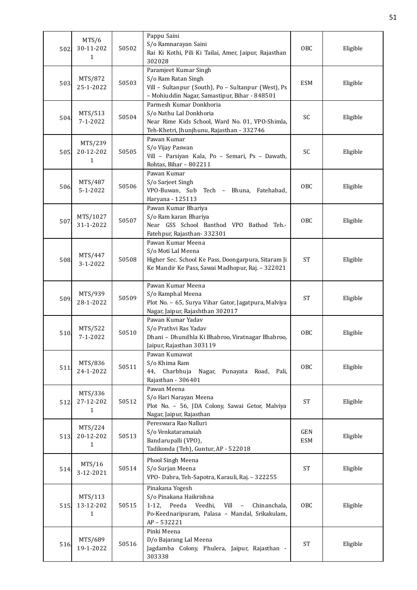| 502. | MTS/6<br>30-11-202<br>1              | 50502 | Pappu Saini<br>S/o Ramnarayan Saini<br>Rai Ki Kothi, Pili Ki Tailai, Amer, Jaipur, Rajasthan<br>302028                                                                                  | OBC                      | Eligible |
|------|--------------------------------------|-------|-----------------------------------------------------------------------------------------------------------------------------------------------------------------------------------------|--------------------------|----------|
| 503. | MTS/872<br>25-1-2022                 | 50503 | Paramjeet Kumar Singh<br>S/o Ram Ratan Singh<br>Vill - Sultanpur (South), Po - Sultanpur (West), Ps<br>- Mohiuddin Nagar, Samastipur, Bihar - 848501                                    | <b>ESM</b>               | Eligible |
| 504. | MTS/513<br>$7 - 1 - 2022$            | 50504 | Parmesh Kumar Donkhoria<br>S/o Nathu Lal Donkhoria<br>Near Rime Kids School, Ward No. 01, VPO-Shimla,<br>Teh-Khetri, Jhunjhunu, Rajasthan - 332746                                      | SC                       | Eligible |
| 505  | MTS/239<br>20-12-202<br>$\mathbf{1}$ | 50505 | Pawan Kumar<br>S/o Vijay Paswan<br>Vill - Parsiyan Kala, Po - Semari, Ps - Dawath,<br>Rohtas, Bihar - 802211                                                                            | SC                       | Eligible |
| 506. | MTS/487<br>$5 - 1 - 2022$            | 50506 | Pawan Kumar<br>S/o Sarjeet Singh<br>VPO-Buwan, Sub Tech - Bhuna, Fatehabad,<br>Haryana - 125113                                                                                         | <b>OBC</b>               | Eligible |
| 507. | MTS/1027<br>31-1-2022                | 50507 | Pawan Kumar Bhariya<br>S/o Ram karan Bhariya<br>Near GSS School Banthod VPO Bathod Teh.-<br>Fatehpur, Rajasthan-332301                                                                  | OBC                      | Eligible |
| 508. | MTS/447<br>$3 - 1 - 2022$            | 50508 | Pawan Kumar Meena<br>S/o Moti Lal Meena<br>Higher Sec. School Ke Pass, Doongarpura, Sitaram Ji<br>Ke Mandir Ke Pass, Sawai Madhopur, Raj. - 322021                                      | <b>ST</b>                | Eligible |
| 509. | MTS/939<br>28-1-2022                 | 50509 | Pawan Kumar Meena<br>S/o Ramphal Meena<br>Plot No. - 65, Surya Vihar Gator, Jagatpura, Malviya<br>Nagar, Jaipur, Rajashthan 302017                                                      | <b>ST</b>                | Eligible |
| 510  | MTS/522<br>$7 - 1 - 2022$            | 50510 | Pawan Kumar Yadav<br>S/o Prathvi Ras Yadav<br>Dhani - Dhundhla Ki Bhabroo, Viratnagar Bhabroo,<br>Jaipur, Rajasthan 303119                                                              | <b>OBC</b>               | Eligible |
| 511  | MTS/836<br>24-1-2022                 | 50511 | Pawan Kumawat<br>S/o Khima Ram<br>44, Charbhuja<br>Nagar, Punayata Road, Pali,<br>Rajasthan - 306401                                                                                    | OBC                      | Eligible |
| 512. | MTS/336<br>27-12-202<br>1            | 50512 | Pawan Meena<br>S/o Hari Narayan Meena<br>Plot No. - 56, JDA Colony, Sawai Getor, Malviya<br>Nagar, Jaipur, Rajasthan                                                                    | <b>ST</b>                | Eligible |
| 513. | MTS/224<br>20-12-202<br>1            | 50513 | Pereswara Rao Nalluri<br>S/o Venkataramaiah<br>Bandarupalli (VPO),<br>Tadikonda (Teh), Guntur, AP - 522018                                                                              | <b>GEN</b><br><b>ESM</b> | Eligible |
| 514. | MTS/16<br>3-12-2021                  | 50514 | Phool Singh Meena<br>S/o Surjan Meena<br>VPO- Dabra, Teh-Sapotra, Karauli, Raj. - 322255                                                                                                | ST                       | Eligible |
| 515. | MTS/113<br>13-12-202<br>$\mathbf{1}$ | 50515 | Pinakana Yogesh<br>S/o Pinakana Haikrishna<br>1-12, Peeda<br>Veedhi,<br>Vill<br>Chinanchala,<br>$\overline{\phantom{a}}$<br>Po-Keednaripuram, Palasa - Mandal, Srikakulam,<br>AP-532221 | OBC                      | Eligible |
| 516  | MTS/689<br>19-1-2022                 | 50516 | Pinki Meena<br>D/o Bajarang Lal Meena<br>Jagdamba Colony, Phulera, Jaipur, Rajasthan -<br>303338                                                                                        | <b>ST</b>                | Eligible |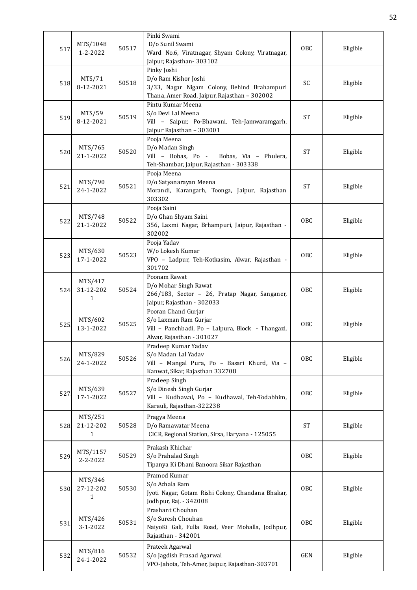| 517  | MTS/1048<br>1-2-2022                 | 50517 | Pinki Swami<br>D/o Sunil Swami<br>Ward No.6, Viratnagar, Shyam Colony, Viratnagar,<br>Jaipur, Rajasthan - 303102                   | <b>OBC</b> | Eligible |
|------|--------------------------------------|-------|------------------------------------------------------------------------------------------------------------------------------------|------------|----------|
| 518  | MTS/71<br>8-12-2021                  | 50518 | Pinky Joshi<br>D/o Ram Kishor Joshi<br>3/33, Nagar Nigam Colony, Behind Brahampuri<br>Thana, Amer Road, Jaipur, Rajasthan - 302002 | SC         | Eligible |
| 519  | MTS/59<br>8-12-2021                  | 50519 | Pintu Kumar Meena<br>S/o Devi Lal Meena<br>Vill - Saipur, Po-Bhawani, Teh-Jamwaramgarh,<br>Jaipur Rajasthan - 303001               | <b>ST</b>  | Eligible |
| 520. | MTS/765<br>21-1-2022                 | 50520 | Pooja Meena<br>D/o Madan Singh<br>Vill - Bobas, Po -<br>Bobas, Via - Phulera,<br>Teh-Shambar, Jaipur, Rajasthan - 303338           | <b>ST</b>  | Eligible |
| 521  | MTS/790<br>24-1-2022                 | 50521 | Pooja Meena<br>D/o Satyanarayan Meena<br>Morandi, Karangarh, Toonga, Jaipur, Rajasthan<br>303302                                   | <b>ST</b>  | Eligible |
| 522  | MTS/748<br>21-1-2022                 | 50522 | Pooja Saini<br>D/o Ghan Shyam Saini<br>356, Laxmi Nagar, Brhampuri, Jaipur, Rajasthan -<br>302002                                  | OBC        | Eligible |
| 523. | MTS/630<br>17-1-2022                 | 50523 | Pooja Yadav<br>W/o Lokesh Kumar<br>VPO - Ladpur, Teh-Kotkasim, Alwar, Rajasthan -<br>301702                                        | OBC        | Eligible |
| 524  | MTS/417<br>31-12-202<br>1            | 50524 | Poonam Rawat<br>D/o Mohar Singh Rawat<br>266/183, Sector - 26, Pratap Nagar, Sanganer,<br>Jaipur, Rajasthan - 302033               | <b>OBC</b> | Eligible |
| 525  | MTS/602<br>13-1-2022                 | 50525 | Pooran Chand Gurjar<br>S/o Laxman Ram Gurjar<br>Vill - Panchbadi, Po - Lalpura, Block - Thangazi,<br>Alwar, Rajasthan - 301027     | <b>OBC</b> | Eligible |
| 526. | MTS/829<br>24-1-2022                 | 50526 | Pradeep Kumar Yadav<br>S/o Madan Lal Yadav<br>Vill - Mangal Pura, Po - Basari Khurd, Via -<br>Kanwat, Sikar, Rajasthan 332708      | <b>OBC</b> | Eligible |
| 527  | MTS/639<br>17-1-2022                 | 50527 | Pradeep Singh<br>S/o Dinesh Singh Gurjar<br>Vill - Kudhawal, Po - Kudhawal, Teh-Todabhim,<br>Karauli, Rajasthan-322238             | <b>OBC</b> | Eligible |
| 528. | MTS/251<br>21-12-202<br>$\mathbf{1}$ | 50528 | Pragya Meena<br>D/o Ramawatar Meena<br>CICR, Regional Station, Sirsa, Haryana - 125055                                             | <b>ST</b>  | Eligible |
| 529  | MTS/1157<br>2-2-2022                 | 50529 | Prakash Khichar<br>S/o Prahalad Singh<br>Tipanya Ki Dhani Banoora Sikar Rajasthan                                                  | OBC        | Eligible |
| 530. | MTS/346<br>27-12-202<br>$\mathbf{1}$ | 50530 | Pramod Kumar<br>S/o Achala Ram<br>Jyoti Nagar, Gotam Rishi Colony, Chandana Bhakar,<br>Jodhpur, Raj. - 342008                      | <b>OBC</b> | Eligible |
| 531  | MTS/426<br>3-1-2022                  | 50531 | Prashant Chouhan<br>S/o Suresh Chouhan<br>NaiyoKi Gali, Fulla Road, Veer Mohalla, Jodhpur,<br>Rajasthan - 342001                   | <b>OBC</b> | Eligible |
| 532  | MTS/816<br>24-1-2022                 | 50532 | Prateek Agarwal<br>S/o Jagdish Prasad Agarwal<br>VPO-Jahota, Teh-Amer, Jaipur, Rajasthan-303701                                    | GEN        | Eligible |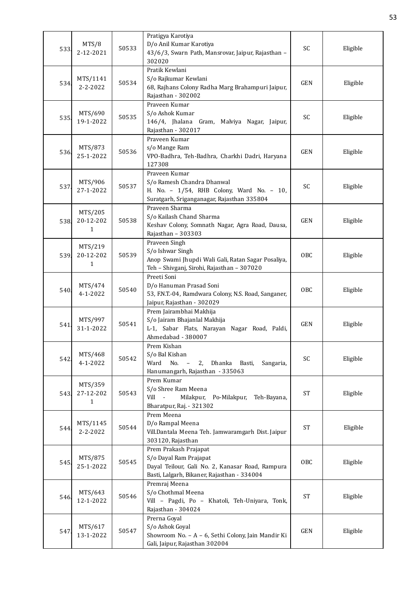| 533  | MTS/8<br>2-12-2021        | 50533 | Pratigya Karotiya<br>D/o Anil Kumar Karotiya<br>43/6/3, Swarn Path, Mansrovar, Jaipur, Rajasthan -<br>302020                                        | SC                  | Eligible |
|------|---------------------------|-------|-----------------------------------------------------------------------------------------------------------------------------------------------------|---------------------|----------|
| 534. | MTS/1141<br>2-2-2022      | 50534 | Pratik Kewlani<br>S/o Rajkumar Kewlani<br>68, Rajhans Colony Radha Marg Brahampuri Jaipur,<br>Rajasthan - 302002                                    | <b>GEN</b>          | Eligible |
| 535  | MTS/690<br>19-1-2022      | 50535 | Praveen Kumar<br>S/o Ashok Kumar<br>146/4, Jhalana Gram, Malviya Nagar, Jaipur,<br>Rajasthan - 302017                                               | SC                  | Eligible |
| 536. | MTS/873<br>25-1-2022      | 50536 | Praveen Kumar<br>s/o Mange Ram<br>VPO-Badhra, Teh-Badhra, Charkhi Dadri, Haryana<br>127308                                                          | <b>GEN</b>          | Eligible |
| 537  | MTS/906<br>27-1-2022      | 50537 | Praveen Kumar<br>S/o Ramesh Chandra Dhanwal<br>H. No. - 1/54, RHB Colony, Ward No. - 10,<br>Suratgarh, Sriganganagar, Rajasthan 335804              | SC                  | Eligible |
| 538  | MTS/205<br>20-12-202<br>1 | 50538 | Praveen Sharma<br>S/o Kailash Chand Sharma<br>Keshav Colony, Somnath Nagar, Agra Road, Dausa,<br>Rajasthan - 303303                                 | <b>GEN</b>          | Eligible |
| 539. | MTS/219<br>20-12-202<br>1 | 50539 | Praveen Singh<br>S/o Ishwar Singh<br>Anop Swami Jhupdi Wali Gali, Ratan Sagar Posaliya,<br>Teh - Shivganj, Sirohi, Rajasthan - 307020               | OBC                 | Eligible |
| 540. | MTS/474<br>$4 - 1 - 2022$ | 50540 | Preeti Soni<br>D/o Hanuman Prasad Soni<br>53, F.N.T.-04, Ramdwara Colony, N.S. Road, Sanganer,<br>Jaipur, Rajasthan - 302029                        | OBC                 | Eligible |
| 541  | MTS/997<br>31-1-2022      | 50541 | Prem Jairambhai Makhija<br>S/o Jairam Bhajanlal Makhija<br>L-1, Sabar Flats, Narayan Nagar Road, Paldi,<br>Ahmedabad - 380007                       | <b>GEN</b>          | Eligible |
| 542  | MTS/468<br>$4 - 1 - 2022$ | 50542 | Prem Kishan<br>S/o Bal Kishan<br>No.<br>2, Dhanka Basti,<br>Ward<br>Sangaria,<br>$\hspace{0.1mm}-\hspace{0.1mm}$<br>Hanumangarh, Rajasthan - 335063 | SC                  | Eligible |
| 543. | MTS/359<br>27-12-202<br>1 | 50543 | Prem Kumar<br>S/o Shree Ram Meena<br>Milakpur,<br>Vill<br>$\sim$ $-$<br>Po-Milakpur,<br>Teh-Bayana,<br>Bharatpur, Raj. - 321302                     | <b>ST</b>           | Eligible |
| 544. | MTS/1145<br>2-2-2022      | 50544 | Prem Meena<br>D/o Rampal Meena<br>Vill.Dantala Meena Teh. Jamwaramgarh Dist. Jaipur<br>303120, Rajasthan                                            | <b>ST</b>           | Eligible |
| 545. | MTS/875<br>25-1-2022      | 50545 | Prem Prakash Prajapat<br>S/o Dayal Ram Prajapat<br>Dayal Teilour, Gali No. 2, Kanasar Road, Rampura<br>Basti, Lalgarh, Bikaner, Rajasthan - 334004  | OBC                 | Eligible |
| 546. | MTS/643<br>12-1-2022      | 50546 | Premraj Meena<br>S/o Chothmal Meena<br>Vill - Pagdi, Po - Khatoli, Teh-Uniyara, Tonk,<br>Rajasthan - 304024                                         | $\operatorname{ST}$ | Eligible |
| 547  | MTS/617<br>13-1-2022      | 50547 | Prerna Goyal<br>S/o Ashok Goyal<br>Showroom No. - A - 6, Sethi Colony, Jain Mandir Ki<br>Gali, Jaipur, Rajasthan 302004                             | GEN                 | Eligible |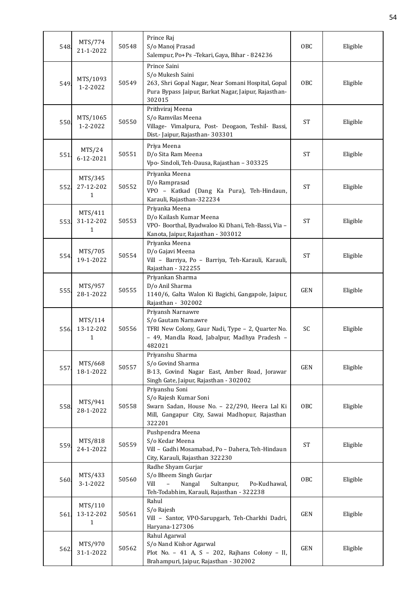| 548. | MTS/774<br>21-1-2022       | 50548 | Prince Raj<br>S/o Manoj Prasad<br>Salempur, Po+Ps-Tekari, Gaya, Bihar - 824236                                                                                        | OBC                 | Eligible |
|------|----------------------------|-------|-----------------------------------------------------------------------------------------------------------------------------------------------------------------------|---------------------|----------|
| 549. | MTS/1093<br>1-2-2022       | 50549 | Prince Saini<br>S/o Mukesh Saini<br>263, Shri Gopal Nagar, Near Somani Hospital, Gopal<br>Pura Bypass Jaipur, Barkat Nagar, Jaipur, Rajasthan-<br>302015              | OBC                 | Eligible |
| 550  | MTS/1065<br>$1 - 2 - 2022$ | 50550 | Prithviraj Meena<br>S/o Ramvilas Meena<br>Village- Vimalpura, Post- Deogaon, Teshil- Bassi,<br>Dist.- Jaipur, Rajasthan- 303301                                       | <b>ST</b>           | Eligible |
| 551. | MTS/24<br>6-12-2021        | 50551 | Priya Meena<br>D/o Sita Ram Meena<br>Vpo- Sindoli, Teh-Dausa, Rajasthan - 303325                                                                                      | <b>ST</b>           | Eligible |
| 552  | MTS/345<br>27-12-202<br>1  | 50552 | Priyanka Meena<br>D/o Ramprasad<br>VPO - Katkad (Dang Ka Pura), Teh-Hindaun,<br>Karauli, Rajasthan-322234                                                             | <b>ST</b>           | Eligible |
| 553. | MTS/411<br>31-12-202<br>1  | 50553 | Priyanka Meena<br>D/o Kailash Kumar Meena<br>VPO- Boorthal, Byadwaloo Ki Dhani, Teh-Bassi, Via -<br>Kanota, Jaipur, Rajasthan - 303012                                | <b>ST</b>           | Eligible |
| 554  | MTS/705<br>19-1-2022       | 50554 | Priyanka Meena<br>D/o Gajavi Meena<br>Vill - Barriya, Po - Barriya, Teh-Karauli, Karauli,<br>Rajasthan - 322255                                                       | <b>ST</b>           | Eligible |
| 555. | MTS/957<br>28-1-2022       | 50555 | Priyankan Sharma<br>D/o Anil Sharma<br>1140/6, Galta Walon Ki Bagichi, Gangapole, Jaipur,<br>Rajasthan - 302002                                                       | <b>GEN</b>          | Eligible |
| 556  | MTS/114<br>13-12-202<br>1  | 50556 | Priyansh Narnawre<br>S/o Gautam Narnawre<br>TFRI New Colony, Gaur Nadi, Type - 2, Quarter No.<br>- 49, Mandla Road, Jabalpur, Madhya Pradesh -<br>482021              | SC                  | Eligible |
| 557. | MTS/668<br>18-1-2022       | 50557 | Priyanshu Sharma<br>S/o Govind Sharma<br>B-13, Govind Nagar East, Amber Road, Jorawar<br>Singh Gate, Jaipur, Rajasthan - 302002                                       | GEN                 | Eligible |
| 558. | MTS/941<br>28-1-2022       | 50558 | Priyanshu Soni<br>S/o Rajesh Kumar Soni<br>Swarn Sadan, House No. - 22/290, Heera Lal Ki<br>Mill, Gangapur City, Sawai Madhopur, Rajasthan<br>322201                  | OBC                 | Eligible |
| 559. | MTS/818<br>24-1-2022       | 50559 | Pushpendra Meena<br>S/o Kedar Meena<br>Vill - Gadhi Mosamabad, Po - Dahera, Teh-Hindaun<br>City, Karauli, Rajasthan 322230                                            | $\operatorname{ST}$ | Eligible |
| 560. | MTS/433<br>3-1-2022        | 50560 | Radhe Shyam Gurjar<br>S/o Bheem Singh Gurjar<br>Vill<br>Nangal<br>Sultanpur,<br>Po-Kudhawal,<br>$\overline{\phantom{0}}$<br>Teh-Todabhim, Karauli, Rajasthan - 322238 | OBC                 | Eligible |
| 561  | MTS/110<br>13-12-202<br>1  | 50561 | Rahul<br>S/o Rajesh<br>Vill - Santor, VPO-Sarupgarh, Teh-Charkhi Dadri,<br>Haryana-127306                                                                             | GEN                 | Eligible |
| 562. | MTS/970<br>31-1-2022       | 50562 | Rahul Agarwal<br>S/o Nand Kishor Agarwal<br>Plot No. - 41 A, S - 202, Rajhans Colony - II,<br>Brahampuri, Jaipur, Rajasthan - 302002                                  | <b>GEN</b>          | Eligible |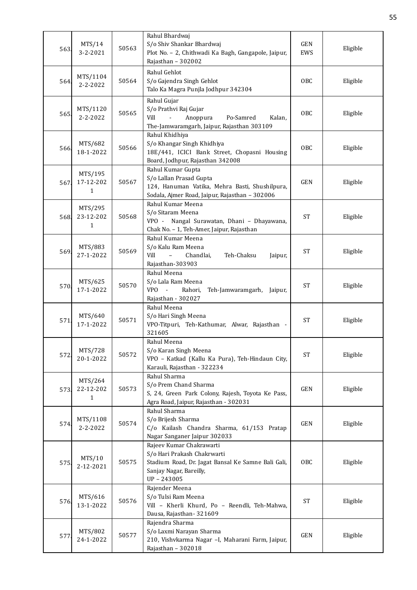| 563  | MTS/14<br>3-2-2021                   | 50563 | Rahul Bhardwaj<br>S/o Shiv Shankar Bhardwaj<br>Plot No. - 2, Chithwadi Ka Bagh, Gangapole, Jaipur,<br>Rajasthan - 302002                              | <b>GEN</b><br>EWS | Eligible |
|------|--------------------------------------|-------|-------------------------------------------------------------------------------------------------------------------------------------------------------|-------------------|----------|
| 564. | MTS/1104<br>$2 - 2 - 2022$           | 50564 | Rahul Gehlot<br>S/o Gajendra Singh Gehlot<br>Talo Ka Magra Punjla Jodhpur 342304                                                                      | OBC               | Eligible |
| 565. | MTS/1120<br>$2 - 2 - 2022$           | 50565 | Rahul Gujar<br>S/o Prathvi Raj Gujar<br>Po-Samred<br>Vill<br>Anoppura<br>Kalan,<br>$\Box$<br>The-Jamwaramgarh, Jaipur, Rajasthan 303109               | OBC               | Eligible |
| 566. | MTS/682<br>18-1-2022                 | 50566 | Rahul Khidhiya<br>S/o Khangar Singh Khidhiya<br>18E/441, ICICI Bank Street, Chopasni Housing<br>Board, Jodhpur, Rajasthan 342008                      | OBC               | Eligible |
| 567. | MTS/195<br>17-12-202<br>$\mathbf{1}$ | 50567 | Rahul Kumar Gupta<br>S/o Lallan Prasad Gupta<br>124, Hanuman Vatika, Mehra Basti, Shushilpura,<br>Sodala, Ajmer Road, Jaipur, Rajasthan - 302006      | <b>GEN</b>        | Eligible |
| 568. | MTS/295<br>23-12-202<br>$\mathbf{1}$ | 50568 | Rahul Kumar Meena<br>S/o Sitaram Meena<br>VPO - Nangal Surawatan, Dhani - Dhayawana,<br>Chak No. - 1, Teh-Amer, Jaipur, Rajasthan                     | <b>ST</b>         | Eligible |
| 569. | MTS/883<br>27-1-2022                 | 50569 | Rahul Kumar Meena<br>S/o Kalu Ram Meena<br>Teh-Chaksu<br>Vill<br>$\equiv$<br>Chandlai,<br>Jaipur,<br>Rajasthan-303903                                 | <b>ST</b>         | Eligible |
| 570. | MTS/625<br>17-1-2022                 | 50570 | Rahul Meena<br>S/o Lala Ram Meena<br>VPO -<br>Rahori,<br>Teh-Jamwaramgarh, Jaipur,<br>Rajasthan - 302027                                              | <b>ST</b>         | Eligible |
| 571  | MTS/640<br>17-1-2022                 | 50571 | Rahul Meena<br>S/o Hari Singh Meena<br>VPO-Titpuri, Teh-Kathumar, Alwar, Rajasthan -<br>321605                                                        | <b>ST</b>         | Eligible |
| 572  | MTS/728<br>20-1-2022                 | 50572 | Rahul Meena<br>S/o Karan Singh Meena<br>VPO - Katkad (Kallu Ka Pura), Teh-Hindaun City,<br>Karauli, Rajasthan - 322234                                | <b>ST</b>         | Eligible |
| 573. | MTS/264<br>22-12-202<br>1            | 50573 | Rahul Sharma<br>S/o Prem Chand Sharma<br>S, 24, Green Park Colony, Rajesh, Toyota Ke Pass,<br>Agra Road, Jaipur, Rajasthan - 302031                   | GEN               | Eligible |
| 574. | MTS/1108<br>2-2-2022                 | 50574 | Rahul Sharma<br>S/o Brijesh Sharma<br>C/o Kailash Chandra Sharma, 61/153 Pratap<br>Nagar Sanganer Jaipur 302033                                       | GEN               | Eligible |
| 575  | MTS/10<br>2-12-2021                  | 50575 | Rajeev Kumar Chakrawarti<br>S/o Hari Prakash Chakrwarti<br>Stadium Road, Dr. Jagat Bansal Ke Samne Bali Gali,<br>Sanjay Nagar, Bareilly,<br>UP-243005 | OBC               | Eligible |
| 576. | MTS/616<br>13-1-2022                 | 50576 | Rajender Meena<br>S/o Tulsi Ram Meena<br>Vill - Kherli Khurd, Po - Reendli, Teh-Mahwa,<br>Dausa, Rajasthan-321609                                     | <b>ST</b>         | Eligible |
| 577  | MTS/802<br>24-1-2022                 | 50577 | Rajendra Sharma<br>S/o Laxmi Narayan Sharma<br>210, Vishvkarma Nagar -I, Maharani Farm, Jaipur,<br>Rajasthan - 302018                                 | GEN               | Eligible |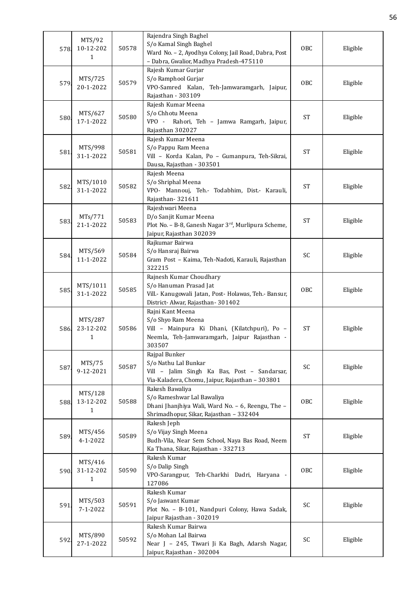| 578. | MTS/92<br>10-12-202<br>1             | 50578 | Rajendra Singh Baghel<br>S/o Kamal Singh Baghel<br>Ward No. - 2, Ayodhya Colony, Jail Road, Dabra, Post<br>- Dabra, Gwalior, Madhya Pradesh-475110 | OBC        | Eligible |
|------|--------------------------------------|-------|----------------------------------------------------------------------------------------------------------------------------------------------------|------------|----------|
| 579. | MTS/725<br>20-1-2022                 | 50579 | Rajesh Kumar Gurjar<br>S/o Ramphool Gurjar<br>VPO-Samred Kalan,<br>Teh-Jamwaramgarh, Jaipur,<br>Rajasthan - 303109                                 | OBC        | Eligible |
| 580  | MTS/627<br>17-1-2022                 | 50580 | Rajesh Kumar Meena<br>S/o Chhotu Meena<br>$VPO -$<br>Rahori, Teh - Jamwa Ramgarh, Jaipur,<br>Rajasthan 302027                                      | <b>ST</b>  | Eligible |
| 581  | MTS/998<br>31-1-2022                 | 50581 | Rajesh Kumar Meena<br>S/o Pappu Ram Meena<br>Vill - Korda Kalan, Po - Gumanpura, Teh-Sikrai,<br>Dausa, Rajasthan - 303501                          | <b>ST</b>  | Eligible |
| 582  | MTS/1010<br>31-1-2022                | 50582 | Rajesh Meena<br>S/o Shriphal Meena<br>VPO- Mannouj, Teh.- Todabhim, Dist.- Karauli,<br>Rajasthan-321611                                            | <b>ST</b>  | Eligible |
| 583. | MTs/771<br>21-1-2022                 | 50583 | Rajeshwari Meena<br>D/o Sanjit Kumar Meena<br>Plot No. - B-8, Ganesh Nagar 3 <sup>rd</sup> , Murlipura Scheme,<br>Jaipur, Rajasthan 302039         | <b>ST</b>  | Eligible |
| 584. | MTS/569<br>11-1-2022                 | 50584 | Rajkumar Bairwa<br>S/o Hansraj Bairwa<br>Gram Post - Kaima, Teh-Nadoti, Karauli, Rajasthan<br>322215                                               | SC         | Eligible |
| 585. | MTS/1011<br>31-1-2022                | 50585 | Rajnesh Kumar Choudhary<br>S/o Hanuman Prasad Jat<br>Vill.- Kanugowali Jatan, Post- Holawas, Teh.- Bansur,<br>District- Alwar, Rajasthan- 301402   | OBC        | Eligible |
| 586  | MTS/287<br>23-12-202<br>$\mathbf{1}$ | 50586 | Rajni Kant Meena<br>S/o Shyo Ram Meena<br>Vill - Mainpura Ki Dhani, (Kilatchpuri), Po -<br>Neemla, Teh-Jamwaramgarh, Jaipur Rajasthan -<br>303507  | <b>ST</b>  | Eligible |
| 587  | MTS/75<br>9-12-2021                  | 50587 | Rajpal Bunker<br>S/o Nathu Lal Bunkar<br>Vill - Jalim Singh Ka Bas, Post - Sandarsar,<br>Via-Kaladera, Chomu, Jaipur, Rajasthan - 303801           | SC         | Eligible |
| 588. | MTS/128<br>13-12-202<br>1            | 50588 | Rakesh Bawaliya<br>S/o Rameshwar Lal Bawaliya<br>Dhani Jhanjhiya Wali, Ward No. - 6, Reengu, The -<br>Shrimadhopur, Sikar, Rajasthan - 332404      | <b>OBC</b> | Eligible |
| 589. | MTS/456<br>4-1-2022                  | 50589 | Rakesh Jeph<br>S/o Vijay Singh Meena<br>Budh-Vila, Near Sem School, Naya Bas Road, Neem<br>Ka Thana, Sikar, Rajasthan - 332713                     | <b>ST</b>  | Eligible |
| 590  | MTS/416<br>31-12-202<br>1            | 50590 | Rakesh Kumar<br>S/o Dalip Singh<br>VPO-Sarangpur, Teh-Charkhi Dadri, Haryana -<br>127086                                                           | <b>OBC</b> | Eligible |
| 591  | MTS/503<br>$7 - 1 - 2022$            | 50591 | Rakesh Kumar<br>S/o Jaswant Kumar<br>Plot No. - B-101, Nandpuri Colony, Hawa Sadak,<br>Jaipur Rajasthan - 302019                                   | SC         | Eligible |
| 592  | MTS/890<br>27-1-2022                 | 50592 | Rakesh Kumar Bairwa<br>S/o Mohan Lal Bairwa<br>Near J - 245, Tiwari Ji Ka Bagh, Adarsh Nagar,<br>Jaipur, Rajasthan - 302004                        | SC         | Eligible |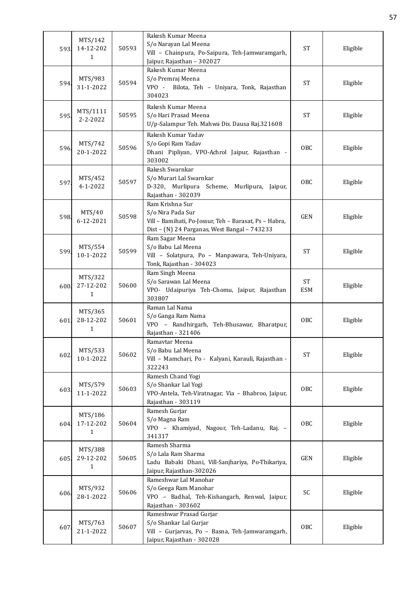| 593. | MTS/142<br>14-12-202<br>1            | 50593 | Rakesh Kumar Meena<br>S/o Narayan Lal Meena<br>Vill - Chainpura, Po-Saipura, Teh-Jamwaramgarh,<br>Jaipur, Rajasthan - 302027                   | <b>ST</b>        | Eligible |
|------|--------------------------------------|-------|------------------------------------------------------------------------------------------------------------------------------------------------|------------------|----------|
| 594. | MTS/983<br>31-1-2022                 | 50594 | Rakesh Kumar Meena<br>S/o Premraj Meena<br>Bilota, Teh - Uniyara, Tonk, Rajasthan<br>VPO -<br>304023                                           | <b>ST</b>        | Eligible |
| 595  | MTS/1111<br>$2 - 2 - 2022$           | 50595 | Rakesh Kumar Meena<br>S/o Hari Prasad Meena<br>U/p-Salampur Teh. Mahwa Dis. Dausa Raj.321608                                                   | <b>ST</b>        | Eligible |
| 596  | MTS/742<br>20-1-2022                 | 50596 | Rakesh Kumar Yadav<br>S/o Gopi Ram Yadav<br>Dhani Pipliyan, VPO-Achrol Jaipur, Rajasthan -<br>303002                                           | OBC              | Eligible |
| 597  | MTS/452<br>$4 - 1 - 2022$            | 50597 | Rakesh Swarnkar<br>S/o Murari Lal Swarnkar<br>D-320, Murlipura Scheme, Murlipura, Jaipur,<br>Rajasthan - 302039                                | <b>OBC</b>       | Eligible |
| 598  | MTS/40<br>6-12-2021                  | 50598 | Ram Krishna Sur<br>S/o Nira Pada Sur<br>Vill - Bamihati, Po-Jossur, Teh - Barasat, Ps - Habra,<br>Dist - (N) 24 Parganas, West Bangal - 743233 | <b>GEN</b>       | Eligible |
| 599. | MTS/554<br>10-1-2022                 | 50599 | Ram Sagar Meena<br>S/o Babu Lal Meena<br>Vill - Solatpura, Po - Manpawara, Teh-Uniyara,<br>Tonk, Rajasthan - 304023                            | <b>ST</b>        | Eligible |
| 600  | MTS/322<br>27-12-202<br>$\mathbf{1}$ | 50600 | Ram Singh Meena<br>S/o Sarawan Lal Meena<br>VPO- Udaipuriya Teh-Chomu, Jaipur, Rajasthan<br>303807                                             | ST<br><b>ESM</b> | Eligible |
| 601. | MTS/365<br>28-12-202<br>1            | 50601 | Raman Lal Nama<br>S/o Ganga Ram Nama<br>VPO - Randhirgarh, Teh-Bhusawar, Bharatpur,<br>Rajasthan - 321406                                      | <b>OBC</b>       | Eligible |
| 602  | MTS/533<br>10-1-2022                 | 50602 | Ramavtar Meena<br>S/o Babu Lal Meena<br>Vill - Mamchari, Po - Kalyani, Karauli, Rajasthan -<br>322243                                          | <b>ST</b>        | Eligible |
| 603  | MTS/579<br>11-1-2022                 | 50603 | Ramesh Chand Yogi<br>S/o Shankar Lal Yogi<br>VPO-Antela, Teh-Viratnagar, Via - Bhabroo, Jaipur,<br>Rajasthan - 303119                          | OBC              | Eligible |
| 604  | MTS/186<br>17-12-202<br>1            | 50604 | Ramesh Gurjar<br>S/o Magna Ram<br>VPO - Khamiyad, Nagour, Teh-Ladanu, Raj. -<br>341317                                                         | OBC              | Eligible |
| 605. | MTS/388<br>29-12-202<br>$\mathbf{1}$ | 50605 | Ramesh Sharma<br>S/o Lala Ram Sharma<br>Ladu Babaki Dhani, Vill-Sanjhariya, Po-Thikariya,<br>Jaipur, Rajasthan-302026                          | <b>GEN</b>       | Eligible |
| 606. | MTS/932<br>28-1-2022                 | 50606 | Rameshwar Lal Manohar<br>S/o Geega Ram Manohar<br>VPO - Badhal, Teh-Kishangarh, Renwal, Jaipur,<br>Rajasthan - 303602                          | SC               | Eligible |
| 607  | MTS/763<br>21-1-2022                 | 50607 | Rameshwar Prasad Gurjar<br>S/o Shankar Lal Gurjar<br>Vill - Gurjarvas, Po - Basna, Teh-Jamwaramgarh,<br>Jaipur, Rajasthan - 302028             | <b>OBC</b>       | Eligible |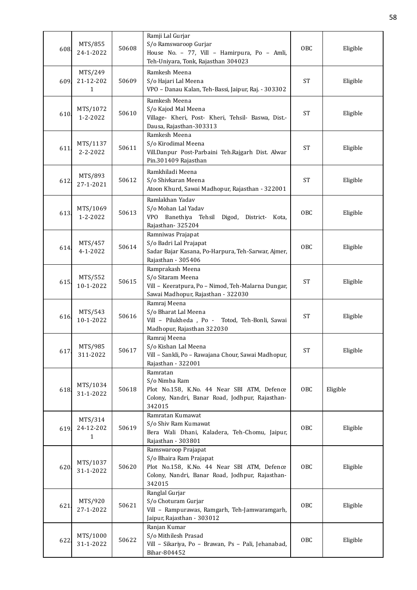| 608  | MTS/855<br>24-1-2022                 | 50608 | Ramji Lal Gurjar<br>S/o Ramswaroop Gurjar<br>House No. - 77, Vill - Hamirpura, Po - Amli,<br>Teh-Uniyara, Tonk, Rajasthan 304023                           | OBC             | Eligible |
|------|--------------------------------------|-------|------------------------------------------------------------------------------------------------------------------------------------------------------------|-----------------|----------|
| 609. | MTS/249<br>21-12-202<br>$\mathbf{1}$ | 50609 | Ramkesh Meena<br>S/o Hajari Lal Meena<br>VPO - Danau Kalan, Teh-Bassi, Jaipur, Raj. - 303302                                                               | <b>ST</b>       | Eligible |
| 610. | MTS/1072<br>1-2-2022                 | 50610 | Ramkesh Meena<br>S/o Kajod Mal Meena<br>Village- Kheri, Post- Kheri, Tehsil- Baswa, Dist.-<br>Dausa, Rajasthan-303313                                      | <b>ST</b>       | Eligible |
| 611  | MTS/1137<br>$2 - 2 - 2022$           | 50611 | Ramkesh Meena<br>S/o Kirodimal Meena<br>Vill.Danpur Post-Parbaini Teh.Rajgarh Dist. Alwar<br>Pin.301409 Rajasthan                                          | <b>ST</b>       | Eligible |
| 612. | MTS/893<br>27-1-2021                 | 50612 | Ramkhiladi Meena<br>S/o Shivkaran Meena<br>Atoon Khurd, Sawai Madhopur, Rajasthan - 322001                                                                 | <b>ST</b>       | Eligible |
| 613. | MTS/1069<br>1-2-2022                 | 50613 | Ramlakhan Yadav<br>S/o Mohan Lal Yadav<br>Banethiya Tehsil Digod, District-<br><b>VPO</b><br>Kota,<br>Rajasthan-325204                                     | 0 <sub>BC</sub> | Eligible |
| 614. | MTS/457<br>4-1-2022                  | 50614 | Ramniwas Prajapat<br>S/o Badri Lal Prajapat<br>Sadar Bajar Kasana, Po-Harpura, Teh-Sarwar, Ajmer,<br>Rajasthan - 305406                                    | OBC             | Eligible |
| 615. | MTS/552<br>10-1-2022                 | 50615 | Ramprakash Meena<br>S/o Sitaram Meena<br>Vill - Keeratpura, Po - Nimod, Teh-Malarna Dungar,<br>Sawai Madhopur, Rajasthan - 322030                          | <b>ST</b>       | Eligible |
| 616. | MTS/543<br>10-1-2022                 | 50616 | Ramraj Meena<br>S/o Bharat Lal Meena<br>Vill - Pilukheda, Po -<br>Totod, Teh-Bonli, Sawai<br>Madhopur, Rajasthan 322030                                    | <b>ST</b>       | Eligible |
| 617. | MTS/985<br>311-2022                  | 50617 | Ramraj Meena<br>S/o Kishan Lal Meena<br>Vill - Sankli, Po - Rawajana Chour, Sawai Madhopur,<br>Rajasthan - 322001                                          | <b>ST</b>       | Eligible |
| 618. | MTS/1034<br>31-1-2022                | 50618 | Ramratan<br>S/o Nimba Ram<br>Plot No.158, K.No. 44 Near SBI ATM, Defence<br>Colony, Nandri, Banar Road, Jodhpur, Rajasthan-<br>342015                      | OBC             | Eligible |
| 619. | MTS/314<br>24-12-202<br>1            | 50619 | Ramratan Kumawat<br>S/o Shiv Ram Kumawat<br>Bera Wali Dhani, Kaladera, Teh-Chomu, Jaipur,<br>Rajasthan - 303801                                            | <b>OBC</b>      | Eligible |
| 620. | MTS/1037<br>31-1-2022                | 50620 | Ramswaroop Prajapat<br>S/o Bhaira Ram Prajapat<br>Plot No.158, K.No. 44 Near SBI ATM, Defence<br>Colony, Nandri, Banar Road, Jodhpur, Rajasthan-<br>342015 | OBC             | Eligible |
| 621  | MTS/920<br>27-1-2022                 | 50621 | Ranglal Gurjar<br>S/o Choturam Gurjar<br>Vill - Rampurawas, Ramgarh, Teh-Jamwaramgarh,<br>Jaipur, Rajasthan - 303012                                       | OBC             | Eligible |
| 622  | MTS/1000<br>31-1-2022                | 50622 | Ranjan Kumar<br>S/o Mithilesh Prasad<br>Vill - Sikariya, Po - Brawan, Ps - Pali, Jehanabad,<br>Bihar-804452                                                | <b>OBC</b>      | Eligible |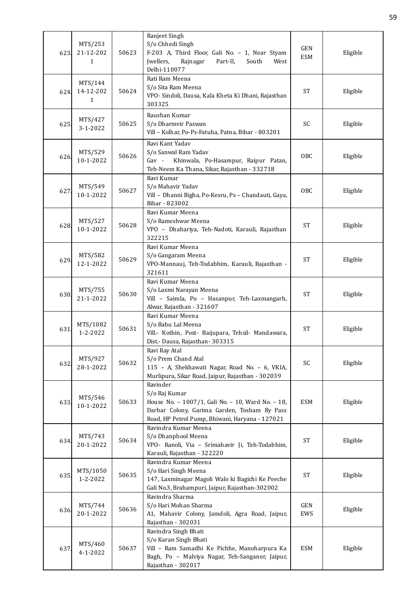| 623. | MTS/253<br>21-12-202<br>1            | 50623 | Ranjeet Singh<br>S/o Chhedi Singh<br>F-203 A, Third Floor, Gali No. - 1, Near Styam<br>Jwellers,<br>Rajnagar<br>Part-II,<br>South<br>West<br>Delhi-110077                         | <b>GEN</b><br><b>ESM</b> | Eligible |
|------|--------------------------------------|-------|-----------------------------------------------------------------------------------------------------------------------------------------------------------------------------------|--------------------------|----------|
| 624  | MTS/144<br>14-12-202<br>$\mathbf{1}$ | 50624 | Rati Ram Meena<br>S/o Sita Ram Meena<br>VPO- Sindoli, Dausa, Kala Kheta Ki Dhani, Rajasthan<br>303325                                                                             | <b>ST</b>                | Eligible |
| 625. | MTS/427<br>$3 - 1 - 2022$            | 50625 | Raushan Kumar<br>S/o Dharmvir Paswan<br>Vill - Kolhar, Po-Ps-Fatuha, Patna, Bihar - 803201                                                                                        | SC                       | Eligible |
| 626. | MTS/529<br>10-1-2022                 | 50626 | Ravi Kant Yadav<br>S/o Sanwal Ram Yadav<br>Gav - Khinwala, Po-Hasampur, Raipur Patan,<br>Teh-Neem Ka Thana, Sikar, Rajasthan - 332718                                             | OBC                      | Eligible |
| 627  | MTS/549<br>10-1-2022                 | 50627 | Ravi Kumar<br>S/o Mahavir Yadav<br>Vill - Dhanni Bigha, Po-Kesru, Ps - Chandauti, Gaya,<br>Bihar - 823002                                                                         | OBC                      | Eligible |
| 628  | MTS/527<br>10-1-2022                 | 50628 | Ravi Kumar Meena<br>S/o Rameshwar Meena<br>VPO - Dhahariya, Teh-Nadoti, Karauli, Rajasthan<br>322215                                                                              | <b>ST</b>                | Eligible |
| 629  | MTS/582<br>12-1-2022                 | 50629 | Ravi Kumar Meena<br>S/o Gangaram Meena<br>VPO-Mannauj, Teh-Todabhim, Karauli, Rajasthan -<br>321611                                                                               | <b>ST</b>                | Eligible |
| 630. | MTS/755<br>21-1-2022                 | 50630 | Ravi Kumar Meena<br>S/o Laxmi Narayan Meena<br>Vill - Saimla, Po - Hasanpur, Teh-Laxmangarh,<br>Alwar, Rajasthan - 321607                                                         | <b>ST</b>                | Eligible |
| 631  | MTS/1082<br>1-2-2022                 | 50631 | Ravi Kumar Meena<br>S/o Babu Lal Meena<br>Vill.- Kothin, Post- Baijupara, Tehsil- Mandawara,<br>Dist.- Dausa, Rajasthan- 303315                                                   | <b>ST</b>                | Eligible |
| 632  | MTS/927<br>28-1-2022                 | 50632 | Ravi Ray Atal<br>S/o Prem Chand Atal<br>115 - A, Shekhawati Nagar, Road No. - 6, VKIA,<br>Murlipura, Sikar Road, Jaipur, Rajasthan - 302039                                       | SC                       | Eligible |
| 633  | MTS/546<br>10-1-2022                 | 50633 | Ravinder<br>S/o Raj Kumar<br>House No. - 1007/1, Gali No. - 10, Ward No. - 18,<br>Darbar Colony, Garima Garden, Tosham By Pass<br>Road, HP Petrol Pump, Bhiwani, Haryana - 127021 | <b>ESM</b>               | Eligible |
| 634. | MTS/743<br>20-1-2022                 | 50634 | Ravindra Kumar Meena<br>S/o Dhanphool Meena<br>VPO- Ranoli, Via - Srimahavir Ji, Teh-Todabhim,<br>Karauli, Rajasthan - 322220                                                     | <b>ST</b>                | Eligible |
| 635. | MTS/1050<br>1-2-2022                 | 50635 | Ravindra Kumar Meena<br>S/o Hari Singh Meena<br>147, Laxminagar Magoli Walo ki Bagichi Ke Peeche<br>Gali No.3, Brahampuri, Jaipur, Rajasthan-302002                               | <b>ST</b>                | Eligible |
| 636. | MTS/744<br>20-1-2022                 | 50636 | Ravindra Sharma<br>S/o Hari Mohan Sharma<br>A1, Mahavir Colony, Jamdoli, Agra Road, Jaipur,<br>Rajasthan - 302031                                                                 | <b>GEN</b><br>EWS        | Eligible |
| 637  | MTS/460<br>4-1-2022                  | 50637 | Ravindra Singh Bhati<br>S/o Karan Singh Bhati<br>Vill - Ram Samadhi Ke Pichhe, Manoharpura Ka<br>Bagh, Po - Malviya Nagar, Teh-Sanganer, Jaipur,<br>Rajasthan - 302017            | <b>ESM</b>               | Eligible |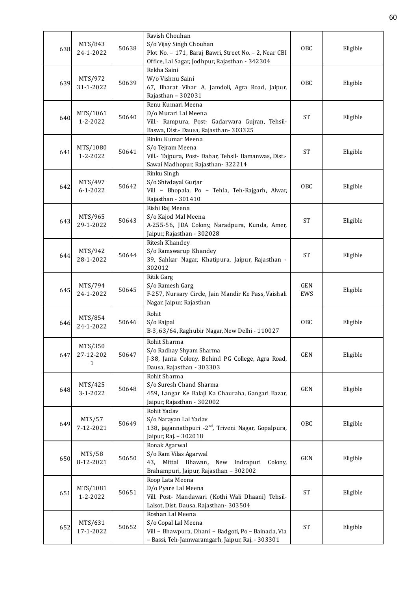| 638  | MTS/843<br>24-1-2022                 | 50638 | Ravish Chouhan<br>S/o Vijay Singh Chouhan<br>Plot No. - 171, Baraj Bawri, Street No. - 2, Near CBI<br>Office, Lal Sagar, Jodhpur, Rajasthan - 342304 | OBC               | Eligible |
|------|--------------------------------------|-------|------------------------------------------------------------------------------------------------------------------------------------------------------|-------------------|----------|
| 639  | MTS/972<br>31-1-2022                 | 50639 | Rekha Saini<br>W/o Vishnu Saini<br>67, Bharat Vihar A, Jamdoli, Agra Road, Jaipur,<br>Rajasthan - 302031                                             | OBC               | Eligible |
| 640  | MTS/1061<br>$1 - 2 - 2022$           | 50640 | Renu Kumari Meena<br>D/o Murari Lal Meena<br>Vill.- Rampura, Post- Gadarwara Gujran, Tehsil-<br>Baswa, Dist.- Dausa, Rajasthan- 303325               | <b>ST</b>         | Eligible |
| 641  | MTS/1080<br>$1 - 2 - 2022$           | 50641 | Rinku Kumar Meena<br>S/o Tejram Meena<br>Vill.- Tajpura, Post- Dabar, Tehsil- Bamanwas, Dist.-<br>Sawai Madhopur, Rajasthan-322214                   | <b>ST</b>         | Eligible |
| 642  | MTS/497<br>$6 - 1 - 2022$            | 50642 | Rinku Singh<br>S/o Shivdayal Gurjar<br>Vill - Bhopala, Po - Tehla, Teh-Rajgarh, Alwar,<br>Rajasthan - 301410                                         | OBC               | Eligible |
| 643. | MTS/965<br>29-1-2022                 | 50643 | Rishi Raj Meena<br>S/o Kajod Mal Meena<br>A-255-56, JDA Colony, Naradpura, Kunda, Amer,<br>Jaipur, Rajasthan - 302028                                | <b>ST</b>         | Eligible |
| 644. | MTS/942<br>28-1-2022                 | 50644 | Ritesh Khandey<br>S/o Ramswarup Khandey<br>39, Sahkar Nagar, Khatipura, Jaipur, Rajasthan -<br>302012                                                | <b>ST</b>         | Eligible |
| 645. | MTS/794<br>24-1-2022                 | 50645 | <b>Ritik Garg</b><br>S/o Ramesh Garg<br>F-257, Nursary Circle, Jain Mandir Ke Pass, Vaishali<br>Nagar, Jaipur, Rajasthan                             | <b>GEN</b><br>EWS | Eligible |
| 646. | MTS/854<br>24-1-2022                 | 50646 | Rohit<br>S/o Rajpal<br>B-3, 63/64, Raghubir Nagar, New Delhi - 110027                                                                                | OBC               | Eligible |
| 647  | MTS/350<br>27-12-202<br>$\mathbf{1}$ | 50647 | Rohit Sharma<br>S/o Radhay Shyam Sharma<br>J-38, Janta Colony, Behind PG College, Agra Road,<br>Dausa, Rajasthan - 303303                            | GEN               | Eligible |
| 648. | MTS/425<br>$3 - 1 - 2022$            | 50648 | Rohit Sharma<br>S/o Suresh Chand Sharma<br>459, Langar Ke Balaji Ka Chauraha, Gangari Bazar,<br>Jaipur, Rajasthan - 302002                           | GEN               | Eligible |
| 649  | MTS/57<br>7-12-2021                  | 50649 | Rohit Yadav<br>S/o Narayan Lal Yadav<br>138, jagannathpuri -2 <sup>nd</sup> , Triveni Nagar, Gopalpura,<br>Jaipur, Raj. - 302018                     | OBC               | Eligible |
| 650  | MTS/58<br>8-12-2021                  | 50650 | Ronak Agarwal<br>S/o Ram Vilas Agarwal<br>43, Mittal Bhawan,<br>New Indrapuri Colony,<br>Brahampuri, Jaipur, Rajasthan - 302002                      | GEN               | Eligible |
| 651  | MTS/1081<br>1-2-2022                 | 50651 | Roop Lata Meena<br>D/o Pyare Lal Meena<br>Vill. Post- Mandawari (Kothi Wali Dhaani) Tehsil-<br>Lalsot, Dist. Dausa, Rajasthan-303504                 | <b>ST</b>         | Eligible |
| 652  | MTS/631<br>17-1-2022                 | 50652 | Roshan Lal Meena<br>S/o Gopal Lal Meena<br>Vill - Bhawpura, Dhani - Badgoti, Po - Bainada, Via<br>- Bassi, Teh-Jamwaramgarh, Jaipur, Raj. - 303301   | $\mbox{ST}$       | Eligible |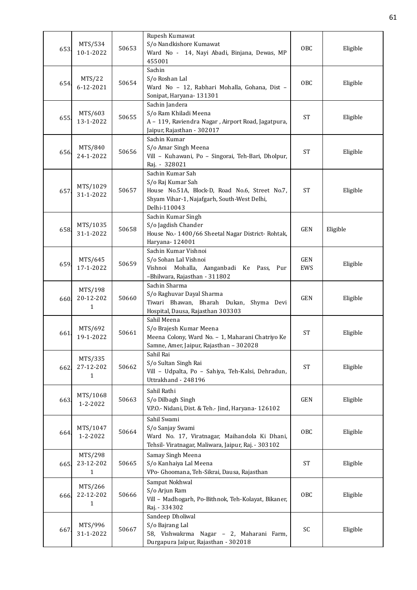| 653  | MTS/534<br>10-1-2022                 | 50653 | Rupesh Kumawat<br>S/o Nandkishore Kumawat<br>Ward No - 14, Nayi Abadi, Binjana, Dewas, MP<br>455001                                                    | OBC               | Eligible |
|------|--------------------------------------|-------|--------------------------------------------------------------------------------------------------------------------------------------------------------|-------------------|----------|
| 654. | MTS/22<br>6-12-2021                  | 50654 | Sachin<br>S/o Roshan Lal<br>Ward No - 12, Rabhari Mohalla, Gohana, Dist -<br>Sonipat, Haryana- 131301                                                  | OBC               | Eligible |
| 655  | MTS/603<br>13-1-2022                 | 50655 | Sachin Jandera<br>S/o Ram Khiladi Meena<br>A - 119, Raviendra Nagar, Airport Road, Jagatpura,<br>Jaipur, Rajasthan - 302017                            | <b>ST</b>         | Eligible |
| 656. | MTS/840<br>24-1-2022                 | 50656 | Sachin Kumar<br>S/o Amar Singh Meena<br>Vill - Kuhawani, Po - Singorai, Teh-Bari, Dholpur,<br>Raj. - 328021                                            | <b>ST</b>         | Eligible |
| 657  | MTS/1029<br>31-1-2022                | 50657 | Sachin Kumar Sah<br>S/o Raj Kumar Sah<br>House No.51A, Block-D, Road No.6, Street No.7,<br>Shyam Vihar-1, Najafgarh, South-West Delhi,<br>Delhi-110043 | <b>ST</b>         | Eligible |
| 658. | MTS/1035<br>31-1-2022                | 50658 | Sachin Kumar Singh<br>S/o Jagdish Chander<br>House No.- 1400/66 Sheetal Nagar District-Rohtak,<br>Haryana-124001                                       | <b>GEN</b>        | Eligible |
| 659. | MTS/645<br>17-1-2022                 | 50659 | Sachin Kumar Vishnoi<br>S/o Sohan Lal Vishnoi<br>Vishnoi Mohalla, Aanganbadi Ke Pass, Pur<br>-Bhilwara, Rajasthan - 311802                             | <b>GEN</b><br>EWS | Eligible |
| 660. | MTS/198<br>20-12-202<br>1            | 50660 | Sachin Sharma<br>S/o Raghuvar Dayal Sharma<br>Tiwari Bhawan, Bharah Dukan, Shyma Devi<br>Hospital, Dausa, Rajasthan 303303                             | <b>GEN</b>        | Eligible |
| 661  | MTS/692<br>19-1-2022                 | 50661 | Sahil Meena<br>S/o Brajesh Kumar Meena<br>Meena Colony, Ward No. - 1, Maharani Chatriyo Ke<br>Samne, Amer, Jaipur, Rajasthan - 302028                  | <b>ST</b>         | Eligible |
| 662. | MTS/335<br>27-12-202<br>$\mathbf{1}$ | 50662 | Sahil Rai<br>S/o Sultan Singh Rai<br>Vill - Udpalta, Po - Sahiya, Teh-Kalsi, Dehradun,<br>Uttrakhand - 248196                                          | <b>ST</b>         | Eligible |
| 663  | MTS/1068<br>1-2-2022                 | 50663 | Sahil Rathi<br>S/o Dilbagh Singh<br>V.P.O.- Nidani, Dist. & Teh.- Jind, Haryana- 126102                                                                | <b>GEN</b>        | Eligible |
| 664. | MTS/1047<br>$1 - 2 - 2022$           | 50664 | Sahil Swami<br>S/o Sanjay Swami<br>Ward No. 17, Viratnagar, Maihandola Ki Dhani,<br>Tehsil- Viratnagar, Maliwara, Jaipur, Raj. - 303102                | OBC               | Eligible |
| 665. | MTS/298<br>23-12-202<br>1            | 50665 | Samay Singh Meena<br>S/o Kanhaiya Lal Meena<br>VPo- Ghoomana, Teh-Sikrai, Dausa, Rajasthan                                                             | <b>ST</b>         | Eligible |
| 666  | MTS/266<br>22-12-202<br>1            | 50666 | Sampat Nokhwal<br>S/o Arjun Ram<br>Vill - Madhogarh, Po-Bithnok, Teh-Kolayat, Bikaner,<br>Raj. - 334302                                                | OBC               | Eligible |
| 667  | MTS/996<br>31-1-2022                 | 50667 | Sandeep Dholiwal<br>S/o Bajrang Lal<br>58, Vishwakrma Nagar - 2, Maharani Farm,<br>Durgapura Jaipur, Rajasthan - 302018                                | SC                | Eligible |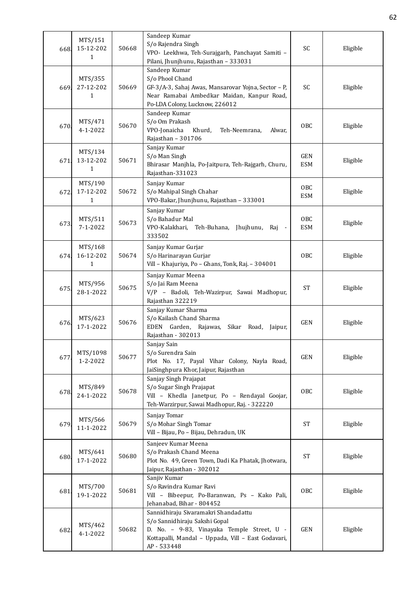| 668. | MTS/151<br>15-12-202<br>1            | 50668 | Sandeep Kumar<br>S/o Rajendra Singh<br>VPO- Leekhwa, Teh-Surajgarh, Panchayat Samiti -<br>Pilani, Jhunjhunu, Rajasthan - 333031                                                        | SC                            | Eligible |
|------|--------------------------------------|-------|----------------------------------------------------------------------------------------------------------------------------------------------------------------------------------------|-------------------------------|----------|
| 669. | MTS/355<br>27-12-202<br>1            | 50669 | Sandeep Kumar<br>S/o Phool Chand<br>GF-3/A-3, Sahaj Awas, Mansarovar Yojna, Sector - P,<br>Near Ramabai Ambedkar Maidan, Kanpur Road,<br>Po-LDA Colony, Lucknow, 226012                | SC                            | Eligible |
| 670  | MTS/471<br>4-1-2022                  | 50670 | Sandeep Kumar<br>S/o Om Prakash<br>VPO-Jonaicha<br>Khurd,<br>Teh-Neemrana,<br>Alwar,<br>Rajasthan - 301706                                                                             | <b>OBC</b>                    | Eligible |
| 671. | MTS/134<br>13-12-202<br>$\mathbf{1}$ | 50671 | Sanjay Kumar<br>S/o Man Singh<br>Bhirasar Manjhla, Po-Jaitpura, Teh-Rajgarh, Churu,<br>Rajasthan-331023                                                                                | GEN<br><b>ESM</b>             | Eligible |
| 672. | MTS/190<br>17-12-202<br>1            | 50672 | Sanjay Kumar<br>S/o Mahipal Singh Chahar<br>VPO-Bakar, Jhunjhunu, Rajasthan - 333001                                                                                                   | 0 <sub>BC</sub><br><b>ESM</b> | Eligible |
| 673. | MTS/511<br>$7 - 1 - 2022$            | 50673 | Sanjay Kumar<br>S/o Bahadur Mal<br>VPO-Kalakhari,<br>Teh-Buhana, Jhujhunu, Raj<br>$\blacksquare$<br>333502                                                                             | OBC<br><b>ESM</b>             | Eligible |
| 674. | MTS/168<br>16-12-202<br>1            | 50674 | Sanjay Kumar Gurjar<br>S/o Harinarayan Gurjar<br>Vill - Khajuriya, Po - Ghans, Tonk, Raj. - 304001                                                                                     | OBC                           | Eligible |
| 675. | MTS/956<br>28-1-2022                 | 50675 | Sanjay Kumar Meena<br>S/o Jai Ram Meena<br>V/P - Badoli, Teh-Wazirpur, Sawai Madhopur,<br>Rajasthan 322219                                                                             | <b>ST</b>                     | Eligible |
| 676. | MTS/623<br>17-1-2022                 | 50676 | Sanjay Kumar Sharma<br>S/o Kailash Chand Sharma<br>EDEN<br>Garden, Rajawas,<br>Sikar<br>Road,<br>Jaipur,<br>Rajasthan - 302013                                                         | <b>GEN</b>                    | Eligible |
| 677  | MTS/1098<br>1-2-2022                 | 50677 | Sanjay Sain<br>S/o Surendra Sain<br>Plot No. 17, Payal Vihar Colony, Nayla Road,<br>JaiSinghpura Khor, Jaipur, Rajasthan                                                               | <b>GEN</b>                    | Eligible |
| 678. | MTS/849<br>24-1-2022                 | 50678 | Sanjay Singh Prajapat<br>S/o Sugar Singh Prajapat<br>Vill - Khedla Janetpur, Po - Rendayal Goojar,<br>Teh-Warzirpur, Sawai Madhopur, Raj. - 322220                                     | <b>OBC</b>                    | Eligible |
| 679. | MTS/566<br>11-1-2022                 | 50679 | Sanjay Tomar<br>S/o Mohar Singh Tomar<br>Vill - Bijau, Po - Bijau, Dehradun, UK                                                                                                        | <b>ST</b>                     | Eligible |
| 680  | MTS/641<br>17-1-2022                 | 50680 | Sanjeev Kumar Meena<br>S/o Prakash Chand Meena<br>Plot No. 49, Green Town, Dadi Ka Phatak, Jhotwara,<br>Jaipur, Rajasthan - 302012                                                     | ST                            | Eligible |
| 681  | MTS/700<br>19-1-2022                 | 50681 | Sanjiv Kumar<br>S/o Ravindra Kumar Ravi<br>Vill - Bibeepur, Po-Baranwan, Ps - Kako Pali,<br>Jehanabad, Bihar - 804452                                                                  | OBC                           | Eligible |
| 682  | MTS/462<br>4-1-2022                  | 50682 | Sannidhiraju Sivaramakri Shandadattu<br>S/o Sannidhiraju Sakshi Gopal<br>D. No. - 9-83, Vinayaka Temple Street, U -<br>Kottapalli, Mandal - Uppada, Vill - East Godavari,<br>AP-533448 | GEN                           | Eligible |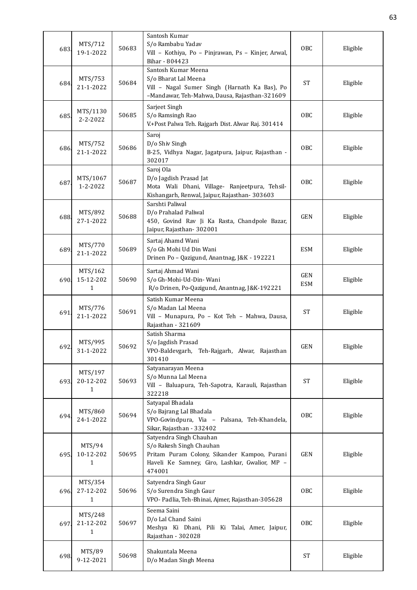| 683  | MTS/712<br>19-1-2022                 | 50683 | Santosh Kumar<br>S/o Rambabu Yadav<br>Vill - Kothiya, Po - Pinjrawan, Ps - Kinjer, Arwal,<br>Bihar - 804423                                                     | <b>OBC</b>               | Eligible |
|------|--------------------------------------|-------|-----------------------------------------------------------------------------------------------------------------------------------------------------------------|--------------------------|----------|
| 684. | MTS/753<br>21-1-2022                 | 50684 | Santosh Kumar Meena<br>S/o Bharat Lal Meena<br>Vill - Nagal Sumer Singh (Harnath Ka Bas), Po<br>-Mandawar, Teh-Mahwa, Dausa, Rajasthan-321609                   | <b>ST</b>                | Eligible |
| 685. | MTS/1130<br>$2 - 2 - 2022$           | 50685 | Sarjeet Singh<br>S/o Ramsingh Rao<br>V.+Post Palwa Teh. Rajgarh Dist. Alwar Raj. 301414                                                                         | OBC                      | Eligible |
| 686. | MTS/752<br>21-1-2022                 | 50686 | Saroj<br>D/o Shiv Singh<br>B-25, Vidhya Nagar, Jagatpura, Jaipur, Rajasthan -<br>302017                                                                         | <b>OBC</b>               | Eligible |
| 687  | MTS/1067<br>1-2-2022                 | 50687 | Saroj Ola<br>D/o Jagdish Prasad Jat<br>Mota Wali Dhani, Village- Ranjeetpura, Tehsil-<br>Kishangarh, Renwal, Jaipur, Rajasthan- 303603                          | <b>OBC</b>               | Eligible |
| 688. | MTS/892<br>27-1-2022                 | 50688 | Sarshti Paliwal<br>D/o Prahalad Paliwal<br>450, Govind Rav Ji Ka Rasta, Chandpole Bazar,<br>Jaipur, Rajasthan-302001                                            | <b>GEN</b>               | Eligible |
| 689  | MTS/770<br>21-1-2022                 | 50689 | Sartaj Ahamd Wani<br>S/o Gh Mohi Ud Din Wani<br>Drinen Po - Qazigund, Anantnag, J&K - 192221                                                                    | <b>ESM</b>               | Eligible |
| 690. | MTS/162<br>15-12-202<br>1            | 50690 | Sartaj Ahmad Wani<br>S/o Gh-Mohi-Ud-Din- Wani<br>R/o Drinen, Po-Qazigund, Anantnag, J&K-192221                                                                  | <b>GEN</b><br><b>ESM</b> | Eligible |
| 691. | MTS/776<br>21-1-2022                 | 50691 | Satish Kumar Meena<br>S/o Madan Lal Meena<br>Vill - Munapura, Po - Kot Teh - Mahwa, Dausa,<br>Rajasthan - 321609                                                | <b>ST</b>                | Eligible |
| 692. | MTS/995<br>31-1-2022                 | 50692 | Satish Sharma<br>S/o Jagdish Prasad<br>VPO-Baldevgarh, Teh-Rajgarh, Alwar, Rajasthan<br>301410                                                                  | <b>GEN</b>               | Eligible |
| 693. | MTS/197<br>20-12-202<br>1            | 50693 | Satyanarayan Meena<br>S/o Munna Lal Meena<br>Vill - Baluapura, Teh-Sapotra, Karauli, Rajasthan<br>322218                                                        | <b>ST</b>                | Eligible |
| 694. | MTS/860<br>24-1-2022                 | 50694 | Satyapal Bhadala<br>S/o Bajrang Lal Bhadala<br>VPO-Govindpura, Via - Palsana, Teh-Khandela,<br>Sikar, Rajasthan - 332402                                        | OBC                      | Eligible |
| 695. | MTS/94<br>10-12-202<br>$\mathbf{1}$  | 50695 | Satyendra Singh Chauhan<br>S/o Rakesh Singh Chauhan<br>Pritam Puram Colony, Sikander Kampoo, Purani<br>Haveli Ke Samney, Giro, Lashkar, Gwalior, MP -<br>474001 | GEN                      | Eligible |
| 696. | MTS/354<br>27-12-202<br>$\mathbf{1}$ | 50696 | Satyendra Singh Gaur<br>S/o Surendra Singh Gaur<br>VPO- Padlia, Teh-Bhinai, Ajmer, Rajasthan-305628                                                             | OBC                      | Eligible |
| 697. | MTS/248<br>21-12-202<br>1            | 50697 | Seema Saini<br>D/o Lal Chand Saini<br>Meshya Ki Dhani, Pili Ki Talai, Amer, Jaipur,<br>Rajasthan - 302028                                                       | OBC                      | Eligible |
| 698. | MTS/89<br>9-12-2021                  | 50698 | Shakuntala Meena<br>D/o Madan Singh Meena                                                                                                                       | <b>ST</b>                | Eligible |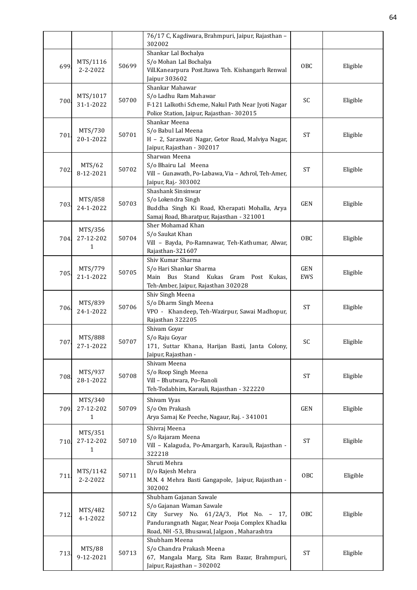|      |                      |       | 76/17 C, Kagdiwara, Brahmpuri, Jaipur, Rajasthan -                         |                     |          |
|------|----------------------|-------|----------------------------------------------------------------------------|---------------------|----------|
|      |                      |       | 302002<br>Shankar Lal Bochalya                                             |                     |          |
|      | MTS/1116             |       | S/o Mohan Lal Bochalya                                                     |                     |          |
| 699. | $2 - 2 - 2022$       | 50699 | Vill.Kanearpura Post.Itawa Teh. Kishangarh Renwal                          | <b>OBC</b>          | Eligible |
|      |                      |       | Jaipur 303602                                                              |                     |          |
|      |                      |       | Shankar Mahawar                                                            |                     |          |
|      | MTS/1017             | 50700 | S/o Ladhu Ram Mahawar                                                      | SC                  |          |
| 700. | 31-1-2022            |       | F-121 Lalkothi Scheme, Nakul Path Near Jyoti Nagar                         |                     | Eligible |
|      |                      |       | Police Station, Jaipur, Rajasthan-302015                                   |                     |          |
|      |                      |       | Shankar Meena                                                              |                     |          |
| 701. | MTS/730              | 50701 | S/o Babul Lal Meena                                                        | <b>ST</b>           | Eligible |
|      | 20-1-2022            |       | H - 2, Saraswati Nagar, Getor Road, Malviya Nagar,                         |                     |          |
|      |                      |       | Jaipur, Rajasthan - 302017                                                 |                     |          |
|      |                      |       | Sharwan Meena                                                              |                     |          |
| 702. | MTS/62               | 50702 | S/o Bhairu Lal Meena                                                       | <b>ST</b>           | Eligible |
|      | 8-12-2021            |       | Vill - Gunawath, Po-Labawa, Via - Achrol, Teh-Amer,                        |                     |          |
|      |                      |       | Jaipur, Raj. - 303002<br>Shashank Sinsinwar                                |                     |          |
|      | MTS/858              |       | S/o Lokendra Singh                                                         |                     |          |
| 703  | 24-1-2022            | 50703 | Buddha Singh Ki Road, Kherapati Mohalla, Arya                              | <b>GEN</b>          | Eligible |
|      |                      |       | Samaj Road, Bharatpur, Rajasthan - 321001                                  |                     |          |
|      |                      |       | Sher Mohamad Khan                                                          |                     |          |
|      | MTS/356              |       | S/o Saukat Khan                                                            |                     |          |
| 704. | 27-12-202            | 50704 | Vill - Bayda, Po-Ramnawar, Teh-Kathumar, Alwar,                            | <b>OBC</b>          | Eligible |
|      | 1                    |       | Rajasthan-321607                                                           |                     |          |
|      |                      |       | Shiv Kumar Sharma                                                          |                     |          |
|      | MTS/779              | 50705 | S/o Hari Shankar Sharma                                                    | GEN                 | Eligible |
| 705. | 21-1-2022            |       | Main Bus Stand Kukas Gram Post Kukas,                                      | EWS                 |          |
|      |                      |       | Teh-Amber, Jaipur, Rajasthan 302028                                        |                     |          |
|      |                      |       | Shiv Singh Meena                                                           |                     |          |
| 706. | MTS/839              | 50706 | S/o Dharm Singh Meena                                                      | <b>ST</b>           | Eligible |
|      | 24-1-2022            |       | VPO - Khandeep, Teh-Wazirpur, Sawai Madhopur,                              |                     |          |
|      |                      |       | Rajasthan 322205                                                           |                     |          |
|      |                      |       | Shivam Goyar                                                               |                     |          |
| 707. | MTS/888<br>27-1-2022 | 50707 | S/o Raju Goyar<br>171, Suttar Khana, Harijan Basti, Janta Colony,          | SC                  | Eligible |
|      |                      |       | Jaipur, Rajasthan -                                                        |                     |          |
|      |                      |       | Shivam Meena                                                               |                     |          |
|      | MTS/937              |       | S/o Roop Singh Meena                                                       |                     |          |
| 708  | 28-1-2022            | 50708 | Vill - Bhutwara, Po-Ranoli                                                 | <b>ST</b>           | Eligible |
|      |                      |       | Teh-Todabhim, Karauli, Rajasthan - 322220                                  |                     |          |
|      | MTS/340              |       | Shivam Vyas                                                                |                     |          |
| 709. | 27-12-202            | 50709 | S/o Om Prakash                                                             | <b>GEN</b>          | Eligible |
|      | $\mathbf{1}$         |       | Arya Samaj Ke Peeche, Nagaur, Raj. - 341001                                |                     |          |
|      |                      |       | Shivraj Meena                                                              |                     |          |
|      | MTS/351              |       | S/o Rajaram Meena                                                          |                     |          |
| 710. | 27-12-202            | 50710 | Vill - Kalaguda, Po-Amargarh, Karauli, Rajasthan -                         | <b>ST</b>           | Eligible |
|      | $\mathbf{1}$         |       | 322218                                                                     |                     |          |
|      |                      |       | Shruti Mehra                                                               |                     |          |
|      | MTS/1142             |       | D/o Rajesh Mehra                                                           |                     |          |
| 711. | 2-2-2022             | 50711 | M.N. 4 Mehra Basti Gangapole, Jaipur, Rajasthan -                          | OBC                 | Eligible |
|      |                      |       | 302002                                                                     |                     |          |
|      |                      |       | Shubham Gajanan Sawale                                                     |                     |          |
|      | MTS/482              |       | S/o Gajanan Waman Sawale                                                   |                     |          |
| 712. | 4-1-2022             | 50712 | City Survey No. 61/2A/3, Plot No. - 17,                                    | OBC                 | Eligible |
|      |                      |       | Pandurangnath Nagar, Near Pooja Complex Khadka                             |                     |          |
|      |                      |       | Road, NH -53, Bhusawal, Jalgaon, Maharashtra                               |                     |          |
|      |                      |       | Shubham Meena                                                              |                     |          |
| 713. | MTS/88<br>9-12-2021  | 50713 | S/o Chandra Prakash Meena                                                  | $\operatorname{ST}$ | Eligible |
|      |                      |       | 67, Mangala Marg, Sita Ram Bazar, Brahmpuri,<br>Jaipur, Rajasthan - 302002 |                     |          |
|      |                      |       |                                                                            |                     |          |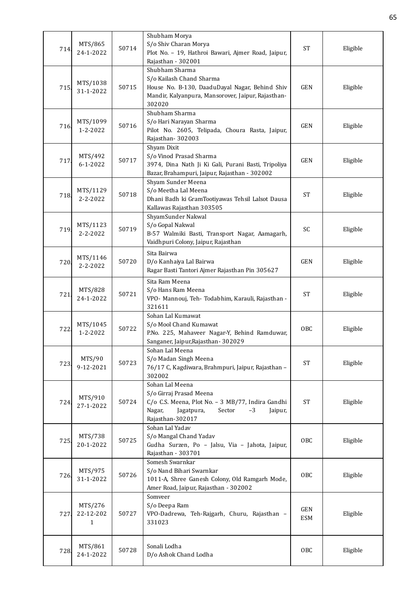| 714. | MTS/865<br>24-1-2022                 | 50714 | Shubham Morya<br>S/o Shiv Charan Morya<br>Plot No. - 19, Hathroi Bawari, Ajmer Road, Jaipur,<br>Rajasthan - 302001                                                       | <b>ST</b>         | Eligible |
|------|--------------------------------------|-------|--------------------------------------------------------------------------------------------------------------------------------------------------------------------------|-------------------|----------|
| 715. | MTS/1038<br>31-1-2022                | 50715 | Shubham Sharma<br>S/o Kailash Chand Sharma<br>House No. B-130, DaaduDayal Nagar, Behind Shiv<br>Mandir, Kalyanpura, Mansorover, Jaipur, Rajasthan-<br>302020             | <b>GEN</b>        | Eligible |
| 716  | MTS/1099<br>1-2-2022                 | 50716 | Shubham Sharma<br>S/o Hari Narayan Sharma<br>Pilot No. 2605, Telipada, Choura Rasta, Jaipur,<br>Rajasthan-302003                                                         | <b>GEN</b>        | Eligible |
| 717  | MTS/492<br>$6 - 1 - 2022$            | 50717 | Shyam Dixit<br>S/o Vinod Prasad Sharma<br>3974, Dina Nath Ji Ki Gali, Purani Basti, Tripoliya<br>Bazar, Brahampuri, Jaipur, Rajasthan - 302002                           | <b>GEN</b>        | Eligible |
| 718  | MTS/1129<br>$2 - 2 - 2022$           | 50718 | Shyam Sunder Meena<br>S/o Meetha Lal Meena<br>Dhani Badh ki GramTootiyawas Tehsil Lalsot Dausa<br>Kallawas Rajasthan 303505                                              | <b>ST</b>         | Eligible |
| 719. | MTS/1123<br>$2 - 2 - 2022$           | 50719 | ShyamSunder Nakwal<br>S/o Gopal Nakwal<br>B-57 Walmiki Basti, Transport Nagar, Aamagarh,<br>Vaidhpuri Colony, Jaipur, Rajasthan                                          | SC                | Eligible |
| 720. | MTS/1146<br>$2 - 2 - 2022$           | 50720 | Sita Bairwa<br>D/o Kanhaiya Lal Bairwa<br>Ragar Basti Tantori Ajmer Rajasthan Pin 305627                                                                                 | <b>GEN</b>        | Eligible |
| 721  | MTS/828<br>24-1-2022                 | 50721 | Sita Ram Meena<br>S/o Hans Ram Meena<br>VPO- Mannouj, Teh- Todabhim, Karauli, Rajasthan -<br>321611                                                                      | <b>ST</b>         | Eligible |
| 722  | MTS/1045<br>$1 - 2 - 2022$           | 50722 | Sohan Lal Kumawat<br>S/o Mool Chand Kumawat<br>P.No. 225, Mahaveer Nagar-Y, Behind Ramduwar,<br>Sanganer, Jaipur, Rajasthan - 302029                                     | <b>OBC</b>        | Eligible |
| 723  | MTS/90<br>9-12-2021                  | 50723 | Sohan Lal Meena<br>S/o Madan Singh Meena<br>76/17 C, Kagdiwara, Brahmpuri, Jaipur, Rajasthan -<br>302002                                                                 | <b>ST</b>         | Eligible |
| 724  | MTS/910<br>27-1-2022                 | 50724 | Sohan Lal Meena<br>S/o Girraj Prasad Meena<br>C/o C.S. Meena, Plot No. - 3 MB/77, Indira Gandhi<br>Nagar,<br>Jagatpura,<br>Sector<br>$-3$<br>Jaipur,<br>Rajasthan-302017 | <b>ST</b>         | Eligible |
| 725  | MTS/738<br>20-1-2022                 | 50725 | Sohan Lal Yadav<br>S/o Mangal Chand Yadav<br>Gudha Surzen, Po - Jalsu, Via - Jahota, Jaipur,<br>Rajasthan - 303701                                                       | OBC               | Eligible |
| 726. | MTS/975<br>31-1-2022                 | 50726 | Somesh Swarnkar<br>S/o Nand Bihari Swarnkar<br>1011-A, Shree Ganesh Colony, Old Ramgarh Mode,<br>Amer Road, Jaipur, Rajasthan - 302002                                   | <b>OBC</b>        | Eligible |
| 727. | MTS/276<br>22-12-202<br>$\mathbf{1}$ | 50727 | Somveer<br>S/o Deepa Ram<br>VPO-Dadrewa, Teh-Rajgarh, Churu, Rajasthan -<br>331023                                                                                       | GEN<br><b>ESM</b> | Eligible |
| 728. | MTS/861<br>24-1-2022                 | 50728 | Sonali Lodha<br>D/o Ashok Chand Lodha                                                                                                                                    | OBC               | Eligible |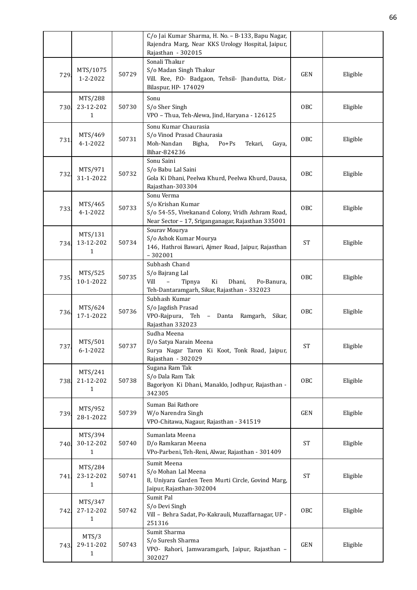|      |                                      |       | C/o Jai Kumar Sharma, H. No. - B-133, Bapu Nagar,<br>Rajendra Marg, Near KKS Urology Hospital, Jaipur,<br>Rajasthan - 302015                      |            |          |
|------|--------------------------------------|-------|---------------------------------------------------------------------------------------------------------------------------------------------------|------------|----------|
| 729. | MTS/1075<br>1-2-2022                 | 50729 | Sonali Thakur<br>S/o Madan Singh Thakur<br>Vill. Ree, P.O- Badgaon, Tehsil- Jhandutta, Dist.-<br>Bilaspur, HP- 174029                             | <b>GEN</b> | Eligible |
| 730. | MTS/288<br>23-12-202<br>1            | 50730 | Sonu<br>S/o Sher Singh<br>VPO - Thua, Teh-Alewa, Jind, Haryana - 126125                                                                           | OBC        | Eligible |
| 731  | MTS/469<br>$4 - 1 - 2022$            | 50731 | Sonu Kumar Chaurasia<br>S/o Vinod Prasad Chaurasia<br>Moh-Nandan<br>Bigha,<br>$Po + Ps$<br>Tekari,<br>Gaya,<br>Bihar-824236                       | OBC        | Eligible |
| 732  | MTS/971<br>31-1-2022                 | 50732 | Sonu Saini<br>S/o Babu Lal Saini<br>Gola Ki Dhani, Peelwa Khurd, Peelwa Khurd, Dausa,<br>Rajasthan-303304                                         | <b>OBC</b> | Eligible |
| 733  | MTS/465<br>4-1-2022                  | 50733 | Sonu Verma<br>S/o Krishan Kumar<br>S/o 54-55, Vivekanand Colony, Vridh Ashram Road,<br>Near Sector - 17, Sriganganagar, Rajasthan 335001          | <b>OBC</b> | Eligible |
| 734. | MTS/131<br>13-12-202<br>1            | 50734 | Sourav Mourya<br>S/o Ashok Kumar Mourya<br>146, Hathroi Bawari, Ajmer Road, Jaipur, Rajasthan<br>$-302001$                                        | <b>ST</b>  | Eligible |
| 735  | MTS/525<br>10-1-2022                 | 50735 | Subhash Chand<br>S/o Bajrang Lal<br>Vill<br>$\overline{a}$<br>Tipnya<br>Ki<br>Dhani,<br>Po-Banura,<br>Teh-Dantaramgarh, Sikar, Rajasthan - 332023 | <b>OBC</b> | Eligible |
| 736. | MTS/624<br>17-1-2022                 | 50736 | Subhash Kumar<br>S/o Jagdish Prasad<br>VPO-Rajpura, Teh - Danta Ramgarh,<br>Sikar,<br>Rajasthan 332023                                            | <b>OBC</b> | Eligible |
| 737  | MTS/501<br>$6 - 1 - 2022$            | 50737 | Sudha Meena<br>D/o Satya Narain Meena<br>Surya Nagar Taron Ki Koot, Tonk Road, Jaipur,<br>Rajasthan - 302029                                      | <b>ST</b>  | Eligible |
| 738. | MTS/241<br>21-12-202<br>1            | 50738 | Sugana Ram Tak<br>S/o Dala Ram Tak<br>Bagoriyon Ki Dhani, Manaklo, Jodhpur, Rajasthan -<br>342305                                                 | OBC        | Eligible |
| 739. | MTS/952<br>28-1-2022                 | 50739 | Suman Bai Rathore<br>W/o Narendra Singh<br>VPO-Chitawa, Nagaur, Rajasthan - 341519                                                                | <b>GEN</b> | Eligible |
| 740. | MTS/394<br>30-12-202<br>1            | 50740 | Sumanlata Meena<br>D/o Ramkaran Meena<br>VPo-Parbeni, Teh-Reni, Alwar, Rajasthan - 301409                                                         | ST         | Eligible |
| 741. | MTS/284<br>23-12-202<br>$\mathbf{1}$ | 50741 | Sumit Meena<br>S/o Mohan Lal Meena<br>8, Uniyara Garden Teen Murti Circle, Govind Marg,<br>Jaipur, Rajasthan-302004                               | <b>ST</b>  | Eligible |
| 742. | MTS/347<br>27-12-202<br>1            | 50742 | Sumit Pal<br>S/o Devi Singh<br>Vill - Behra Sadat, Po-Kakrauli, Muzaffarnagar, UP -<br>251316                                                     | OBC        | Eligible |
| 743  | MTS/3<br>29-11-202<br>1              | 50743 | Sumit Sharma<br>S/o Suresh Sharma<br>VPO- Rahori, Jamwaramgarh, Jaipur, Rajasthan -<br>302027                                                     | <b>GEN</b> | Eligible |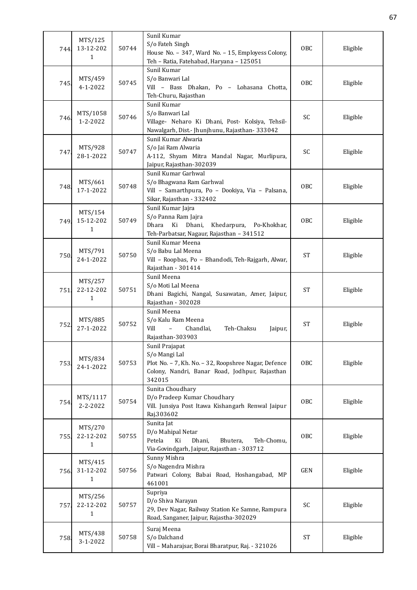| 744. | MTS/125<br>13-12-202<br>1 | 50744 | Sunil Kumar<br>S/o Fateh Singh<br>House No. - 347, Ward No. - 15, Employess Colony,<br>Teh - Ratia, Fatehabad, Haryana - 125051                     | OBC        | Eligible |
|------|---------------------------|-------|-----------------------------------------------------------------------------------------------------------------------------------------------------|------------|----------|
| 745  | MTS/459<br>$4 - 1 - 2022$ | 50745 | Sunil Kumar<br>S/o Banwari Lal<br>Vill - Bass Dhakan, Po - Lohasana Chotta,<br>Teh-Churu, Rajasthan                                                 | OBC        | Eligible |
| 746. | MTS/1058<br>1-2-2022      | 50746 | Sunil Kumar<br>S/o Banwari Lal<br>Village- Neharo Ki Dhani, Post- Kolsiya, Tehsil-<br>Nawalgarh, Dist.- Jhunjhunu, Rajasthan-333042                 | SC         | Eligible |
| 747  | MTS/928<br>28-1-2022      | 50747 | Sunil Kumar Alwaria<br>S/o Jai Ram Alwaria<br>A-112, Shyam Mitra Mandal Nagar, Murlipura,<br>Jaipur, Rajasthan-302039                               | SC         | Eligible |
| 748. | MTS/661<br>17-1-2022      | 50748 | Sunil Kumar Garhwal<br>S/o Bhagwana Ram Garhwal<br>Vill - Samarthpura, Po - Dookiya, Via - Palsana,<br>Sikar, Rajasthan - 332402                    | OBC        | Eligible |
| 749. | MTS/154<br>15-12-202<br>1 | 50749 | Sunil Kumar Jajra<br>S/o Panna Ram Jajra<br>Khedarpura, Po-Khokhar,<br>Dhara<br>Ki<br>Dhani,<br>Teh-Parbatsar, Nagaur, Rajasthan - 341512           | OBC        | Eligible |
| 750  | MTS/791<br>24-1-2022      | 50750 | Sunil Kumar Meena<br>S/o Babu Lal Meena<br>Vill - Roopbas, Po - Bhandodi, Teh-Rajgarh, Alwar,<br>Rajasthan - 301414                                 | <b>ST</b>  | Eligible |
| 751. | MTS/257<br>22-12-202<br>1 | 50751 | Sunil Meena<br>S/o Moti Lal Meena<br>Dhani Bagichi, Nangal, Susawatan, Amer, Jaipur,<br>Rajasthan - 302028                                          | <b>ST</b>  | Eligible |
| 752  | MTS/885<br>27-1-2022      | 50752 | Sunil Meena<br>S/o Kalu Ram Meena<br>Vill<br>Teh-Chaksu<br>$\overline{\phantom{a}}$<br>Chandlai,<br>Jaipur,<br>Rajasthan-303903                     | <b>ST</b>  | Eligible |
| 753  | MTS/834<br>24-1-2022      | 50753 | Sunil Prajapat<br>S/o Mangi Lal<br>Plot No. - 7, Kh. No. - 32, Roopshree Nagar, Defence<br>Colony, Nandri, Banar Road, Jodhpur, Rajasthan<br>342015 | OBC        | Eligible |
| 754  | MTS/1117<br>2-2-2022      | 50754 | Sunita Choudhary<br>D/o Pradeep Kumar Choudhary<br>Vill. Junsiya Post Itawa Kishangarh Renwal Jaipur<br>Raj.303602                                  | <b>OBC</b> | Eligible |
| 755. | MTS/270<br>22-12-202<br>1 | 50755 | Sunita Jat<br>D/o Mahipal Netar<br>Petela<br>Ki<br>Dhani,<br>Bhutera,<br>Teh-Chomu,<br>Via-Govindgarh, Jaipur, Rajasthan - 303712                   | OBC        | Eligible |
| 756  | MTS/415<br>31-12-202<br>1 | 50756 | Sunny Mishra<br>S/o Nagendra Mishra<br>Patwari Colony, Babai Road, Hoshangabad, MP<br>461001                                                        | <b>GEN</b> | Eligible |
| 757. | MTS/256<br>22-12-202<br>1 | 50757 | Supriya<br>D/o Shiva Narayan<br>29, Dev Nagar, Railway Station Ke Samne, Rampura<br>Road, Sanganer, Jaipur, Rajastha-302029                         | SC         | Eligible |
| 758. | MTS/438<br>3-1-2022       | 50758 | Suraj Meena<br>S/o Dalchand<br>Vill - Maharajsar, Borai Bharatpur, Raj. - 321026                                                                    | <b>ST</b>  | Eligible |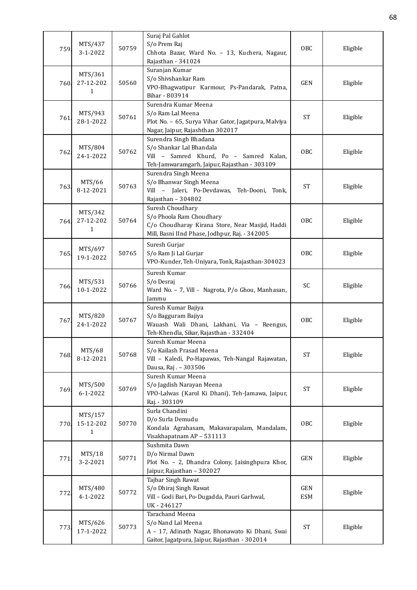| 759  | MTS/437<br>3-1-2022       | 50759 | Suraj Pal Gahlot<br>S/o Prem Raj<br>Chhota Bazar, Ward No. - 13, Kuchera, Nagaur,<br>Rajasthan - 341024                                           | OBC                 | Eligible |
|------|---------------------------|-------|---------------------------------------------------------------------------------------------------------------------------------------------------|---------------------|----------|
| 760. | MTS/361<br>27-12-202<br>1 | 50560 | Suranjan Kumar<br>S/o Shivshankar Ram<br>VPO-Bhagwatipur Karmour, Ps-Pandarak, Patna,<br>Bihar - 803914                                           | <b>GEN</b>          | Eligible |
| 761  | MTS/943<br>28-1-2022      | 50761 | Surendra Kumar Meena<br>S/o Ram Lal Meena<br>Plot No. - 65, Surya Vihar Gator, Jagatpura, Malviya<br>Nagar, Jaipur, Rajashthan 302017             | <b>ST</b>           | Eligible |
| 762  | MTS/804<br>24-1-2022      | 50762 | Surendra Singh Bhadana<br>S/o Shankar Lal Bhandala<br>Vill - Samred Khurd, Po - Samred Kalan,<br>Teh-Jamwaramgarh, Jaipur, Rajasthan - 303109     | OBC                 | Eligible |
| 763  | MTS/66<br>8-12-2021       | 50763 | Surendra Singh Meena<br>S/o Bhanwar Singh Meena<br>Vill - Jaleri, Po-Devdawas, Teh-Dooni,<br>Tonk,<br>Rajasthan - 304802                          | <b>ST</b>           | Eligible |
| 764. | MTS/342<br>27-12-202<br>1 | 50764 | Suresh Choudhary<br>S/o Phoola Ram Choudhary<br>C/o Choudharay Kirana Store, Near Masjid, Haddi<br>Mill, Basni IInd Phase, Jodhpur, Raj. - 342005 | OBC                 | Eligible |
| 765. | MTS/697<br>19-1-2022      | 50765 | Suresh Gurjar<br>S/o Ram Ji Lal Gurjar<br>VPO-Kunder, Teh-Uniyara, Tonk, Rajasthan-304023                                                         | OBC                 | Eligible |
| 766. | MTS/531<br>10-1-2022      | 50766 | Suresh Kumar<br>S/o Desraj<br>Ward No. - 7, Vill - Nagrota, P/o Ghou, Manhasan,<br>Jammu                                                          | SC                  | Eligible |
| 767  | MTS/820<br>24-1-2022      | 50767 | Suresh Kumar Bajiya<br>S/o Bagguram Bajiya<br>Wauash Wali Dhani, Lakhani, Via - Reengus,<br>Teh-Khendla, Sikar, Rajasthan - 332404                | OBC                 | Eligible |
| 768  | MTS/68<br>8-12-2021       | 50768 | Suresh Kumar Meena<br>S/o Kailash Prasad Meena<br>Vill - Kaledi, Po-Hapawas, Teh-Nangal Rajawatan,<br>Dausa, Raj. - 303506                        | <b>ST</b>           | Eligible |
| 769  | MTS/500<br>$6 - 1 - 2022$ | 50769 | Suresh Kumar Meena<br>S/o Jagdish Narayan Meena<br>VPO-Lalwas (Karol Ki Dhani), Teh-Jamawa, Jaipur,<br>Raj. - 303109                              | <b>ST</b>           | Eligible |
| 770. | MTS/157<br>15-12-202<br>1 | 50770 | Surla Chandini<br>D/o Surla Demudu<br>Kondala Agrahasam, Makavarapalam, Mandalam,<br>Visakhapatnam AP - 531113                                    | OBC                 | Eligible |
| 771  | MTS/18<br>3-2-2021        | 50771 | Sushmita Dawn<br>D/o Nirmal Dawn<br>Plot No. - 2, Dhandra Colony, Jaisinghpura Khor,<br>Jaipur, Rajasthan - 302027                                | GEN                 | Eligible |
| 772. | MTS/480<br>$4 - 1 - 2022$ | 50772 | Tajbar Singh Rawat<br>S/o Dhiraj Singh Rawat<br>Vill - Godi Bari, Po-Dugadda, Pauri Garhwal,<br>UK-246127                                         | GEN<br><b>ESM</b>   | Eligible |
| 773. | MTS/626<br>17-1-2022      | 50773 | Tarachand Meena<br>S/o Nand Lal Meena<br>A - 17, Adinath Nagar, Bhonawato Ki Dhani, Swai<br>Gaitor, Jagatpura, Jaipur, Rajasthan - 302014         | $\operatorname{ST}$ | Eligible |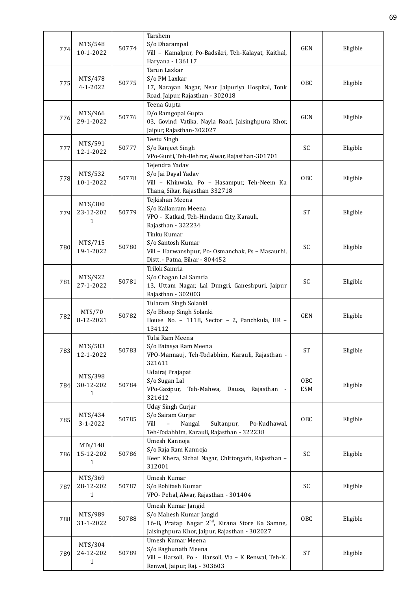| 774. | MTS/548<br>10-1-2022                 | 50774 | Tarshem<br>S/o Dharampal<br>Vill - Kamalpur, Po-Badsikri, Teh-Kalayat, Kaithal,<br>Haryana - 136117                                                           | <b>GEN</b>        | Eligible |
|------|--------------------------------------|-------|---------------------------------------------------------------------------------------------------------------------------------------------------------------|-------------------|----------|
| 775  | MTS/478<br>$4 - 1 - 2022$            | 50775 | Tarun Laxkar<br>S/o PM Laxkar<br>17, Narayan Nagar, Near Jaipuriya Hospital, Tonk<br>Road, Jaipur, Rajasthan - 302018                                         | OBC               | Eligible |
| 776. | MTS/966<br>29-1-2022                 | 50776 | Teena Gupta<br>D/o Ramgopal Gupta<br>03, Govind Vatika, Nayla Road, Jaisinghpura Khor,<br>Jaipur, Rajasthan-302027                                            | <b>GEN</b>        | Eligible |
| 777  | MTS/591<br>12-1-2022                 | 50777 | Teetu Singh<br>S/o Ranjeet Singh<br>VPo-Gunti, Teh-Behror, Alwar, Rajasthan-301701                                                                            | SC                | Eligible |
| 778. | MTS/532<br>10-1-2022                 | 50778 | Tejendra Yadav<br>S/o Jai Dayal Yadav<br>Vill - Khinwala, Po - Hasampur, Teh-Neem Ka<br>Thana, Sikar, Rajasthan 332718                                        | OBC               | Eligible |
| 779. | MTS/300<br>23-12-202<br>1            | 50779 | Tejkishan Meena<br>S/o Kallanram Meena<br>VPO - Katkad, Teh-Hindaun City, Karauli,<br>Rajasthan - 322234                                                      | <b>ST</b>         | Eligible |
| 780  | MTS/715<br>19-1-2022                 | 50780 | Tinku Kumar<br>S/o Santosh Kumar<br>Vill - Harwanshpur, Po- Osmanchak, Ps - Masaurhi,<br>Distt. - Patna, Bihar - 804452                                       | SC                | Eligible |
| 781  | MTS/922<br>27-1-2022                 | 50781 | Trilok Samria<br>S/o Chagan Lal Samria<br>13, Uttam Nagar, Lal Dungri, Ganeshpuri, Jaipur<br>Rajasthan - 302003                                               | SC                | Eligible |
| 782  | MTS/70<br>8-12-2021                  | 50782 | Tularam Singh Solanki<br>S/o Bhoop Singh Solanki<br>House No. - 1118, Sector - 2, Panchkula, HR -<br>134112                                                   | <b>GEN</b>        | Eligible |
| 783. | MTS/583<br>12-1-2022                 | 50783 | Tulsi Ram Meena<br>S/o Batasya Ram Meena<br>VPO-Mannauj, Teh-Todabhim, Karauli, Rajasthan -<br>321611                                                         | <b>ST</b>         | Eligible |
| 784. | MTS/398<br>30-12-202<br>1            | 50784 | Udairaj Prajapat<br>S/o Sugan Lal<br>VPo-Gazipur,<br>Teh-Mahwa, Dausa, Rajasthan -<br>321612                                                                  | OBC<br><b>ESM</b> | Eligible |
| 785. | MTS/434<br>3-1-2022                  | 50785 | <b>Uday Singh Gurjar</b><br>S/o Sairam Gurjar<br>Vill<br>Sultanpur,<br>Nangal<br>Po-Kudhawal,<br>Teh-Todabhim, Karauli, Rajasthan - 322238                    | <b>OBC</b>        | Eligible |
| 786. | MTs/148<br>15-12-202<br>$\mathbf{1}$ | 50786 | Umesh Kannoja<br>S/o Raja Ram Kannoja<br>Keer Khera, Sichai Nagar, Chittorgarh, Rajasthan -<br>312001                                                         | SC                | Eligible |
| 787. | MTS/369<br>28-12-202<br>1            | 50787 | Umesh Kumar<br>S/o Rohitash Kumar<br>VPO- Pehal, Alwar, Rajasthan - 301404                                                                                    | SC                | Eligible |
| 788  | MTS/989<br>31-1-2022                 | 50788 | Umesh Kumar Jangid<br>S/o Mahesh Kumar Jangid<br>16-B, Pratap Nagar 2 <sup>nd</sup> , Kirana Store Ka Samne,<br>Jaisinghpura Khor, Jaipur, Rajasthan - 302027 | <b>OBC</b>        | Eligible |
| 789. | MTS/304<br>24-12-202<br>1            | 50789 | Umesh Kumar Meena<br>S/o Raghunath Meena<br>Vill - Harsoli, Po - Harsoli, Via - K Renwal, Teh-K.<br>Renwal, Jaipur, Raj. - 303603                             | <b>ST</b>         | Eligible |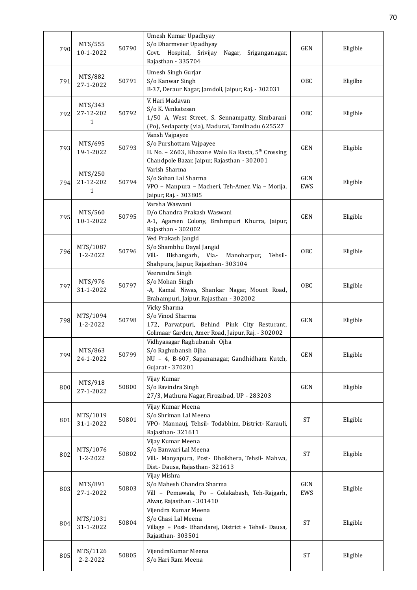| 790  | MTS/555<br>10-1-2022                 | 50790 | Umesh Kumar Upadhyay<br>S/o Dharmveer Upadhyay<br>Govt. Hospital, Srivijay<br>Sriganganagar,<br>Nagar,<br>Rajasthan - 335704                               | <b>GEN</b>          | Eligible |
|------|--------------------------------------|-------|------------------------------------------------------------------------------------------------------------------------------------------------------------|---------------------|----------|
| 791. | MTS/882<br>27-1-2022                 | 50791 | Umesh Singh Gurjar<br>S/o Kanwar Singh<br>B-37, Deraur Nagar, Jamdoli, Jaipur, Raj. - 302031                                                               | OBC                 | Eligilbe |
| 792. | MTS/343<br>27-12-202<br>$\mathbf{1}$ | 50792 | V. Hari Madavan<br>S/o K. Venkatesan<br>1/50 A, West Street, S. Sennampatty, Simbarani<br>(Po), Sedapatty (via), Madurai, Tamilnadu 625527                 | OBC                 | Eligible |
| 793. | MTS/695<br>19-1-2022                 | 50793 | Vansh Vajpayee<br>S/o Purshottam Vajpayee<br>H. No. - 2603, Khazane Walo Ka Rasta, 5 <sup>th</sup> Crossing<br>Chandpole Bazar, Jaipur, Rajasthan - 302001 | <b>GEN</b>          | Eligible |
| 794. | MTS/250<br>21-12-202<br>$\mathbf{1}$ | 50794 | Varish Sharma<br>S/o Sohan Lal Sharma<br>VPO - Manpura - Macheri, Teh-Amer, Via - Morija,<br>Jaipur, Raj. - 303805                                         | GEN<br>EWS          | Eligible |
| 795. | MTS/560<br>10-1-2022                 | 50795 | Varsha Waswani<br>D/o Chandra Prakash Waswani<br>A-1, Agarsen Colony, Brahmpuri Khurra, Jaipur,<br>Rajasthan - 302002                                      | GEN                 | Eligible |
| 796. | MTS/1087<br>1-2-2022                 | 50796 | Ved Prakash Jangid<br>S/o Shambhu Dayal Jangid<br>Bishangarh, Via.-<br>Vill.-<br>Manoharpur,<br>Tehsil-<br>Shahpura, Jaipur, Rajasthan- 303104             | <b>OBC</b>          | Eligible |
| 797  | MTS/976<br>31-1-2022                 | 50797 | Veerendra Singh<br>S/o Mohan Singh<br>-A, Kamal Niwas, Shankar Nagar, Mount Road,<br>Brahampuri, Jaipur, Rajasthan - 302002                                | <b>OBC</b>          | Eligible |
| 798. | MTS/1094<br>$1 - 2 - 2022$           | 50798 | Vicky Sharma<br>S/o Vinod Sharma<br>172, Parvatpuri, Behind Pink City Resturant,<br>Golimaar Garden, Amer Road, Jaipur, Raj. - 302002                      | <b>GEN</b>          | Eligible |
| 799  | MTS/863<br>24-1-2022                 | 50799 | Vidhyasagar Raghubansh Ojha<br>S/o Raghubansh Ojha<br>NU - 4, B-607, Sapananagar, Gandhidham Kutch,<br>Gujarat - 370201                                    | GEN                 | Eligible |
| 800. | MTS/918<br>27-1-2022                 | 50800 | Vijay Kumar<br>S/o Ravindra Singh<br>27/3, Mathura Nagar, Firozabad, UP - 283203                                                                           | GEN                 | Eligible |
| 801. | MTS/1019<br>31-1-2022                | 50801 | Vijay Kumar Meena<br>S/o Shriman Lal Meena<br>VPO- Mannauj, Tehsil- Todabhim, District- Karauli,<br>Rajasthan-321611                                       | $\operatorname{ST}$ | Eligible |
| 802  | MTS/1076<br>1-2-2022                 | 50802 | Vijay Kumar Meena<br>S/o Banwari Lal Meena<br>Vill.- Manyapura, Post- Dholkhera, Tehsil- Mahwa,<br>Dist.- Dausa, Rajasthan-321613                          | <b>ST</b>           | Eligible |
| 803. | MTS/891<br>27-1-2022                 | 50803 | Vijay Mishra<br>S/o Mahesh Chandra Sharma<br>Vill - Pemawala, Po - Golakabash, Teh-Rajgarh,<br>Alwar, Rajasthan - 301410                                   | <b>GEN</b><br>EWS   | Eligible |
| 804. | MTS/1031<br>31-1-2022                | 50804 | Vijendra Kumar Meena<br>S/o Ghasi Lal Meena<br>Village + Post- Bhandarej, District + Tehsil- Dausa,<br>Rajasthan-303501                                    | <b>ST</b>           | Eligible |
| 805. | MTS/1126<br>2-2-2022                 | 50805 | VijendraKumar Meena<br>S/o Hari Ram Meena                                                                                                                  | <b>ST</b>           | Eligible |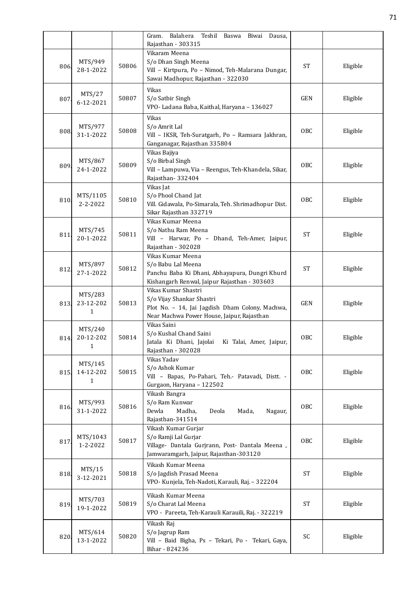|      |                                      |       | Balahera Teshil Baswa Biwai Dausa,<br>Gram.<br>Rajasthan - 303315                                                                                 |                 |          |
|------|--------------------------------------|-------|---------------------------------------------------------------------------------------------------------------------------------------------------|-----------------|----------|
| 806. | MTS/949<br>28-1-2022                 | 50806 | Vikaram Meena<br>S/o Dhan Singh Meena<br>Vill - Kirtpura, Po - Nimod, Teh-Malarana Dungar,<br>Sawai Madhopur, Rajasthan - 322030                  | <b>ST</b>       | Eligible |
| 807  | MTS/27<br>6-12-2021                  | 50807 | Vikas<br>S/o Satbir Singh<br>VPO- Ladana Baba, Kaithal, Haryana - 136027                                                                          | <b>GEN</b>      | Eligible |
| 808. | MTS/977<br>31-1-2022                 | 50808 | Vikas<br>S/o Amrit Lal<br>Vill - IKSR, Teh-Suratgarh, Po - Ramsara Jakhran,<br>Ganganagar, Rajasthan 335804                                       | OBC             | Eligible |
| 809  | MTS/867<br>24-1-2022                 | 50809 | Vikas Bajiya<br>S/o Birbal Singh<br>Vill - Lampuwa, Via - Reengus, Teh-Khandela, Sikar,<br>Rajasthan-332404                                       | <b>OBC</b>      | Eligible |
| 810. | MTS/1105<br>$2 - 2 - 2022$           | 50810 | Vikas Jat<br>S/o Phool Chand Jat<br>Vill. Gidawala, Po-Simarala, Teh. Shrimadhopur Dist.<br>Sikar Rajasthan 332719                                | <b>OBC</b>      | Eligible |
| 811  | MTS/745<br>20-1-2022                 | 50811 | Vikas Kumar Meena<br>S/o Nathu Ram Meena<br>Vill - Harwar, Po - Dhand, Teh-Amer, Jaipur,<br>Rajasthan - 302028                                    | <b>ST</b>       | Eligible |
| 812  | MTS/897<br>27-1-2022                 | 50812 | Vikas Kumar Meena<br>S/o Babu Lal Meena<br>Panchu Baba Ki Dhani, Abhayapura, Dungri Khurd<br>Kishangarh Renwal, Jaipur Rajasthan - 303603         | <b>ST</b>       | Eligible |
| 813  | MTS/283<br>23-12-202<br>$\mathbf{1}$ | 50813 | Vikas Kumar Shastri<br>S/o Vijay Shankar Shastri<br>Plot No. - 14, Jai Jagdish Dham Colony, Machwa,<br>Near Machwa Power House, Jaipur, Rajasthan | <b>GEN</b>      | Eligible |
| 814. | MTS/240<br>20-12-202<br>$\mathbf{1}$ | 50814 | Vikas Saini<br>S/o Kushal Chand Saini<br>Jatala Ki Dhani, Jajolai<br>Ki Talai, Amer, Jaipur,<br>Rajasthan - 302028                                | 0 <sub>BC</sub> | Eligible |
| 815. | MTS/145<br>14-12-202<br>1            | 50815 | Vikas Yadav<br>S/o Ashok Kumar<br>Vill - Bapas, Po-Pahari, Teh.- Patavadi, Distt. -<br>Gurgaon, Haryana - 122502                                  | OBC             | Eligible |
| 816. | MTS/993<br>31-1-2022                 | 50816 | Vikash Bangra<br>S/o Ram Kunwar<br>Dewla<br>Madha,<br>Deola<br>Mada,<br>Nagaur,<br>Rajasthan-341514                                               | OBC             | Eligible |
| 817  | MTS/1043<br>1-2-2022                 | 50817 | Vikash Kumar Gurjar<br>S/o Ramji Lal Gurjar<br>Village- Dantala Gurjrann, Post- Dantala Meena,<br>Jamwaramgarh, Jaipur, Rajasthan-303120          | OBC             | Eligible |
| 818. | MTS/15<br>3-12-2021                  | 50818 | Vikash Kumar Meena<br>S/o Jagdish Prasad Meena<br>VPO- Kunjela, Teh-Nadoti, Karauli, Raj. - 322204                                                | <b>ST</b>       | Eligible |
| 819  | MTS/703<br>19-1-2022                 | 50819 | Vikash Kumar Meena<br>S/o Charat Lal Meena<br>VPO - Pareeta, Teh-Karauli Karauili, Raj. - 322219                                                  | <b>ST</b>       | Eligible |
| 820. | MTS/614<br>13-1-2022                 | 50820 | Vikash Raj<br>S/o Jagrup Ram<br>Vill - Baid Bigha, Ps - Tekari, Po - Tekari, Gaya,<br>Bihar - 824236                                              | SC              | Eligible |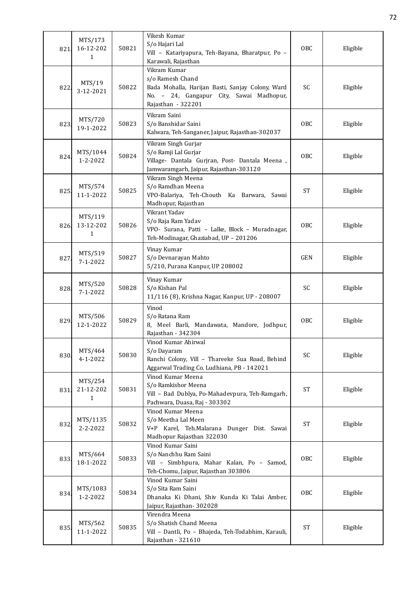| 821  | MTS/173<br>16-12-202<br>1            | 50821 | Vikesh Kumar<br>S/o Hajari Lal<br>Vill - Katariyapura, Teh-Bayana, Bharatpur, Po -<br>Karawali, Rajasthan                                              | OBC        | Eligible |
|------|--------------------------------------|-------|--------------------------------------------------------------------------------------------------------------------------------------------------------|------------|----------|
| 822  | MTS/19<br>3-12-2021                  | 50822 | Vikram Kumar<br>s/o Ramesh Chand<br>Bada Mohalla, Harijan Basti, Sanjay Colony, Ward<br>No. - 24, Gangapur City, Sawai Madhopur,<br>Rajasthan - 322201 | SC         | Eligible |
| 823  | MTS/720<br>19-1-2022                 | 50823 | Vikram Saini<br>S/o Banshidar Saini<br>Kalwara, Teh-Sanganer, Jaipur, Rajasthan-302037                                                                 | OBC        | Eligible |
| 824  | MTS/1044<br>$1 - 2 - 2022$           | 50824 | Vikram Singh Gurjar<br>S/o Ramji Lal Gurjar<br>Village- Dantala Gurjran, Post- Dantala Meena,<br>Jamwaramgarh, Jaipur, Rajasthan-303120                | OBC        | Eligible |
| 825  | MTS/574<br>11-1-2022                 | 50825 | Vikram Singh Meena<br>S/o Ramdhan Meena<br>VPO-Balariya, Teh-Chouth Ka Barwara, Sawai<br>Madhopur, Rajasthan                                           | <b>ST</b>  | Eligible |
| 826. | MTS/119<br>13-12-202<br>$\mathbf{1}$ | 50826 | Vikrant Yadav<br>S/o Raja Ram Yadav<br>VPO- Surana, Patti - Lalke, Block - Muradnagar,<br>Teh-Modinagar, Ghaziabad, UP - 201206                        | OBC        | Eligible |
| 827  | MTS/519<br>$7 - 1 - 2022$            | 50827 | Vinay Kumar<br>S/o Devnarayan Mahto<br>5/210, Purana Kanpur, UP 208002                                                                                 | <b>GEN</b> | Eligible |
| 828. | MTS/520<br>$7 - 1 - 2022$            | 50828 | Vinay Kumar<br>S/o Kishan Pal<br>11/116 (8), Krishna Nagar, Kanpur, UP - 208007                                                                        | SC         | Eligible |
| 829. | MTS/506<br>12-1-2022                 | 50829 | Vinod<br>S/o Ratana Ram<br>8, Meel Barli, Mandawata, Mandore, Jodhpur,<br>Rajasthan - 342304                                                           | OBC        | Eligible |
| 830  | MTS/464<br>$4 - 1 - 2022$            | 50830 | Vinod Kumar Ahirwal<br>S/o Dayaram<br>Ranchi Colony, Vill - Thareeke Sua Road, Behind<br>Aggarwal Trading Co. Ludhiana, PB - 142021                    | SC         | Eligible |
| 831. | MTS/254<br>21-12-202<br>1            | 50831 | Vinod Kumar Meena<br>S/o Ramkishor Meena<br>Vill - Bad Dublya, Po-Mahadevpura, Teh-Ramgarh,<br>Pachwara, Duasa, Raj - 303302                           | <b>ST</b>  | Eligible |
| 832  | MTS/1135<br>2-2-2022                 | 50832 | Vinod Kumar Meena<br>S/o Meetha Lal Meen<br>V+P Karel, Teh.Malarana Dunger Dist. Sawai<br>Madhopur Rajasthan 322030                                    | <b>ST</b>  | Eligible |
| 833  | MTS/664<br>18-1-2022                 | 50833 | Vinod Kumar Saini<br>S/o Nanchhu Ram Saini<br>Vill - Simbhpura, Mahar Kalan, Po - Samod,<br>Teh-Chomu, Jaipur, Rajasthan 303806                        | OBC        | Eligible |
| 834  | MTS/1083<br>$1 - 2 - 2022$           | 50834 | Vinod Kumar Saini<br>S/o Sita Ram Saini<br>Dhanaka Ki Dhani, Shiv Kunda Ki Talai Amber,<br>Jaipur, Rajasthan-302028                                    | OBC        | Eligible |
| 835. | MTS/562<br>11-1-2022                 | 50835 | Virendra Meena<br>S/o Shatish Chand Meena<br>Vill - Dantli, Po - Bhajeda, Teh-Todabhim, Karauli,<br>Rajasthan - 321610                                 | <b>ST</b>  | Eligible |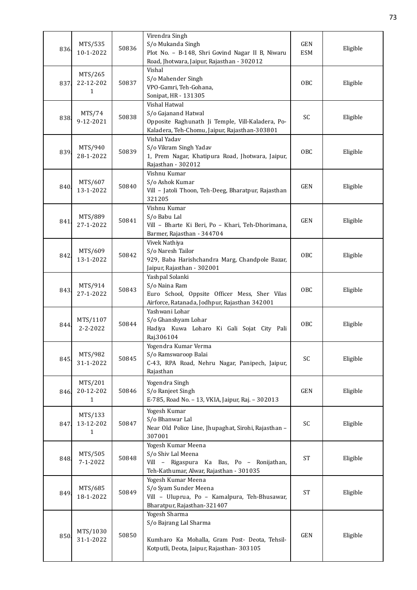| 836. | MTS/535<br>10-1-2022                 | 50836 | Virendra Singh<br>S/o Mukanda Singh<br>Plot No. - B-148, Shri Govind Nagar II B, Niwaru<br>Road, Jhotwara, Jaipur, Rajasthan - 302012     | GEN<br><b>ESM</b> | Eligible |
|------|--------------------------------------|-------|-------------------------------------------------------------------------------------------------------------------------------------------|-------------------|----------|
| 837. | MTS/265<br>22-12-202<br>1            | 50837 | Vishal<br>S/o Mahender Singh<br>VPO-Gamri, Teh-Gohana,<br>Sonipat, HR - 131305                                                            | OBC               | Eligible |
| 838. | MTS/74<br>9-12-2021                  | 50838 | Vishal Hatwal<br>S/o Gajanand Hatwal<br>Opposite Raghunath Ji Temple, Vill-Kaladera, Po-<br>Kaladera, Teh-Chomu, Jaipur, Rajasthan-303801 | SC                | Eligible |
| 839. | MTS/940<br>28-1-2022                 | 50839 | Vishal Yadav<br>S/o Vikram Singh Yadav<br>1, Prem Nagar, Khatipura Road, Jhotwara, Jaipur,<br>Rajasthan - 302012                          | <b>OBC</b>        | Eligible |
| 840. | MTS/607<br>13-1-2022                 | 50840 | Vishnu Kumar<br>S/o Ashok Kumar<br>Vill - Jatoli Thoon, Teh-Deeg, Bharatpur, Rajasthan<br>321205                                          | <b>GEN</b>        | Eligible |
| 841. | MTS/889<br>27-1-2022                 | 50841 | Vishnu Kumar<br>S/o Babu Lal<br>Vill - Bharte Ki Beri, Po - Khari, Teh-Dhorimana,<br>Barmer, Rajasthan - 344704                           | <b>GEN</b>        | Eligible |
| 842. | MTS/609<br>13-1-2022                 | 50842 | Vivek Nathiya<br>S/o Naresh Tailor<br>929, Baba Harishchandra Marg, Chandpole Bazar,<br>Jaipur, Rajasthan - 302001                        | <b>OBC</b>        | Eligible |
| 843. | MTS/914<br>27-1-2022                 | 50843 | Yashpal Solanki<br>S/o Naina Ram<br>Euro School, Oppsite Officer Mess, Sher Vilas<br>Airforce, Ratanada, Jodhpur, Rajasthan 342001        | <b>OBC</b>        | Eligible |
| 844  | MTS/1107<br>$2 - 2 - 2022$           | 50844 | Yashwani Lohar<br>S/o Ghanshyam Lohar<br>Hadiya Kuwa Loharo Ki Gali Sojat City Pali<br>Raj.306104                                         | <b>OBC</b>        | Eligible |
| 845. | MTS/982<br>31-1-2022                 | 50845 | Yogendra Kumar Verma<br>S/o Ramswaroop Balai<br>C-43, RPA Road, Nehru Nagar, Panipech, Jaipur,<br>Rajasthan                               | SC                | Eligible |
| 846. | MTS/201<br>20-12-202<br>$\mathbf{1}$ | 50846 | Yogendra Singh<br>S/o Ranjeet Singh<br>E-785, Road No. - 13, VKIA, Jaipur, Raj. - 302013                                                  | <b>GEN</b>        | Eligible |
| 847. | MTS/133<br>13-12-202<br>$\mathbf{1}$ | 50847 | Yogesh Kumar<br>S/o Bhanwar Lal<br>Near Old Police Line, Jhupaghat, Sirohi, Rajasthan -<br>307001                                         | SC                | Eligible |
| 848. | MTS/505<br>$7 - 1 - 2022$            | 50848 | Yogesh Kumar Meena<br>S/o Shiv Lal Meena<br>Vill - Rigaspura Ka Bas, Po - Ronijathan,<br>Teh-Kathumar, Alwar, Rajasthan - 301035          | <b>ST</b>         | Eligible |
| 849. | MTS/685<br>18-1-2022                 | 50849 | Yogesh Kumar Meena<br>S/o Syam Sunder Meena<br>Vill - Uluprua, Po - Kamalpura, Teh-Bhusawar,<br>Bharatpur, Rajasthan-321407               | <b>ST</b>         | Eligible |
| 850. | MTS/1030<br>31-1-2022                | 50850 | Yogesh Sharma<br>S/o Bajrang Lal Sharma<br>Kumharo Ka Mohalla, Gram Post- Deota, Tehsil-<br>Kotputli, Deota, Jaipur, Rajasthan-303105     | GEN               | Eligible |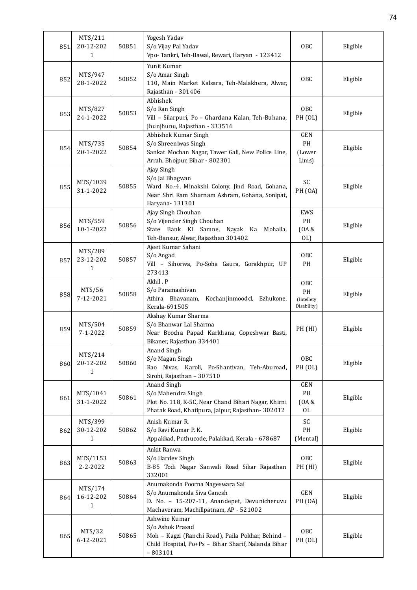| 851  | MTS/211<br>20-12-202<br>$\mathbf{1}$ | 50851 | Yogesh Yadav<br>S/o Vijay Pal Yadav<br>Vpo- Tankri, Teh-Bawal, Rewari, Haryan - 123412                                                                     | OBC                                           | Eligible |
|------|--------------------------------------|-------|------------------------------------------------------------------------------------------------------------------------------------------------------------|-----------------------------------------------|----------|
| 852  | MTS/947<br>28-1-2022                 | 50852 | Yunit Kumar<br>S/o Amar Singh<br>110, Main Market Kalsara, Teh-Malakhera, Alwar,<br>Rajasthan - 301406                                                     | OBC                                           | Eligible |
| 853. | MTS/827<br>24-1-2022                 | 50853 | Abhishek<br>S/o Ran Singh<br>Vill - Silarpuri, Po - Ghardana Kalan, Teh-Buhana,<br>Jhunjhunu, Rajasthan - 333516                                           | OBC<br>PH (OL)                                | Eligible |
| 854. | MTS/735<br>20-1-2022                 | 50854 | Abhishek Kumar Singh<br>S/o Shreeniwas Singh<br>Sankat Mochan Nagar, Tawer Gali, New Police Line,<br>Arrah, Bhojpur, Bihar - 802301                        | <b>GEN</b><br>PH<br>(Lower<br>Lims)           | Eligible |
| 855. | MTS/1039<br>31-1-2022                | 50855 | Ajay Singh<br>S/o Jai Bhagwan<br>Ward No.-4, Minakshi Colony, Jind Road, Gohana,<br>Near Shri Ram Sharnam Ashram, Gohana, Sonipat,<br>Haryana- 131301      | SC<br><b>PH</b> (OA)                          | Eligible |
| 856. | MTS/559<br>10-1-2022                 | 50856 | Ajay Singh Chouhan<br>S/o Vijender Singh Chouhan<br>State Bank Ki Samne, Nayak Ka<br>Mohalla,<br>Teh-Bansur, Alwar, Rajasthan 301402                       | <b>EWS</b><br>PH<br>(0A &<br>OL               | Eligible |
| 857  | MTS/289<br>23-12-202<br>1            | 50857 | Ajeet Kumar Sahani<br>S/o Angad<br>Vill - Sihorwa, Po-Soha Gaura, Gorakhpur, UP<br>273413                                                                  | OBC<br>PH                                     | Eligible |
| 858  | MTS/56<br>7-12-2021                  | 50858 | Akhil . P<br>S/o Paramashivan<br>Athira Bhavanam,<br>Kochanjinmoodcl, Ezhukone,<br>Kerala-691505                                                           | <b>OBC</b><br>PH<br>(Intellety<br>Disability) | Eligible |
| 859  | MTS/504<br>$7 - 1 - 2022$            | 50859 | Akshay Kumar Sharma<br>S/o Bhanwar Lal Sharma<br>Near Boocha Papad Karkhana, Gopeshwar Basti,<br>Bikaner, Rajasthan 334401                                 | PH (HI)                                       | Eligible |
| 860. | MTS/214<br>20-12-202<br>1            | 50860 | Anand Singh<br>S/o Magan Singh<br>Rao Nivas, Karoli, Po-Shantivan,<br>Teh-Aburoad,<br>Sirohi, Rajasthan - 307510                                           | OBC<br>PH (OL)                                | Eligible |
| 861  | MTS/1041<br>31-1-2022                | 50861 | Anand Singh<br>S/o Mahendra Singh<br>Plot No. 118, K-5C, Near Chand Bihari Nagar, Khirni<br>Phatak Road, Khatipura, Jaipur, Rajasthan-302012               | GEN<br>PH<br>(0A &<br>OL                      | Eligible |
| 862  | MTS/399<br>30-12-202<br>1            | 50862 | Anish Kumar R.<br>S/o Ravi Kumar P.K.<br>Appakkad, Puthucode, Palakkad, Kerala - 678687                                                                    | SC<br>PH<br>(Mental)                          | Eligible |
| 863  | MTS/1153<br>2-2-2022                 | 50863 | Ankit Ranwa<br>S/o Hardev Singh<br>B-85 Todi Nagar Sanwali Road Sikar Rajasthan<br>332001                                                                  | OBC<br>PH (HI)                                | Eligible |
| 864. | MTS/174<br>16-12-202<br>$\mathbf{1}$ | 50864 | Anumakonda Poorna Nageswara Sai<br>S/o Anumakonda Siva Ganesh<br>D. No. - 15-207-11, Anandepet, Devunicheruvu<br>Machaveram, Machillpatnam, AP - 521002    | <b>GEN</b><br><b>PH</b> (OA)                  | Eligible |
| 865  | MTS/32<br>6-12-2021                  | 50865 | Ashwine Kumar<br>S/o Ashok Prasad<br>Moh - Kagzi (Ranchi Road), Paila Pokhar, Behind -<br>Child Hospital, Po+Ps - Bihar Sharif, Nalanda Bihar<br>$-803101$ | OBC<br>PH (OL)                                | Eligible |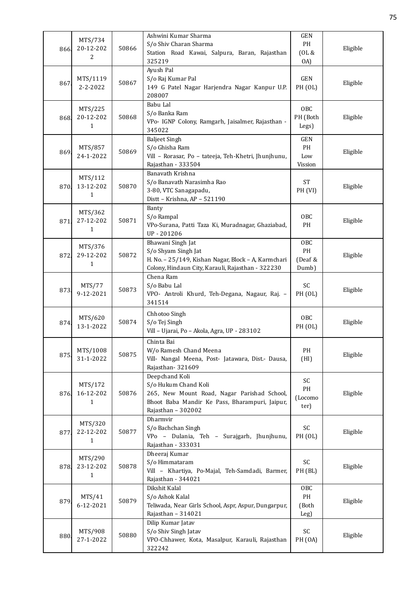| 866. | MTS/734<br>20-12-202<br>2            | 50866 | Ashwini Kumar Sharma<br>S/o Shiv Charan Sharma<br>Station Road Kawai, Salpura, Baran, Rajasthan<br>325219                                                     | <b>GEN</b><br>PH<br>(OL &<br>OA)          | Eligible |
|------|--------------------------------------|-------|---------------------------------------------------------------------------------------------------------------------------------------------------------------|-------------------------------------------|----------|
| 867  | MTS/1119<br>2-2-2022                 | 50867 | Ayush Pal<br>S/o Raj Kumar Pal<br>149 G Patel Nagar Harjendra Nagar Kanpur U.P.<br>208007                                                                     | <b>GEN</b><br>PH (OL)                     | Eligible |
| 868. | MTS/225<br>20-12-202<br>1            | 50868 | Babu Lal<br>S/o Banka Ram<br>VPo- IGNP Colony, Ramgarh, Jaisalmer, Rajasthan -<br>345022                                                                      | OBC<br>PH (Both<br>Legs)                  | Eligible |
| 869  | MTS/857<br>24-1-2022                 | 50869 | <b>Baljeet Singh</b><br>S/o Ghisha Ram<br>Vill - Rorasar, Po - tateeja, Teh-Khetri, Jhunjhunu,<br>Rajasthan - 333504                                          | GEN<br>PH<br>Low<br>Vission               | Eligible |
| 870. | MTS/112<br>13-12-202<br>$\mathbf{1}$ | 50870 | Banavath Krishna<br>S/o Banavath Narasimha Rao<br>3-80, VTC Sanagapadu,<br>Distt - Krishna, AP - 521190                                                       | $\operatorname{ST}$<br>PH <sub>(VI)</sub> | Eligible |
| 871  | MTS/362<br>27-12-202<br>1            | 50871 | Banty<br>S/o Rampal<br>VPo-Surana, Patti Taza Ki, Muradnagar, Ghaziabad,<br>UP-201206                                                                         | OBC<br>PH                                 | Eligible |
| 872. | MTS/376<br>29-12-202<br>1            | 50872 | Bhawani Singh Jat<br>S/o Shyam Singh Jat<br>H. No. - 25/149, Kishan Nagar, Block - A, Karmchari<br>Colony, Hindaun City, Karauli, Rajasthan - 322230          | <b>OBC</b><br>PH<br>(Deaf &<br>Dumb)      | Eligible |
| 873. | MTS/77<br>9-12-2021                  | 50873 | Chena Ram<br>S/o Babu Lal<br>VPO- Antroli Khurd, Teh-Degana, Nagaur, Raj. -<br>341514                                                                         | SC<br>PH (OL)                             | Eligible |
| 874  | MTS/620<br>13-1-2022                 | 50874 | Chhotoo Singh<br>S/o Tej Singh<br>Vill - Ujarai, Po - Akola, Agra, UP - 283102                                                                                | OBC<br>PH (OL)                            | Eligible |
| 875  | MTS/1008<br>31-1-2022                | 50875 | Chinta Bai<br>W/o Ramesh Chand Meena<br>Vill- Nangal Meena, Post- Jatawara, Dist.- Dausa,<br>Rajasthan-321609                                                 | PH<br>(HI)                                | Eligible |
| 876. | MTS/172<br>16-12-202<br>1            | 50876 | Deepchand Koli<br>S/o Hukum Chand Koli<br>265, New Mount Road, Nagar Parishad School,<br>Bhoot Baba Mandir Ke Pass, Bharampuri, Jaipur,<br>Rajasthan - 302002 | SC<br>$\mathbf{PH}$<br>(Locomo<br>ter)    | Eligible |
| 877. | MTS/320<br>22-12-202<br>1            | 50877 | Dharmvir<br>S/o Bachchan Singh<br>VPo - Dulania, Teh - Surajgarh, Jhunjhunu,<br>Rajasthan - 333031                                                            | SC<br>PH (OL)                             | Eligible |
| 878  | MTS/290<br>23-12-202<br>$\mathbf{1}$ | 50878 | Dheeraj Kumar<br>S/o Himmataram<br>Vill - Khartiya, Po-Majal, Teh-Samdadi, Barmer,<br>Rajasthan - 344021                                                      | SC<br>PH (BL)                             | Eligible |
| 879. | MTS/41<br>6-12-2021                  | 50879 | Dikshit Kalal<br>S/o Ashok Kalal<br>Teliwada, Near Girls School, Aspr, Aspur, Dungarpur,<br>Rajasthan - 314021                                                | OBC<br>PH<br>(Both<br>Leg)                | Eligible |
| 880  | MTS/908<br>27-1-2022                 | 50880 | Dilip Kumar Jatav<br>S/o Shiv Singh Jatav<br>VPO-Chhawer, Kota, Masalpur, Karauli, Rajasthan<br>322242                                                        | SC<br><b>PH</b> (OA)                      | Eligible |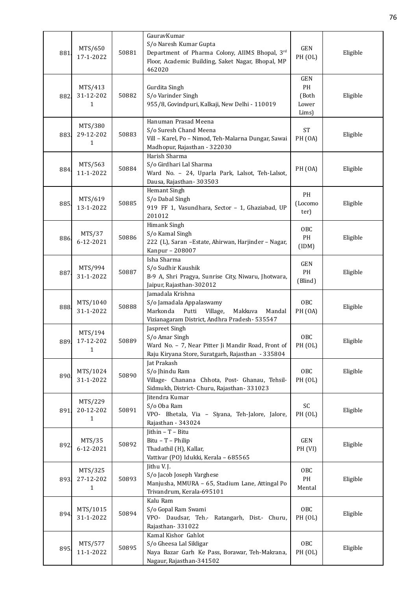| 881  | MTS/650<br>17-1-2022                 | 50881 | GauravKumar<br>S/o Naresh Kumar Gupta<br>Department of Pharma Colony, AIIMS Bhopal, 3rd<br>Floor, Academic Building, Saket Nagar, Bhopal, MP<br>462020 | GEN<br>PH (OL)                              | Eligible |
|------|--------------------------------------|-------|--------------------------------------------------------------------------------------------------------------------------------------------------------|---------------------------------------------|----------|
| 882  | MTS/413<br>31-12-202<br>1            | 50882 | Gurdita Singh<br>S/o Varinder Singh<br>955/8, Govindpuri, Kalkaji, New Delhi - 110019                                                                  | <b>GEN</b><br>PH<br>(Both<br>Lower<br>Lims) | Eligible |
| 883. | MTS/380<br>29-12-202<br>1            | 50883 | Hanuman Prasad Meena<br>S/o Suresh Chand Meena<br>Vill - Karel, Po - Nimod, Teh-Malarna Dungar, Sawai<br>Madhopur, Rajasthan - 322030                  | <b>ST</b><br><b>PH</b> (OA)                 | Eligible |
| 884  | MTS/563<br>11-1-2022                 | 50884 | Harish Sharma<br>S/o Girdhari Lal Sharma<br>Ward No. - 24, Uparla Park, Lalsot, Teh-Lalsot,<br>Dausa, Rajasthan-303503                                 | <b>PH</b> (OA)                              | Eligible |
| 885  | MTS/619<br>13-1-2022                 | 50885 | Hemant Singh<br>S/o Dabal Singh<br>919 FF 1, Vasundhara, Sector - 1, Ghaziabad, UP<br>201012                                                           | PH<br>(Locomo<br>ter)                       | Eligible |
| 886  | MTS/37<br>6-12-2021                  | 50886 | Himank Singh<br>S/o Kamal Singh<br>222 (L), Saran -Estate, Ahirwan, Harjinder - Nagar,<br>Kanpur - 208007                                              | OBC<br>PH<br>(IDM)                          | Eligible |
| 887  | MTS/994<br>31-1-2022                 | 50887 | Isha Sharma<br>S/o Sudhir Kaushik<br>B-9 A, Shri Pragya, Sunrise City, Niwaru, Jhotwara,<br>Jaipur, Rajasthan-302012                                   | GEN<br>PH<br>(Blind)                        | Eligible |
| 888  | MTS/1040<br>31-1-2022                | 50888 | Jamadala Krishna<br>S/o Jamadala Appalaswamy<br>Markonda<br>Putti<br>Village,<br>Makkuva<br>Mandal<br>Vizianagaram District, Andhra Pradesh- 535547    | OBC<br><b>PH</b> (OA)                       | Eligible |
| 889. | MTS/194<br>17-12-202<br>$\mathbf{1}$ | 50889 | Jaspreet Singh<br>S/o Amar Singh<br>Ward No. - 7, Near Pitter Ji Mandir Road, Front of<br>Raju Kiryana Store, Suratgarh, Rajasthan - 335804            | OBC<br>PH (OL)                              | Eligible |
| 890. | MTS/1024<br>31-1-2022                | 50890 | Jat Prakash<br>S/o Jhindu Ram<br>Village- Chanana Chhota, Post- Ghanau, Tehsil-<br>Sidmukh, District- Churu, Rajasthan- 331023                         | OBC<br>PH (OL)                              | Eligible |
| 891  | MTS/229<br>20-12-202<br>1            | 50891 | Jitendra Kumar<br>S/o Oba Ram<br>VPO- Bhetala, Via - Siyana, Teh-Jalore, Jalore,<br>Rajasthan - 343024                                                 | SC<br>PH (OL)                               | Eligible |
| 892  | MTS/35<br>6-12-2021                  | 50892 | Jithin $-$ T $-$ Bitu<br>Bitu - T - Philip<br>Thadathil (H), Kallar,<br>Vattivar (PO) Idukki, Kerala - 685565                                          | GEN<br>PH <sub>(VI)</sub>                   | Eligible |
| 893. | MTS/325<br>27-12-202<br>1            | 50893 | Jithu V.J.<br>S/o Jacob Joseph Varghese<br>Manjusha, MMURA - 65, Stadium Lane, Attingal Po<br>Trivandrum, Kerala-695101                                | OBC<br>PH<br>Mental                         | Eligible |
| 894. | MTS/1015<br>31-1-2022                | 50894 | Kalu Ram<br>S/o Gopal Ram Swami<br>VPO- Daudsar, Teh.- Ratangarh, Dist.- Churu,<br>Rajasthan-331022                                                    | OBC<br>PH (OL)                              | Eligible |
| 895  | MTS/577<br>11-1-2022                 | 50895 | Kamal Kishor Gahlot<br>S/o Gheesa Lal Sikligar<br>Naya Bazar Garh Ke Pass, Borawar, Teh-Makrana,<br>Nagaur, Rajasthan-341502                           | OBC<br>PH (OL)                              | Eligible |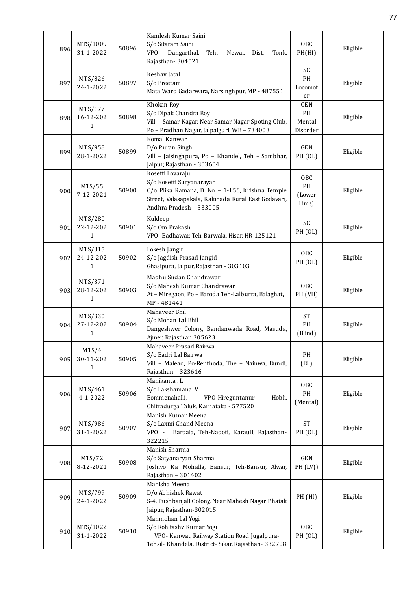| 896. | MTS/1009<br>31-1-2022                | 50896 | Kamlesh Kumar Saini<br>S/o Sitaram Saini<br>VPO- Dangarthal,<br>Teh.-<br>Newai,<br>Dist.-<br>Tonk,<br>Rajasthan-304021                                                             | <b>OBC</b><br>PH(HI)                         | Eligible |
|------|--------------------------------------|-------|------------------------------------------------------------------------------------------------------------------------------------------------------------------------------------|----------------------------------------------|----------|
| 897  | MTS/826<br>24-1-2022                 | 50897 | Keshav Jatal<br>S/o Preetam<br>Mata Ward Gadarwara, Narsinghpur, MP - 487551                                                                                                       | SC<br>PH<br>Locomot<br>er                    | Eligible |
| 898. | MTS/177<br>16-12-202<br>1            | 50898 | Khokan Roy<br>S/o Dipak Chandra Roy<br>Vill - Samar Nagar, Near Samar Nagar Spoting Club,<br>Po - Pradhan Nagar, Jalpaiguri, WB - 734003                                           | <b>GEN</b><br>PH<br>Mental<br>Disorder       | Eligible |
| 899  | MTS/958<br>28-1-2022                 | 50899 | Komal Kanwar<br>D/o Puran Singh<br>Vill - Jaisinghpura, Po - Khandel, Teh - Sambhar,<br>Jaipur, Rajasthan - 303604                                                                 | <b>GEN</b><br>PH (OL)                        | Eligible |
| 900  | MTS/55<br>7-12-2021                  | 50900 | Kosetti Lovaraju<br>S/o Kosetti Suryanarayan<br>C/o Plika Ramana, D. No. - 1-156, Krishna Temple<br>Street, Valasapakala, Kakinada Rural East Godavari,<br>Andhra Pradesh - 533005 | OBC<br>PH<br>(Lower<br>Lims)                 | Eligible |
| 901. | MTS/280<br>22-12-202<br>1            | 50901 | Kuldeep<br>S/o Om Prakash<br>VPO- Badhawar, Teh-Barwala, Hisar, HR-125121                                                                                                          | SC<br>PH (OL)                                | Eligible |
| 902. | MTS/315<br>24-12-202<br>$\mathbf{1}$ | 50902 | Lokesh Jangir<br>S/o Jagdish Prasad Jangid<br>Ghasipura, Jaipur, Rajasthan - 303103                                                                                                | OBC<br>PH (OL)                               | Eligible |
| 903  | MTS/371<br>28-12-202<br>$\mathbf{1}$ | 50903 | Madhu Sudan Chandrawar<br>S/o Mahesh Kumar Chandrawar<br>At - Miregaon, Po - Baroda Teh-Lalburra, Balaghat,<br>MP-481441                                                           | OBC<br>PH (VH)                               | Eligible |
| 904. | MTS/330<br>27-12-202<br>$\mathbf{1}$ | 50904 | Mahaveer Bhil<br>S/o Mohan Lal Bhil<br>Dangeshwer Colony, Bandanwada Road, Masuda,<br>Ajmer, Rajasthan 305623                                                                      | <b>ST</b><br>PH<br>(Blind)                   | Eligible |
| 905. | MTS/4<br>30-11-202<br>$\mathbf{1}$   | 50905 | Mahaveer Prasad Bairwa<br>S/o Badri Lal Bairwa<br>Vill - Malead, Po-Renthoda, The - Nainwa, Bundi,<br>Rajasthan - 323616                                                           | PH<br>(BL)                                   | Eligible |
| 906  | MTS/461<br>4-1-2022                  | 50906 | Manikanta . L<br>S/o Lakshamana. V<br>Bommenahalli,<br>VPO-Hireguntanur<br>Hobli,<br>Chitradurga Taluk, Karnataka - 577520                                                         | 0 <sub>BC</sub><br>$\mathbf{PH}$<br>(Mental) | Eligible |
| 907. | MTS/986<br>31-1-2022                 | 50907 | Manish Kumar Meena<br>S/o Laxmi Chand Meena<br>VPO -<br>Bardala, Teh-Nadoti, Karauli, Rajasthan-<br>322215                                                                         | <b>ST</b><br>PH (OL)                         | Eligible |
| 908. | MTS/72<br>8-12-2021                  | 50908 | Manish Sharma<br>S/o Satyanaryan Sharma<br>Joshiyo Ka Mohalla, Bansur, Teh-Bansur, Alwar,<br>Rajasthan - 301402                                                                    | GEN<br>PH (LV)                               | Eligible |
| 909. | MTS/799<br>24-1-2022                 | 50909 | Manisha Meena<br>D/o Abhishek Rawat<br>S-4, Pushbanjali Colony, Near Mahesh Nagar Phatak<br>Jaipur, Rajasthan-302015                                                               | PH (HI)                                      | Eligible |
| 910. | MTS/1022<br>31-1-2022                | 50910 | Manmohan Lal Yogi<br>S/o Rohitashv Kumar Yogi<br>VPO- Kanwat, Railway Station Road Jugalpura-<br>Tehsil- Khandela, District- Sikar, Rajasthan- 332708                              | OBC<br>PH (OL)                               | Eligible |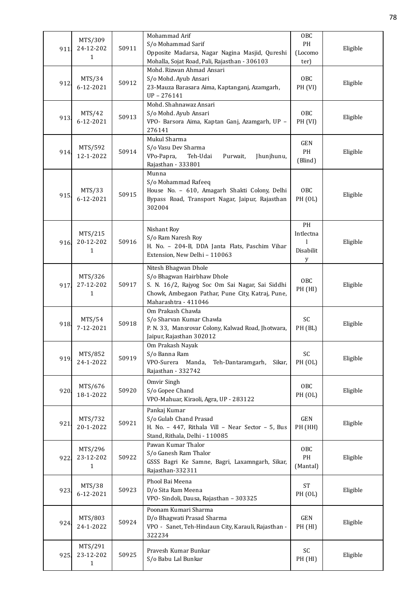| 911. | MTS/309<br>24-12-202<br>1            | 50911 | Mohammad Arif<br>S/o Mohammad Sarif<br>Opposite Madarsa, Nagar Nagina Masjid, Qureshi                                                                                             | 0 <sub>BC</sub><br>PH<br>(Locomo  | Eligible |
|------|--------------------------------------|-------|-----------------------------------------------------------------------------------------------------------------------------------------------------------------------------------|-----------------------------------|----------|
| 912  | MTS/34<br>6-12-2021                  | 50912 | Mohalla, Sojat Road, Pali, Rajasthan - 306103<br>Mohd. Rizwan Ahmad Ansari<br>S/o Mohd. Ayub Ansari<br>23-Mauza Barasara Aima, Kaptanganj, Azamgarh,<br>$UP - 276141$             | ter)<br>OBC<br>PH <sub>(VI)</sub> | Eligible |
| 913. | MTS/42<br>6-12-2021                  | 50913 | Mohd. Shahnawaz Ansari<br>S/o Mohd. Ayub Ansari<br>VPO- Barsora Aima, Kaptan Ganj, Azamgarh, UP -<br>276141                                                                       | OBC<br>PH (VI)                    | Eligible |
| 914. | MTS/592<br>12-1-2022                 | 50914 | Mukul Sharma<br>S/o Vasu Dev Sharma<br>VPo-Papra,<br>Teh-Udai<br>Purwait,<br>Jhunjhunu,<br>Rajasthan - 333801                                                                     | <b>GEN</b><br>PH<br>(Blind)       | Eligible |
| 915  | MTS/33<br>6-12-2021                  | 50915 | Munna<br>S/o Mohammad Rafeeq<br>House No. - 610, Amagarh Shakti Colony, Delhi<br>Bypass Road, Transport Nagar, Jaipur, Rajasthan<br>302004                                        | OBC<br>PH (OL)                    | Eligible |
| 916  | MTS/215<br>20-12-202<br>1            | 50916 | Nishant Roy<br>S/o Ram Naresh Roy<br>H. No. - 204-B, DDA Janta Flats, Paschim Vihar<br>Extension, New Delhi - 110063                                                              | PH<br>Intlectna<br>Disabilit<br>y | Eligible |
| 917. | MTS/326<br>27-12-202<br>1            | 50917 | Nitesh Bhagwan Dhole<br>S/o Bhagwan Hairbhaw Dhole<br>S. N. 16/2, Rajyog Soc Om Sai Nagar, Sai Siddhi<br>Chowk, Ambegaon Pathar, Pune City, Katraj, Pune,<br>Maharashtra - 411046 | OBC<br>PH (HI)                    | Eligible |
| 918. | MTS/54<br>7-12-2021                  | 50918 | Om Prakash Chawla<br>S/o Sharvan Kumar Chawla<br>P. N. 33, Mansrovar Colony, Kalwad Road, Jhotwara,<br>Jaipur, Rajasthan 302012                                                   | SC<br>PH (BL)                     | Eligible |
| 919. | MTS/852<br>24-1-2022                 | 50919 | Om Prakash Nayak<br>S/o Banna Ram<br>VPO-Surera<br>Manda,<br>Teh-Dantaramgarh,<br>Sikar,<br>Rajasthan - 332742                                                                    | SC<br>PH (OL)                     | Eligible |
| 920. | MTS/676<br>18-1-2022                 | 50920 | Omvir Singh<br>S/o Gopee Chand<br>VPO-Mahuar, Kiraoli, Agra, UP - 283122                                                                                                          | OBC<br>PH (OL)                    | Eligible |
| 921  | MTS/732<br>20-1-2022                 | 50921 | Pankaj Kumar<br>S/o Gulab Chand Prasad<br>H. No. - 447, Rithala Vill - Near Sector - 5, Bus<br>Stand, Rithala, Delhi - 110085                                                     | GEN<br>PH (HH)                    | Eligible |
| 922. | MTS/296<br>23-12-202<br>$\mathbf{1}$ | 50922 | Pawan Kumar Thalor<br>S/o Ganesh Ram Thalor<br>GSSS Bagri Ke Samne, Bagri, Laxamngarh, Sikar,<br>Rajasthan-332311                                                                 | OBC<br>$\mathbf{PH}$<br>(Mantal)  | Eligible |
| 923. | MTS/38<br>6-12-2021                  | 50923 | Phool Bai Meena<br>D/o Sita Ram Meena<br>VPO- Sindoli, Dausa, Rajasthan - 303325                                                                                                  | <b>ST</b><br><b>PH</b> (OL)       | Eligible |
| 924. | MTS/803<br>24-1-2022                 | 50924 | Poonam Kumari Sharma<br>D/o Bhagwati Prasad Sharma<br>VPO - Sanet, Teh-Hindaun City, Karauli, Rajasthan -<br>322234                                                               | GEN<br>PH (HI)                    | Eligible |
| 925  | MTS/291<br>23-12-202<br>1            | 50925 | Pravesh Kumar Bunkar<br>S/o Babu Lal Bunkar                                                                                                                                       | SC<br>PH (HI)                     | Eligible |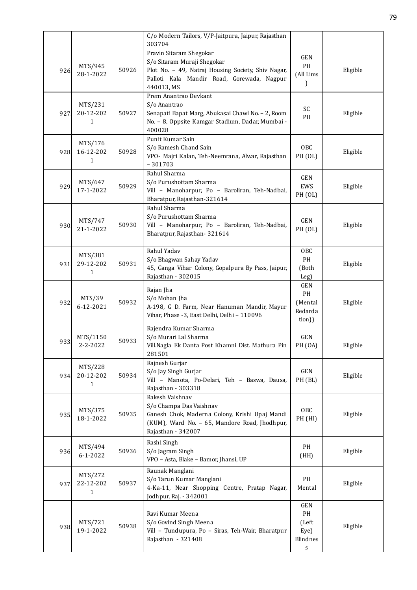|      |                                      |       | C/o Modern Tailors, V/P-Jaitpura, Jaipur, Rajasthan<br>303704                                                                                                            |                                             |          |
|------|--------------------------------------|-------|--------------------------------------------------------------------------------------------------------------------------------------------------------------------------|---------------------------------------------|----------|
| 926. | MTS/945<br>28-1-2022                 | 50926 | Pravin Sitaram Shegokar<br>S/o Sitaram Muraji Shegokar<br>Plot No. - 49, Natraj Housing Society, Shiv Nagar,<br>Palloti Kala Mandir Road, Gorewada, Nagpur<br>440013, MS | <b>GEN</b><br>PH<br>(All Lims               | Eligible |
| 927  | MTS/231<br>20-12-202<br>1            | 50927 | Prem Anantrao Devkant<br>S/o Anantrao<br>Senapati Bapat Marg, Abukasai Chawl No. - 2, Room<br>No. - 8, Oppsite Kamgar Stadium, Dadar, Mumbai -<br>400028                 | SC<br>PH                                    | Eligible |
| 928  | MTS/176<br>16-12-202<br>$\mathbf{1}$ | 50928 | Punit Kumar Sain<br>S/o Ramesh Chand Sain<br>VPO- Majri Kalan, Teh-Neemrana, Alwar, Rajasthan<br>$-301703$                                                               | OBC<br>PH (OL)                              | Eligible |
| 929  | MTS/647<br>17-1-2022                 | 50929 | Rahul Sharma<br>S/o Purushottam Sharma<br>Vill - Manoharpur, Po - Baroliran, Teh-Nadbai,<br>Bharatpur, Rajasthan-321614                                                  | <b>GEN</b><br>EWS<br><b>PH</b> (OL)         | Eligible |
| 930. | MTS/747<br>21-1-2022                 | 50930 | Rahul Sharma<br>S/o Purushottam Sharma<br>Vill - Manoharpur, Po - Baroliran, Teh-Nadbai,<br>Bharatpur, Rajasthan-321614                                                  | <b>GEN</b><br>PH (OL)                       | Eligible |
| 931. | MTS/381<br>29-12-202<br>1            | 50931 | Rahul Yadav<br>S/o Bhagwan Sahay Yadav<br>45, Ganga Vihar Colony, Gopalpura By Pass, Jaipur,<br>Rajasthan - 302015                                                       | 0 <sub>BC</sub><br>PH<br>(Both<br>Leg)      | Eligible |
| 932  | MTS/39<br>6-12-2021                  | 50932 | Rajan Jha<br>S/o Mohan Jha<br>A-198, G D. Farm, Near Hanuman Mandir, Mayur<br>Vihar, Phase -3, East Delhi, Delhi - 110096                                                | GEN<br>PH<br>(Mental<br>Redarda<br>tion))   | Eligible |
| 933. | MTS/1150<br>2-2-2022                 | 50933 | Rajendra Kumar Sharma<br>S/o Murari Lal Sharma<br>Vill.Nagla Ek Danta Post Khamni Dist. Mathura Pin<br>281501                                                            | <b>GEN</b><br><b>PH</b> (OA)                | Eligible |
| 934. | MTS/228<br>20-12-202<br>1            | 50934 | Rajnesh Gurjar<br>S/o Jay Singh Gurjar<br>Vill - Manota, Po-Delari, Teh - Baswa, Dausa,<br>Rajasthan - 303318                                                            | GEN<br>PH (BL)                              | Eligible |
| 935. | MTS/375<br>18-1-2022                 | 50935 | Rakesh Vaishnav<br>S/o Champa Das Vaishnav<br>Ganesh Chok, Maderna Colony, Krishi Upaj Mandi<br>(KUM), Ward No. - 65, Mandore Road, Jhodhpur,<br>Rajasthan - 342007      | OBC<br>PH (HI)                              | Eligible |
| 936  | MTS/494<br>$6 - 1 - 2022$            | 50936 | Rashi Singh<br>S/o Jagram Singh<br>VPO - Asta, Blake - Bamor, Jhansi, UP                                                                                                 | PH<br>(HH)                                  | Eligible |
| 937. | MTS/272<br>22-12-202<br>$\mathbf{1}$ | 50937 | Raunak Manglani<br>S/o Tarun Kumar Manglani<br>4-Ka-11, Near Shopping Centre, Pratap Nagar,<br>Jodhpur, Raj. - 342001                                                    | PH<br>Mental                                | Eligible |
| 938. | MTS/721<br>19-1-2022                 | 50938 | Ravi Kumar Meena<br>S/o Govind Singh Meena<br>Vill - Tundupura, Po - Siras, Teh-Wair, Bharatpur<br>Rajasthan - 321408                                                    | GEN<br>PH<br>(Left<br>Eye)<br>Blindnes<br>s | Eligible |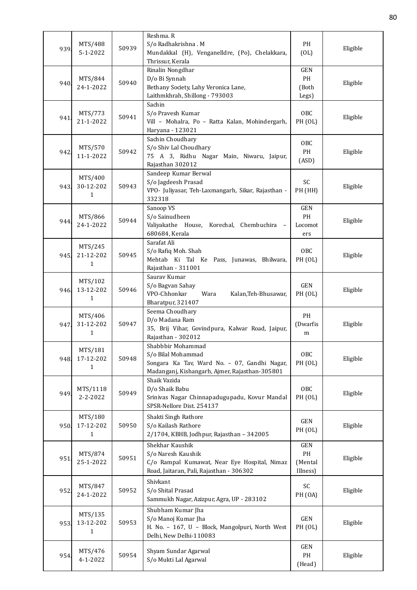| 939  | MTS/488<br>5-1-2022                  | 50939 | Reshma. R<br>S/o Radhakrishna . M<br>Mundakkal (H), Venganelldre, (Po), Chelakkara,<br>Thrissur, Kerala                                   | PH<br>(OL)                                  | Eligible |
|------|--------------------------------------|-------|-------------------------------------------------------------------------------------------------------------------------------------------|---------------------------------------------|----------|
| 940  | MTS/844<br>24-1-2022                 | 50940 | Rinalin Nongdhar<br>D/o Bi Synnah<br>Bethany Society, Lahy Veronica Lane,<br>Laithmkhrah, Shillong - 793003                               | <b>GEN</b><br>PH<br>(Both<br>Legs)          | Eligible |
| 941  | MTS/773<br>21-1-2022                 | 50941 | Sachin<br>S/o Pravesh Kumar<br>Vill - Mohalra, Po - Ratta Kalan, Mohindergarh,<br>Haryana - 123021                                        | OBC<br>PH (OL)                              | Eligible |
| 942. | MTS/570<br>11-1-2022                 | 50942 | Sachin Choudhary<br>S/o Shiv Lal Choudhary<br>75 A 3, Ridhu Nagar Main, Niwaru, Jaipur,<br>Rajasthan 302012                               | OBC<br>PH<br>(ASD)                          | Eligible |
| 943. | MTS/400<br>30-12-202<br>1            | 50943 | Sandeep Kumar Berwal<br>S/o Jagdeesh Prasad<br>VPO- Juliyasar, Teh-Laxmangarh, Sikar, Rajasthan -<br>332318                               | SC<br>PH (HH)                               | Eligible |
| 944. | MTS/866<br>24-1-2022                 | 50944 | Sanoop VS<br>S/o Sainudheen<br>Valiyakathe House, Korechal, Chembuchira -<br>680684, Kerala                                               | GEN<br>PH<br>Locomot<br>ers                 | Eligible |
| 945. | MTS/245<br>21-12-202<br>1            | 50945 | Sarafat Ali<br>S/o Rafiq Moh. Shah<br>Mehtab Ki Tal Ke Pass, Junawas, Bhilwara,<br>Rajasthan - 311001                                     | OBC<br>PH (OL)                              | Eligible |
| 946. | MTS/102<br>13-12-202<br>1            | 50946 | Saurav Kumar<br>S/o Bagvan Sahay<br>VPO-Chhonkar<br>Wara<br>Kalan, Teh-Bhusawar,<br>Bharatpur, 321407                                     | <b>GEN</b><br>PH (OL)                       | Eligible |
| 947. | MTS/406<br>31-12-202<br>$\mathbf{1}$ | 50947 | Seema Choudhary<br>D/o Madana Ram<br>35, Brij Vihar, Govindpura, Kalwar Road, Jaipur,<br>Rajasthan - 302012                               | PH<br>(Dwarfis<br>m                         | Eligible |
| 948. | MTS/181<br>17-12-202<br>1            | 50948 | Shabbbir Mohammad<br>S/o Bilal Mohammad<br>Songara Ka Tav, Ward No. - 07, Gandhi Nagar,<br>Madanganj, Kishangarh, Ajmer, Rajasthan-305801 | OBC<br>PH (OL)                              | Eligible |
| 949. | MTS/1118<br>2-2-2022                 | 50949 | Shaik Vazida<br>D/o Shaik Babu<br>Srinivas Nagar Chinnapadugupadu, Kovur Mandal<br>SPSR-Nellore Dist. 254137                              | OBC<br>PH (OL)                              | Eligible |
| 950. | MTS/180<br>17-12-202<br>1            | 50950 | Shakti Singh Rathore<br>S/o Kailash Rathore<br>2/1704, KBHB, Jodhpur, Rajasthan - 342005                                                  | GEN<br><b>PH</b> (OL)                       | Eligible |
| 951  | MTS/874<br>25-1-2022                 | 50951 | Shekhar Kaushik<br>S/o Naresh Kaushik<br>C/o Rampal Kumawat, Near Eye Hospital, Nimaz<br>Road, Jaitaran, Pali, Rajasthan - 306302         | GEN<br>$\mathbf{PH}$<br>(Mental<br>Illness) | Eligible |
| 952. | MTS/847<br>24-1-2022                 | 50952 | Shivkant<br>S/o Shital Prasad<br>Sammukh Nagar, Azizpur, Agra, UP - 283102                                                                | SC<br>PH <sub>(OA)</sub>                    | Eligible |
| 953. | MTS/135<br>13-12-202<br>1            | 50953 | Shubham Kumar Jha<br>S/o Manoj Kumar Jha<br>H. No. - 167, U - Block, Mangolpuri, North West<br>Delhi, New Delhi-110083                    | <b>GEN</b><br>PH (OL)                       | Eligible |
| 954  | MTS/476<br>4-1-2022                  | 50954 | Shyam Sundar Agarwal<br>S/o Mukti Lal Agarwal                                                                                             | GEN<br>PH<br>(Head)                         | Eligible |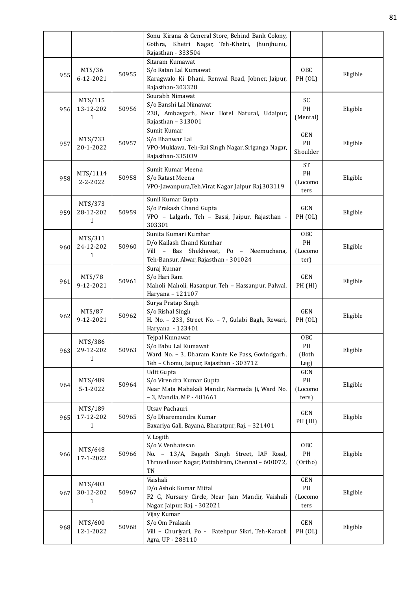|      |                                      |       | Sonu Kirana & General Store, Behind Bank Colony,<br>Gothra, Khetri Nagar, Teh-Khetri, Jhunjhunu,<br>Rajasthan - 333504                  |                                    |          |
|------|--------------------------------------|-------|-----------------------------------------------------------------------------------------------------------------------------------------|------------------------------------|----------|
| 955  | MTS/36<br>6-12-2021                  | 50955 | Sitaram Kumawat<br>S/o Ratan Lal Kumawat<br>Karagwalo Ki Dhani, Renwal Road, Jobner, Jaipur,<br>Rajasthan-303328                        | OBC<br><b>PH</b> (OL)              | Eligible |
| 956. | MTS/115<br>13-12-202<br>1            | 50956 | Sourabh Nimawat<br>S/o Banshi Lal Nimawat<br>238, Ambavgarh, Near Hotel Natural, Udaipur,<br>Rajasthan - 313001                         | SC<br>PH<br>(Mental)               | Eligible |
| 957  | MTS/733<br>20-1-2022                 | 50957 | Sumit Kumar<br>S/o Bhanwar Lal<br>VPO-Muklawa, Teh-Rai Singh Nagar, Sriganga Nagar,<br>Rajasthan-335039                                 | GEN<br>PH<br>Shoulder              | Eligible |
| 958. | MTS/1114<br>$2 - 2 - 2022$           | 50958 | Sumit Kumar Meena<br>S/o Ratast Meena<br>VPO-Jawanpura, Teh. Virat Nagar Jaipur Raj. 303119                                             | <b>ST</b><br>PH<br>(Locomo<br>ters | Eligible |
| 959. | MTS/373<br>28-12-202<br>$\mathbf{1}$ | 50959 | Sunil Kumar Gupta<br>S/o Prakash Chand Gupta<br>VPO - Lalgarh, Teh - Bassi, Jaipur, Rajasthan -<br>303301                               | GEN<br><b>PH</b> (OL)              | Eligible |
| 960  | MTS/311<br>24-12-202<br>1            | 50960 | Sunita Kumari Kumhar<br>D/o Kailash Chand Kumhar<br>- Bas Shekhawat, Po - Neemuchana,<br>Vill<br>Teh-Bansur, Alwar, Rajasthan - 301024  | OBC<br>PH<br>(Locomo<br>ter)       | Eligible |
| 961  | MTS/78<br>9-12-2021                  | 50961 | Suraj Kumar<br>S/o Hari Ram<br>Maholi Maholi, Hasanpur, Teh - Hassanpur, Palwal,<br>Haryana - 121107                                    | GEN<br>PH (HI)                     | Eligible |
| 962. | MTS/87<br>9-12-2021                  | 50962 | Surya Pratap Singh<br>S/o Rishal Singh<br>H. No. - 233, Street No. - 7, Gulabi Bagh, Rewari,<br>Haryana - 123401                        | <b>GEN</b><br>PH (OL)              | Eligible |
| 963. | MTS/386<br>29-12-202<br>1            | 50963 | Tejpal Kumawat<br>S/o Babu Lal Kumawat<br>Ward No. - 3, Dharam Kante Ke Pass, Govindgarh,<br>Teh - Chomu, Jaipur, Rajasthan - 303712    | OBC<br>PH<br>(Both<br>Leg)         | Eligible |
| 964  | MTS/489<br>$5 - 1 - 2022$            | 50964 | Udit Gupta<br>S/o Virendra Kumar Gupta<br>Near Mata Mahakali Mandir, Narmada Ji, Ward No.<br>- 3, Mandla, MP - 481661                   | GEN<br>PH<br>(Locomo<br>ters)      | Eligible |
| 965. | MTS/189<br>17-12-202<br>$\mathbf{1}$ | 50965 | Utsav Pachauri<br>S/o Dharemendra Kumar<br>Baxariya Gali, Bayana, Bharatpur, Raj. - 321401                                              | GEN<br>PH (HI)                     | Eligible |
| 966. | MTS/648<br>17-1-2022                 | 50966 | V. Logith<br>S/o V. Venhatesan<br>No. - 13/A, Bagath Singh Street, IAF Road,<br>Thruvalluvar Nagar, Pattabiram, Chennai - 600072,<br>TN | OBC<br>$\mathbf{PH}$<br>(Ortho)    | Eligible |
| 967. | MTS/403<br>30-12-202<br>1            | 50967 | Vaishali<br>D/o Ashok Kumar Mittal<br>F2 G, Nursary Circle, Near Jain Mandir, Vaishali<br>Nagar, Jaipur, Raj. - 302021                  | GEN<br>PH<br>(Locomo<br>ters       | Eligible |
| 968. | MTS/600<br>12-1-2022                 | 50968 | Vijay Kumar<br>S/o Om Prakash<br>Vill - Churiyari, Po - Fatehpur Sikri, Teh-Karaoli<br>Agra, UP - 283110                                | GEN<br>PH (OL)                     | Eligible |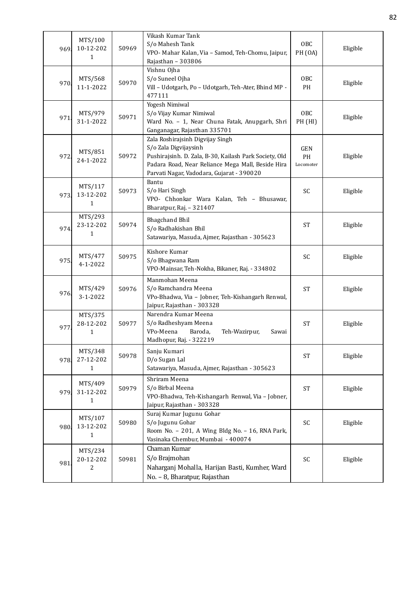| 969. | MTS/100<br>10-12-202<br>1              | 50969 | Vikash Kumar Tank<br>S/o Mahesh Tank<br>VPO- Mahar Kalan, Via - Samod, Teh-Chomu, Jaipur,<br>Rajasthan - 303806                                                                                                       | OBC<br>PH <sub>(OA)</sub> | Eligible |
|------|----------------------------------------|-------|-----------------------------------------------------------------------------------------------------------------------------------------------------------------------------------------------------------------------|---------------------------|----------|
| 970. | MTS/568<br>11-1-2022                   | 50970 | Vishnu Ojha<br>S/o Suneel Ojha<br>Vill - Udotgarh, Po - Udotgarh, Teh-Ater, Bhind MP -<br>477111                                                                                                                      | OBC<br><b>PH</b>          | Eligible |
| 971  | MTS/979<br>31-1-2022                   | 50971 | Yogesh Nimiwal<br>S/o Vijay Kumar Nimiwal<br>Ward No. - 1, Near Chuna Fatak, Anupgarh, Shri<br>Ganganagar, Rajasthan 335701                                                                                           | OBC<br>PH (HI)            | Eligible |
| 972. | MTS/851<br>24-1-2022                   | 50972 | Zala Roshirajsinh Digvijay Singh<br>S/o Zala Digvijaysinh<br>Pushirajsinh. D. Zala, B-30, Kailash Park Society, Old<br>Padara Road, Near Reliance Mega Mall, Beside Hira<br>Parvati Nagar, Vadodara, Gujarat - 390020 | GEN<br>PH<br>Locomoter    | Eligible |
| 973. | MTS/117<br>13-12-202<br>1              | 50973 | Bantu<br>S/o Hari Singh<br>VPO- Chhonkar Wara Kalan, Teh - Bhusawar,<br>Bharatpur, Raj. - 321407                                                                                                                      | SC                        | Eligible |
| 974. | MTS/293<br>23-12-202<br>1              | 50974 | <b>Bhagchand Bhil</b><br>S/o Radhakishan Bhil<br>Satawariya, Masuda, Ajmer, Rajasthan - 305623                                                                                                                        | <b>ST</b>                 | Eligible |
| 975. | MTS/477<br>$4 - 1 - 2022$              | 50975 | Kishore Kumar<br>S/o Bhagwana Ram<br>VPO-Mainsar, Teh-Nokha, Bikaner, Raj. - 334802                                                                                                                                   | SC                        | Eligible |
| 976. | MTS/429<br>$3 - 1 - 2022$              | 50976 | Manmohan Meena<br>S/o Ramchandra Meena<br>VPo-Bhadwa, Via - Jobner, Teh-Kishangarh Renwal,<br>Jaipur, Rajasthan - 303328                                                                                              | <b>ST</b>                 | Eligible |
| 977  | MTS/375<br>28-12-202<br>$\mathbf{1}$   | 50977 | Narendra Kumar Meena<br>S/o Radheshyam Meena<br>VPo-Meena<br>Baroda,<br>Teh-Wazirpur,<br>Sawai<br>Madhopur, Raj. - 322219                                                                                             | <b>ST</b>                 | Eligible |
| 978. | MTS/348<br>27-12-202<br>$\mathbf{1}$   | 50978 | Sanju Kumari<br>D/o Sugan Lal<br>Satawariya, Masuda, Ajmer, Rajasthan - 305623                                                                                                                                        | <b>ST</b>                 | Eligible |
| 979. | MTS/409<br>31-12-202<br>$\mathbf{1}$   | 50979 | Shriram Meena<br>S/o Birbal Meena<br>VPO-Bhadwa, Teh-Kishangarh Renwal, Via - Jobner,<br>Jaipur, Rajasthan - 303328                                                                                                   | <b>ST</b>                 | Eligible |
| 980. | MTS/107<br>13-12-202<br>1              | 50980 | Suraj Kumar Jugunu Gohar<br>S/o Jugunu Gohar<br>Room No. - 201, A Wing Bldg No. - 16, RNA Park,<br>Vasinaka Chembur, Mumbai - 400074                                                                                  | SC                        | Eligible |
| 981  | MTS/234<br>20-12-202<br>$\overline{2}$ | 50981 | Chaman Kumar<br>S/o Brajmohan<br>Naharganj Mohalla, Harijan Basti, Kumher, Ward<br>No. - 8, Bharatpur, Rajasthan                                                                                                      | SC                        | Eligible |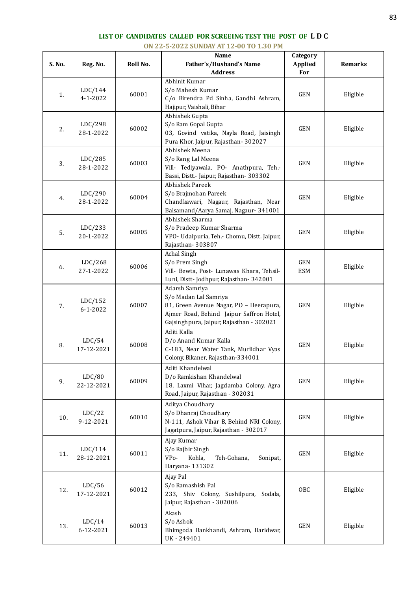## **LIST OF CANDIDATES CALLED FOR SCREEING TEST THE POST OF L D C**

|        | ON 22-5-2022 SUNDAY AT 12-00 TO 1.30 PM |          |                                                                                                                                                                            |                                   |                |  |  |  |  |
|--------|-----------------------------------------|----------|----------------------------------------------------------------------------------------------------------------------------------------------------------------------------|-----------------------------------|----------------|--|--|--|--|
| S. No. | Reg. No.                                | Roll No. | Name<br>Father's/Husband's Name<br><b>Address</b>                                                                                                                          | Category<br><b>Applied</b><br>For | <b>Remarks</b> |  |  |  |  |
| 1.     | LDC/144<br>$4 - 1 - 2022$               | 60001    | Abhinit Kumar<br>S/o Mahesh Kumar<br>C/o Birendra Pd Sinha, Gandhi Ashram,<br>Hajipur, Vaishali, Bihar                                                                     | <b>GEN</b>                        | Eligible       |  |  |  |  |
| 2.     | LDC/298<br>28-1-2022                    | 60002    | Abhishek Gupta<br>S/o Ram Gopal Gupta<br>03, Govind vatika, Nayla Road, Jaisingh<br>Pura Khor, Jaipur, Rajasthan-302027                                                    | <b>GEN</b>                        | Eligible       |  |  |  |  |
| 3.     | LDC/285<br>28-1-2022                    | 60003    | Abhishek Meena<br>S/o Rang Lal Meena<br>Vill- Tediyawala, PO- Anathpura, Teh.-<br>Bassi, Distt.- Jaipur, Rajasthan- 303302                                                 | GEN                               | Eligible       |  |  |  |  |
| 4.     | LDC/290<br>28-1-2022                    | 60004    | Abhishek Pareek<br>S/o Brajmohan Pareek<br>Chandkawari, Nagaur, Rajasthan, Near<br>Balsamand/Aarya Samaj, Nagaur-341001                                                    | GEN                               | Eligible       |  |  |  |  |
| 5.     | LDC/233<br>20-1-2022                    | 60005    | Abhishek Sharma<br>S/o Pradeep Kumar Sharma<br>VPO- Udaipuria, Teh.- Chomu, Distt. Jaipur,<br>Rajasthan-303807                                                             | <b>GEN</b>                        | Eligible       |  |  |  |  |
| 6.     | LDC/268<br>27-1-2022                    | 60006    | Achal Singh<br>S/o Prem Singh<br>Vill- Bewta, Post- Lunawas Khara, Tehsil-<br>Luni, Distt-Jodhpur, Rajasthan-342001                                                        | GEN<br><b>ESM</b>                 | Eligible       |  |  |  |  |
| 7.     | LDC/152<br>$6 - 1 - 2022$               | 60007    | Adarsh Samriya<br>S/o Madan Lal Samriya<br>81, Green Avenue Nagar, PO - Heerapura,<br>Ajmer Road, Behind Jaipur Saffron Hotel,<br>Gajsinghpura, Jaipur, Rajasthan - 302021 | <b>GEN</b>                        | Eligible       |  |  |  |  |
| 8.     | LDC/54<br>17-12-2021                    | 60008    | Aditi Kalla<br>D/o Anand Kumar Kalla<br>C-183, Near Water Tank, Murlidhar Vyas<br>Colony, Bikaner, Rajasthan-334001                                                        | <b>GEN</b>                        | Eligible       |  |  |  |  |
| 9.     | LDC/80<br>22-12-2021                    | 60009    | Aditi Khandelwal<br>D/o Ramkishan Khandelwal<br>18, Laxmi Vihar, Jagdamba Colony, Agra<br>Road, Jaipur, Rajasthan - 302031                                                 | GEN                               | Eligible       |  |  |  |  |
| 10.    | LDC/22<br>9-12-2021                     | 60010    | Aditya Choudhary<br>S/o Dhanraj Choudhary<br>N-111, Ashok Vihar B, Behind NRI Colony,<br>Jagatpura, Jaipur, Rajasthan - 302017                                             | <b>GEN</b>                        | Eligible       |  |  |  |  |
| 11.    | LDC/114<br>28-12-2021                   | 60011    | Ajay Kumar<br>S/o Rajbir Singh<br>Kohla,<br>VP <sub>o</sub> -<br>Teh-Gohana,<br>Sonipat,<br>Haryana- 131302                                                                | $\operatorname{GEN}$              | Eligible       |  |  |  |  |
| 12.    | LDC/56<br>17-12-2021                    | 60012    | Ajay Pal<br>S/o Ramashish Pal<br>233, Shiv Colony, Sushilpura, Sodala,<br>Jaipur, Rajasthan - 302006                                                                       | OBC                               | Eligible       |  |  |  |  |
| 13.    | LDC/14<br>6-12-2021                     | 60013    | Akash<br>S/o Ashok<br>Bhimgoda Bankhandi, Ashram, Haridwar,<br>UK-249401                                                                                                   | $\operatorname{GEN}$              | Eligible       |  |  |  |  |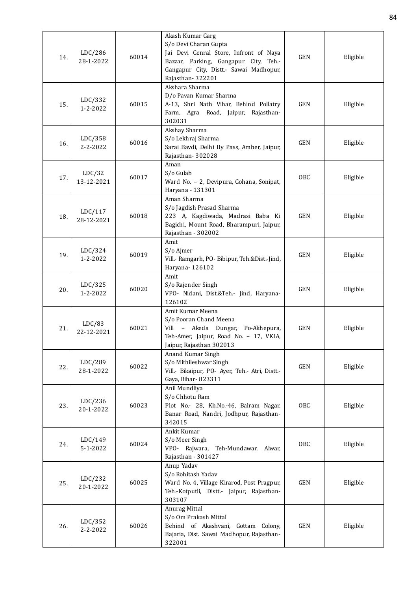| 14. | LDC/286<br>28-1-2022  | 60014 | Akash Kumar Garg<br>S/o Devi Charan Gupta<br>Jai Devi Genral Store, Infront of Naya<br>Bazzar, Parking, Gangapur City, Teh .-<br>Gangapur City, Distt.- Sawai Madhopur,<br>Rajasthan-322201 | <b>GEN</b> | Eligible |
|-----|-----------------------|-------|---------------------------------------------------------------------------------------------------------------------------------------------------------------------------------------------|------------|----------|
| 15. | LDC/332<br>1-2-2022   | 60015 | Akshara Sharma<br>D/o Pavan Kumar Sharma<br>A-13, Shri Nath Vihar, Behind Pollatry<br>Farm, Agra Road, Jaipur, Rajasthan-<br>302031                                                         | <b>GEN</b> | Eligible |
| 16. | LDC/358<br>2-2-2022   | 60016 | Akshay Sharma<br>S/o Lekhraj Sharma<br>Sarai Bavdi, Delhi By Pass, Amber, Jaipur,<br>Rajasthan-302028                                                                                       | <b>GEN</b> | Eligible |
| 17. | LDC/32<br>13-12-2021  | 60017 | Aman<br>S/o Gulab<br>Ward No. - 2, Devipura, Gohana, Sonipat,<br>Haryana - 131301                                                                                                           | <b>OBC</b> | Eligible |
| 18. | LDC/117<br>28-12-2021 | 60018 | Aman Sharma<br>S/o Jagdish Prasad Sharma<br>223 A, Kagdiwada, Madrasi Baba Ki<br>Bagichi, Mount Road, Bharampuri, Jaipur,<br>Rajasthan - 302002                                             | GEN        | Eligible |
| 19. | LDC/324<br>1-2-2022   | 60019 | Amit<br>S/o Ajmer<br>Vill.- Ramgarh, PO- Bibipur, Teh.&Dist.-Jind,<br>Haryana-126102                                                                                                        | <b>GEN</b> | Eligible |
| 20. | LDC/325<br>1-2-2022   | 60020 | Amit<br>S/o Rajender Singh<br>VPO- Nidani, Dist.&Teh.- Jind, Haryana-<br>126102                                                                                                             | <b>GEN</b> | Eligible |
| 21. | LDC/83<br>22-12-2021  | 60021 | Amit Kumar Meena<br>S/o Pooran Chand Meena<br>Vill - Akeda Dungar, Po-Akhepura,<br>Teh-Amer, Jaipur, Road No. - 17, VKIA,<br>Jaipur, Rajasthan 302013                                       | <b>GEN</b> | Eligible |
| 22. | LDC/289<br>28-1-2022  | 60022 | Anand Kumar Singh<br>S/o Mithileshwar Singh<br>Vill.- Bikaipur, PO- Ayer, Teh.- Atri, Distt.-<br>Gaya, Bihar-823311                                                                         | <b>GEN</b> | Eligible |
| 23. | LDC/236<br>20-1-2022  | 60023 | Anil Mundliya<br>S/o Chhotu Ram<br>Plot No.- 28, Kh.No.-46, Balram Nagar,<br>Banar Road, Nandri, Jodhpur, Rajasthan-<br>342015                                                              | OBC        | Eligible |
| 24. | LDC/149<br>5-1-2022   | 60024 | Ankit Kumar<br>S/o Meer Singh<br>VPO- Rajwara,<br>Teh-Mundawar,<br>Alwar,<br>Rajasthan - 301427                                                                                             | OBC        | Eligible |
| 25. | LDC/232<br>20-1-2022  | 60025 | Anup Yadav<br>S/o Rohitash Yadav<br>Ward No. 4, Village Kirarod, Post Pragpur,<br>Teh.-Kotputli, Distt.- Jaipur, Rajasthan-<br>303107                                                       | <b>GEN</b> | Eligible |
| 26. | LDC/352<br>2-2-2022   | 60026 | Anurag Mittal<br>S/o Om Prakash Mittal<br>Behind of Akashvani, Gottam Colony,<br>Bajaria, Dist. Sawai Madhopur, Rajasthan-<br>322001                                                        | <b>GEN</b> | Eligible |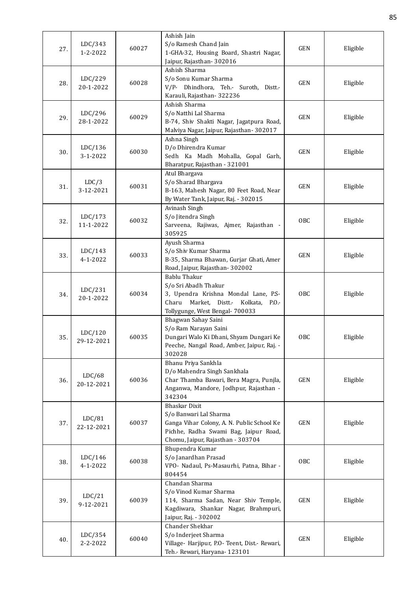| 27. | LDC/343<br>1-2-2022       | 60027 | Ashish Jain<br>S/o Ramesh Chand Jain<br>1-GHA-32, Housing Board, Shastri Nagar,<br>Jaipur, Rajasthan-302016                                                                | <b>GEN</b> | Eligible |
|-----|---------------------------|-------|----------------------------------------------------------------------------------------------------------------------------------------------------------------------------|------------|----------|
| 28. | LDC/229<br>20-1-2022      | 60028 | Ashish Sharma<br>S/o Sonu Kumar Sharma<br>V/P- Dhindhora, Teh.- Suroth, Distt.-<br>Karauli, Rajasthan-322236                                                               | <b>GEN</b> | Eligible |
| 29. | LDC/296<br>28-1-2022      | 60029 | Ashish Sharma<br>S/o Natthi Lal Sharma<br>B-74, Shiv Shakti Nagar, Jagatpura Road,<br>Malviya Nagar, Jaipur, Rajasthan- 302017                                             | <b>GEN</b> | Eligible |
| 30. | LDC/136<br>3-1-2022       | 60030 | Ashna Singh<br>D/o Dhirendra Kumar<br>Sedh Ka Madh Mohalla, Gopal Garh,<br>Bharatpur, Rajasthan - 321001                                                                   | <b>GEN</b> | Eligible |
| 31. | LDC/3<br>3-12-2021        | 60031 | Atul Bhargava<br>S/o Sharad Bhargava<br>B-163, Mahesh Nagar, 80 Feet Road, Near<br>By Water Tank, Jaipur, Raj. - 302015                                                    | <b>GEN</b> | Eligible |
| 32. | LDC/173<br>11-1-2022      | 60032 | Avinash Singh<br>S/o Jitendra Singh<br>Sarveena, Rajiwas, Ajmer, Rajasthan -<br>305925                                                                                     | <b>OBC</b> | Eligible |
| 33. | LDC/143<br>$4 - 1 - 2022$ | 60033 | Ayush Sharma<br>S/o Shiv Kumar Sharma<br>B-35, Sharma Bhawan, Gurjar Ghati, Amer<br>Road, Jaipur, Rajasthan-302002                                                         | <b>GEN</b> | Eligible |
| 34. | LDC/231<br>20-1-2022      | 60034 | <b>Bablu Thakur</b><br>S/o Sri Abadh Thakur<br>3, Upendra Krishna Mondal Lane, P.S-<br>Charu<br>Market, Distt.- Kolkata,<br>P.O.<br>Tollygunge, West Bengal- 700033        | <b>OBC</b> | Eligible |
| 35. | LDC/120<br>29-12-2021     | 60035 | Bhagwan Sahay Saini<br>S/o Ram Narayan Saini<br>Dungari Walo Ki Dhani, Shyam Dungari Ke<br>Peeche, Nangal Road, Amber, Jaipur, Raj. -<br>302028                            | <b>OBC</b> | Eligible |
| 36. | LDC/68<br>20-12-2021      | 60036 | Bhanu Priya Sankhla<br>D/o Mahendra Singh Sankhala<br>Char Thamba Bawari, Bera Magra, Punjla,<br>Anganwa, Mandore, Jodhpur, Rajasthan -<br>342304                          | <b>GEN</b> | Eligible |
| 37. | LDC/81<br>22-12-2021      | 60037 | <b>Bhaskar Dixit</b><br>S/o Banwari Lal Sharma<br>Ganga Vihar Colony, A. N. Public School Ke<br>Pichhe, Radha Swami Bag, Jaipur Road,<br>Chomu, Jaipur, Rajasthan - 303704 | <b>GEN</b> | Eligible |
| 38. | LDC/146<br>4-1-2022       | 60038 | Bhupendra Kumar<br>S/o Janardhan Prasad<br>VPO- Nadaul, Ps-Masaurhi, Patna, Bihar -<br>804454                                                                              | OBC        | Eligible |
| 39. | LDC/21<br>9-12-2021       | 60039 | Chandan Sharma<br>S/o Vinod Kumar Sharma<br>114, Sharma Sadan, Near Shiv Temple,<br>Kagdiwara, Shankar Nagar, Brahmpuri,<br>Jaipur, Raj. - 302002                          | <b>GEN</b> | Eligible |
| 40. | LDC/354<br>2-2-2022       | 60040 | Chander Shekhar<br>S/o Inderjeet Sharma<br>Village- Harjipur, P.O- Teent, Dist.- Rewari,<br>Teh.- Rewari, Haryana- 123101                                                  | <b>GEN</b> | Eligible |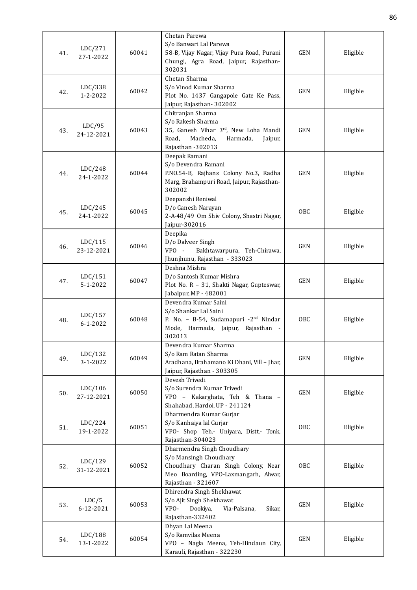|     |                     |       | Chetan Parewa                                                                       |            |          |
|-----|---------------------|-------|-------------------------------------------------------------------------------------|------------|----------|
|     | LDC/271             |       | S/o Banwari Lal Parewa                                                              |            |          |
| 41. | 27-1-2022           | 60041 | 58-B, Vijay Nagar, Vijay Pura Road, Purani<br>Chungi, Agra Road, Jaipur, Rajasthan- | <b>GEN</b> | Eligible |
|     |                     |       | 302031                                                                              |            |          |
|     |                     |       | Chetan Sharma                                                                       |            |          |
|     | LDC/338             |       | S/o Vinod Kumar Sharma                                                              |            |          |
| 42. | 1-2-2022            | 60042 | Plot No. 1437 Gangapole Gate Ke Pass,                                               | <b>GEN</b> | Eligible |
|     |                     |       | Jaipur, Rajasthan-302002                                                            |            |          |
|     |                     |       | Chitranjan Sharma                                                                   |            |          |
|     | LDC/95              |       | S/o Rakesh Sharma                                                                   |            |          |
| 43. | 24-12-2021          | 60043 | 35, Ganesh Vihar 3rd, New Loha Mandi<br>Macheda,<br>Road,                           | <b>GEN</b> | Eligible |
|     |                     |       | Harmada,<br>Jaipur,<br>Rajasthan -302013                                            |            |          |
|     |                     |       | Deepak Ramani                                                                       |            |          |
|     |                     |       | S/o Devendra Ramani                                                                 |            |          |
| 44. | LDC/248             | 60044 | P.NO.54-B, Rajhans Colony No.3, Radha                                               | <b>GEN</b> | Eligible |
|     | 24-1-2022           |       | Marg, Brahampuri Road, Jaipur, Rajasthan-                                           |            |          |
|     |                     |       | 302002                                                                              |            |          |
|     |                     |       | Deepanshi Reniwal                                                                   |            |          |
| 45. | LDC/245             | 60045 | D/o Ganesh Narayan                                                                  | OBC        | Eligible |
|     | 24-1-2022           |       | 2-A-48/49 Om Shiv Colony, Shastri Nagar,<br>Jaipur-302016                           |            |          |
|     |                     |       | Deepika                                                                             |            |          |
|     | LDC/115             |       | D/o Dalveer Singh                                                                   |            |          |
| 46. | 23-12-2021          | 60046 | $VPO -$<br>Bakhtawarpura, Teh-Chirawa,                                              | <b>GEN</b> | Eligible |
|     |                     |       | Jhunjhunu, Rajasthan - 333023                                                       |            |          |
|     |                     |       | Deshna Mishra                                                                       |            |          |
| 47. | LDC/151             | 60047 | D/o Santosh Kumar Mishra                                                            | <b>GEN</b> | Eligible |
|     | 5-1-2022            |       | Plot No. R - 31, Shakti Nagar, Gupteswar,                                           |            |          |
|     |                     |       | Jabalpur, MP - 482001<br>Devendra Kumar Saini                                       |            |          |
|     |                     |       | S/o Shankar Lal Saini                                                               |            |          |
| 48. | LDC/157             | 60048 | P. No. - B-54, Sudamapuri -2 <sup>nd</sup> Nindar                                   | OBC        | Eligible |
|     | $6 - 1 - 2022$      |       | Mode, Harmada, Jaipur, Rajasthan -                                                  |            |          |
|     |                     |       | 302013                                                                              |            |          |
|     |                     |       | Devendra Kumar Sharma                                                               |            |          |
| 49. | LDC/132<br>3-1-2022 | 60049 | S/o Ram Ratan Sharma<br>Aradhana, Brahamano Ki Dhani, Vill - Jhar,                  | <b>GEN</b> | Eligible |
|     |                     |       | Jaipur, Rajasthan - 303305                                                          |            |          |
|     |                     |       | Devesh Trivedi                                                                      |            |          |
|     | LDC/106             |       | S/o Surendra Kumar Trivedi                                                          |            |          |
| 50. | 27-12-2021          | 60050 | VPO - Kakarghata, Teh & Thana -                                                     | GEN        | Eligible |
|     |                     |       | Shahabad, Hardoi, UP - 241124                                                       |            |          |
|     |                     |       | Dharmendra Kumar Gurjar                                                             |            |          |
| 51. | LDC/224             | 60051 | S/o Kanhaiya lal Gurjar                                                             | OBC        | Eligible |
|     | 19-1-2022           |       | VPO- Shop Teh.- Uniyara, Distt.- Tonk,<br>Rajasthan-304023                          |            |          |
|     |                     |       | Dharmendra Singh Choudhary                                                          |            |          |
|     |                     |       | S/o Mansingh Choudhary                                                              |            |          |
| 52. | LDC/129             | 60052 | Choudhary Charan Singh Colony, Near                                                 | <b>OBC</b> | Eligible |
|     | 31-12-2021          |       | Meo Boarding, VPO-Laxmangarh, Alwar,                                                |            |          |
|     |                     |       | Rajasthan - 321607                                                                  |            |          |
|     |                     |       | Dhirendra Singh Shekhawat                                                           |            |          |
| 53. | LDC/5<br>6-12-2021  | 60053 | S/o Ajit Singh Shekhawat<br>VPO-<br>Dookiya,<br>Via-Palsana,<br>Sikar,              | <b>GEN</b> | Eligible |
|     |                     |       | Rajasthan-332402                                                                    |            |          |
|     |                     |       | Dhyan Lal Meena                                                                     |            |          |
|     | LDC/188             |       | S/o Ramvilas Meena                                                                  |            |          |
| 54. | 13-1-2022           | 60054 | VPO - Nagla Meena, Teh-Hindaun City,                                                | <b>GEN</b> | Eligible |
|     |                     |       | Karauli, Rajasthan - 322230                                                         |            |          |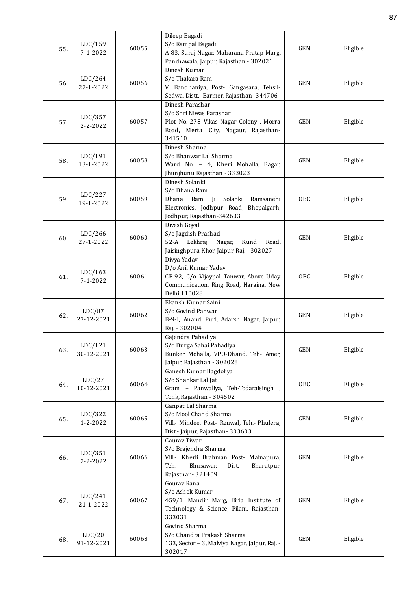|     |                           |                                | Dileep Bagadi                                                        |                                            |          |  |
|-----|---------------------------|--------------------------------|----------------------------------------------------------------------|--------------------------------------------|----------|--|
| 55. | LDC/159<br>$7 - 1 - 2022$ | 60055                          | S/o Rampal Bagadi<br>A-83, Suraj Nagar, Maharana Pratap Marg,        | <b>GEN</b>                                 | Eligible |  |
|     |                           |                                | Panchawala, Jaipur, Rajasthan - 302021                               |                                            |          |  |
|     |                           |                                | Dinesh Kumar                                                         |                                            |          |  |
| 56. | LDC/264                   | 60056                          | S/o Thakara Ram                                                      | <b>GEN</b>                                 | Eligible |  |
|     | 27-1-2022                 |                                | V. Bandhaniya, Post- Gangasara, Tehsil-                              |                                            |          |  |
|     |                           |                                | Sedwa, Distt.- Barmer, Rajasthan- 344706                             |                                            |          |  |
|     |                           |                                | Dinesh Parashar                                                      |                                            |          |  |
|     | LDC/357                   | 60057                          | S/o Shri Niwas Parashar<br>Plot No. 278 Vikas Nagar Colony, Morra    | <b>GEN</b>                                 | Eligible |  |
| 57. | $2 - 2 - 2022$            |                                | Road, Merta City, Nagaur, Rajasthan-                                 |                                            |          |  |
|     |                           |                                | 341510                                                               |                                            |          |  |
|     |                           |                                | Dinesh Sharma                                                        |                                            |          |  |
|     | LDC/191                   | 60058                          | S/o Bhanwar Lal Sharma                                               | <b>GEN</b>                                 | Eligible |  |
| 58. | 13-1-2022                 |                                | Ward No. - 4, Kheri Mohalla, Bagar,                                  |                                            |          |  |
|     |                           |                                | Jhunjhunu Rajasthan - 333023                                         |                                            |          |  |
|     |                           |                                | Dinesh Solanki                                                       |                                            |          |  |
|     | LDC/227                   |                                | S/o Dhana Ram<br>Dhana<br>Ram                                        |                                            |          |  |
| 59. | 19-1-2022                 | 60059                          | Solanki<br>Ji<br>Ramsanehi<br>Electronics, Jodhpur Road, Bhopalgarh, | OBC                                        | Eligible |  |
|     |                           |                                | Jodhpur, Rajasthan-342603                                            |                                            |          |  |
|     |                           |                                | Divesh Goyal                                                         |                                            |          |  |
|     | LDC/266                   | 60060                          | S/o Jagdish Prashad                                                  | <b>GEN</b>                                 | Eligible |  |
| 60. | 27-1-2022                 |                                |                                                                      | 52-A<br>Lekhraj<br>Nagar,<br>Kund<br>Road, |          |  |
|     |                           |                                | Jaisinghpura Khor, Jaipur, Raj. - 302027                             |                                            |          |  |
|     |                           |                                | Divya Yadav                                                          |                                            |          |  |
|     | LDC/163                   | 60061                          | D/o Anil Kumar Yadav<br>CB-92, C/o Vijaypal Tanwar, Above Uday       | OBC                                        | Eligible |  |
| 61. | $7 - 1 - 2022$            |                                | Communication, Ring Road, Naraina, New                               |                                            |          |  |
|     |                           |                                | Delhi 110028                                                         |                                            |          |  |
|     |                           |                                | Ekansh Kumar Saini                                                   |                                            |          |  |
| 62. | LDC/87<br>23-12-2021      | 60062                          | S/o Govind Panwar                                                    | <b>GEN</b>                                 | Eligible |  |
|     |                           |                                | B-9-I, Anand Puri, Adarsh Nagar, Jaipur,                             |                                            |          |  |
|     |                           |                                | Raj. - 302004                                                        |                                            |          |  |
|     |                           |                                | Gajendra Pahadiya<br>S/o Durga Sahai Pahadiya                        |                                            |          |  |
| 63. |                           | LDC/121<br>60063<br>30-12-2021 | Bunker Mohalla, VPO-Dhand, Teh- Amer,                                | GEN                                        | Eligible |  |
|     |                           |                                | Jaipur, Rajasthan - 302028                                           |                                            |          |  |
|     |                           |                                | Ganesh Kumar Bagdoliya                                               |                                            |          |  |
|     | LDC/27                    | 60064                          | S/o Shankar Lal Jat                                                  |                                            | Eligible |  |
| 64. | 10-12-2021                |                                | Gram - Panwaliya, Teh-Todaraisingh,                                  | <b>OBC</b>                                 |          |  |
|     |                           |                                | Tonk, Rajasthan - 304502                                             |                                            |          |  |
|     |                           |                                | Ganpat Lal Sharma                                                    |                                            |          |  |
| 65. | LDC/322<br>1-2-2022       | 60065                          | S/o Mool Chand Sharma<br>Vill.- Mindee, Post- Renwal, Teh.- Phulera, | <b>GEN</b>                                 | Eligible |  |
|     |                           |                                | Dist.- Jaipur, Rajasthan- 303603                                     |                                            |          |  |
|     |                           |                                | Gaurav Tiwari                                                        |                                            |          |  |
|     |                           |                                | S/o Brajendra Sharma                                                 |                                            |          |  |
| 66. | LDC/351<br>2-2-2022       | 60066                          | Vill.- Kherli Brahman Post- Mainapura,                               | <b>GEN</b>                                 | Eligible |  |
|     |                           |                                | Bhusawar,<br>Teh.-<br>Bharatpur,<br>Dist.-                           |                                            |          |  |
|     |                           |                                | Rajasthan-321409                                                     |                                            |          |  |
|     |                           |                                | Gourav Rana<br>S/o Ashok Kumar                                       |                                            |          |  |
| 67. | LDC/241                   | 60067                          | 459/1 Mandir Marg, Birla Institute of                                | <b>GEN</b>                                 | Eligible |  |
|     | 21-1-2022                 |                                | Technology & Science, Pilani, Rajasthan-                             |                                            |          |  |
|     |                           |                                | 333031                                                               |                                            |          |  |
|     |                           |                                | Govind Sharma                                                        |                                            |          |  |
| 68. | LDC/20                    | 60068                          | S/o Chandra Prakash Sharma                                           | GEN                                        | Eligible |  |
|     | 91-12-2021                |                                | 133, Sector - 3, Malviya Nagar, Jaipur, Raj. -                       |                                            |          |  |
|     |                           |                                | 302017                                                               |                                            |          |  |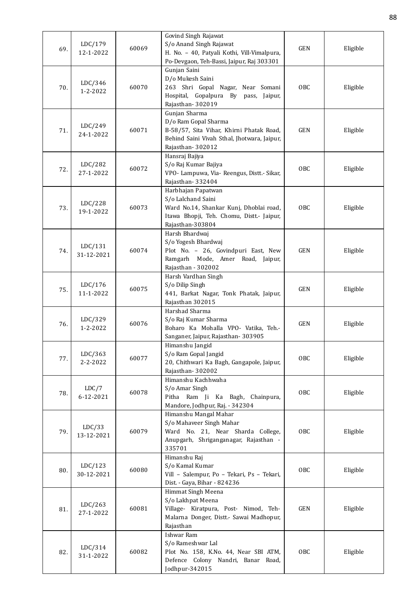| Po-Devgaon, Teh-Bassi, Jaipur, Raj 303301<br>Gunjan Saini<br>D/o Mukesh Saini<br>LDC/346<br>60070<br>263 Shri Gopal Nagar, Near Somani<br><b>OBC</b><br>Eligible<br>70.<br>1-2-2022<br>Hospital, Gopalpura By pass, Jaipur,<br>Rajasthan-302019<br>Gunjan Sharma<br>D/o Ram Gopal Sharma<br>LDC/249<br>60071<br>B-58/57, Sita Vihar, Khirni Phatak Road,<br><b>GEN</b><br>Eligible<br>71.<br>24-1-2022<br>Behind Saini Vivah Sthal, Jhotwara, Jaipur,<br>Rajasthan-302012<br>Hansraj Bajiya<br>LDC/282<br>S/o Raj Kumar Bajiya<br><b>OBC</b><br>60072<br>Eligible<br>72.<br>27-1-2022<br>VPO- Lampuwa, Via- Reengus, Distt.- Sikar,<br>Rajasthan-332404<br>Harbhajan Papatwan<br>S/o Lalchand Saini<br>LDC/228<br>60073<br>Ward No.14, Shankar Kunj, Dhoblai road,<br><b>OBC</b><br>Eligible<br>73.<br>19-1-2022<br>Itawa Bhopji, Teh. Chomu, Distt.- Jaipur,<br>Rajasthan-303804<br>Harsh Bhardwaj<br>S/o Yogesh Bhardwaj<br>LDC/131<br>60074<br>Plot No. - 26, Govindpuri East, New<br>GEN<br>Eligible<br>74.<br>31-12-2021<br>Ramgarh Mode, Amer Road, Jaipur,<br>Rajasthan - 302002<br>Harsh Vardhan Singh<br>S/o Dilip Singh<br>LDC/176<br>60075<br><b>GEN</b><br>Eligible<br>75.<br>11-1-2022<br>441, Barkat Nagar, Tonk Phatak, Jaipur,<br>Rajasthan 302015<br>Harshad Sharma<br>LDC/329<br>S/o Raj Kumar Sharma<br>60076<br><b>GEN</b><br>Eligible<br>76.<br>$1 - 2 - 2022$<br>Boharo Ka Mohalla VPO- Vatika, Teh .-<br>Sanganer, Jaipur, Rajasthan- 303905<br>Himanshu Jangid<br>S/o Ram Gopal Jangid<br>LDC/363<br><b>OBC</b><br>60077<br>Eligible<br>77.<br>2-2-2022<br>20, Chithwari Ka Bagh, Gangapole, Jaipur,<br>Rajasthan-302002<br>Himanshu Kachhwaha<br>LDC/7<br>S/o Amar Singh<br>60078<br>OBC<br>Eligible<br>78.<br>6-12-2021<br>Pitha Ram Ji Ka Bagh, Chainpura,<br>Mandore, Jodhpur, Raj. - 342304<br>Himanshu Mangal Mahar<br>S/o Mahaveer Singh Mahar<br>LDC/33<br>60079<br>Ward No. 21, Near Sharda College,<br><b>OBC</b><br>Eligible<br>79.<br>13-12-2021<br>Anupgarh, Shriganganagar, Rajasthan -<br>335701<br>Himanshu Raj<br>S/o Kamal Kumar<br>LDC/123<br>60080<br><b>OBC</b><br>Eligible<br>80.<br>Vill - Salempur, Po - Tekari, Ps - Tekari,<br>30-12-2021<br>Dist. - Gaya, Bihar - 824236<br>Himmat Singh Meena<br>S/o Lakhpat Meena<br>LDC/263<br>60081<br>Village- Kiratpura, Post- Nimod, Teh-<br><b>GEN</b><br>Eligible<br>81.<br>27-1-2022<br>Malarna Donger, Distt.- Sawai Madhopur,<br>Rajasthan<br>Ishwar Ram<br>S/o Rameshwar Lal<br>LDC/314<br>Plot No. 158, K.No. 44, Near SBI ATM,<br><b>OBC</b><br>60082<br>Eligible<br>82.<br>31-1-2022<br>Defence Colony Nandri, Banar Road,<br>Jodhpur-342015 | 69. | LDC/179   | 60069 | Govind Singh Rajawat<br>S/o Anand Singh Rajawat | <b>GEN</b> | Eligible |
|-------------------------------------------------------------------------------------------------------------------------------------------------------------------------------------------------------------------------------------------------------------------------------------------------------------------------------------------------------------------------------------------------------------------------------------------------------------------------------------------------------------------------------------------------------------------------------------------------------------------------------------------------------------------------------------------------------------------------------------------------------------------------------------------------------------------------------------------------------------------------------------------------------------------------------------------------------------------------------------------------------------------------------------------------------------------------------------------------------------------------------------------------------------------------------------------------------------------------------------------------------------------------------------------------------------------------------------------------------------------------------------------------------------------------------------------------------------------------------------------------------------------------------------------------------------------------------------------------------------------------------------------------------------------------------------------------------------------------------------------------------------------------------------------------------------------------------------------------------------------------------------------------------------------------------------------------------------------------------------------------------------------------------------------------------------------------------------------------------------------------------------------------------------------------------------------------------------------------------------------------------------------------------------------------------------------------------------------------------------------------------------------------------------------------------------------------------------------------------------------------------------------------------------------------------------------------------------------------------------------------------------------------|-----|-----------|-------|-------------------------------------------------|------------|----------|
|                                                                                                                                                                                                                                                                                                                                                                                                                                                                                                                                                                                                                                                                                                                                                                                                                                                                                                                                                                                                                                                                                                                                                                                                                                                                                                                                                                                                                                                                                                                                                                                                                                                                                                                                                                                                                                                                                                                                                                                                                                                                                                                                                                                                                                                                                                                                                                                                                                                                                                                                                                                                                                                 |     | 12-1-2022 |       | H. No. - 40, Patyali Kothi, Vill-Vimalpura,     |            |          |
|                                                                                                                                                                                                                                                                                                                                                                                                                                                                                                                                                                                                                                                                                                                                                                                                                                                                                                                                                                                                                                                                                                                                                                                                                                                                                                                                                                                                                                                                                                                                                                                                                                                                                                                                                                                                                                                                                                                                                                                                                                                                                                                                                                                                                                                                                                                                                                                                                                                                                                                                                                                                                                                 |     |           |       |                                                 |            |          |
|                                                                                                                                                                                                                                                                                                                                                                                                                                                                                                                                                                                                                                                                                                                                                                                                                                                                                                                                                                                                                                                                                                                                                                                                                                                                                                                                                                                                                                                                                                                                                                                                                                                                                                                                                                                                                                                                                                                                                                                                                                                                                                                                                                                                                                                                                                                                                                                                                                                                                                                                                                                                                                                 |     |           |       |                                                 |            |          |
|                                                                                                                                                                                                                                                                                                                                                                                                                                                                                                                                                                                                                                                                                                                                                                                                                                                                                                                                                                                                                                                                                                                                                                                                                                                                                                                                                                                                                                                                                                                                                                                                                                                                                                                                                                                                                                                                                                                                                                                                                                                                                                                                                                                                                                                                                                                                                                                                                                                                                                                                                                                                                                                 |     |           |       |                                                 |            |          |
|                                                                                                                                                                                                                                                                                                                                                                                                                                                                                                                                                                                                                                                                                                                                                                                                                                                                                                                                                                                                                                                                                                                                                                                                                                                                                                                                                                                                                                                                                                                                                                                                                                                                                                                                                                                                                                                                                                                                                                                                                                                                                                                                                                                                                                                                                                                                                                                                                                                                                                                                                                                                                                                 |     |           |       |                                                 |            |          |
|                                                                                                                                                                                                                                                                                                                                                                                                                                                                                                                                                                                                                                                                                                                                                                                                                                                                                                                                                                                                                                                                                                                                                                                                                                                                                                                                                                                                                                                                                                                                                                                                                                                                                                                                                                                                                                                                                                                                                                                                                                                                                                                                                                                                                                                                                                                                                                                                                                                                                                                                                                                                                                                 |     |           |       |                                                 |            |          |
|                                                                                                                                                                                                                                                                                                                                                                                                                                                                                                                                                                                                                                                                                                                                                                                                                                                                                                                                                                                                                                                                                                                                                                                                                                                                                                                                                                                                                                                                                                                                                                                                                                                                                                                                                                                                                                                                                                                                                                                                                                                                                                                                                                                                                                                                                                                                                                                                                                                                                                                                                                                                                                                 |     |           |       |                                                 |            |          |
|                                                                                                                                                                                                                                                                                                                                                                                                                                                                                                                                                                                                                                                                                                                                                                                                                                                                                                                                                                                                                                                                                                                                                                                                                                                                                                                                                                                                                                                                                                                                                                                                                                                                                                                                                                                                                                                                                                                                                                                                                                                                                                                                                                                                                                                                                                                                                                                                                                                                                                                                                                                                                                                 |     |           |       |                                                 |            |          |
|                                                                                                                                                                                                                                                                                                                                                                                                                                                                                                                                                                                                                                                                                                                                                                                                                                                                                                                                                                                                                                                                                                                                                                                                                                                                                                                                                                                                                                                                                                                                                                                                                                                                                                                                                                                                                                                                                                                                                                                                                                                                                                                                                                                                                                                                                                                                                                                                                                                                                                                                                                                                                                                 |     |           |       |                                                 |            |          |
|                                                                                                                                                                                                                                                                                                                                                                                                                                                                                                                                                                                                                                                                                                                                                                                                                                                                                                                                                                                                                                                                                                                                                                                                                                                                                                                                                                                                                                                                                                                                                                                                                                                                                                                                                                                                                                                                                                                                                                                                                                                                                                                                                                                                                                                                                                                                                                                                                                                                                                                                                                                                                                                 |     |           |       |                                                 |            |          |
|                                                                                                                                                                                                                                                                                                                                                                                                                                                                                                                                                                                                                                                                                                                                                                                                                                                                                                                                                                                                                                                                                                                                                                                                                                                                                                                                                                                                                                                                                                                                                                                                                                                                                                                                                                                                                                                                                                                                                                                                                                                                                                                                                                                                                                                                                                                                                                                                                                                                                                                                                                                                                                                 |     |           |       |                                                 |            |          |
|                                                                                                                                                                                                                                                                                                                                                                                                                                                                                                                                                                                                                                                                                                                                                                                                                                                                                                                                                                                                                                                                                                                                                                                                                                                                                                                                                                                                                                                                                                                                                                                                                                                                                                                                                                                                                                                                                                                                                                                                                                                                                                                                                                                                                                                                                                                                                                                                                                                                                                                                                                                                                                                 |     |           |       |                                                 |            |          |
|                                                                                                                                                                                                                                                                                                                                                                                                                                                                                                                                                                                                                                                                                                                                                                                                                                                                                                                                                                                                                                                                                                                                                                                                                                                                                                                                                                                                                                                                                                                                                                                                                                                                                                                                                                                                                                                                                                                                                                                                                                                                                                                                                                                                                                                                                                                                                                                                                                                                                                                                                                                                                                                 |     |           |       |                                                 |            |          |
|                                                                                                                                                                                                                                                                                                                                                                                                                                                                                                                                                                                                                                                                                                                                                                                                                                                                                                                                                                                                                                                                                                                                                                                                                                                                                                                                                                                                                                                                                                                                                                                                                                                                                                                                                                                                                                                                                                                                                                                                                                                                                                                                                                                                                                                                                                                                                                                                                                                                                                                                                                                                                                                 |     |           |       |                                                 |            |          |
|                                                                                                                                                                                                                                                                                                                                                                                                                                                                                                                                                                                                                                                                                                                                                                                                                                                                                                                                                                                                                                                                                                                                                                                                                                                                                                                                                                                                                                                                                                                                                                                                                                                                                                                                                                                                                                                                                                                                                                                                                                                                                                                                                                                                                                                                                                                                                                                                                                                                                                                                                                                                                                                 |     |           |       |                                                 |            |          |
|                                                                                                                                                                                                                                                                                                                                                                                                                                                                                                                                                                                                                                                                                                                                                                                                                                                                                                                                                                                                                                                                                                                                                                                                                                                                                                                                                                                                                                                                                                                                                                                                                                                                                                                                                                                                                                                                                                                                                                                                                                                                                                                                                                                                                                                                                                                                                                                                                                                                                                                                                                                                                                                 |     |           |       |                                                 |            |          |
|                                                                                                                                                                                                                                                                                                                                                                                                                                                                                                                                                                                                                                                                                                                                                                                                                                                                                                                                                                                                                                                                                                                                                                                                                                                                                                                                                                                                                                                                                                                                                                                                                                                                                                                                                                                                                                                                                                                                                                                                                                                                                                                                                                                                                                                                                                                                                                                                                                                                                                                                                                                                                                                 |     |           |       |                                                 |            |          |
|                                                                                                                                                                                                                                                                                                                                                                                                                                                                                                                                                                                                                                                                                                                                                                                                                                                                                                                                                                                                                                                                                                                                                                                                                                                                                                                                                                                                                                                                                                                                                                                                                                                                                                                                                                                                                                                                                                                                                                                                                                                                                                                                                                                                                                                                                                                                                                                                                                                                                                                                                                                                                                                 |     |           |       |                                                 |            |          |
|                                                                                                                                                                                                                                                                                                                                                                                                                                                                                                                                                                                                                                                                                                                                                                                                                                                                                                                                                                                                                                                                                                                                                                                                                                                                                                                                                                                                                                                                                                                                                                                                                                                                                                                                                                                                                                                                                                                                                                                                                                                                                                                                                                                                                                                                                                                                                                                                                                                                                                                                                                                                                                                 |     |           |       |                                                 |            |          |
|                                                                                                                                                                                                                                                                                                                                                                                                                                                                                                                                                                                                                                                                                                                                                                                                                                                                                                                                                                                                                                                                                                                                                                                                                                                                                                                                                                                                                                                                                                                                                                                                                                                                                                                                                                                                                                                                                                                                                                                                                                                                                                                                                                                                                                                                                                                                                                                                                                                                                                                                                                                                                                                 |     |           |       |                                                 |            |          |
|                                                                                                                                                                                                                                                                                                                                                                                                                                                                                                                                                                                                                                                                                                                                                                                                                                                                                                                                                                                                                                                                                                                                                                                                                                                                                                                                                                                                                                                                                                                                                                                                                                                                                                                                                                                                                                                                                                                                                                                                                                                                                                                                                                                                                                                                                                                                                                                                                                                                                                                                                                                                                                                 |     |           |       |                                                 |            |          |
|                                                                                                                                                                                                                                                                                                                                                                                                                                                                                                                                                                                                                                                                                                                                                                                                                                                                                                                                                                                                                                                                                                                                                                                                                                                                                                                                                                                                                                                                                                                                                                                                                                                                                                                                                                                                                                                                                                                                                                                                                                                                                                                                                                                                                                                                                                                                                                                                                                                                                                                                                                                                                                                 |     |           |       |                                                 |            |          |
|                                                                                                                                                                                                                                                                                                                                                                                                                                                                                                                                                                                                                                                                                                                                                                                                                                                                                                                                                                                                                                                                                                                                                                                                                                                                                                                                                                                                                                                                                                                                                                                                                                                                                                                                                                                                                                                                                                                                                                                                                                                                                                                                                                                                                                                                                                                                                                                                                                                                                                                                                                                                                                                 |     |           |       |                                                 |            |          |
|                                                                                                                                                                                                                                                                                                                                                                                                                                                                                                                                                                                                                                                                                                                                                                                                                                                                                                                                                                                                                                                                                                                                                                                                                                                                                                                                                                                                                                                                                                                                                                                                                                                                                                                                                                                                                                                                                                                                                                                                                                                                                                                                                                                                                                                                                                                                                                                                                                                                                                                                                                                                                                                 |     |           |       |                                                 |            |          |
|                                                                                                                                                                                                                                                                                                                                                                                                                                                                                                                                                                                                                                                                                                                                                                                                                                                                                                                                                                                                                                                                                                                                                                                                                                                                                                                                                                                                                                                                                                                                                                                                                                                                                                                                                                                                                                                                                                                                                                                                                                                                                                                                                                                                                                                                                                                                                                                                                                                                                                                                                                                                                                                 |     |           |       |                                                 |            |          |
|                                                                                                                                                                                                                                                                                                                                                                                                                                                                                                                                                                                                                                                                                                                                                                                                                                                                                                                                                                                                                                                                                                                                                                                                                                                                                                                                                                                                                                                                                                                                                                                                                                                                                                                                                                                                                                                                                                                                                                                                                                                                                                                                                                                                                                                                                                                                                                                                                                                                                                                                                                                                                                                 |     |           |       |                                                 |            |          |
|                                                                                                                                                                                                                                                                                                                                                                                                                                                                                                                                                                                                                                                                                                                                                                                                                                                                                                                                                                                                                                                                                                                                                                                                                                                                                                                                                                                                                                                                                                                                                                                                                                                                                                                                                                                                                                                                                                                                                                                                                                                                                                                                                                                                                                                                                                                                                                                                                                                                                                                                                                                                                                                 |     |           |       |                                                 |            |          |
|                                                                                                                                                                                                                                                                                                                                                                                                                                                                                                                                                                                                                                                                                                                                                                                                                                                                                                                                                                                                                                                                                                                                                                                                                                                                                                                                                                                                                                                                                                                                                                                                                                                                                                                                                                                                                                                                                                                                                                                                                                                                                                                                                                                                                                                                                                                                                                                                                                                                                                                                                                                                                                                 |     |           |       |                                                 |            |          |
|                                                                                                                                                                                                                                                                                                                                                                                                                                                                                                                                                                                                                                                                                                                                                                                                                                                                                                                                                                                                                                                                                                                                                                                                                                                                                                                                                                                                                                                                                                                                                                                                                                                                                                                                                                                                                                                                                                                                                                                                                                                                                                                                                                                                                                                                                                                                                                                                                                                                                                                                                                                                                                                 |     |           |       |                                                 |            |          |
|                                                                                                                                                                                                                                                                                                                                                                                                                                                                                                                                                                                                                                                                                                                                                                                                                                                                                                                                                                                                                                                                                                                                                                                                                                                                                                                                                                                                                                                                                                                                                                                                                                                                                                                                                                                                                                                                                                                                                                                                                                                                                                                                                                                                                                                                                                                                                                                                                                                                                                                                                                                                                                                 |     |           |       |                                                 |            |          |
|                                                                                                                                                                                                                                                                                                                                                                                                                                                                                                                                                                                                                                                                                                                                                                                                                                                                                                                                                                                                                                                                                                                                                                                                                                                                                                                                                                                                                                                                                                                                                                                                                                                                                                                                                                                                                                                                                                                                                                                                                                                                                                                                                                                                                                                                                                                                                                                                                                                                                                                                                                                                                                                 |     |           |       |                                                 |            |          |
|                                                                                                                                                                                                                                                                                                                                                                                                                                                                                                                                                                                                                                                                                                                                                                                                                                                                                                                                                                                                                                                                                                                                                                                                                                                                                                                                                                                                                                                                                                                                                                                                                                                                                                                                                                                                                                                                                                                                                                                                                                                                                                                                                                                                                                                                                                                                                                                                                                                                                                                                                                                                                                                 |     |           |       |                                                 |            |          |
|                                                                                                                                                                                                                                                                                                                                                                                                                                                                                                                                                                                                                                                                                                                                                                                                                                                                                                                                                                                                                                                                                                                                                                                                                                                                                                                                                                                                                                                                                                                                                                                                                                                                                                                                                                                                                                                                                                                                                                                                                                                                                                                                                                                                                                                                                                                                                                                                                                                                                                                                                                                                                                                 |     |           |       |                                                 |            |          |
|                                                                                                                                                                                                                                                                                                                                                                                                                                                                                                                                                                                                                                                                                                                                                                                                                                                                                                                                                                                                                                                                                                                                                                                                                                                                                                                                                                                                                                                                                                                                                                                                                                                                                                                                                                                                                                                                                                                                                                                                                                                                                                                                                                                                                                                                                                                                                                                                                                                                                                                                                                                                                                                 |     |           |       |                                                 |            |          |
|                                                                                                                                                                                                                                                                                                                                                                                                                                                                                                                                                                                                                                                                                                                                                                                                                                                                                                                                                                                                                                                                                                                                                                                                                                                                                                                                                                                                                                                                                                                                                                                                                                                                                                                                                                                                                                                                                                                                                                                                                                                                                                                                                                                                                                                                                                                                                                                                                                                                                                                                                                                                                                                 |     |           |       |                                                 |            |          |
|                                                                                                                                                                                                                                                                                                                                                                                                                                                                                                                                                                                                                                                                                                                                                                                                                                                                                                                                                                                                                                                                                                                                                                                                                                                                                                                                                                                                                                                                                                                                                                                                                                                                                                                                                                                                                                                                                                                                                                                                                                                                                                                                                                                                                                                                                                                                                                                                                                                                                                                                                                                                                                                 |     |           |       |                                                 |            |          |
|                                                                                                                                                                                                                                                                                                                                                                                                                                                                                                                                                                                                                                                                                                                                                                                                                                                                                                                                                                                                                                                                                                                                                                                                                                                                                                                                                                                                                                                                                                                                                                                                                                                                                                                                                                                                                                                                                                                                                                                                                                                                                                                                                                                                                                                                                                                                                                                                                                                                                                                                                                                                                                                 |     |           |       |                                                 |            |          |
|                                                                                                                                                                                                                                                                                                                                                                                                                                                                                                                                                                                                                                                                                                                                                                                                                                                                                                                                                                                                                                                                                                                                                                                                                                                                                                                                                                                                                                                                                                                                                                                                                                                                                                                                                                                                                                                                                                                                                                                                                                                                                                                                                                                                                                                                                                                                                                                                                                                                                                                                                                                                                                                 |     |           |       |                                                 |            |          |
|                                                                                                                                                                                                                                                                                                                                                                                                                                                                                                                                                                                                                                                                                                                                                                                                                                                                                                                                                                                                                                                                                                                                                                                                                                                                                                                                                                                                                                                                                                                                                                                                                                                                                                                                                                                                                                                                                                                                                                                                                                                                                                                                                                                                                                                                                                                                                                                                                                                                                                                                                                                                                                                 |     |           |       |                                                 |            |          |
|                                                                                                                                                                                                                                                                                                                                                                                                                                                                                                                                                                                                                                                                                                                                                                                                                                                                                                                                                                                                                                                                                                                                                                                                                                                                                                                                                                                                                                                                                                                                                                                                                                                                                                                                                                                                                                                                                                                                                                                                                                                                                                                                                                                                                                                                                                                                                                                                                                                                                                                                                                                                                                                 |     |           |       |                                                 |            |          |
|                                                                                                                                                                                                                                                                                                                                                                                                                                                                                                                                                                                                                                                                                                                                                                                                                                                                                                                                                                                                                                                                                                                                                                                                                                                                                                                                                                                                                                                                                                                                                                                                                                                                                                                                                                                                                                                                                                                                                                                                                                                                                                                                                                                                                                                                                                                                                                                                                                                                                                                                                                                                                                                 |     |           |       |                                                 |            |          |
|                                                                                                                                                                                                                                                                                                                                                                                                                                                                                                                                                                                                                                                                                                                                                                                                                                                                                                                                                                                                                                                                                                                                                                                                                                                                                                                                                                                                                                                                                                                                                                                                                                                                                                                                                                                                                                                                                                                                                                                                                                                                                                                                                                                                                                                                                                                                                                                                                                                                                                                                                                                                                                                 |     |           |       |                                                 |            |          |
|                                                                                                                                                                                                                                                                                                                                                                                                                                                                                                                                                                                                                                                                                                                                                                                                                                                                                                                                                                                                                                                                                                                                                                                                                                                                                                                                                                                                                                                                                                                                                                                                                                                                                                                                                                                                                                                                                                                                                                                                                                                                                                                                                                                                                                                                                                                                                                                                                                                                                                                                                                                                                                                 |     |           |       |                                                 |            |          |
|                                                                                                                                                                                                                                                                                                                                                                                                                                                                                                                                                                                                                                                                                                                                                                                                                                                                                                                                                                                                                                                                                                                                                                                                                                                                                                                                                                                                                                                                                                                                                                                                                                                                                                                                                                                                                                                                                                                                                                                                                                                                                                                                                                                                                                                                                                                                                                                                                                                                                                                                                                                                                                                 |     |           |       |                                                 |            |          |
|                                                                                                                                                                                                                                                                                                                                                                                                                                                                                                                                                                                                                                                                                                                                                                                                                                                                                                                                                                                                                                                                                                                                                                                                                                                                                                                                                                                                                                                                                                                                                                                                                                                                                                                                                                                                                                                                                                                                                                                                                                                                                                                                                                                                                                                                                                                                                                                                                                                                                                                                                                                                                                                 |     |           |       |                                                 |            |          |
|                                                                                                                                                                                                                                                                                                                                                                                                                                                                                                                                                                                                                                                                                                                                                                                                                                                                                                                                                                                                                                                                                                                                                                                                                                                                                                                                                                                                                                                                                                                                                                                                                                                                                                                                                                                                                                                                                                                                                                                                                                                                                                                                                                                                                                                                                                                                                                                                                                                                                                                                                                                                                                                 |     |           |       |                                                 |            |          |
|                                                                                                                                                                                                                                                                                                                                                                                                                                                                                                                                                                                                                                                                                                                                                                                                                                                                                                                                                                                                                                                                                                                                                                                                                                                                                                                                                                                                                                                                                                                                                                                                                                                                                                                                                                                                                                                                                                                                                                                                                                                                                                                                                                                                                                                                                                                                                                                                                                                                                                                                                                                                                                                 |     |           |       |                                                 |            |          |
|                                                                                                                                                                                                                                                                                                                                                                                                                                                                                                                                                                                                                                                                                                                                                                                                                                                                                                                                                                                                                                                                                                                                                                                                                                                                                                                                                                                                                                                                                                                                                                                                                                                                                                                                                                                                                                                                                                                                                                                                                                                                                                                                                                                                                                                                                                                                                                                                                                                                                                                                                                                                                                                 |     |           |       |                                                 |            |          |
|                                                                                                                                                                                                                                                                                                                                                                                                                                                                                                                                                                                                                                                                                                                                                                                                                                                                                                                                                                                                                                                                                                                                                                                                                                                                                                                                                                                                                                                                                                                                                                                                                                                                                                                                                                                                                                                                                                                                                                                                                                                                                                                                                                                                                                                                                                                                                                                                                                                                                                                                                                                                                                                 |     |           |       |                                                 |            |          |
|                                                                                                                                                                                                                                                                                                                                                                                                                                                                                                                                                                                                                                                                                                                                                                                                                                                                                                                                                                                                                                                                                                                                                                                                                                                                                                                                                                                                                                                                                                                                                                                                                                                                                                                                                                                                                                                                                                                                                                                                                                                                                                                                                                                                                                                                                                                                                                                                                                                                                                                                                                                                                                                 |     |           |       |                                                 |            |          |
|                                                                                                                                                                                                                                                                                                                                                                                                                                                                                                                                                                                                                                                                                                                                                                                                                                                                                                                                                                                                                                                                                                                                                                                                                                                                                                                                                                                                                                                                                                                                                                                                                                                                                                                                                                                                                                                                                                                                                                                                                                                                                                                                                                                                                                                                                                                                                                                                                                                                                                                                                                                                                                                 |     |           |       |                                                 |            |          |
|                                                                                                                                                                                                                                                                                                                                                                                                                                                                                                                                                                                                                                                                                                                                                                                                                                                                                                                                                                                                                                                                                                                                                                                                                                                                                                                                                                                                                                                                                                                                                                                                                                                                                                                                                                                                                                                                                                                                                                                                                                                                                                                                                                                                                                                                                                                                                                                                                                                                                                                                                                                                                                                 |     |           |       |                                                 |            |          |
|                                                                                                                                                                                                                                                                                                                                                                                                                                                                                                                                                                                                                                                                                                                                                                                                                                                                                                                                                                                                                                                                                                                                                                                                                                                                                                                                                                                                                                                                                                                                                                                                                                                                                                                                                                                                                                                                                                                                                                                                                                                                                                                                                                                                                                                                                                                                                                                                                                                                                                                                                                                                                                                 |     |           |       |                                                 |            |          |
|                                                                                                                                                                                                                                                                                                                                                                                                                                                                                                                                                                                                                                                                                                                                                                                                                                                                                                                                                                                                                                                                                                                                                                                                                                                                                                                                                                                                                                                                                                                                                                                                                                                                                                                                                                                                                                                                                                                                                                                                                                                                                                                                                                                                                                                                                                                                                                                                                                                                                                                                                                                                                                                 |     |           |       |                                                 |            |          |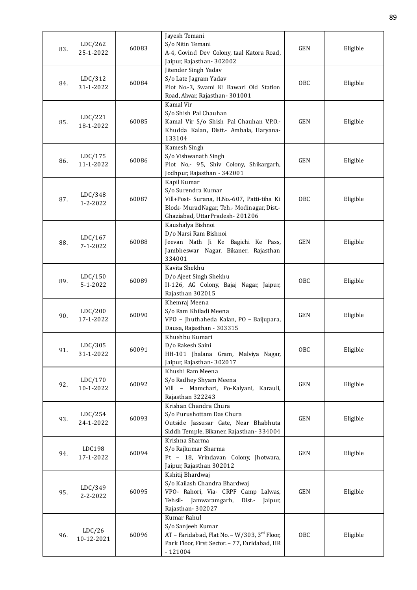| 83. | LDC/262              | 60083 | Jayesh Temani<br>S/o Nitin Temani                                     | <b>GEN</b> | Eligible |
|-----|----------------------|-------|-----------------------------------------------------------------------|------------|----------|
|     | 25-1-2022            |       | A-4, Govind Dev Colony, taal Katora Road,<br>Jaipur, Rajasthan-302002 |            |          |
|     |                      |       | Jitender Singh Yadav                                                  |            |          |
| 84. | LDC/312              | 60084 | S/o Late Jagram Yadav                                                 | OBC        | Eligible |
|     | 31-1-2022            |       | Plot No.-3, Swami Ki Bawari Old Station                               |            |          |
|     |                      |       | Road, Alwar, Rajasthan-301001<br>Kamal Vir                            |            |          |
|     |                      |       | S/o Shish Pal Chauhan                                                 |            |          |
| 85. | LDC/221              | 60085 | Kamal Vir S/o Shish Pal Chauhan V.P.O.-                               | <b>GEN</b> | Eligible |
|     | 18-1-2022            |       | Khudda Kalan, Distt.- Ambala, Haryana-                                |            |          |
|     |                      |       | 133104                                                                |            |          |
|     | LDC/175              |       | Kamesh Singh<br>S/o Vishwanath Singh                                  |            |          |
| 86. | 11-1-2022            | 60086 | Plot No,- 95, Shiv Colony, Shikargarh,                                | <b>GEN</b> | Eligible |
|     |                      |       | Jodhpur, Rajasthan - 342001                                           |            |          |
|     |                      |       | Kapil Kumar                                                           |            |          |
| 87. | LDC/348              | 60087 | S/o Surendra Kumar<br>Vill+Post- Surana, H.No.-607, Patti-tiha Ki     | <b>OBC</b> | Eligible |
|     | 1-2-2022             |       | Block- MuradNagar, Teh.- Modinagar, Dist.-                            |            |          |
|     |                      |       | Ghaziabad, UttarPradesh-201206                                        |            |          |
|     |                      |       | Kaushalya Bishnoi                                                     |            |          |
| 88. | LDC/167              | 60088 | D/o Narsi Ram Bishnoi<br>Jeevan Nath Ji Ke Bagichi Ke Pass,           | <b>GEN</b> | Eligible |
|     | 7-1-2022             |       | Jambheswar Nagar, Bikaner, Rajasthan                                  |            |          |
|     |                      |       | 334001                                                                |            |          |
|     |                      |       | Kavita Shekhu                                                         |            |          |
| 89. | LDC/150<br>5-1-2022  | 60089 | D/o Ajeet Singh Shekhu<br>II-126, AG Colony, Bajaj Nagar, Jaipur,     | OBC        | Eligible |
|     |                      |       | Rajasthan 302015                                                      |            |          |
|     |                      |       | Khemraj Meena                                                         |            |          |
| 90. | LDC/200<br>17-1-2022 | 60090 | S/o Ram Khiladi Meena<br>VPO - Jhuthaheda Kalan, PO - Baijupara,      | <b>GEN</b> | Eligible |
|     |                      |       | Dausa, Rajasthan - 303315                                             |            |          |
|     |                      |       | Khushbu Kumari                                                        |            |          |
| 91. | LDC/305              | 60091 | D/o Rakesh Saini                                                      | <b>OBC</b> | Eligible |
|     | 31-1-2022            |       | HH-101 Jhalana Gram, Malviya Nagar,<br>Jaipur, Rajasthan-302017       |            |          |
|     |                      |       | Khushi Ram Meena                                                      |            |          |
| 92. | LDC/170              | 60092 | S/o Radhey Shyam Meena                                                | GEN        | Eligible |
|     | 10-1-2022            |       | Vill - Mamchari, Po-Kalyani, Karauli,                                 |            |          |
|     |                      |       | Rajasthan 322243<br>Krishan Chandra Chura                             |            |          |
|     | LDC/254              |       | S/o Purushottam Das Chura                                             |            |          |
| 93. | 24-1-2022            | 60093 | Outside Jassusar Gate, Near Bhabhuta                                  | GEN        | Eligible |
|     |                      |       | Siddh Temple, Bikaner, Rajasthan-334004                               |            |          |
|     | LDC198               |       | Krishna Sharma<br>S/o Rajkumar Sharma                                 |            |          |
| 94. | 17-1-2022            | 60094 | Pt - 18, Vrindavan Colony, Jhotwara,                                  | GEN        | Eligible |
|     |                      |       | Jaipur, Rajasthan 302012                                              |            |          |
|     |                      |       | Kshitij Bhardwaj                                                      |            |          |
| 95. | LDC/349              | 60095 | S/o Kailash Chandra Bhardwaj<br>VPO- Rahori, Via- CRPF Camp Lalwas,   | <b>GEN</b> | Eligible |
|     | 2-2-2022             |       | Tehsil- Jamwaramgarh,<br>Dist.-<br>Jaipur,                            |            |          |
|     |                      |       | Rajasthan-302027                                                      |            |          |
|     |                      |       | Kumar Rahul<br>S/o Sanjeeb Kumar                                      |            |          |
| 96. | LDC/26               | 60096 | AT - Faridabad, Flat No. - W/303, 3rd Floor,                          | OBC        | Eligible |
|     | 10-12-2021           |       | Park Floor, First Sector. - 77, Faridabad, HR                         |            |          |
|     |                      |       | $-121004$                                                             |            |          |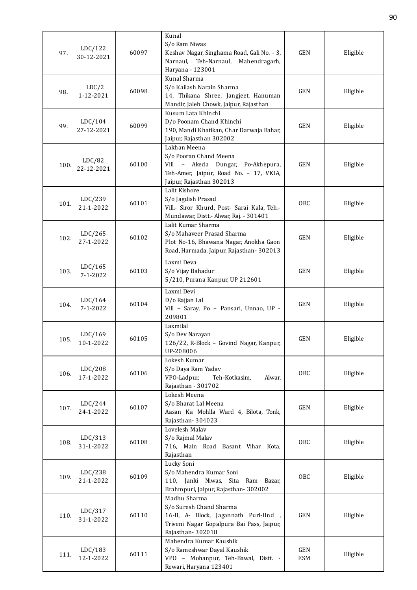|      |                      |       | Kunal                                                              |            |          |
|------|----------------------|-------|--------------------------------------------------------------------|------------|----------|
|      | LDC/122              |       | S/o Ram Niwas                                                      |            |          |
| 97.  | 30-12-2021           | 60097 | Keshav Nagar, Singhama Road, Gali No. - 3,                         | <b>GEN</b> | Eligible |
|      |                      |       | Narnaul,<br>Teh-Narnaul,<br>Mahendragarh,                          |            |          |
|      |                      |       | Haryana - 123001                                                   |            |          |
|      |                      |       | Kunal Sharma                                                       |            |          |
| 98.  | LDC/2                | 60098 | S/o Kailash Narain Sharma                                          | <b>GEN</b> | Eligible |
|      | 1-12-2021            |       | 14, Thikana Shree, Jangjeet, Hanuman                               |            |          |
|      |                      |       | Mandir, Jaleb Chowk, Jaipur, Rajasthan<br>Kusum Lata Khinchi       |            |          |
|      | LDC/104              |       | D/o Poonam Chand Khinchi                                           |            |          |
| 99.  | 27-12-2021           | 60099 | 190, Mandi Khatikan, Char Darwaja Bahar,                           | <b>GEN</b> | Eligible |
|      |                      |       | Jaipur, Rajasthan 302002                                           |            |          |
|      |                      |       | Lakhan Meena                                                       |            |          |
|      |                      |       | S/o Pooran Chand Meena                                             |            |          |
| 100. | LDC/82               | 60100 | Vill - Akeda Dungar, Po-Akhepura,                                  | <b>GEN</b> | Eligible |
|      | 22-12-2021           |       | Teh-Amer, Jaipur, Road No. - 17, VKIA,                             |            |          |
|      |                      |       | Jaipur, Rajasthan 302013                                           |            |          |
|      |                      |       | Lalit Kishore                                                      |            |          |
|      | LDC/239              |       | S/o Jagdish Prasad                                                 |            |          |
| 101. | 21-1-2022            | 60101 | Vill.- Siror Khurd, Post- Sarai Kala, Teh.-                        | <b>OBC</b> | Eligible |
|      |                      |       | Mundawar, Distt.- Alwar, Raj. - 301401                             |            |          |
|      |                      |       | Lalit Kumar Sharma                                                 |            |          |
|      | LDC/265              |       | S/o Mahaveer Prasad Sharma                                         |            |          |
| 102. | 27-1-2022            | 60102 | Plot No-16, Bhawana Nagar, Anokha Gaon                             | GEN        | Eligible |
|      |                      |       | Road, Harmada, Jaipur, Rajasthan-302013                            |            |          |
|      |                      |       | Laxmi Deva                                                         |            |          |
| 103. | LDC/165              | 60103 | S/o Vijay Bahadur                                                  | <b>GEN</b> | Eligible |
|      | $7 - 1 - 2022$       |       | 5/210, Purana Kanpur, UP 212601                                    |            |          |
|      |                      |       |                                                                    |            |          |
|      | LDC/164              |       | Laxmi Devi<br>D/o Rajjan Lal                                       |            |          |
| 104. | $7 - 1 - 2022$       | 60104 | Vill - Saray, Po - Pansari, Unnao, UP -                            | <b>GEN</b> | Eligible |
|      |                      |       | 209801                                                             |            |          |
|      |                      |       | Laxmilal                                                           |            |          |
|      | LDC/169              |       | S/o Dev Narayan                                                    |            |          |
| 105. | 10-1-2022            | 60105 | 126/22, R-Block - Govind Nagar, Kanpur,                            | <b>GEN</b> | Eligible |
|      |                      |       | UP-208006                                                          |            |          |
|      |                      |       | Lokesh Kumar                                                       |            |          |
|      | LDC/208              |       | S/o Daya Ram Yadav                                                 |            |          |
| 106. | 17-1-2022            | 60106 | VPO-Ladpur,<br>Teh-Kotkasim,<br>Alwar,                             | OBC        | Eligible |
|      |                      |       | Rajasthan - 301702                                                 |            |          |
|      |                      |       | Lokesh Meena                                                       |            |          |
| 107. | LDC/244              | 60107 | S/o Bharat Lal Meena                                               | GEN        | Eligible |
|      | 24-1-2022            |       | Aasan Ka Mohlla Ward 4, Bilota, Tonk,                              |            |          |
|      |                      |       | Rajasthan-304023                                                   |            |          |
|      |                      |       | Lovelesh Malav                                                     |            |          |
| 108  | LDC/313              | 60108 | S/o Rajmal Malav                                                   | OBC        | Eligible |
|      | 31-1-2022            |       | 716, Main Road Basant Vihar Kota,                                  |            |          |
|      |                      |       | Rajasthan                                                          |            |          |
|      |                      |       | Lucky Soni                                                         |            |          |
| 109  | LDC/238<br>21-1-2022 | 60109 | S/o Mahendra Kumar Soni<br>110, Janki Niwas, Sita<br>Ram<br>Bazar, | <b>OBC</b> | Eligible |
|      |                      |       | Brahmpuri, Jaipur, Rajasthan-302002                                |            |          |
|      |                      |       | Madhu Sharma                                                       |            |          |
|      |                      |       | S/o Suresh Chand Sharma                                            |            |          |
| 110. | LDC/317              | 60110 | 16-B, A- Block, Jagannath Puri-IInd,                               | GEN        | Eligible |
|      | 31-1-2022            |       | Triveni Nagar Gopalpura Bai Pass, Jaipur,                          |            |          |
|      |                      |       | Rajasthan-302018                                                   |            |          |
|      |                      |       | Mahendra Kumar Kaushik                                             |            |          |
|      | LDC/183              | 60111 | S/o Rameshwar Dayal Kaushik                                        | GEN        |          |
| 111  | 12-1-2022            |       | VPO - Mohanpur, Teh-Bawal, Distt. -                                | ESM        | Eligible |
|      |                      |       | Rewari, Haryana 123401                                             |            |          |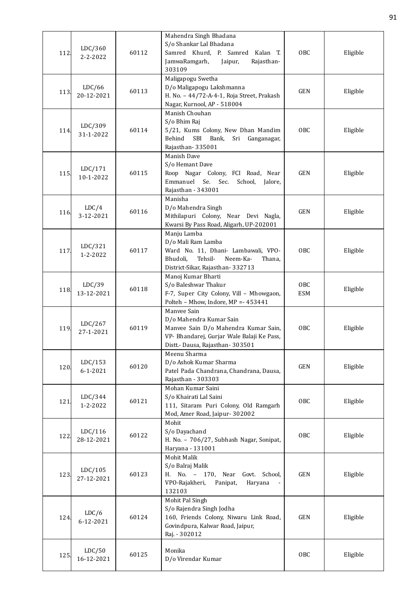| 112  | LDC/360<br>$2 - 2 - 2022$ | 60112 | Mahendra Singh Bhadana<br>S/o Shankar Lal Bhadana<br>Samred Khurd, P. Samred Kalan T.<br>JamwaRamgarh,<br>Rajasthan-<br>Jaipur,<br>303109                        | OBC               | Eligible |
|------|---------------------------|-------|------------------------------------------------------------------------------------------------------------------------------------------------------------------|-------------------|----------|
| 113  | LDC/66<br>20-12-2021      | 60113 | Maligapogu Swetha<br>D/o Maligapogu Lakshmanna<br>H. No. - 44/72-A-4-1, Roja Street, Prakash<br>Nagar, Kurnool, AP - 518004                                      | GEN               | Eligible |
| 114. | LDC/309<br>31-1-2022      | 60114 | Manish Chouhan<br>S/o Bhim Raj<br>5/21, Kums Colony, New Dhan Mandim<br>Behind<br>SBI<br>Bank,<br>Sri Ganganagar,<br>Rajasthan-335001                            | OBC               | Eligible |
| 115  | LDC/171<br>10-1-2022      | 60115 | Manish Dave<br>S/o Hemant Dave<br>Roop Nagar Colony, FCI Road, Near<br>Emmanuel<br>Sec.<br>Se.<br>School,<br>Jalore,<br>Rajasthan - 343001                       | GEN               | Eligible |
| 116. | LDC/4<br>3-12-2021        | 60116 | Manisha<br>D/o Mahendra Singh<br>Mithilapuri Colony, Near Devi Nagla,<br>Kwarsi By Pass Road, Aligarh, UP-202001                                                 | GEN               | Eligible |
| 117  | LDC/321<br>1-2-2022       | 60117 | Manju Lamba<br>D/o Mali Ram Lamba<br>Ward No. 11, Dhani- Lambawali, VPO-<br>Bhudoli,<br>Tehsil-<br>Neem-Ka-<br>Thana,<br>District-Sikar, Rajasthan-332713        | OBC               | Eligible |
| 118. | LDC/39<br>13-12-2021      | 60118 | Manoj Kumar Bharti<br>S/o Baleshwar Thakur<br>F-7, Super City Colony, Vill - Mhowgaon,<br>Polteh - Mhow, Indore, MP = - 453441                                   | OBC<br><b>ESM</b> | Eligible |
| 119  | LDC/267<br>27-1-2021      | 60119 | Manyee Sain<br>D/o Mahendra Kumar Sain<br>Manvee Sain D/o Mahendra Kumar Sain,<br>VP- Bhandarej, Gurjar Wale Balaji Ke Pass,<br>Distt.- Dausa, Rajasthan- 303501 | OBC               | Eligible |
| 120. | LDC/153<br>$6 - 1 - 2021$ | 60120 | Meenu Sharma<br>D/o Ashok Kumar Sharma<br>Patel Pada Chandrana, Chandrana, Dausa,<br>Rajasthan - 303303                                                          | GEN               | Eligible |
| 121  | LDC/344<br>1-2-2022       | 60121 | Mohan Kumar Saini<br>S/o Khairati Lal Saini<br>111, Sitaram Puri Colony, Old Ramgarh<br>Mod, Amer Road, Jaipur- 302002                                           | OBC               | Eligible |
| 122  | LDC/116<br>28-12-2021     | 60122 | Mohit<br>S/o Dayachand<br>H. No. - 706/27, Subhash Nagar, Sonipat,<br>Haryana - 131001                                                                           | OBC               | Eligible |
| 123  | LDC/105<br>27-12-2021     | 60123 | Mohit Malik<br>S/o Balraj Malik<br>H. No. - 170, Near<br>Govt. School,<br>VPO-Rajakheri,<br>Panipat,<br>Haryana<br>132103                                        | GEN               | Eligible |
| 124  | LDC/6<br>6-12-2021        | 60124 | Mohit Pal Singh<br>S/o Rajendra Singh Jodha<br>160, Friends Colony, Niwaru Link Road,<br>Govindpura, Kalwar Road, Jaipur,<br>Raj. - 302012                       | GEN               | Eligible |
| 125. | LDC/50<br>16-12-2021      | 60125 | Monika<br>D/o Virendar Kumar                                                                                                                                     | OBC               | Eligible |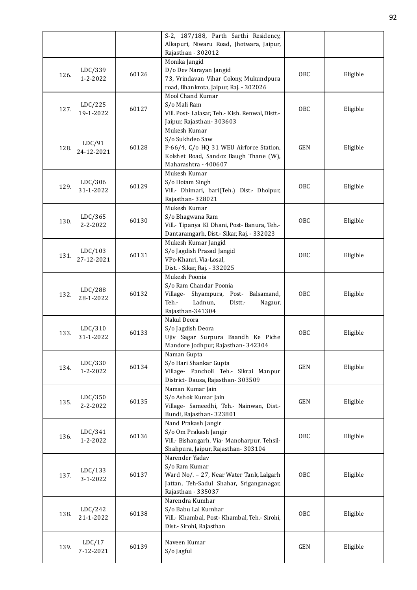|      |                           |       | S-2, 187/188, Parth Sarthi Residency,<br>Alkapuri, Niwaru Road, Jhotwara, Jaipur,                                                                |            |          |
|------|---------------------------|-------|--------------------------------------------------------------------------------------------------------------------------------------------------|------------|----------|
|      |                           |       | Rajasthan - 302012                                                                                                                               |            |          |
| 126. | LDC/339<br>1-2-2022       | 60126 | Monika Jangid<br>D/o Dev Narayan Jangid<br>73, Vrindavan Vihar Colony, Mukundpura<br>road, Bhankrota, Jaipur, Raj. - 302026                      | <b>OBC</b> | Eligible |
| 127  | LDC/225<br>19-1-2022      | 60127 | Mool Chand Kumar<br>S/o Mali Ram<br>Vill. Post- Lalasar, Teh.- Kish. Renwal, Distt.-<br>Jaipur, Rajasthan-303603                                 | OBC        | Eligible |
| 128. | LDC/91<br>24-12-2021      | 60128 | Mukesh Kumar<br>S/o Sukhdeo Saw<br>P-66/4, C/o HQ 31 WEU Airforce Station,<br>Kolshet Road, Sandoz Baugh Thane (W),<br>Maharashtra - 400607      | <b>GEN</b> | Eligible |
| 129. | LDC/306<br>31-1-2022      | 60129 | Mukesh Kumar<br>S/o Hotam Singh<br>Vill.- Dhimari, bari(Teh.) Dist.- Dholpur,<br>Rajasthan-328021                                                | <b>OBC</b> | Eligible |
| 130. | LDC/365<br>$2 - 2 - 2022$ | 60130 | Mukesh Kumar<br>S/o Bhagwana Ram<br>Vill.- Tipanya KI Dhani, Post-Banura, Teh.-<br>Dantaramgarh, Dist.- Sikar, Raj. - 332023                     | <b>OBC</b> | Eligible |
| 131. | LDC/103<br>27-12-2021     | 60131 | Mukesh Kumar Jangid<br>S/o Jagdish Prasad Jangid<br>VPo-Khanri, Via-Losal,<br>Dist. - Sikar, Raj. - 332025                                       | <b>OBC</b> | Eligible |
| 132  | LDC/288<br>28-1-2022      | 60132 | Mukesh Poonia<br>S/o Ram Chandar Poonia<br>Shyampura, Post- Balsamand,<br>Village-<br>Teh.-<br>Ladnun,<br>Distt.-<br>Nagaur,<br>Rajasthan-341304 | <b>OBC</b> | Eligible |
| 133. | LDC/310<br>31-1-2022      | 60133 | Nakul Deora<br>S/o Jagdish Deora<br>Ujiv Sagar Surpura Baandh Ke Piche<br>Mandore Jodhpur, Rajasthan-342304                                      | <b>OBC</b> | Eligible |
| 134. | LDC/330<br>1-2-2022       | 60134 | Naman Gupta<br>S/o Hari Shankar Gupta<br>Village- Pancholi Teh.- Sikrai Manpur<br>District-Dausa, Rajasthan-303509                               | <b>GEN</b> | Eligible |
| 135. | LDC/350<br>2-2-2022       | 60135 | Naman Kumar Jain<br>S/o Ashok Kumar Jain<br>Village- Sameedhi, Teh.- Nainwan, Dist.-<br>Bundi, Rajasthan-323801                                  | <b>GEN</b> | Eligible |
| 136. | LDC/341<br>1-2-2022       | 60136 | Nand Prakash Jangir<br>S/o Om Prakash Jangir<br>Vill.- Bishangarh, Via- Manoharpur, Tehsil-<br>Shahpura, Jaipur, Rajasthan-303104                | <b>OBC</b> | Eligible |
| 137  | LDC/133<br>3-1-2022       | 60137 | Narender Yadav<br>S/o Ram Kumar<br>Ward No/. - 27, Near Water Tank, Lalgarh<br>Jattan, Teh-Sadul Shahar, Sriganganagar,<br>Rajasthan - 335037    | OBC        | Eligible |
| 138. | LDC/242<br>21-1-2022      | 60138 | Narendra Kumhar<br>S/o Babu Lal Kumhar<br>Vill.- Khambal, Post- Khambal, Teh.- Sirohi,<br>Dist.- Sirohi, Rajasthan                               | <b>OBC</b> | Eligible |
| 139. | LDC/17<br>7-12-2021       | 60139 | Naveen Kumar<br>S/o Jagful                                                                                                                       | GEN        | Eligible |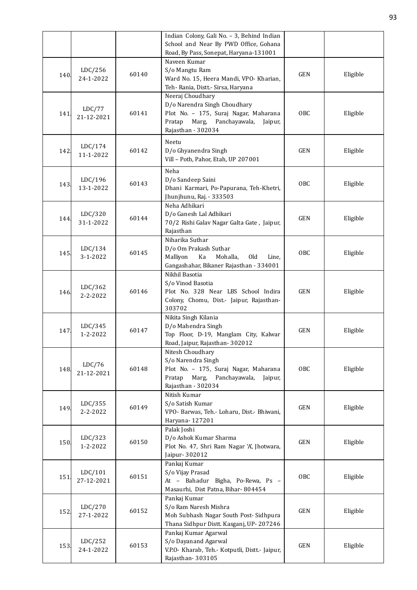|      |                           |       | Indian Colony, Gali No. - 3, Behind Indian<br>School and Near By PWD Office, Gohana<br>Road, By Pass, Sonepat, Haryana-131001                                  |            |          |
|------|---------------------------|-------|----------------------------------------------------------------------------------------------------------------------------------------------------------------|------------|----------|
| 140. | LDC/256<br>24-1-2022      | 60140 | Naveen Kumar<br>S/o Mangtu Ram<br>Ward No. 15, Heera Mandi, VPO- Kharian,<br>Teh- Rania, Distt.- Sirsa, Haryana                                                | <b>GEN</b> | Eligible |
| 141  | LDC/77<br>21-12-2021      | 60141 | Neeraj Choudhary<br>D/o Narendra Singh Choudhary<br>Plot No. - 175, Suraj Nagar, Maharana<br>Marg,<br>Panchayawala,<br>Pratap<br>Jaipur,<br>Rajasthan - 302034 | <b>OBC</b> | Eligible |
| 142  | LDC/174<br>11-1-2022      | 60142 | Neetu<br>D/o Ghyanendra Singh<br>Vill - Poth, Pahor, Etah, UP 207001                                                                                           | <b>GEN</b> | Eligible |
| 143. | LDC/196<br>13-1-2022      | 60143 | Neha<br>D/o Sandeep Saini<br>Dhani Karmari, Po-Papurana, Teh-Khetri,<br>Jhunjhunu, Raj. - 333503                                                               | <b>OBC</b> | Eligible |
| 144. | LDC/320<br>31-1-2022      | 60144 | Neha Adhikari<br>D/o Ganesh Lal Adhikari<br>70/2 Rishi Galav Nagar Galta Gate, Jaipur,<br>Rajasthan                                                            | <b>GEN</b> | Eligible |
| 145. | LDC/134<br>3-1-2022       | 60145 | Niharika Suthar<br>D/o Om Prakash Suthar<br>Ka<br>Old<br>Malliyon<br>Mohalla,<br>Line,<br>Gangashahar, Bikaner Rajasthan - 334001                              | <b>OBC</b> | Eligible |
| 146. | LDC/362<br>$2 - 2 - 2022$ | 60146 | Nikhil Basotia<br>S/o Vinod Basotia<br>Plot No. 328 Near LBS School Indira<br>Colony, Chomu, Dist.- Jaipur, Rajasthan-<br>303702                               | <b>GEN</b> | Eligible |
| 147  | LDC/345<br>1-2-2022       | 60147 | Nikita Singh Kilania<br>D/o Mahendra Singh<br>Top Floor, D-19, Manglam City, Kalwar<br>Road, Jaipur, Rajasthan-302012                                          | <b>GEN</b> | Eligible |
| 148. | LDC/76<br>21-12-2021      | 60148 | Nitesh Choudhary<br>S/o Narendra Singh<br>Plot No. - 175, Suraj Nagar, Maharana<br>Pratap<br>Marg,<br>Panchayawala,<br>Jaipur,<br>Rajasthan - 302034           | <b>OBC</b> | Eligible |
| 149. | LDC/355<br>$2 - 2 - 2022$ | 60149 | Nitish Kumar<br>S/o Satish Kumar<br>VPO- Barwas, Teh.- Loharu, Dist.- Bhiwani,<br>Haryana-127201                                                               | <b>GEN</b> | Eligible |
| 150  | LDC/323<br>1-2-2022       | 60150 | Palak Joshi<br>D/o Ashok Kumar Sharma<br>Plot No. 47, Shri Ram Nagar 'A', Jhotwara,<br>Jaipur- 302012                                                          | <b>GEN</b> | Eligible |
| 151. | LDC/101<br>27-12-2021     | 60151 | Pankaj Kumar<br>S/o Vijay Prasad<br>At - Bahadur Bigha, Po-Rewa, Ps -<br>Masaurhi, Dist Patna, Bihar-804454                                                    | OBC        | Eligible |
| 152. | LDC/270<br>27-1-2022      | 60152 | Pankaj Kumar<br>S/o Ram Naresh Mishra<br>Moh Subhash Nagar South Post-Sidhpura<br>Thana Sidhpur Distt. Kasganj, UP-207246                                      | <b>GEN</b> | Eligible |
| 153. | LDC/252<br>24-1-2022      | 60153 | Pankaj Kumar Agarwal<br>S/o Dayanand Agarwal<br>V.P.O- Kharab, Teh.- Kotputli, Distt.- Jaipur,<br>Rajasthan-303105                                             | <b>GEN</b> | Eligible |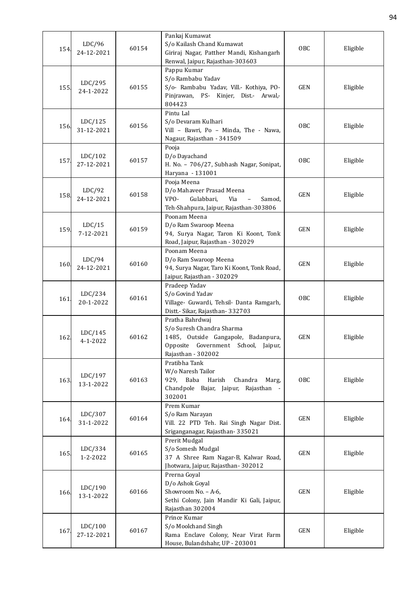| 154  | LDC/96<br>24-12-2021  | 60154 | Pankaj Kumawat<br>S/o Kailash Chand Kumawat<br>Giriraj Nagar, Patther Mandi, Kishangarh<br>Renwal, Jaipur, Rajasthan-303603                      | <b>OBC</b> | Eligible |
|------|-----------------------|-------|--------------------------------------------------------------------------------------------------------------------------------------------------|------------|----------|
| 155. | LDC/295<br>24-1-2022  | 60155 | Pappu Kumar<br>S/o Rambabu Yadav<br>S/o- Rambabu Yadav, Vill.- Kothiya, PO-<br>Pinjrawan, PS- Kinjer, Dist.- Arwal,-<br>804423                   | <b>GEN</b> | Eligible |
| 156  | LDC/125<br>31-12-2021 | 60156 | Pintu Lal<br>S/o Devaram Kulhari<br>Vill - Bawri, Po - Minda, The - Nawa,<br>Nagaur, Rajasthan - 341509                                          | OBC        | Eligible |
| 157  | LDC/102<br>27-12-2021 | 60157 | Pooja<br>D/o Dayachand<br>H. No. - 706/27, Subhash Nagar, Sonipat,<br>Haryana - 131001                                                           | <b>OBC</b> | Eligible |
| 158  | LDC/92<br>24-12-2021  | 60158 | Pooja Meena<br>D/o Mahaveer Prasad Meena<br>VPO-<br>Gulabbari,<br>Via<br>Samod,<br>Teh-Shahpura, Jaipur, Rajasthan-303806                        | <b>GEN</b> | Eligible |
| 159  | LDC/15<br>7-12-2021   | 60159 | Poonam Meena<br>D/o Ram Swaroop Meena<br>94, Surya Nagar, Taron Ki Koont, Tonk<br>Road, Jaipur, Rajasthan - 302029                               | <b>GEN</b> | Eligible |
| 160. | LDC/94<br>24-12-2021  | 60160 | Poonam Meena<br>D/o Ram Swaroop Meena<br>94, Surya Nagar, Taro Ki Koont, Tonk Road,<br>Jaipur, Rajasthan - 302029                                | <b>GEN</b> | Eligible |
| 161  | LDC/234<br>20-1-2022  | 60161 | Pradeep Yadav<br>S/o Govind Yadav<br>Village- Guwardi, Tehsil- Danta Ramgarh,<br>Distt.- Sikar, Rajasthan-332703                                 | <b>OBC</b> | Eligible |
| 162  | LDC/145<br>4-1-2022   | 60162 | Pratha Bahrdwaj<br>S/o Suresh Chandra Sharma<br>1485, Outside Gangapole, Badanpura,<br>Opposite Government School, Jaipur,<br>Rajasthan - 302002 | <b>GEN</b> | Eligible |
| 163  | LDC/197<br>13-1-2022  | 60163 | Pratibha Tank<br>W/o Naresh Tailor<br>929, Baba<br>Harish<br>Chandra<br>Marg,<br>Chandpole Bajar, Jaipur, Rajasthan -<br>302001                  | OBC        | Eligible |
| 164. | LDC/307<br>31-1-2022  | 60164 | Prem Kumar<br>S/o Ram Narayan<br>Vill. 22 PTD Teh. Rai Singh Nagar Dist.<br>Sriganganagar, Rajasthan-335021                                      | <b>GEN</b> | Eligible |
| 165. | LDC/334<br>1-2-2022   | 60165 | Prerit Mudgal<br>S/o Somesh Mudgal<br>37 A Shree Ram Nagar-B, Kalwar Road,<br>Jhotwara, Jaipur, Rajasthan-302012                                 | GEN        | Eligible |
| 166. | LDC/190<br>13-1-2022  | 60166 | Prerna Goyal<br>D/o Ashok Goyal<br>Showroom No. - A-6,<br>Sethi Colony, Jain Mandir Ki Gali, Jaipur,<br>Rajasthan 302004                         | <b>GEN</b> | Eligible |
| 167  | LDC/100<br>27-12-2021 | 60167 | Prince Kumar<br>S/o Moolchand Singh<br>Rama Enclave Colony, Near Virat Farm<br>House, Bulandshahr, UP - 203001                                   | <b>GEN</b> | Eligible |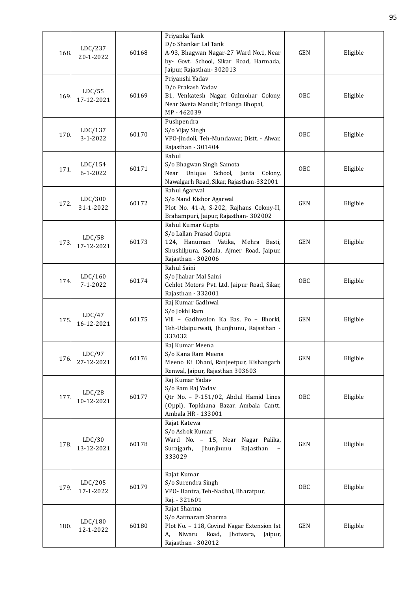| 168. | LDC/237<br>20-1-2022      | 60168 | Priyanka Tank<br>D/o Shanker Lal Tank<br>A-93, Bhagwan Nagar-27 Ward No.1, Near<br>by- Govt. School, Sikar Road, Harmada,<br>Jaipur, Rajasthan-302013    | <b>GEN</b> | Eligible |
|------|---------------------------|-------|----------------------------------------------------------------------------------------------------------------------------------------------------------|------------|----------|
| 169. | LDC/55<br>17-12-2021      | 60169 | Priyanshi Yadav<br>D/o Prakash Yadav<br>B1, Venkatesh Nagar, Gulmohar Colony,<br>Near Sweta Mandir, Trilanga Bhopal,<br>MP-462039                        | <b>OBC</b> | Eligible |
| 170. | LDC/137<br>$3 - 1 - 2022$ | 60170 | Pushpendra<br>S/o Vijay Singh<br>VPO-Jindoli, Teh-Mundawar, Distt. - Alwar,<br>Rajasthan - 301404                                                        | <b>OBC</b> | Eligible |
| 171  | LDC/154<br>$6 - 1 - 2022$ | 60171 | Rahul<br>S/o Bhagwan Singh Samota<br>Unique School, Janta<br>Near<br>Colony,<br>Nawalgarh Road, Sikar, Rajasthan-332001                                  | OBC        | Eligible |
| 172. | LDC/300<br>31-1-2022      | 60172 | Rahul Agarwal<br>S/o Nand Kishor Agarwal<br>Plot No. 41-A, S-202, Rajhans Colony-II,<br>Brahampuri, Jaipur, Rajasthan-302002                             | <b>GEN</b> | Eligible |
| 173  | LDC/58<br>17-12-2021      | 60173 | Rahul Kumar Gupta<br>S/o Lallan Prasad Gupta<br>124, Hanuman Vatika,<br>Mehra Basti,<br>Shushilpura, Sodala, Ajmer Road, Jaipur,<br>Rajasthan - 302006   | <b>GEN</b> | Eligible |
| 174. | LDC/160<br>$7 - 1 - 2022$ | 60174 | Rahul Saini<br>S/o Jhabar Mal Saini<br>Gehlot Motors Pvt. Ltd. Jaipur Road, Sikar,<br>Rajasthan - 332001                                                 | OBC        | Eligible |
| 175  | LDC/47<br>16-12-2021      | 60175 | Raj Kumar Gadhwal<br>S/o Jokhi Ram<br>Vill - Gadhwalon Ka Bas, Po - Bhorki,<br>Teh-Udaipurwati, Jhunjhunu, Rajasthan -<br>333032                         | <b>GEN</b> | Eligible |
| 176. | LDC/97<br>27-12-2021      | 60176 | Raj Kumar Meena<br>S/o Kana Ram Meena<br>Meeno Ki Dhani, Ranjeetpur, Kishangarh<br>Renwal, Jaipur, Rajasthan 303603                                      | <b>GEN</b> | Eligible |
| 177  | LDC/28<br>10-12-2021      | 60177 | Raj Kumar Yadav<br>S/o Ram Raj Yadav<br>Qtr No. - P-151/02, Abdul Hamid Lines<br>(Oppl), Topkhana Bazar, Ambala Cantt,<br>Ambala HR - 133001             | OBC        | Eligible |
| 178. | LDC/30<br>13-12-2021      | 60178 | Rajat Katewa<br>S/o Ashok Kumar<br>Ward No. - 15, Near Nagar Palika,<br>Jhunjhunu<br>RaJasthan<br>Surajgarh,<br>333029                                   | GEN        | Eligible |
| 179. | LDC/205<br>17-1-2022      | 60179 | Rajat Kumar<br>S/o Surendra Singh<br>VPO- Hantra, Teh-Nadbai, Bharatpur,<br>Raj. - 321601                                                                | <b>OBC</b> | Eligible |
| 180. | LDC/180<br>12-1-2022      | 60180 | Rajat Sharma<br>S/o Aatmaram Sharma<br>Plot No. - 118, Govind Nagar Extension Ist<br>Niwaru<br>Road,<br>Jhotwara,<br>A,<br>Jaipur,<br>Rajasthan - 302012 | GEN        | Eligible |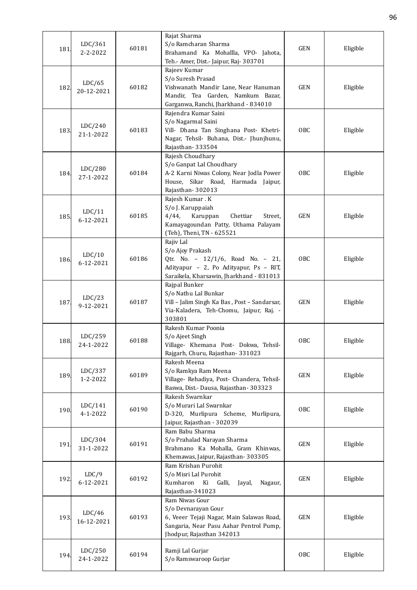| 181  | LDC/361<br>$2 - 2 - 2022$ | 60181 | Rajat Sharma<br>S/o Ramcharan Sharma<br>Brahamand Ka Mohallla, VPO- Jahota,                                                                                                                  | <b>GEN</b> | Eligible |
|------|---------------------------|-------|----------------------------------------------------------------------------------------------------------------------------------------------------------------------------------------------|------------|----------|
| 182  | LDC/65<br>20-12-2021      | 60182 | Teh.- Amer, Dist.- Jaipur, Raj- 303701<br>Rajeev Kumar<br>S/o Suresh Prasad<br>Vishwanath Mandir Lane, Near Hanuman<br>Mandir, Tea Garden, Namkum Bazar,                                     | <b>GEN</b> | Eligible |
| 183  | LDC/240<br>21-1-2022      | 60183 | Garganwa, Ranchi, Jharkhand - 834010<br>Rajendra Kumar Saini<br>S/o Nagarmal Saini<br>Vill- Dhana Tan Singhana Post- Khetri-<br>Nagar, Tehsil- Buhana, Dist.- Jhunjhunu,<br>Rajasthan-333504 | OBC        | Eligible |
| 184  | LDC/280<br>27-1-2022      | 60184 | Rajesh Choudhary<br>S/o Ganpat Lal Choudhary<br>A-2 Karni Niwas Colony, Near Jodla Power<br>House, Sikar Road, Harmada Jaipur,<br>Rajasthan-302013                                           | OBC        | Eligible |
| 185  | LDC/11<br>6-12-2021       | 60185 | Rajesh Kumar.K<br>S/o J. Karuppaiah<br>Karuppan<br>Chettiar<br>4/44,<br>Street,<br>Kamayagoundan Patty, Uthama Palayam<br>(Teh), Theni, TN - 625521                                          | <b>GEN</b> | Eligible |
| 186. | LDC/10<br>6-12-2021       | 60186 | Rajiv Lal<br>S/o Ajoy Prakash<br>Qtr. No. - 12/1/6, Road No. - 21,<br>Adityapur - 2, Po Adityapur, Ps - RIT,<br>Saraikela, Kharsawin, Jharkhand - 831013                                     | OBC        | Eligible |
| 187  | LDC/23<br>9-12-2021       | 60187 | Rajpal Bunker<br>S/o Nathu Lal Bunkar<br>Vill - Jalim Singh Ka Bas, Post - Sandarsar,<br>Via-Kaladera, Teh-Chomu, Jaipur, Raj. -<br>303801                                                   | <b>GEN</b> | Eligible |
| 188  | LDC/259<br>24-1-2022      | 60188 | Rakesh Kumar Poonia<br>S/o Ajeet Singh<br>Village- Khemana Post- Dokwa, Tehsil-<br>Rajgarh, Churu, Rajasthan-331023                                                                          | OBC        | Eligible |
| 189  | LDC/337<br>1-2-2022       | 60189 | Rakesh Meena<br>S/o Ramkya Ram Meena<br>Village- Rehadiya, Post- Chandera, Tehsil-<br>Baswa, Dist.- Dausa, Rajasthan- 303323                                                                 | <b>GEN</b> | Eligible |
| 190. | LDC/141<br>4-1-2022       | 60190 | Rakesh Swarnkar<br>S/o Murari Lal Swarnkar<br>D-320, Murlipura Scheme, Murlipura,<br>Jaipur, Rajasthan - 302039                                                                              | OBC        | Eligible |
| 191  | LDC/304<br>31-1-2022      | 60191 | Ram Babu Sharma<br>S/o Prahalad Narayan Sharma<br>Brahmano Ka Mohalla, Gram Khinwas,<br>Khemawas, Jaipur, Rajasthan-303305                                                                   | <b>GEN</b> | Eligible |
| 192. | LDC/9<br>6-12-2021        | 60192 | Ram Krishan Purohit<br>S/o Misri Lal Purohit<br>Kumharon Ki<br>Galli,<br>Nagaur,<br>Jayal,<br>Rajasthan-341023                                                                               | <b>GEN</b> | Eligible |
| 193. | LDC/46<br>16-12-2021      | 60193 | Ram Niwas Gour<br>S/o Devnarayan Gour<br>6, Veeer Tejaji Nagar, Main Salawas Road,<br>Sangaria, Near Pasu Aahar Pentrol Pump,<br>Jhodpur, Rajasthan 342013                                   | <b>GEN</b> | Eligible |
| 194. | LDC/250<br>24-1-2022      | 60194 | Ramji Lal Gurjar<br>S/o Ramswaroop Gurjar                                                                                                                                                    | OBC        | Eligible |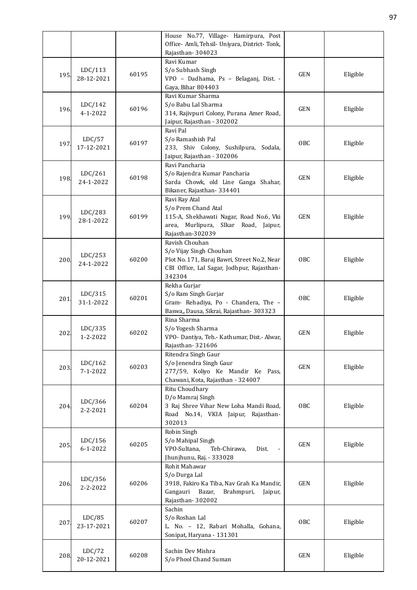|      |                           |       | House No.77, Village- Hamirpura, Post<br>Office- Amli, Tehsil- Uniyara, District- Tonk,                                                           |            |          |
|------|---------------------------|-------|---------------------------------------------------------------------------------------------------------------------------------------------------|------------|----------|
|      |                           |       | Rajasthan-304023                                                                                                                                  |            |          |
| 195. | LDC/113<br>28-12-2021     | 60195 | Ravi Kumar<br>S/o Subhash Singh<br>VPO - Dadhama, Ps - Belaganj, Dist. -<br>Gaya, Bihar 804403                                                    | <b>GEN</b> | Eligible |
| 196. | LDC/142<br>$4 - 1 - 2022$ | 60196 | Ravi Kumar Sharma<br>S/o Babu Lal Sharma<br>314, Rajivpuri Colony, Purana Amer Road,<br>Jaipur, Rajasthan - 302002                                | <b>GEN</b> | Eligible |
| 197  | LDC/57<br>17-12-2021      | 60197 | Ravi Pal<br>S/o Ramashish Pal<br>233, Shiv Colony, Sushilpura, Sodala,<br>Jaipur, Rajasthan - 302006                                              | <b>OBC</b> | Eligible |
| 198. | LDC/261<br>24-1-2022      | 60198 | Ravi Pancharia<br>S/o Rajendra Kumar Pancharia<br>Sarda Chowk, old Line Ganga Shahar,<br>Bikaner, Rajasthan-334401                                | <b>GEN</b> | Eligible |
| 199  | LDC/283<br>28-1-2022      | 60199 | Ravi Ray Atal<br>S/o Prem Chand Atal<br>115-A, Shekhawati Nagar, Road No.6, Vki<br>area, Murlipura, SIkar Road, Jaipur,<br>Rajasthan-302039       | <b>GEN</b> | Eligible |
| 200. | LDC/253<br>24-1-2022      | 60200 | Ravish Chouhan<br>S/o Vijay Singh Chouhan<br>Plot No. 171, Baraj Bawri, Street No.2, Near<br>CBI Office, Lal Sagar, Jodhpur, Rajasthan-<br>342304 | <b>OBC</b> | Eligible |
| 201. | LDC/315<br>31-1-2022      | 60201 | Rekha Gurjar<br>S/o Ram Singh Gurjar<br>Gram- Rehadiya, Po - Chandera, The -<br>Baswa,, Dausa, Sikrai, Rajasthan- 303323                          | <b>OBC</b> | Eligible |
| 202  | LDC/335<br>1-2-2022       | 60202 | Rina Sharma<br>S/o Yogesh Sharma<br>VPO- Dantiya, Teh.- Kathumar, Dist.- Alwar,<br>Rajasthan-321606                                               | <b>GEN</b> | Eligible |
| 203. | LDC/162<br>$7 - 1 - 2022$ | 60203 | Ritendra Singh Gaur<br>S/o Jenendra Singh Gaur<br>277/59, Koliyo Ke Mandir Ke Pass,<br>Chawani, Kota, Rajasthan - 324007                          | <b>GEN</b> | Eligible |
| 204. | LDC/366<br>$2 - 2 - 2021$ | 60204 | Ritu Choudhary<br>D/o Mamraj Singh<br>3 Raj Shree Vihar New Loha Mandi Road,<br>Road No.14, VKIA Jaipur, Rajasthan-<br>302013                     | <b>OBC</b> | Eligible |
| 205. | LDC/156<br>$6 - 1 - 2022$ | 60205 | Robin Singh<br>S/o Mahipal Singh<br>VPO-Sultana,<br>Teh-Chirawa,<br>Dist.<br>Jhunjhunu, Raj. - 333028                                             | <b>GEN</b> | Eligible |
| 206. | LDC/356<br>$2 - 2 - 2022$ | 60206 | Rohit Mahawar<br>S/o Durga Lal<br>3918, Fakiro Ka Tiba, Nav Grah Ka Mandir,<br>Gangauri<br>Bazar,<br>Brahmpuri,<br>Jaipur,<br>Rajasthan-302002    | <b>GEN</b> | Eligible |
| 207. | LDC/85<br>23-17-2021      | 60207 | Sachin<br>S/o Roshan Lal<br>L. No. - 12, Rabari Mohalla, Gohana,<br>Sonipat, Haryana - 131301                                                     | <b>OBC</b> | Eligible |
| 208. | LDC/72<br>20-12-2021      | 60208 | Sachin Dev Mishra<br>S/o Phool Chand Suman                                                                                                        | <b>GEN</b> | Eligible |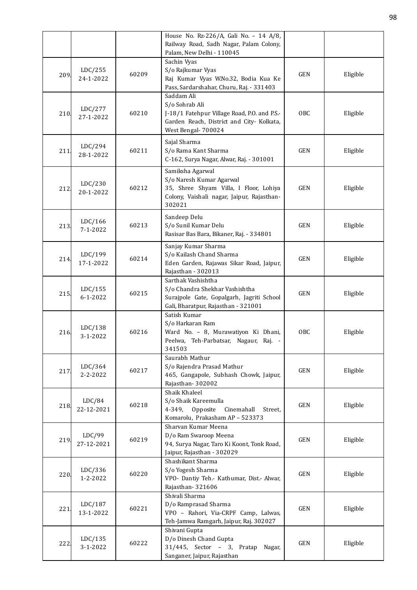|      |                           |       | House No. Rz-226/A, Gali No. - 14 A/8,<br>Railway Road, Sadh Nagar, Palam Colony,<br>Palam, New Delhi - 110045                                   |            |          |
|------|---------------------------|-------|--------------------------------------------------------------------------------------------------------------------------------------------------|------------|----------|
| 209. | LDC/255<br>24-1-2022      | 60209 | Sachin Vyas<br>S/o Rajkumar Vyas<br>Raj Kumar Vyas W.No.32, Bodia Kua Ke<br>Pass, Sardarshahar, Churu, Raj. - 331403                             | <b>GEN</b> | Eligible |
| 210. | LDC/277<br>27-1-2022      | 60210 | Saddam Ali<br>S/o Sohrab Ali<br>J-18/1 Fatehpur Village Road, P.O. and P.S.-<br>Garden Reach, District and City- Kolkata,<br>West Bengal- 700024 | <b>OBC</b> | Eligible |
| 211  | LDC/294<br>28-1-2022      | 60211 | Sajal Sharma<br>S/o Rama Kant Sharma<br>C-162, Surya Nagar, Alwar, Raj. - 301001                                                                 | <b>GEN</b> | Eligible |
| 212. | LDC/230<br>20-1-2022      | 60212 | Samiksha Agarwal<br>S/o Naresh Kumar Agarwal<br>35, Shree Shyam Villa, I Floor, Lohiya<br>Colony, Vaishali nagar, Jaipur, Rajasthan-<br>302021   | <b>GEN</b> | Eligible |
| 213. | LDC/166<br>$7 - 1 - 2022$ | 60213 | Sandeep Delu<br>S/o Sunil Kumar Delu<br>Rasisar Bas Bara, Bikaner, Raj. - 334801                                                                 | <b>GEN</b> | Eligible |
| 214  | LDC/199<br>17-1-2022      | 60214 | Sanjay Kumar Sharma<br>S/o Kailash Chand Sharma<br>Eden Garden, Rajawas Sikar Road, Jaipur,<br>Rajasthan - 302013                                | <b>GEN</b> | Eligible |
| 215. | LDC/155<br>$6 - 1 - 2022$ | 60215 | Sarthak Vashishtha<br>S/o Chandra Shekhar Vashishtha<br>Surajpole Gate, Gopalgarh, Jagriti School<br>Gali, Bharatpur, Rajasthan - 321001         | <b>GEN</b> | Eligible |
| 216. | LDC/138<br>3-1-2022       | 60216 | Satish Kumar<br>S/o Harkaran Ram<br>Ward No. - 8, Murawatiyon Ki Dhani,<br>Peelwa, Teh-Parbatsar, Nagaur, Raj. -<br>341503                       | OBC        | Eligible |
| 217. | LDC/364<br>2-2-2022       | 60217 | Saurabh Mathur<br>S/o Rajendra Prasad Mathur<br>465, Gangapole, Subhash Chowk, Jaipur,<br>Rajasthan-302002                                       | <b>GEN</b> | Eligible |
| 218. | LDC/84<br>22-12-2021      | 60218 | Shaik Khaleel<br>S/o Shaik Kareemulla<br>4-349, Opposite<br>Cinemahall<br>Street,<br>Komarolu, Prakasham AP - 523373                             | <b>GEN</b> | Eligible |
| 219. | LDC/99<br>27-12-2021      | 60219 | Sharvan Kumar Meena<br>D/o Ram Swaroop Meena<br>94, Surya Nagar, Taro Ki Koont, Tonk Road,<br>Jaipur, Rajasthan - 302029                         | <b>GEN</b> | Eligible |
| 220. | LDC/336<br>1-2-2022       | 60220 | Shashikant Sharma<br>S/o Yogesh Sharma<br>VPO- Dantiy Teh.- Kathumar, Dist.- Alwar,<br>Rajasthan-321606                                          | <b>GEN</b> | Eligible |
| 221  | LDC/187<br>13-1-2022      | 60221 | Shivali Sharma<br>D/o Ramprasad Sharma<br>VPO - Rahori, Via-CRPF Camp, Lalwas,<br>Teh-Jamwa Ramgarh, Jaipur, Raj. 302027                         | <b>GEN</b> | Eligible |
| 222. | LDC/135<br>3-1-2022       | 60222 | Shivani Gupta<br>D/o Dinesh Chand Gupta<br>$31/445$ , Sector - 3, Pratap<br>Nagar,<br>Sanganer, Jaipur, Rajasthan                                | <b>GEN</b> | Eligible |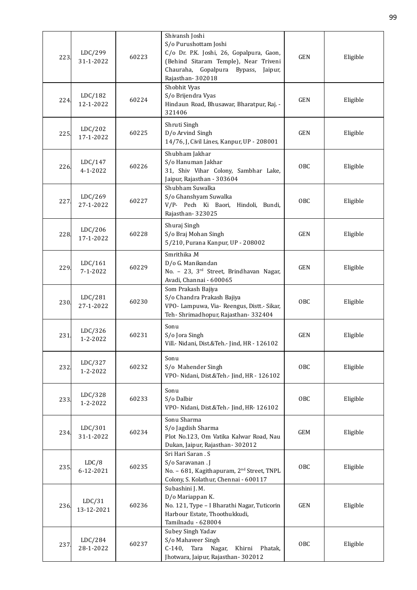| 223  | LDC/299<br>31-1-2022      | 60223 | Shivansh Joshi<br>S/o Purushottam Joshi<br>C/o Dr. P.K. Joshi, 26, Gopalpura, Gaon,<br>(Behind Sitaram Temple), Near Triveni<br>Chauraha, Gopalpura<br>Bypass,<br>Jaipur,<br>Rajasthan-302018 | <b>GEN</b> | Eligible |
|------|---------------------------|-------|-----------------------------------------------------------------------------------------------------------------------------------------------------------------------------------------------|------------|----------|
| 224  | LDC/182<br>12-1-2022      | 60224 | Shobhit Vyas<br>S/o Brijendra Vyas<br>Hindaun Road, Bhusawar, Bharatpur, Raj. -<br>321406                                                                                                     | <b>GEN</b> | Eligible |
| 225. | LDC/202<br>17-1-2022      | 60225 | Shruti Singh<br>D/o Arvind Singh<br>14/76, J, Civil Lines, Kanpur, UP - 208001                                                                                                                | <b>GEN</b> | Eligible |
| 226. | LDC/147<br>$4 - 1 - 2022$ | 60226 | Shubham Jakhar<br>S/o Hanuman Jakhar<br>31, Shiv Vihar Colony, Sambhar Lake,<br>Jaipur, Rajasthan - 303604                                                                                    | <b>OBC</b> | Eligible |
| 227  | LDC/269<br>27-1-2022      | 60227 | Shubham Suwalka<br>S/o Ghanshyam Suwalka<br>V/P- Pech Ki Baori, Hindoli, Bundi,<br>Rajasthan-323025                                                                                           | OBC        | Eligible |
| 228. | LDC/206<br>17-1-2022      | 60228 | Shuraj Singh<br>S/o Braj Mohan Singh<br>5/210, Purana Kanpur, UP - 208002                                                                                                                     | <b>GEN</b> | Eligible |
| 229. | LDC/161<br>$7 - 1 - 2022$ | 60229 | Smrithika .M<br>D/o G. Manikandan<br>No. - 23, 3 <sup>rd</sup> Street, Brindhavan Nagar,<br>Avadi, Channai - 600065                                                                           | <b>GEN</b> | Eligible |
| 230  | LDC/281<br>27-1-2022      | 60230 | Som Prakash Bajiya<br>S/o Chandra Prakash Bajiya<br>VPO- Lampuwa, Via- Reengus, Distt.- Sikar,<br>Teh-Shrimadhopur, Rajasthan-332404                                                          | <b>OBC</b> | Eligible |
| 231  | LDC/326<br>1-2-2022       | 60231 | Sonu<br>S/o Jora Singh<br>Vill.- Nidani, Dist.&Teh.- Jind, HR - 126102                                                                                                                        | <b>GEN</b> | Eligible |
| 232. | LDC/327<br>1-2-2022       | 60232 | Sonu<br>S/o Mahender Singh<br>VPO- Nidani, Dist.&Teh.- Jind, HR - 126102                                                                                                                      | <b>OBC</b> | Eligible |
| 233. | LDC/328<br>1-2-2022       | 60233 | Sonu<br>S/o Dalbir<br>VPO- Nidani, Dist.&Teh.- Jind, HR- 126102                                                                                                                               | OBC        | Eligible |
| 234. | LDC/301<br>31-1-2022      | 60234 | Sonu Sharma<br>S/o Jagdish Sharma<br>Plot No.123, Om Vatika Kalwar Road, Nau<br>Dukan, Jaipur, Rajasthan-302012                                                                               | GEM        | Eligible |
| 235. | LDC/8<br>6-12-2021        | 60235 | Sri Hari Saran . S<br>S/o Saravanan . J<br>No. - 681, Kagithapuram, 2 <sup>nd</sup> Street, TNPL<br>Colony, S. Kolathur, Chennai - 600117                                                     | <b>OBC</b> | Eligible |
| 236. | LDC/31<br>13-12-2021      | 60236 | Subashini J. M.<br>D/o Mariappan K.<br>No. 121, Type - I Bharathi Nagar, Tuticorin<br>Harbour Estate, Thoothukkudi,<br>Tamilnadu - 628004                                                     | <b>GEN</b> | Eligible |
| 237. | LDC/284<br>28-1-2022      | 60237 | Subey Singh Yadav<br>S/o Mahaveer Singh<br>C-140, Tara<br>Nagar,<br>Khirni<br>Phatak,<br>Jhotwara, Jaipur, Rajasthan-302012                                                                   | <b>OBC</b> | Eligible |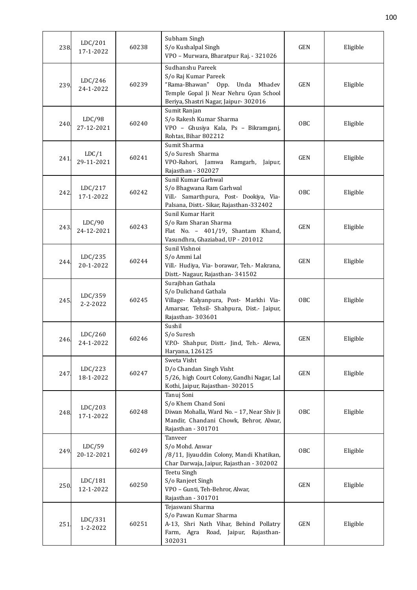| 238. | LDC/201<br>17-1-2022 | 60238 | Subham Singh<br>S/o Kushalpal Singh<br>VPO - Murwara, Bharatpur Raj. - 321026                                                                                 | <b>GEN</b> | Eligible |
|------|----------------------|-------|---------------------------------------------------------------------------------------------------------------------------------------------------------------|------------|----------|
| 239. | LDC/246<br>24-1-2022 | 60239 | Sudhanshu Pareek<br>S/o Raj Kumar Pareek<br>"Rama-Bhawan" Opp. Unda Mhadev<br>Temple Gopal Ji Near Nehru Gyan School<br>Beriya, Shastri Nagar, Jaipur- 302016 | <b>GEN</b> | Eligible |
| 240. | LDC/98<br>27-12-2021 | 60240 | Sumit Ranjan<br>S/o Rakesh Kumar Sharma<br>VPO - Ghusiya Kala, Ps - Bikramganj,<br>Rohtas, Bihar 802212                                                       | <b>OBC</b> | Eligible |
| 241  | LDC/1<br>29-11-2021  | 60241 | Sumit Sharma<br>S/o Suresh Sharma<br>VPO-Rahori, Jamwa<br>Ramgarh, Jaipur,<br>Rajasthan - 302027                                                              | <b>GEN</b> | Eligible |
| 242  | LDC/217<br>17-1-2022 | 60242 | Sunil Kumar Garhwal<br>S/o Bhagwana Ram Garhwal<br>Vill.- Samarthpura, Post- Dookiya, Via-<br>Palsana, Distt.- Sikar, Rajasthan-332402                        | OBC        | Eligible |
| 243  | LDC/90<br>24-12-2021 | 60243 | Sunil Kumar Harit<br>S/o Ram Sharan Sharma<br>Flat No. - 401/19, Shantam Khand,<br>Vasundhra, Ghaziabad, UP - 201012                                          | <b>GEN</b> | Eligible |
| 244  | LDC/235<br>20-1-2022 | 60244 | Sunil Vishnoi<br>S/o Ammi Lal<br>Vill.- Hudiya, Via- borawar, Teh.- Makrana,<br>Distt.- Nagaur, Rajasthan- 341502                                             | <b>GEN</b> | Eligible |
| 245  | LDC/359<br>2-2-2022  | 60245 | Surajbhan Gathala<br>S/o Dulichand Gathala<br>Village- Kalyanpura, Post- Markhi Via-<br>Amarsar, Tehsil- Shahpura, Dist.- Jaipur,<br>Rajasthan-303601         | OBC        | Eligible |
| 246. | LDC/260<br>24-1-2022 | 60246 | Sushil<br>S/o Suresh<br>V.P.O- Shahpur, Distt.- Jind, Teh.- Alewa,<br>Haryana, 126125                                                                         | <b>GEN</b> | Eligible |
| 247  | LDC/223<br>18-1-2022 | 60247 | Sweta Visht<br>D/o Chandan Singh Visht<br>5/26, high Court Colony, Gandhi Nagar, Lal<br>Kothi, Jaipur, Rajasthan-302015                                       | <b>GEN</b> | Eligible |
| 248  | LDC/203<br>17-1-2022 | 60248 | Tanuj Soni<br>S/o Khem Chand Soni<br>Diwan Mohalla, Ward No. - 17, Near Shiv Ji<br>Mandir, Chandani Chowk, Behror, Alwar,<br>Rajasthan - 301701               | OBC        | Eligible |
| 249. | LDC/59<br>20-12-2021 | 60249 | Tanveer<br>S/o Mohd. Anwar<br>/8/11, Jiyauddin Colony, Mandi Khatikan,<br>Char Darwaja, Jaipur, Rajasthan - 302002                                            | OBC        | Eligible |
| 250. | LDC/181<br>12-1-2022 | 60250 | Teetu Singh<br>S/o Ranjeet Singh<br>VPO - Gunti, Teh-Behror, Alwar,<br>Rajasthan - 301701                                                                     | <b>GEN</b> | Eligible |
| 251  | LDC/331<br>1-2-2022  | 60251 | Tejaswani Sharma<br>S/o Pawan Kumar Sharma<br>A-13, Shri Nath Vihar, Behind Pollatry<br>Farm, Agra Road, Jaipur,<br>Rajasthan-<br>302031                      | <b>GEN</b> | Eligible |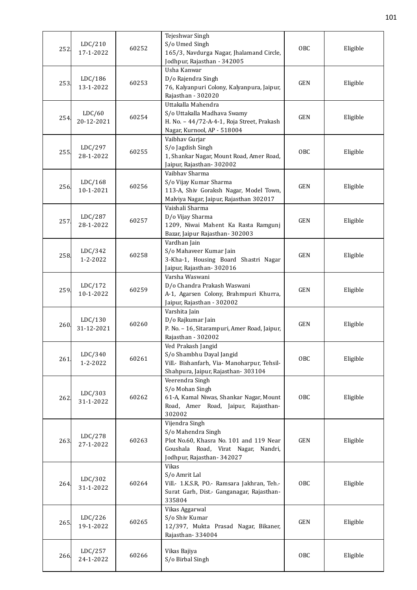| 252  | LDC/210<br>17-1-2022  | 60252 | Tejeshwar Singh<br>S/o Umed Singh<br>165/3, Navdurga Nagar, Jhalamand Circle,<br>Jodhpur, Rajasthan - 342005                                        | <b>OBC</b> | Eligible |
|------|-----------------------|-------|-----------------------------------------------------------------------------------------------------------------------------------------------------|------------|----------|
| 253  | LDC/186<br>13-1-2022  | 60253 | Usha Kanwar<br>D/o Rajendra Singh<br>76, Kalyanpuri Colony, Kalyanpura, Jaipur,<br>Rajasthan - 302020                                               | <b>GEN</b> | Eligible |
| 254  | LDC/60<br>20-12-2021  | 60254 | Uttakalla Mahendra<br>S/o Uttakalla Madhava Swamy<br>H. No. - 44/72-A-4-1, Roja Street, Prakash<br>Nagar, Kurnool, AP - 518004                      | <b>GEN</b> | Eligible |
| 255  | LDC/297<br>28-1-2022  | 60255 | Vaibhav Gurjar<br>S/o Jagdish Singh<br>1, Shankar Nagar, Mount Road, Amer Road,<br>Jaipur, Rajasthan - 302002                                       | <b>OBC</b> | Eligible |
| 256. | LDC/168<br>10-1-2021  | 60256 | Vaibhav Sharma<br>S/o Vijay Kumar Sharma<br>113-A, Shiv Goraksh Nagar, Model Town,<br>Malviya Nagar, Jaipur, Rajasthan 302017                       | GEN        | Eligible |
| 257  | LDC/287<br>28-1-2022  | 60257 | Vaishali Sharma<br>D/o Vijay Sharma<br>1209, Niwai Mahent Ka Rasta Ramgunj<br>Bazar, Jaipur Rajasthan-302003                                        | <b>GEN</b> | Eligible |
| 258  | LDC/342<br>1-2-2022   | 60258 | Vardhan Jain<br>S/o Mahaveer Kumar Jain<br>3-Kha-1, Housing Board Shastri Nagar<br>Jaipur, Rajasthan-302016                                         | <b>GEN</b> | Eligible |
| 259  | LDC/172<br>10-1-2022  | 60259 | Varsha Waswani<br>D/o Chandra Prakash Waswani<br>A-1, Agarsen Colony, Brahmpuri Khurra,<br>Jaipur, Rajasthan - 302002                               | <b>GEN</b> | Eligible |
| 260  | LDC/130<br>31-12-2021 | 60260 | Varshita Jain<br>D/o Rajkumar Jain<br>P. No. - 16, Sitarampuri, Amer Road, Jaipur,<br>Rajasthan - 302002                                            | <b>GEN</b> | Eligible |
| 261  | LDC/340<br>1-2-2022   | 60261 | Ved Prakash Jangid<br>S/o Shambhu Dayal Jangid<br>Vill.- Bishanfarh, Via- Manoharpur, Tehsil-<br>Shahpura, Jaipur, Rajasthan-303104                 | <b>OBC</b> | Eligible |
| 262  | LDC/303<br>31-1-2022  | 60262 | Veerendra Singh<br>S/o Mohan Singh<br>61-A, Kamal Niwas, Shankar Nagar, Mount<br>Road, Amer Road, Jaipur, Rajasthan-<br>302002                      | <b>OBC</b> | Eligible |
| 263. | LDC/278<br>27-1-2022  | 60263 | Vijendra Singh<br>S/o Mahendra Singh<br>Plot No.60, Khasra No. 101 and 119 Near<br>Goushala Road, Virat Nagar, Nandri,<br>Jodhpur, Rajasthan-342027 | <b>GEN</b> | Eligible |
| 264  | LDC/302<br>31-1-2022  | 60264 | <b>Vikas</b><br>S/o Amrit Lal<br>Vill.- 1.K.S.R, PO.- Ramsara Jakhran, Teh.-<br>Surat Garh, Dist.- Ganganagar, Rajasthan-<br>335804                 | <b>OBC</b> | Eligible |
| 265. | LDC/226<br>19-1-2022  | 60265 | Vikas Aggarwal<br>S/o Shiv Kumar<br>12/397, Mukta Prasad Nagar, Bikaner,<br>Rajasthan-334004                                                        | <b>GEN</b> | Eligible |
| 266. | LDC/257<br>24-1-2022  | 60266 | Vikas Bajiya<br>S/o Birbal Singh                                                                                                                    | OBC        | Eligible |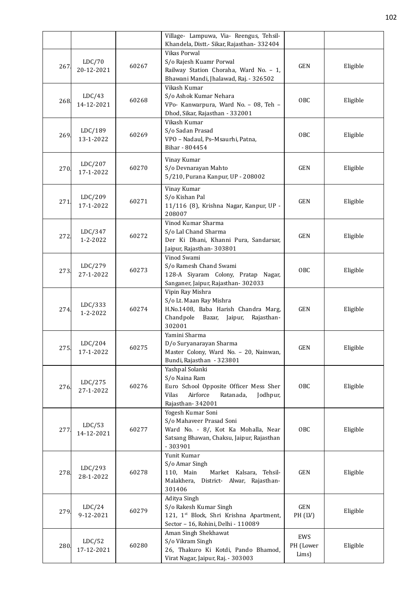|      |                           |       | Village- Lampuwa, Via- Reengus, Tehsil-                         |            |          |
|------|---------------------------|-------|-----------------------------------------------------------------|------------|----------|
|      |                           |       | Khandela, Distt.- Sikar, Rajasthan- 332404                      |            |          |
|      | LDC/70                    |       | <b>Vikas Porwal</b><br>S/o Rajesh Kuamr Porwal                  |            |          |
| 267  | 20-12-2021                | 60267 | Railway Station Choraha, Ward No. - 1,                          | <b>GEN</b> | Eligible |
|      |                           |       | Bhawani Mandi, Jhalawad, Raj. - 326502                          |            |          |
|      |                           |       | Vikash Kumar                                                    |            |          |
|      | LDC/43                    |       | S/o Ashok Kumar Nehara                                          |            |          |
| 268. | 14-12-2021                | 60268 | VPo- Kanwarpura, Ward No. - 08, Teh -                           | OBC        | Eligible |
|      |                           |       | Dhod, Sikar, Rajasthan - 332001                                 |            |          |
|      |                           |       | Vikash Kumar                                                    |            |          |
| 269. | LDC/189                   | 60269 | S/o Sadan Prasad                                                | <b>OBC</b> | Eligible |
|      | 13-1-2022                 |       | VPO - Nadaul, Ps-Msaurhi, Patna,                                |            |          |
|      |                           |       | Bihar - 804454                                                  |            |          |
|      | LDC/207                   |       | Vinay Kumar                                                     |            |          |
| 270. | 17-1-2022                 | 60270 | S/o Devnarayan Mahto                                            | <b>GEN</b> | Eligible |
|      |                           |       | 5/210, Purana Kanpur, UP - 208002                               |            |          |
|      |                           |       | Vinay Kumar                                                     |            |          |
| 271  | LDC/209                   | 60271 | S/o Kishan Pal                                                  | <b>GEN</b> | Eligible |
|      | 17-1-2022                 |       | 11/116 (8), Krishna Nagar, Kanpur, UP -                         |            |          |
|      |                           |       | 208007                                                          |            |          |
|      |                           |       | Vinod Kumar Sharma                                              |            |          |
| 272  | LDC/347<br>$1 - 2 - 2022$ | 60272 | S/o Lal Chand Sharma<br>Der Ki Dhani, Khanni Pura, Sandarsar,   | <b>GEN</b> | Eligible |
|      |                           |       | Jaipur, Rajasthan - 303801                                      |            |          |
|      |                           |       | Vinod Swami                                                     |            |          |
|      | LDC/279                   |       | S/o Ramesh Chand Swami                                          |            |          |
| 273. | 27-1-2022                 | 60273 | 128-A Siyaram Colony, Pratap Nagar,                             | OBC        | Eligible |
|      |                           |       | Sanganer, Jaipur, Rajasthan- 302033                             |            |          |
|      |                           |       | Vipin Ray Mishra                                                |            |          |
|      | LDC/333                   |       | S/o Lt. Maan Ray Mishra                                         |            |          |
| 274. | $1 - 2 - 2022$            | 60274 | H.No.1408, Baba Harish Chandra Marg,                            | <b>GEN</b> | Eligible |
|      |                           |       | Chandpole<br>Bazar,<br>Jaipur,<br>Rajasthan-                    |            |          |
|      |                           |       | 302001                                                          |            |          |
|      |                           |       | Yamini Sharma<br>D/o Suryanarayan Sharma                        |            |          |
| 275  | LDC/204<br>17-1-2022      | 60275 | Master Colony, Ward No. - 20, Nainwan,                          | <b>GEN</b> | Eligible |
|      |                           |       | Bundi, Rajasthan - 323801                                       |            |          |
|      |                           |       | Yashpal Solanki                                                 |            |          |
|      |                           |       | S/o Naina Ram                                                   |            |          |
| 276. | LDC/275<br>27-1-2022      | 60276 | Euro School Opposite Officer Mess Sher                          | OBC        | Eligible |
|      |                           |       | Airforce<br>Ratanada,<br>Vilas<br>Jodhpur,                      |            |          |
|      |                           |       | Rajasthan-342001                                                |            |          |
|      |                           |       | Yogesh Kumar Soni                                               |            |          |
|      | LDC/53                    |       | S/o Mahaveer Prasad Soni<br>Ward No. - 8/, Kot Ka Mohalla, Near | OBC        |          |
| 277  | 14-12-2021                | 60277 | Satsang Bhawan, Chaksu, Jaipur, Rajasthan                       |            | Eligible |
|      |                           |       | $-303901$                                                       |            |          |
|      |                           |       | Yunit Kumar                                                     |            |          |
|      |                           |       | S/o Amar Singh                                                  |            |          |
| 278  | LDC/293                   | 60278 | 110, Main<br>Market Kalsara, Tehsil-                            | GEN        | Eligible |
|      | 28-1-2022                 |       | Malakhera, District- Alwar, Rajasthan-                          |            |          |
|      |                           |       | 301406                                                          |            |          |
|      |                           |       | Aditya Singh                                                    |            |          |
| 279. | LDC/24                    | 60279 | S/o Rakesh Kumar Singh                                          | GEN        | Eligible |
|      | 9-12-2021                 |       | 121, 1st Block, Shri Krishna Apartment,                         | PH (LV)    |          |
|      |                           |       | Sector - 16, Rohini, Delhi - 110089<br>Aman Singh Shekhawat     |            |          |
|      | LDC/52                    |       | S/o Vikram Singh                                                | EWS        |          |
| 280. | 17-12-2021                | 60280 | 26, Thakuro Ki Kotdi, Pando Bhamod,                             | PH (Lower  | Eligible |
|      |                           |       | Virat Nagar, Jaipur, Raj. - 303003                              | Lims)      |          |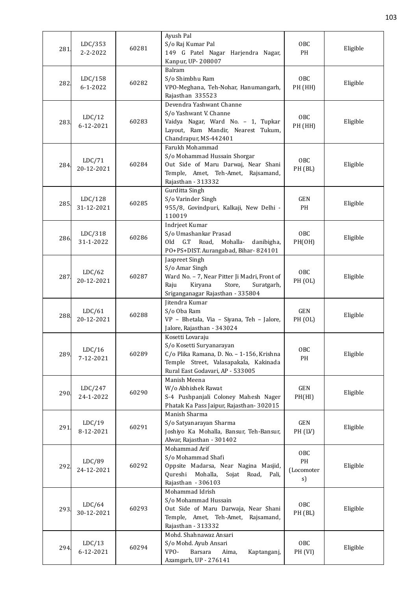| 281  | LDC/353<br>2-2-2022       | 60281 | Ayush Pal<br>S/o Raj Kumar Pal<br>149 G Patel Nagar Harjendra Nagar,                                                                                                   | OBC<br>PH                     | Eligible |
|------|---------------------------|-------|------------------------------------------------------------------------------------------------------------------------------------------------------------------------|-------------------------------|----------|
|      |                           |       | Kanpur, UP-208007                                                                                                                                                      |                               |          |
| 282  | LDC/158<br>$6 - 1 - 2022$ | 60282 | Balram<br>S/o Shimbhu Ram<br>VPO-Meghana, Teh-Nohar, Hanumangarh,<br>Rajasthan 335523                                                                                  | OBC<br>PH (HH)                | Eligible |
| 283  | LDC/12<br>6-12-2021       | 60283 | Devendra Yashwant Channe<br>S/o Yashwant V. Channe<br>Vaidya Nagar, Ward No. - 1, Tupkar<br>Layout, Ram Mandir, Nearest Tukum,<br>Chandrapur, MS-442401                | OBC<br>PH (HH)                | Eligible |
| 284. | LDC/71<br>20-12-2021      | 60284 | Farukh Mohammad<br>S/o Mohammad Hussain Shorgar<br>Out Side of Maru Darwaj, Near Shani<br>Temple, Amet, Teh-Amet, Rajsamand,<br>Rajasthan - 313332                     | OBC<br>PH (BL)                | Eligible |
| 285. | LDC/128<br>31-12-2021     | 60285 | Gurditta Singh<br>S/o Varinder Singh<br>955/8, Govindpuri, Kalkaji, New Delhi -<br>110019                                                                              | <b>GEN</b><br>PH              | Eligible |
| 286. | LDC/318<br>31-1-2022      | 60286 | Indrjeet Kumar<br>S/o Umashankar Prasad<br>Mohalla-<br>Old<br>G.T Road,<br>danibigha,<br>PO+PS+DIST. Aurangabad, Bihar-824101                                          | OBC<br>PH(OH)                 | Eligible |
| 287  | LDC/62<br>20-12-2021      | 60287 | Jaspreet Singh<br>S/o Amar Singh<br>Ward No. - 7, Near Pitter Ji Madri, Front of<br>Raju<br>Kiryana<br>Store,<br>Suratgarh,<br>Sriganganagar Rajasthan - 335804        | OBC<br>PH (OL)                | Eligible |
| 288  | LDC/61<br>20-12-2021      | 60288 | Jitendra Kumar<br>S/o Oba Ram<br>VP - Bhetala, Via - Siyana, Teh - Jalore,<br>Jalore, Rajasthan - 343024                                                               | <b>GEN</b><br>PH (OL)         | Eligible |
| 289. | LDC/16<br>7-12-2021       | 60289 | Kosetti Lovaraju<br>S/o Kosetti Suryanarayan<br>C/o Plika Ramana, D. No. - 1-156, Krishna<br>Temple Street, Valasapakala, Kakinada<br>Rural East Godavari, AP - 533005 | OBC<br>PH                     | Eligible |
| 290. | LDC/247<br>24-1-2022      | 60290 | Manish Meena<br>W/o Abhishek Rawat<br>S-4 Pushpanjali Coloney Mahesh Nager<br>Phatak Ka Pass Jaipur, Rajasthan-302015                                                  | GEN<br>PH(HI)                 | Eligible |
| 291. | LDC/19<br>8-12-2021       | 60291 | Manish Sharma<br>S/o Satyanarayan Sharma<br>Joshiyo Ka Mohalla, Bansur, Teh-Bansur,<br>Alwar, Rajasthan - 301402                                                       | GEN<br>PH (LV)                | Eligible |
| 292  | LDC/89<br>24-12-2021      | 60292 | Mohammad Arif<br>S/o Mohammad Shafi<br>Oppsite Madarsa, Near Nagina Masjid,<br>Qureshi<br>Mohalla,<br>Sojat<br>Road,<br>Pali,<br>Rajasthan - 306103                    | OBC<br>PH<br>(Locomoter<br>s) | Eligible |
| 293. | LDC/64<br>30-12-2021      | 60293 | Mohammad Idrish<br>S/o Mohammad Hussain<br>Out Side of Maru Darwaja, Near Shani<br>Temple, Amet, Teh-Amet,<br>Rajsamand,<br>Rajasthan - 313332                         | OBC<br>PH (BL)                | Eligible |
| 294. | LDC/13<br>6-12-2021       | 60294 | Mohd. Shahnawaz Ansari<br>S/o Mohd. Ayub Ansari<br>VPO-<br>Barsara<br>Kaptanganj,<br>Aima,<br>Azamgarh, UP - 276141                                                    | OBC<br>PH (VI)                | Eligible |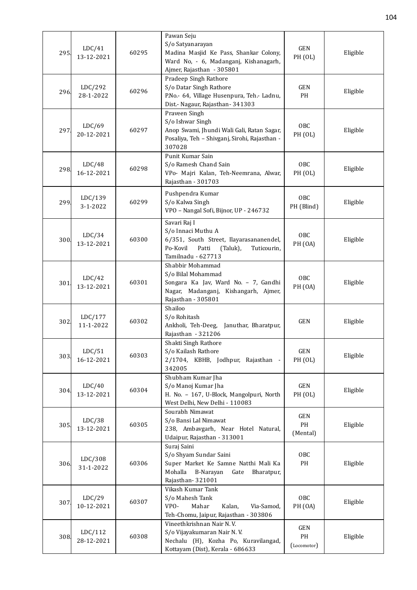| 295. | LDC/41<br>13-12-2021  | 60295 | Pawan Seju<br>S/o Satyanarayan<br>Madina Masjid Ke Pass, Shankar Colony,<br>Ward No, - 6, Madanganj, Kishanagarh,<br>Ajmer, Rajasthan - 305801      | <b>GEN</b><br>PH (OL)     | Eligible |
|------|-----------------------|-------|-----------------------------------------------------------------------------------------------------------------------------------------------------|---------------------------|----------|
| 296. | LDC/292<br>28-1-2022  | 60296 | Pradeep Singh Rathore<br>S/o Datar Singh Rathore<br>P.No.- 64, Village Husenpura, Teh.- Ladnu,<br>Dist.- Nagaur, Rajasthan- 341303                  | GEN<br>PH                 | Eligible |
| 297  | LDC/69<br>20-12-2021  | 60297 | Praveen Singh<br>S/o Ishwar Singh<br>Anop Swami, Jhundi Wali Gali, Ratan Sagar,<br>Posaliya, Teh - Shivganj, Sirohi, Rajasthan -<br>307028          | OBC<br>PH (OL)            | Eligible |
| 298. | LDC/48<br>16-12-2021  | 60298 | Punit Kumar Sain<br>S/o Ramesh Chand Sain<br>VPo- Majri Kalan, Teh-Neemrana, Alwar,<br>Rajasthan - 301703                                           | OBC<br>PH (OL)            | Eligible |
| 299. | LDC/139<br>3-1-2022   | 60299 | Pushpendra Kumar<br>S/o Kalwa Singh<br>VPO - Nangal Sofi, Bijnor, UP - 246732                                                                       | OBC<br>PH (Blind)         | Eligible |
| 300  | LDC/34<br>13-12-2021  | 60300 | Savari Raj I<br>S/o Innaci Muthu A<br>6/351, South Street, Ilayarasananendel,<br>Po-Kovil<br>Patti<br>(Taluk),<br>Tuticourin,<br>Tamilnadu - 627713 | OBC<br><b>PH</b> (OA)     | Eligible |
| 301  | LDC/42<br>13-12-2021  | 60301 | Shabbir Mohammad<br>S/o Bilal Mohammad<br>Songara Ka Jav, Ward No. - 7, Gandhi<br>Nagar, Madanganj, Kishangarh, Ajmer,<br>Rajasthan - 305801        | OBC<br>PH <sub>(OA)</sub> | Eligible |
| 302. | LDC/177<br>11-1-2022  | 60302 | Shailoo<br>S/o Rohitash<br>Ankholi, Teh-Deeg, Januthar, Bharatpur,<br>Rajasthan - 321206                                                            | <b>GEN</b>                | Eligible |
| 303  | LDC/51<br>16-12-2021  | 60303 | Shakti Singh Rathore<br>S/o Kailash Rathore<br>2/1704, KBHB, Jodhpur, Rajasthan -<br>342005                                                         | GEN<br>PH (OL)            | Eligible |
| 304. | LDC/40<br>13-12-2021  | 60304 | Shubham Kumar Jha<br>S/o Manoj Kumar Jha<br>H. No. - 167, U-Block, Mangolpuri, North<br>West Delhi, New Delhi - 110083                              | GEN<br>PH (OL)            | Eligible |
| 305. | LDC/38<br>13-12-2021  | 60305 | Sourabh Nimawat<br>S/o Bansi Lal Nimawat<br>238, Ambavgarh, Near Hotel Natural,<br>Udaipur, Rajasthan - 313001                                      | GEN<br>PH<br>(Mental)     | Eligible |
| 306. | LDC/308<br>31-1-2022  | 60306 | Suraj Saini<br>S/o Shyam Sundar Saini<br>Super Market Ke Samne Natthi Mali Ka<br>Mohalla<br>B-Narayan<br>Gate<br>Bharatpur,<br>Rajasthan-321001     | OBC<br>PH                 | Eligible |
| 307. | LDC/29<br>10-12-2021  | 60307 | Vikash Kumar Tank<br>S/o Mahesh Tank<br>Mahar<br>VPO-<br>Kalan,<br>Via-Samod,<br>Teh-Chomu, Jaipur, Rajasthan - 303806                              | OBC<br><b>PH</b> (OA)     | Eligible |
| 308. | LDC/112<br>28-12-2021 | 60308 | Vineethkrishnan Nair N.V.<br>S/o Vijayakumaran Nair N.V.<br>Nechalu (H), Kozha Po, Kuravilangad,<br>Kottayam (Dist), Kerala - 686633                | GEN<br>PH<br>(Locomotor)  | Eligible |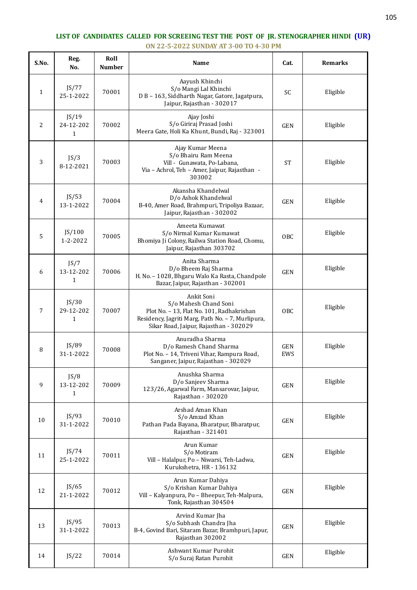## **LIST OF CANDIDATES CALLED FOR SCREEING TEST THE POST OF JR. STENOGRAPHER HINDI (UR) ON 22-5-2022 SUNDAY AT 3-00 TO 4-30 PM**

| S.No.        | Reg.<br>No.                        | Roll<br><b>Number</b> | Name                                                                                                                                                                            | Cat.              | <b>Remarks</b> |
|--------------|------------------------------------|-----------------------|---------------------------------------------------------------------------------------------------------------------------------------------------------------------------------|-------------------|----------------|
| $\mathbf{1}$ | JS/77<br>25-1-2022                 | 70001                 | Aayush Khinchi<br>S/o Mangi Lal Khinchi<br>D B - 163, Siddharth Nagar, Gatore, Jagatpura,<br>Jaipur, Rajasthan - 302017                                                         | <b>SC</b>         | Eligible       |
| 2            | JS/19<br>24-12-202<br>$\mathbf{1}$ | 70002                 | Ajay Joshi<br>S/o Giriraj Prasad Joshi<br>Meera Gate, Holi Ka Khunt, Bundi, Raj - 323001                                                                                        | <b>GEN</b>        | Eligible       |
| 3            | JS/3<br>8-12-2021                  | 70003                 | Ajay Kumar Meena<br>S/o Bhairu Ram Meena<br>Vill - Gunawata, Po-Labana,<br>Via - Achrol, Teh - Amer, Jaipur, Rajasthan -<br>303002                                              | <b>ST</b>         | Eligible       |
| 4            | JS/53<br>13-1-2022                 | 70004                 | Akansha Khandelwal<br>D/o Ashok Khandelwal<br>B-40, Amer Road, Brahmpuri, Tripoliya Bazaar,<br>Jaipur, Rajasthan - 302002                                                       | GEN               | Eligible       |
| 5            | JS/100<br>$1 - 2 - 2022$           | 70005                 | Ameeta Kumawat<br>S/o Nirmal Kumar Kumawat<br>Bhomiya Ji Colony, Railwa Station Road, Chomu,<br>Jaipur, Rajasthan 303702                                                        | OBC               | Eligible       |
| 6            | JS/7<br>13-12-202<br>$\mathbf{1}$  | 70006                 | Anita Sharma<br>D/o Bheem Raj Sharma<br>H. No. - 1028, Bhgaru Walo Ka Rasta, Chandpole<br>Bazar, Jaipur, Rajasthan - 302001                                                     | GEN               | Eligible       |
| 7            | JS/30<br>29-12-202<br>1            | 70007                 | Ankit Soni<br>S/o Mahesh Chand Soni<br>Plot No. - 13, Flat No. 101, Radhakrishan<br>Residency, Jagriti Marg, Path No. - 7, Murlipura,<br>Sikar Road, Jaipur, Rajasthan - 302029 | OBC               | Eligible       |
| 8            | JS/89<br>31-1-2022                 | 70008                 | Anuradha Sharma<br>D/o Ramesh Chand Sharma<br>Plot No. - 14, Triveni Vihar, Rampura Road,<br>Sanganer, Jaipur, Rajasthan - 302029                                               | <b>GEN</b><br>EWS | Eligible       |
| 9            | JS/8<br>13-12-202<br>$\mathbf{1}$  | 70009                 | Anushka Sharma<br>D/o Sanjeev Sharma<br>123/26, Agarwal Farm, Mansarovar, Jaipur,<br>Rajasthan - 302020                                                                         | GEN               | Eligible       |
| 10           | JS/93<br>31-1-2022                 | 70010                 | Arshad Aman Khan<br>S/o Amzad Khan<br>Pathan Pada Bayana, Bharatpur, Bharatpur,<br>Rajasthan - 321401                                                                           | <b>GEN</b>        | Eligible       |
| 11           | JS/74<br>25-1-2022                 | 70011                 | Arun Kumar<br>S/o Motiram<br>Vill - Halalpur, Po - Niwarsi, Teh-Ladwa,<br>Kurukshetra, HR - 136132                                                                              | <b>GEN</b>        | Eligible       |
| 12           | JS/65<br>21-1-2022                 | 70012                 | Arun Kumar Dahiya<br>S/o Krishan Kumar Dahiya<br>Vill - Kalyanpura, Po - Bheepur, Teh-Malpura,<br>Tonk, Rajasthan 304504                                                        | <b>GEN</b>        | Eligible       |
| 13           | JS/95<br>31-1-2022                 | 70013                 | Arvind Kumar Jha<br>S/o Subhash Chandra Jha<br>B-4, Govind Bari, Sitaram Bazar, Bramhpuri, Japur,<br>Rajasthan 302002                                                           | <b>GEN</b>        | Eligible       |
| 14           | JS/22                              | 70014                 | Ashwant Kumar Purohit<br>S/o Suraj Ratan Purohit                                                                                                                                | <b>GEN</b>        | Eligible       |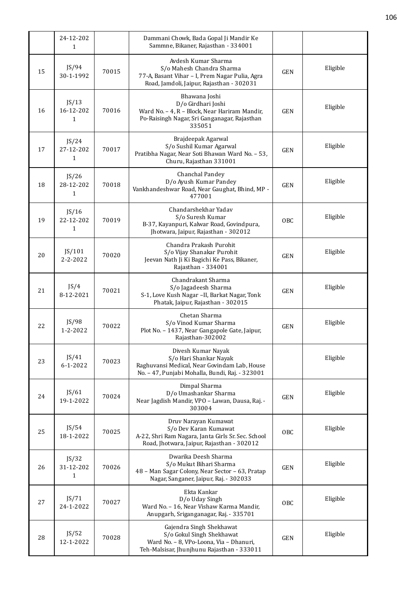|    | 24-12-202<br>$\mathbf{1}$          |       | Dammani Chowk, Bada Gopal Ji Mandir Ke<br>Sammne, Bikaner, Rajasthan - 334001                                                                     |            |          |
|----|------------------------------------|-------|---------------------------------------------------------------------------------------------------------------------------------------------------|------------|----------|
| 15 | JS/94<br>30-1-1992                 | 70015 | Avdesh Kumar Sharma<br>S/o Mahesh Chandra Sharma<br>77-A, Basant Vihar - I, Prem Nagar Pulia, Agra<br>Road, Jamdoli, Jaipur, Rajasthan - 302031   | <b>GEN</b> | Eligible |
| 16 | JS/13<br>16-12-202<br>1            | 70016 | Bhawana Joshi<br>D/o Girdhari Joshi<br>Ward No. - 4, R - Block, Near Hariram Mandir,<br>Po-Raisingh Nagar, Sri Ganganagar, Rajasthan<br>335051    | <b>GEN</b> | Eligible |
| 17 | JS/24<br>27-12-202<br>$\mathbf{1}$ | 70017 | Brajdeepak Agarwal<br>S/o Sushil Kumar Agarwal<br>Pratibha Nagar, Near Soti Bhawan Ward No. - 53,<br>Churu, Rajasthan 331001                      | GEN        | Eligible |
| 18 | JS/26<br>28-12-202<br>$\mathbf{1}$ | 70018 | Chanchal Pandey<br>D/o Ayush Kumar Pandey<br>Vankhandeshwar Road, Near Gaughat, Bhind, MP -<br>477001                                             | <b>GEN</b> | Eligible |
| 19 | JS/16<br>22-12-202<br>$\mathbf{1}$ | 70019 | Chandarshekhar Yadav<br>S/o Suresh Kumar<br>B-37, Kayanpuri, Kalwar Road, Govindpura,<br>Jhotwara, Jaipur, Rajasthan - 302012                     | OBC        | Eligible |
| 20 | JS/101<br>$2 - 2 - 2022$           | 70020 | Chandra Prakash Purohit<br>S/o Vijay Shanakar Purohit<br>Jeevan Nath Ji Ki Bagichi Ke Pass, Bikaner,<br>Rajasthan - 334001                        | <b>GEN</b> | Eligible |
| 21 | JS/4<br>8-12-2021                  | 70021 | Chandrakant Sharma<br>S/o Jagadeesh Sharma<br>S-1, Love Kush Nagar -II, Barkat Nagar, Tonk<br>Phatak, Jaipur, Rajasthan - 302015                  | <b>GEN</b> | Eligible |
| 22 | JS/98<br>1-2-2022                  | 70022 | Chetan Sharma<br>S/o Vinod Kumar Sharma<br>Plot No. - 1437, Near Gangapole Gate, Jaipur,<br>Rajasthan-302002                                      | <b>GEN</b> | Eligible |
| 23 | JS/41<br>$6 - 1 - 2022$            | 70023 | Divesh Kumar Nayak<br>S/o Hari Shankar Nayak<br>Raghuvansi Medical, Near Govindam Lab, House<br>No. - 47, Punjabi Mohalla, Bundi, Raj. - 323001   |            | Eligible |
| 24 | JS/61<br>19-1-2022                 | 70024 | Dimpal Sharma<br>D/o Umashankar Sharma<br>Near Jagdish Mandir, VPO - Lawan, Dausa, Raj. -<br>303004                                               | GEN        | Eligible |
| 25 | JS/54<br>18-1-2022                 | 70025 | Druv Narayan Kumawat<br>S/o Dev Karan Kumawat<br>A-22, Shri Ram Nagara, Janta Girls Sr. Sec. School<br>Road, Jhotwara, Jaipur, Rajasthan - 302012 | OBC        | Eligible |
| 26 | JS/32<br>31-12-202<br>1            | 70026 | Dwarika Deesh Sharma<br>S/o Mukut Bihari Sharma<br>48 - Man Sagar Colony, Near Sector - 63, Pratap<br>Nagar, Sanganer, Jaipur, Raj. - 302033      | GEN        | Eligible |
| 27 | JS/71<br>24-1-2022                 | 70027 | Ekta Kankar<br>D/o Uday Singh<br>Ward No. - 16, Near Vishaw Karma Mandir,<br>Anupgarh, Sriganganagar, Raj. - 335701                               | OBC        | Eligible |
| 28 | JS/52<br>12-1-2022                 | 70028 | Gajendra Singh Shekhawat<br>S/o Gokul Singh Shekhawat<br>Ward No. - 8, VPo-Loona, Via - Dhanuri,<br>Teh-Malsisar, Jhunjhunu Rajasthan - 333011    | GEN        | Eligible |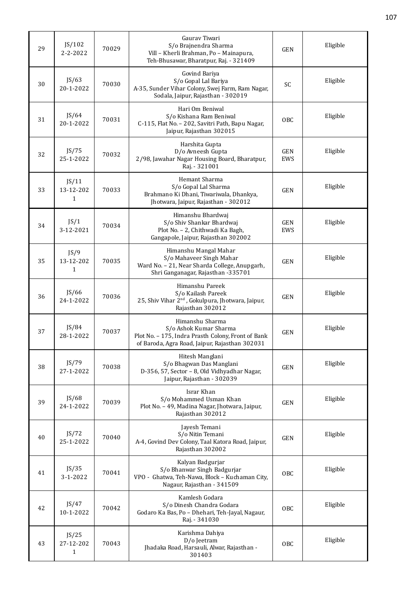| 29 | JS/102<br>$2 - 2 - 2022$           | 70029 | Gauray Tiwari<br>S/o Brajnendra Sharma<br>Vill - Kherli Brahman, Po - Mainapura,<br>Teh-Bhusawar, Bharatpur, Raj. - 321409                        | <b>GEN</b>        | Eligible |
|----|------------------------------------|-------|---------------------------------------------------------------------------------------------------------------------------------------------------|-------------------|----------|
| 30 | JS/63<br>20-1-2022                 | 70030 | Govind Bariya<br>S/o Gopal Lal Bariya<br>A-35, Sunder Vihar Colony, Swej Farm, Ram Nagar,<br>Sodala, Jaipur, Rajasthan - 302019                   | SC                | Eligible |
| 31 | JS/64<br>20-1-2022                 | 70031 | Hari Om Beniwal<br>S/o Kishana Ram Beniwal<br>C-115, Flat No. - 202, Savitri Path, Bapu Nagar,<br>Jaipur, Rajasthan 302015                        | <b>OBC</b>        | Eligible |
| 32 | JS/75<br>25-1-2022                 | 70032 | Harshita Gupta<br>D/o Avneesh Gupta<br>2/98, Jawahar Nagar Housing Board, Bharatpur,<br>Raj. - 321001                                             | <b>GEN</b><br>EWS | Eligible |
| 33 | JS/11<br>13-12-202<br>$\mathbf{1}$ | 70033 | Hemant Sharma<br>S/o Gopal Lal Sharma<br>Brahmano Ki Dhani, Tiwariwala, Dhankya,<br>Jhotwara, Jaipur, Rajasthan - 302012                          | <b>GEN</b>        | Eligible |
| 34 | JS/1<br>3-12-2021                  | 70034 | Himanshu Bhardwaj<br>S/o Shiv Shankar Bhardwaj<br>Plot No. - 2, Chithwadi Ka Bagh,<br>Gangapole, Jaipur, Rajasthan 302002                         | <b>GEN</b><br>EWS | Eligible |
| 35 | JS/9<br>13-12-202<br>$\mathbf{1}$  | 70035 | Himanshu Mangal Mahar<br>S/o Mahaveer Singh Mahar<br>Ward No. - 21, Near Sharda College, Anupgarh,<br>Shri Ganganagar, Rajasthan -335701          | <b>GEN</b>        | Eligible |
| 36 | JS/66<br>24-1-2022                 | 70036 | Himanshu Pareek<br>S/o Kailash Pareek<br>25, Shiv Vihar 2 <sup>nd</sup> , Gokulpura, Jhotwara, Jaipur,<br>Rajasthan 302012                        | <b>GEN</b>        | Eligible |
| 37 | JS/84<br>28-1-2022                 | 70037 | Himanshu Sharma<br>S/o Ashok Kumar Sharma<br>Plot No. - 175, Indra Prasth Colony, Front of Bank<br>of Baroda, Agra Road, Jaipur, Rajasthan 302031 | <b>GEN</b>        | Eligible |
| 38 | JS/79<br>27-1-2022                 | 70038 | Hitesh Manglani<br>S/o Bhagwan Das Manglani<br>D-356, 57, Sector - 8, Old Vidhyadhar Nagar,<br>Jaipur, Rajasthan - 302039                         | <b>GEN</b>        | Eligible |
| 39 | JS/68<br>24-1-2022                 | 70039 | Israr Khan<br>S/o Mohammed Usman Khan<br>Plot No. - 49, Madina Nagar, Jhotwara, Jaipur,<br>Rajasthan 302012                                       | <b>GEN</b>        | Eligible |
| 40 | JS/72<br>25-1-2022                 | 70040 | Jayesh Temani<br>S/o Nitin Temani<br>A-4, Govind Dev Colony, Taal Katora Road, Jaipur,<br>Rajasthan 302002                                        | <b>GEN</b>        | Eligible |
| 41 | JS/35<br>$3 - 1 - 2022$            | 70041 | Kalyan Badgurjar<br>S/o Bhanwar Singh Badgurjar<br>VPO - Ghatwa, Teh-Nawa, Block - Kuchaman City,<br>Nagaur, Rajasthan - 341509                   | <b>OBC</b>        | Eligible |
| 42 | JS/47<br>10-1-2022                 | 70042 | Kamlesh Godara<br>S/o Dinesh Chandra Godara<br>Godaro Ka Bas, Po - Dhehari, Teh-Jayal, Nagaur,<br>Raj. - 341030                                   | <b>OBC</b>        | Eligible |
| 43 | JS/25<br>27-12-202<br>$\mathbf{1}$ | 70043 | Karishma Dahiya<br>D/o Jeetram<br>Jhadaka Road, Harsauli, Alwar, Rajasthan -<br>301403                                                            | <b>OBC</b>        | Eligible |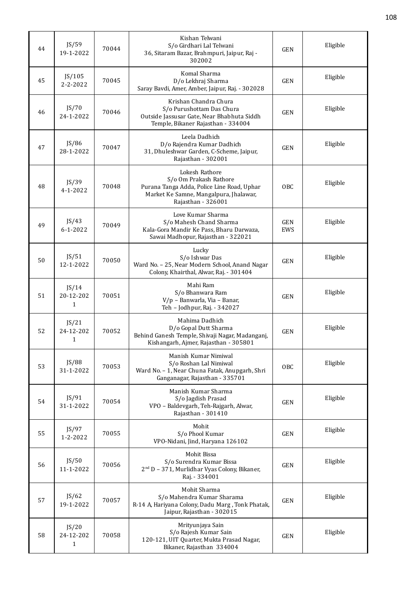| 44 | JS/59<br>19-1-2022                 | 70044 | Kishan Telwani<br>S/o Girdhari Lal Telwani<br>36, Sitaram Bazar, Brahmpuri, Jaipur, Raj -<br>302002                                                    | <b>GEN</b>        | Eligible |
|----|------------------------------------|-------|--------------------------------------------------------------------------------------------------------------------------------------------------------|-------------------|----------|
| 45 | JS/105<br>$2 - 2 - 2022$           | 70045 | Komal Sharma<br>D/o Lekhraj Sharma<br>Saray Bavdi, Amer, Amber, Jaipur, Raj. - 302028                                                                  | <b>GEN</b>        | Eligible |
| 46 | JS/70<br>24-1-2022                 | 70046 | Krishan Chandra Chura<br>S/o Purushottam Das Chura<br>Outside Jassusar Gate, Near Bhabhuta Siddh<br>Temple, Bikaner Rajasthan - 334004                 | <b>GEN</b>        | Eligible |
| 47 | JS/86<br>28-1-2022                 | 70047 | Leela Dadhich<br>D/o Rajendra Kumar Dadhich<br>31, Dhuleshwar Garden, C-Scheme, Jaipur,<br>Rajasthan - 302001                                          | <b>GEN</b>        | Eligible |
| 48 | JS/39<br>$4 - 1 - 2022$            | 70048 | Lokesh Rathore<br>S/o Om Prakash Rathore<br>Purana Tanga Adda, Police Line Road, Uphar<br>Market Ke Samne, Mangalpura, Jhalawar,<br>Rajasthan - 326001 | OBC               | Eligible |
| 49 | JS/43<br>$6 - 1 - 2022$            | 70049 | Love Kumar Sharma<br>S/o Mahesh Chand Sharma<br>Kala-Gora Mandir Ke Pass, Bharu Darwaza,<br>Sawai Madhopur, Rajasthan - 322021                         | <b>GEN</b><br>EWS | Eligible |
| 50 | JS/51<br>12-1-2022                 | 70050 | Lucky<br>S/o Ishwar Das<br>Ward No. - 25, Near Modern School, Anand Nagar<br>Colony, Khairthal, Alwar, Raj. - 301404                                   | <b>GEN</b>        | Eligible |
| 51 | JS/14<br>20-12-202<br>$\mathbf{1}$ | 70051 | Mahi Ram<br>S/o Bhanwara Ram<br>V/p - Banwarla, Via - Banar,<br>Teh - Jodhpur, Raj. - 342027                                                           | <b>GEN</b>        | Eligible |
| 52 | JS/21<br>24-12-202<br>$\mathbf{1}$ | 70052 | Mahima Dadhich<br>D/o Gopal Dutt Sharma<br>Behind Ganesh Temple, Shivaji Nagar, Madanganj,<br>Kishangarh, Ajmer, Rajasthan - 305801                    | <b>GEN</b>        | Eligible |
| 53 | JS/88<br>31-1-2022                 | 70053 | Manish Kumar Nimiwal<br>S/o Roshan Lal Nimiwal<br>Ward No. - 1, Near Chuna Fatak, Anupgarh, Shri<br>Ganganagar, Rajasthan - 335701                     | OBC               | Eligible |
| 54 | JS/91<br>31-1-2022                 | 70054 | Manish Kumar Sharma<br>S/o Jagdish Prasad<br>VPO - Baldevgarh, Teh-Rajgarh, Alwar,<br>Rajasthan - 301410                                               | <b>GEN</b>        | Eligible |
| 55 | JS/97<br>1-2-2022                  | 70055 | Mohit<br>S/o Phool Kumar<br>VPO-Nidani, Jind, Haryana 126102                                                                                           | <b>GEN</b>        | Eligible |
| 56 | JS/50<br>11-1-2022                 | 70056 | Mohit Bissa<br>S/o Surendra Kumar Bissa<br>2 <sup>nd</sup> D - 371, Murlidhar Vyas Colony, Bikaner,<br>Raj. - 334001                                   | <b>GEN</b>        | Eligible |
| 57 | JS/62<br>19-1-2022                 | 70057 | Mohit Sharma<br>S/o Mahendra Kumar Sharama<br>R-14 A, Hariyana Colony, Dadu Marg, Tonk Phatak,<br>Jaipur, Rajasthan - 302015                           | <b>GEN</b>        | Eligible |
| 58 | JS/20<br>24-12-202<br>$\mathbf{1}$ | 70058 | Mrityunjaya Sain<br>S/o Rajesh Kumar Sain<br>120-121, UIT Quarter, Mukta Prasad Nagar,<br>Bikaner, Rajasthan 334004                                    | <b>GEN</b>        | Eligible |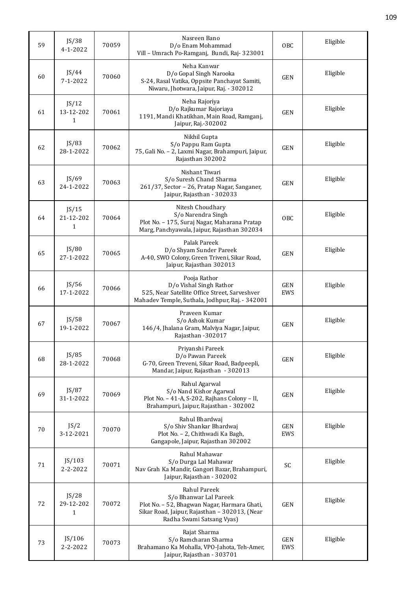| 59 | JS/38<br>$4 - 1 - 2022$            | 70059 | Nasreen Bano<br>D/o Enam Mohammad<br>Vill - Umrach Po-Ramganj, Bundi, Raj- 323001                                                                                    | OBC               | Eligible |
|----|------------------------------------|-------|----------------------------------------------------------------------------------------------------------------------------------------------------------------------|-------------------|----------|
| 60 | JS/44<br>$7 - 1 - 2022$            | 70060 | Neha Kanwar<br>D/o Gopal Singh Narooka<br>S-24, Rasal Vatika, Oppsite Panchayat Samiti,<br>Niwaru, Jhotwara, Jaipur, Raj. - 302012                                   | <b>GEN</b>        | Eligible |
| 61 | JS/12<br>13-12-202<br>$\mathbf{1}$ | 70061 | Neha Rajoriya<br>D/o Rajkumar Rajoriaya<br>1191, Mandi Khatikhan, Main Road, Ramganj,<br>Jaipur, Raj.-302002                                                         | <b>GEN</b>        | Eligible |
| 62 | JS/83<br>28-1-2022                 | 70062 | Nikhil Gupta<br>S/o Pappu Ram Gupta<br>75, Gali No. - 2, Laxmi Nagar, Brahampuri, Jaipur,<br>Rajasthan 302002                                                        | <b>GEN</b>        | Eligible |
| 63 | JS/69<br>24-1-2022                 | 70063 | Nishant Tiwari<br>S/o Suresh Chand Sharma<br>261/37, Sector - 26, Pratap Nagar, Sanganer,<br>Jaipur, Rajasthan - 302033                                              | <b>GEN</b>        | Eligible |
| 64 | JS/15<br>21-12-202<br>$\mathbf{1}$ | 70064 | Nitesh Choudhary<br>S/o Narendra Singh<br>Plot No. - 175, Suraj Nagar, Maharana Pratap<br>Marg, Panchyawala, Jaipur, Rajasthan 302034                                | OBC               | Eligible |
| 65 | JS/80<br>27-1-2022                 | 70065 | Palak Pareek<br>D/o Shyam Sunder Pareek<br>A-40, SWO Colony, Green Triveni, Sikar Road,<br>Jaipur, Rajasthan 302013                                                  | <b>GEN</b>        | Eligible |
| 66 | JS/56<br>17-1-2022                 | 70066 | Pooja Rathor<br>D/o Vishal Singh Rathor<br>525, Near Satellite Office Street, Sarveshver<br>Mahadev Temple, Suthala, Jodhpur, Raj. - 342001                          | GEN<br>EWS        | Eligible |
| 67 | JS/58<br>19-1-2022                 | 70067 | Praveen Kumar<br>S/o Ashok Kumar<br>146/4, Jhalana Gram, Malviya Nagar, Jaipur,<br>Rajasthan -302017                                                                 | <b>GEN</b>        | Eligible |
| 68 | JS/85<br>28-1-2022                 | 70068 | Priyanshi Pareek<br>D/o Pawan Pareek<br>G-70, Green Treveni, Sikar Road, Badpeepli,<br>Mandar, Jaipur, Rajasthan - 302013                                            | <b>GEN</b>        | Eligible |
| 69 | JS/87<br>31-1-2022                 | 70069 | Rahul Agarwal<br>S/o Nand Kishor Agarwal<br>Plot No. - 41-A, S-202, Rajhans Colony - II,<br>Brahampuri, Jaipur, Rajasthan - 302002                                   | <b>GEN</b>        | Eligible |
| 70 | JS/2<br>3-12-2021                  | 70070 | Rahul Bhardwaj<br>S/o Shiv Shankar Bhardwaj<br>Plot No. - 2, Chithwadi Ka Bagh,<br>Gangapole, Jaipur, Rajasthan 302002                                               | <b>GEN</b><br>EWS | Eligible |
| 71 | JS/103<br>2-2-2022                 | 70071 | Rahul Mahawar<br>S/o Durga Lal Mahawar<br>Nav Grah Ka Mandir, Gangori Bazar, Brahampuri,<br>Jaipur, Rajasthan - 302002                                               | SC                | Eligible |
| 72 | JS/28<br>29-12-202<br>1            | 70072 | Rahul Pareek<br>S/o Bhanwar Lal Pareek<br>Plot No. - 52, Bhagwan Nagar, Harmara Ghati,<br>Sikar Road, Jaipur, Rajasthan - 302013, (Near<br>Radha Swami Satsang Vyas) | <b>GEN</b>        | Eligible |
| 73 | JS/106<br>2-2-2022                 | 70073 | Rajat Sharma<br>S/o Ramcharan Sharma<br>Brahamano Ka Mohalla, VPO-Jahota, Teh-Amer,<br>Jaipur, Rajasthan - 303701                                                    | <b>GEN</b><br>EWS | Eligible |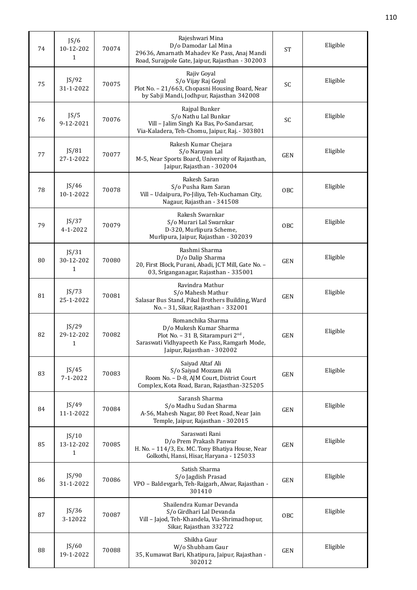| 74 | JS/6<br>10-12-202<br>1             | 70074 | Rajeshwari Mina<br>D/o Damodar Lal Mina<br>29636, Amarnath Mahadev Ke Pass, Anaj Mandi<br>Road, Surajpole Gate, Jaipur, Rajasthan - 302003                                   | <b>ST</b>  | Eligible |
|----|------------------------------------|-------|------------------------------------------------------------------------------------------------------------------------------------------------------------------------------|------------|----------|
| 75 | JS/92<br>31-1-2022                 | 70075 | Rajiv Goyal<br>S/o Vijay Raj Goyal<br>Plot No. - 21/663, Chopasni Housing Board, Near<br>by Sabji Mandi, Jodhpur, Rajasthan 342008                                           | SC         | Eligible |
| 76 | JS/5<br>9-12-2021                  | 70076 | Rajpal Bunker<br>S/o Nathu Lal Bunkar<br>Vill - Jalim Singh Ka Bas, Po-Sandarsar,<br>Via-Kaladera, Teh-Chomu, Jaipur, Raj. - 303801                                          | SC         | Eligible |
| 77 | JS/81<br>27-1-2022                 | 70077 | Rakesh Kumar Chejara<br>S/o Narayan Lal<br>M-5, Near Sports Board, University of Rajasthan,<br>Jaipur, Rajasthan - 302004                                                    | <b>GEN</b> | Eligible |
| 78 | JS/46<br>10-1-2022                 | 70078 | Rakesh Saran<br>S/o Pusha Ram Saran<br>Vill - Udaipura, Po-Jiliya, Teh-Kuchaman City,<br>Nagaur, Rajasthan - 341508                                                          | <b>OBC</b> | Eligible |
| 79 | JS/37<br>4-1-2022                  | 70079 | Rakesh Swarnkar<br>S/o Murari Lal Swarnkar<br>D-320, Murlipura Scheme,<br>Murlipura, Jaipur, Rajasthan - 302039                                                              | <b>OBC</b> | Eligible |
| 80 | JS/31<br>30-12-202<br>$\mathbf{1}$ | 70080 | Rashmi Sharma<br>D/o Dalip Sharma<br>20, First Block, Purani, Abadi, JCT Mill, Gate No. -<br>03, Sriganganagar, Rajasthan - 335001                                           | GEN        | Eligible |
| 81 | JS/73<br>25-1-2022                 | 70081 | Ravindra Mathur<br>S/o Mahesh Mathur<br>Salasar Bus Stand, Pikal Brothers Building, Ward<br>No. - 31, Sikar, Rajasthan - 332001                                              | <b>GEN</b> | Eligible |
| 82 | JS/29<br>29-12-202<br>1            | 70082 | Romanchika Sharma<br>D/o Mukesh Kumar Sharma<br>Plot No. - 31 B, Sitarampuri 2 <sup>nd</sup> ,<br>Saraswati Vidhyapeeth Ke Pass, Ramgarh Mode,<br>Jaipur, Rajasthan - 302002 | <b>GEN</b> | Eligible |
| 83 | JS/45<br>$7 - 1 - 2022$            | 70083 | Saiyad Altaf Ali<br>S/o Saiyad Mozzam Ali<br>Room No. - D-8, AJM Court, District Court<br>Complex, Kota Road, Baran, Rajasthan-325205                                        | GEN        | Eligible |
| 84 | JS/49<br>11-1-2022                 | 70084 | Saransh Sharma<br>S/o Madhu Sudan Sharma<br>A-56, Mahesh Nagar, 80 Feet Road, Near Jain<br>Temple, Jaipur, Rajasthan - 302015                                                | <b>GEN</b> | Eligible |
| 85 | JS/10<br>13-12-202<br>1            | 70085 | Saraswati Rani<br>D/o Prem Prakash Panwar<br>H. No. - 114/3, Ex. MC. Tony Bhatiya House, Near<br>Golkothi, Hansi, Hisar, Haryana - 125033                                    | <b>GEN</b> | Eligible |
| 86 | JS/90<br>31-1-2022                 | 70086 | Satish Sharma<br>S/o Jagdish Prasad<br>VPO - Baldevgarh, Teh-Rajgarh, Alwar, Rajasthan -<br>301410                                                                           | <b>GEN</b> | Eligible |
| 87 | JS/36<br>3-12022                   | 70087 | Shailendra Kumar Devanda<br>S/o Girdhari Lal Devanda<br>Vill - Jajod, Teh-Khandela, Via-Shrimadhopur,<br>Sikar, Rajasthan 332722                                             | 0BC        | Eligible |
| 88 | JS/60<br>19-1-2022                 | 70088 | Shikha Gaur<br>W/o Shubham Gaur<br>35, Kumawat Bari, Khatipura, Jaipur, Rajasthan -<br>302012                                                                                | <b>GEN</b> | Eligible |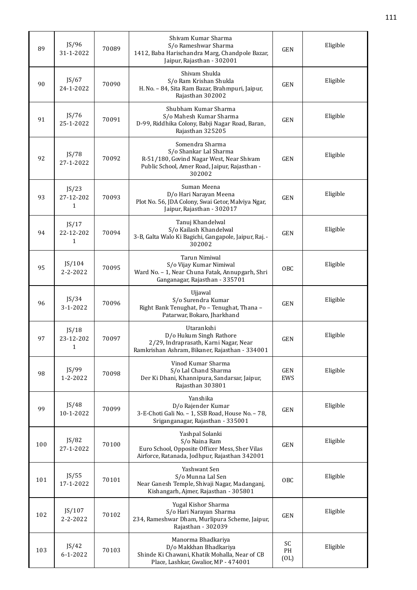| 89  | JS/96<br>31-1-2022                 | 70089 | Shiyam Kumar Sharma<br>S/o Rameshwar Sharma<br>1412, Baba Harischandra Marg, Chandpole Bazar,<br>Jaipur, Rajasthan - 302001                      | <b>GEN</b>        | Eligible |
|-----|------------------------------------|-------|--------------------------------------------------------------------------------------------------------------------------------------------------|-------------------|----------|
| 90  | JS/67<br>24-1-2022                 | 70090 | Shivam Shukla<br>S/o Ram Krishan Shukla<br>H. No. - 84, Sita Ram Bazar, Brahmpuri, Jaipur,<br>Rajasthan 302002                                   | <b>GEN</b>        | Eligible |
| 91  | JS/76<br>25-1-2022                 | 70091 | Shubham Kumar Sharma<br>S/o Mahesh Kumar Sharma<br>D-99, Riddhika Colony, Babji Nagar Road, Baran,<br>Rajasthan 325205                           | <b>GEN</b>        | Eligible |
| 92  | JS/78<br>27-1-2022                 | 70092 | Somendra Sharma<br>S/o Shankar Lal Sharma<br>R-51/180, Govind Nagar West, Near Shivam<br>Public School, Amer Road, Jaipur, Rajasthan -<br>302002 | <b>GEN</b>        | Eligible |
| 93  | JS/23<br>27-12-202<br>1            | 70093 | Suman Meena<br>D/o Hari Narayan Meena<br>Plot No. 56, JDA Colony, Swai Getor, Malviya Ngar,<br>Jaipur, Rajasthan - 302017                        | <b>GEN</b>        | Eligible |
| 94  | JS/17<br>22-12-202<br>$\mathbf{1}$ | 70094 | Tanuj Khandelwal<br>S/o Kailash Khandelwal<br>3-B, Galta Walo Ki Bagichi, Gangapole, Jaipur, Raj. -<br>302002                                    | <b>GEN</b>        | Eligible |
| 95  | JS/104<br>2-2-2022                 | 70095 | Tarun Nimiwal<br>S/o Vijay Kumar Nimiwal<br>Ward No. - 1, Near Chuna Fatak, Annupgarh, Shri<br>Ganganagar, Rajasthan - 335701                    | OBC               | Eligible |
| 96  | JS/34<br>$3 - 1 - 2022$            | 70096 | Ujjawal<br>S/o Surendra Kumar<br>Right Bank Tenughat, Po - Tenughat, Thana -<br>Patarwar, Bokaro, Jharkhand                                      | <b>GEN</b>        | Eligible |
| 97  | JS/18<br>23-12-202<br>$1\,$        | 70097 | Utarankshi<br>D/o Hukum Singh Rathore<br>2/29, Indraprasath, Karni Nagar, Near<br>Ramkrishan Ashram, Bikaner, Rajasthan - 334001                 | <b>GEN</b>        | Eligible |
| 98  | JS/99<br>1-2-2022                  | 70098 | Vinod Kumar Sharma<br>S/o Lal Chand Sharma<br>Der Ki Dhani, Khannipura, Sandarsar, Jaipur,<br>Rajasthan 303801                                   | <b>GEN</b><br>EWS | Eligible |
| 99  | JS/48<br>10-1-2022                 | 70099 | Yanshika<br>D/o Rajender Kumar<br>3-E-Choti Gali No. - 1, SSB Road, House No. - 78,<br>Sriganganagar, Rajasthan - 335001                         | <b>GEN</b>        | Eligible |
| 100 | JS/82<br>27-1-2022                 | 70100 | Yashpal Solanki<br>S/o Naina Ram<br>Euro School, Opposite Officer Mess, Sher Vilas<br>Airforce, Ratanada, Jodhpur, Rajasthan 342001              | <b>GEN</b>        | Eligible |
| 101 | JS/55<br>17-1-2022                 | 70101 | Yashwant Sen<br>S/o Munna Lal Sen<br>Near Ganesh Temple, Shivaji Nagar, Madanganj,<br>Kishangarh, Ajmer, Rajasthan - 305801                      | OBC               | Eligible |
| 102 | JS/107<br>2-2-2022                 | 70102 | Yugal Kishor Sharma<br>S/o Hari Narayan Sharma<br>234, Rameshwar Dham, Murlipura Scheme, Jaipur,<br>Rajasthan - 302039                           | <b>GEN</b>        | Eligible |
| 103 | JS/42<br>$6 - 1 - 2022$            | 70103 | Manorma Bhadkariya<br>D/o Makkhan Bhadkariya<br>Shinde Ki Chawani, Khatik Mohalla, Near of CB<br>Place, Lashkar, Gwalior, MP - 474001            | SC<br>PH<br>(OL)  | Eligible |